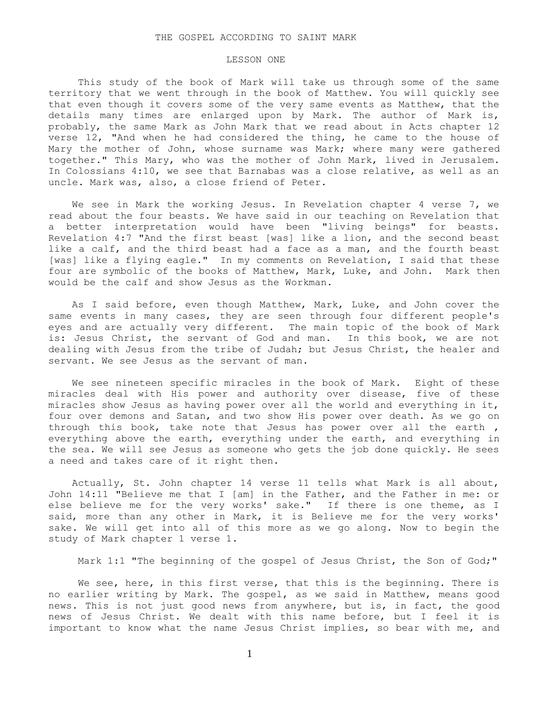## LESSON ONE

 This study of the book of Mark will take us through some of the same territory that we went through in the book of Matthew. You will quickly see that even though it covers some of the very same events as Matthew, that the details many times are enlarged upon by Mark. The author of Mark is, probably, the same Mark as John Mark that we read about in Acts chapter 12 verse 12, "And when he had considered the thing, he came to the house of Mary the mother of John, whose surname was Mark; where many were gathered together." This Mary, who was the mother of John Mark, lived in Jerusalem. In Colossians 4:10, we see that Barnabas was a close relative, as well as an uncle. Mark was, also, a close friend of Peter.

 We see in Mark the working Jesus. In Revelation chapter 4 verse 7, we read about the four beasts. We have said in our teaching on Revelation that a better interpretation would have been "living beings" for beasts. Revelation 4:7 "And the first beast [was] like a lion, and the second beast like a calf, and the third beast had a face as a man, and the fourth beast [was] like a flying eagle." In my comments on Revelation, I said that these four are symbolic of the books of Matthew, Mark, Luke, and John. Mark then would be the calf and show Jesus as the Workman.

 As I said before, even though Matthew, Mark, Luke, and John cover the same events in many cases, they are seen through four different people's eyes and are actually very different. The main topic of the book of Mark is: Jesus Christ, the servant of God and man. In this book, we are not dealing with Jesus from the tribe of Judah; but Jesus Christ, the healer and servant. We see Jesus as the servant of man.

 We see nineteen specific miracles in the book of Mark. Eight of these miracles deal with His power and authority over disease, five of these miracles show Jesus as having power over all the world and everything in it, four over demons and Satan, and two show His power over death. As we go on through this book, take note that Jesus has power over all the earth, everything above the earth, everything under the earth, and everything in the sea. We will see Jesus as someone who gets the job done quickly. He sees a need and takes care of it right then.

 Actually, St. John chapter 14 verse 11 tells what Mark is all about, John 14:11 "Believe me that I [am] in the Father, and the Father in me: or else believe me for the very works' sake." If there is one theme, as I said, more than any other in Mark, it is Believe me for the very works' sake. We will get into all of this more as we go along. Now to begin the study of Mark chapter 1 verse 1.

Mark 1:1 "The beginning of the gospel of Jesus Christ, the Son of God;"

We see, here, in this first verse, that this is the beginning. There is no earlier writing by Mark. The gospel, as we said in Matthew, means good news. This is not just good news from anywhere, but is, in fact, the good news of Jesus Christ. We dealt with this name before, but I feel it is important to know what the name Jesus Christ implies, so bear with me, and

1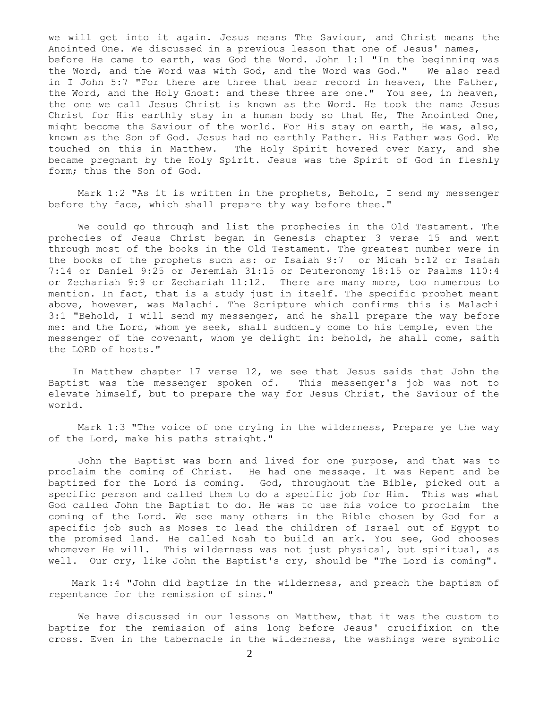we will get into it again. Jesus means The Saviour, and Christ means the Anointed One. We discussed in a previous lesson that one of Jesus' names, before He came to earth, was God the Word. John 1:1 "In the beginning was the Word, and the Word was with God, and the Word was God." We also read in I John 5:7 "For there are three that bear record in heaven, the Father, the Word, and the Holy Ghost: and these three are one." You see, in heaven, the one we call Jesus Christ is known as the Word. He took the name Jesus Christ for His earthly stay in a human body so that He, The Anointed One, might become the Saviour of the world. For His stay on earth, He was, also, known as the Son of God. Jesus had no earthly Father. His Father was God. We touched on this in Matthew. The Holy Spirit hovered over Mary, and she became pregnant by the Holy Spirit. Jesus was the Spirit of God in fleshly form; thus the Son of God.

 Mark 1:2 "As it is written in the prophets, Behold, I send my messenger before thy face, which shall prepare thy way before thee."

 We could go through and list the prophecies in the Old Testament. The prohecies of Jesus Christ began in Genesis chapter 3 verse 15 and went through most of the books in the Old Testament. The greatest number were in the books of the prophets such as: or Isaiah 9:7 or Micah 5:12 or Isaiah 7:14 or Daniel 9:25 or Jeremiah 31:15 or Deuteronomy 18:15 or Psalms 110:4 or Zechariah 9:9 or Zechariah 11:12. There are many more, too numerous to mention. In fact, that is a study just in itself. The specific prophet meant above, however, was Malachi. The Scripture which confirms this is Malachi 3:1 "Behold, I will send my messenger, and he shall prepare the way before me: and the Lord, whom ye seek, shall suddenly come to his temple, even the messenger of the covenant, whom ye delight in: behold, he shall come, saith the LORD of hosts."

 In Matthew chapter 17 verse 12, we see that Jesus saids that John the Baptist was the messenger spoken of. This messenger's job was not to elevate himself, but to prepare the way for Jesus Christ, the Saviour of the world.

 Mark 1:3 "The voice of one crying in the wilderness, Prepare ye the way of the Lord, make his paths straight."

 John the Baptist was born and lived for one purpose, and that was to proclaim the coming of Christ. He had one message. It was Repent and be baptized for the Lord is coming. God, throughout the Bible, picked out a specific person and called them to do a specific job for Him. This was what God called John the Baptist to do. He was to use his voice to proclaim the coming of the Lord. We see many others in the Bible chosen by God for a specific job such as Moses to lead the children of Israel out of Egypt to the promised land. He called Noah to build an ark. You see, God chooses whomever He will. This wilderness was not just physical, but spiritual, as well. Our cry, like John the Baptist's cry, should be "The Lord is coming".

 Mark 1:4 "John did baptize in the wilderness, and preach the baptism of repentance for the remission of sins."

 We have discussed in our lessons on Matthew, that it was the custom to baptize for the remission of sins long before Jesus' crucifixion on the cross. Even in the tabernacle in the wilderness, the washings were symbolic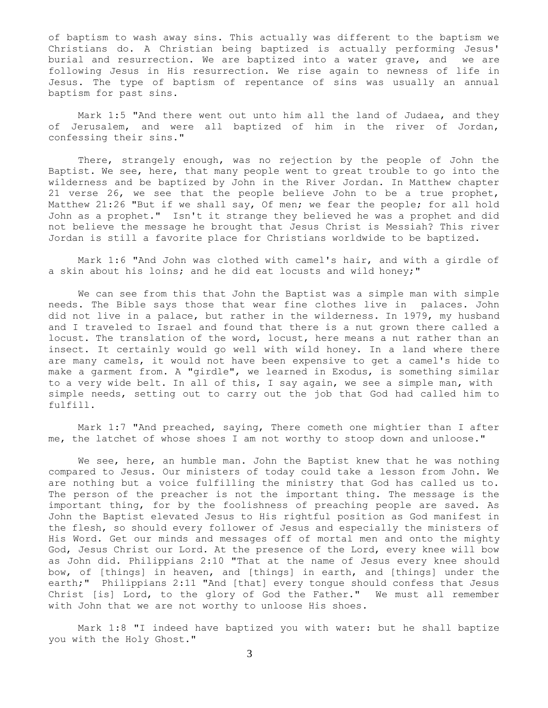of baptism to wash away sins. This actually was different to the baptism we Christians do. A Christian being baptized is actually performing Jesus' burial and resurrection. We are baptized into a water grave, and we are following Jesus in His resurrection. We rise again to newness of life in Jesus. The type of baptism of repentance of sins was usually an annual baptism for past sins.

 Mark 1:5 "And there went out unto him all the land of Judaea, and they of Jerusalem, and were all baptized of him in the river of Jordan, confessing their sins."

 There, strangely enough, was no rejection by the people of John the Baptist. We see, here, that many people went to great trouble to go into the wilderness and be baptized by John in the River Jordan. In Matthew chapter 21 verse 26, we see that the people believe John to be a true prophet, Matthew 21:26 "But if we shall say, Of men; we fear the people; for all hold John as a prophet." Isn't it strange they believed he was a prophet and did not believe the message he brought that Jesus Christ is Messiah? This river Jordan is still a favorite place for Christians worldwide to be baptized.

 Mark 1:6 "And John was clothed with camel's hair, and with a girdle of a skin about his loins; and he did eat locusts and wild honey;"

 We can see from this that John the Baptist was a simple man with simple needs. The Bible says those that wear fine clothes live in palaces. John did not live in a palace, but rather in the wilderness. In 1979, my husband and I traveled to Israel and found that there is a nut grown there called a locust. The translation of the word, locust, here means a nut rather than an insect. It certainly would go well with wild honey. In a land where there are many camels, it would not have been expensive to get a camel's hide to make a garment from. A "girdle", we learned in Exodus, is something similar to a very wide belt. In all of this, I say again, we see a simple man, with simple needs, setting out to carry out the job that God had called him to fulfill.

 Mark 1:7 "And preached, saying, There cometh one mightier than I after me, the latchet of whose shoes I am not worthy to stoop down and unloose."

We see, here, an humble man. John the Baptist knew that he was nothing compared to Jesus. Our ministers of today could take a lesson from John. We are nothing but a voice fulfilling the ministry that God has called us to. The person of the preacher is not the important thing. The message is the important thing, for by the foolishness of preaching people are saved. As John the Baptist elevated Jesus to His rightful position as God manifest in the flesh, so should every follower of Jesus and especially the ministers of His Word. Get our minds and messages off of mortal men and onto the mighty God, Jesus Christ our Lord. At the presence of the Lord, every knee will bow as John did. Philippians 2:10 "That at the name of Jesus every knee should bow, of [things] in heaven, and [things] in earth, and [things] under the earth;" Philippians 2:11 "And [that] every tongue should confess that Jesus Christ [is] Lord, to the glory of God the Father." We must all remember with John that we are not worthy to unloose His shoes.

 Mark 1:8 "I indeed have baptized you with water: but he shall baptize you with the Holy Ghost."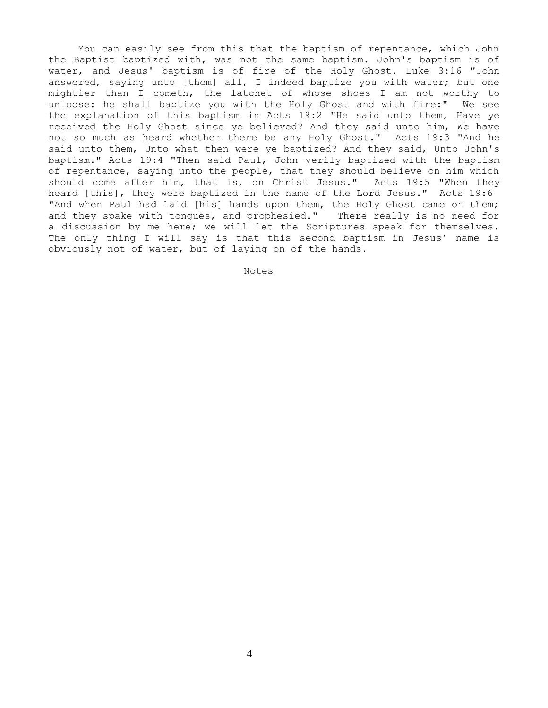You can easily see from this that the baptism of repentance, which John the Baptist baptized with, was not the same baptism. John's baptism is of water, and Jesus' baptism is of fire of the Holy Ghost. Luke 3:16 "John answered, saying unto [them] all, I indeed baptize you with water; but one mightier than I cometh, the latchet of whose shoes I am not worthy to unloose: he shall baptize you with the Holy Ghost and with fire:" We see the explanation of this baptism in Acts 19:2 "He said unto them, Have ye received the Holy Ghost since ye believed? And they said unto him, We have not so much as heard whether there be any Holy Ghost." Acts 19:3 "And he said unto them, Unto what then were ye baptized? And they said, Unto John's baptism." Acts 19:4 "Then said Paul, John verily baptized with the baptism of repentance, saying unto the people, that they should believe on him which should come after him, that is, on Christ Jesus." Acts 19:5 "When they heard [this], they were baptized in the name of the Lord Jesus." Acts 19:6 "And when Paul had laid [his] hands upon them, the Holy Ghost came on them; and they spake with tongues, and prophesied." There really is no need for a discussion by me here; we will let the Scriptures speak for themselves. The only thing I will say is that this second baptism in Jesus' name is obviously not of water, but of laying on of the hands.

Notes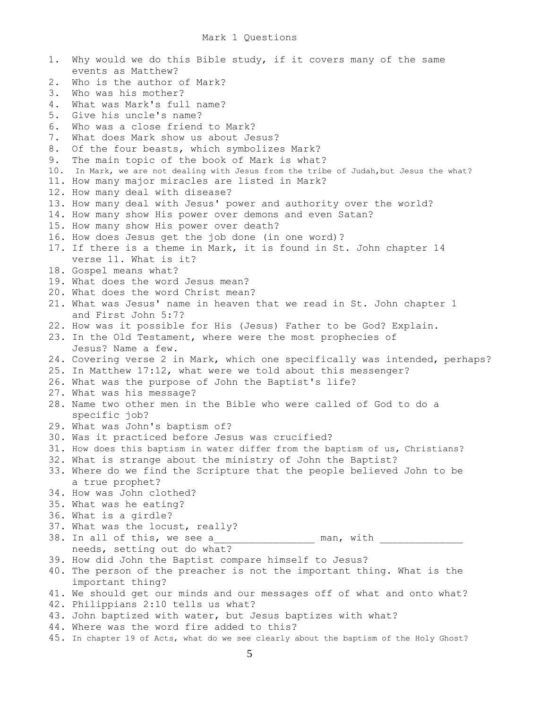| 1. | Why would we do this Bible study, if it covers many of the same                         |
|----|-----------------------------------------------------------------------------------------|
|    | events as Matthew?                                                                      |
| 2. | Who is the author of Mark?                                                              |
| 3. | Who was his mother?                                                                     |
| 4. | What was Mark's full name?                                                              |
| 5. | Give his uncle's name?                                                                  |
| 6. | Who was a close friend to Mark?                                                         |
| 7. | What does Mark show us about Jesus?                                                     |
| 8. | Of the four beasts, which symbolizes Mark?                                              |
| 9. | The main topic of the book of Mark is what?                                             |
|    | 10. In Mark, we are not dealing with Jesus from the tribe of Judah, but Jesus the what? |
|    | 11. How many major miracles are listed in Mark?                                         |
|    | 12. How many deal with disease?                                                         |
|    | 13. How many deal with Jesus' power and authority over the world?                       |
|    | 14. How many show His power over demons and even Satan?                                 |
|    | 15. How many show His power over death?                                                 |
|    | 16. How does Jesus get the job done (in one word)?                                      |
|    | 17. If there is a theme in Mark, it is found in St. John chapter 14                     |
|    | verse 11. What is it?                                                                   |
|    | 18. Gospel means what?                                                                  |
|    | 19. What does the word Jesus mean?                                                      |
|    | 20. What does the word Christ mean?                                                     |
|    | 21. What was Jesus' name in heaven that we read in St. John chapter 1                   |
|    | and First John 5:7?                                                                     |
|    | 22. How was it possible for His (Jesus) Father to be God? Explain.                      |
|    | 23. In the Old Testament, where were the most prophecies of                             |
|    | Jesus? Name a few.                                                                      |
|    | 24. Covering verse 2 in Mark, which one specifically was intended, perhaps?             |
|    | 25. In Matthew 17:12, what were we told about this messenger?                           |
|    | 26. What was the purpose of John the Baptist's life?                                    |
|    | 27. What was his message?                                                               |
|    | 28. Name two other men in the Bible who were called of God to do a                      |
|    | specific job?                                                                           |
|    | 29. What was John's baptism of?                                                         |
|    | 30. Was it practiced before Jesus was crucified?                                        |
|    | 31. How does this baptism in water differ from the baptism of us, Christians?           |
|    | 32. What is strange about the ministry of John the Baptist?                             |
|    | 33. Where do we find the Scripture that the people believed John to be                  |
|    | a true prophet?                                                                         |
|    | 34. How was John clothed?                                                               |
|    | 35. What was he eating?                                                                 |
|    | 36. What is a girdle?                                                                   |
|    | 37. What was the locust, really?                                                        |
|    | 38. In all of this, we see a<br>man, with                                               |
|    | needs, setting out do what?                                                             |
|    | 39. How did John the Baptist compare himself to Jesus?                                  |
|    | 40. The person of the preacher is not the important thing. What is the                  |
|    | important thing?                                                                        |
|    | 41. We should get our minds and our messages off of what and onto what?                 |
|    | 42. Philippians 2:10 tells us what?                                                     |
|    | 43. John baptized with water, but Jesus baptizes with what?                             |
|    | 44. Where was the word fire added to this?                                              |

45. In chapter 19 of Acts, what do we see clearly about the baptism of the Holy Ghost?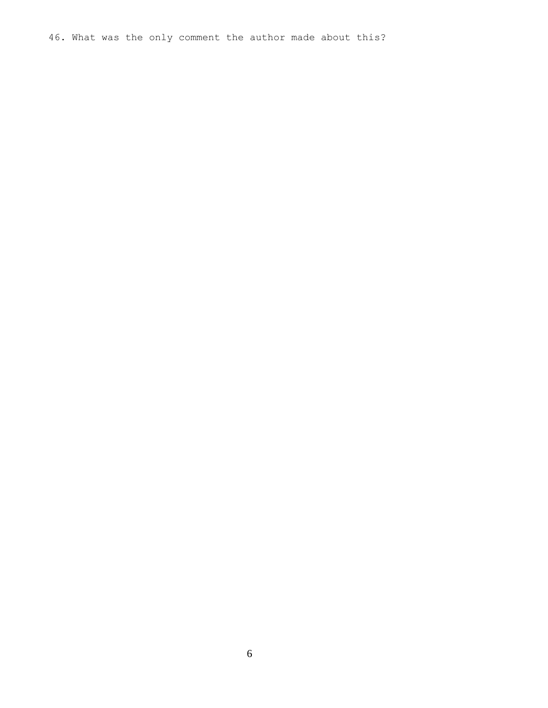46. What was the only comment the author made about this?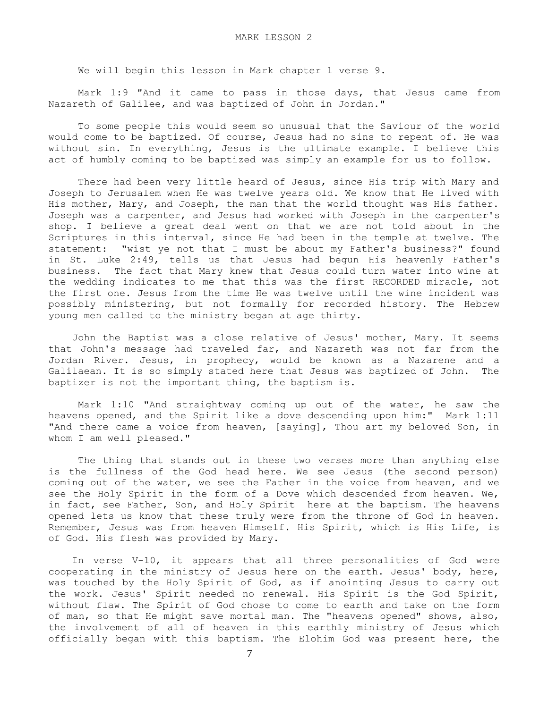We will begin this lesson in Mark chapter 1 verse 9.

 Mark 1:9 "And it came to pass in those days, that Jesus came from Nazareth of Galilee, and was baptized of John in Jordan."

 To some people this would seem so unusual that the Saviour of the world would come to be baptized. Of course, Jesus had no sins to repent of. He was without sin. In everything, Jesus is the ultimate example. I believe this act of humbly coming to be baptized was simply an example for us to follow.

 There had been very little heard of Jesus, since His trip with Mary and Joseph to Jerusalem when He was twelve years old. We know that He lived with His mother, Mary, and Joseph, the man that the world thought was His father. Joseph was a carpenter, and Jesus had worked with Joseph in the carpenter's shop. I believe a great deal went on that we are not told about in the Scriptures in this interval, since He had been in the temple at twelve. The statement: "wist ye not that I must be about my Father's business?" found in St. Luke 2:49, tells us that Jesus had begun His heavenly Father's business. The fact that Mary knew that Jesus could turn water into wine at the wedding indicates to me that this was the first RECORDED miracle, not the first one. Jesus from the time He was twelve until the wine incident was possibly ministering, but not formally for recorded history. The Hebrew young men called to the ministry began at age thirty.

 John the Baptist was a close relative of Jesus' mother, Mary. It seems that John's message had traveled far, and Nazareth was not far from the Jordan River. Jesus, in prophecy, would be known as a Nazarene and a Galilaean. It is so simply stated here that Jesus was baptized of John. The baptizer is not the important thing, the baptism is.

 Mark 1:10 "And straightway coming up out of the water, he saw the heavens opened, and the Spirit like a dove descending upon him:" Mark 1:11 "And there came a voice from heaven, [saying], Thou art my beloved Son, in whom I am well pleased."

 The thing that stands out in these two verses more than anything else is the fullness of the God head here. We see Jesus (the second person) coming out of the water, we see the Father in the voice from heaven, and we see the Holy Spirit in the form of a Dove which descended from heaven. We, in fact, see Father, Son, and Holy Spirit here at the baptism. The heavens opened lets us know that these truly were from the throne of God in heaven. Remember, Jesus was from heaven Himself. His Spirit, which is His Life, is of God. His flesh was provided by Mary.

 In verse V-10, it appears that all three personalities of God were cooperating in the ministry of Jesus here on the earth. Jesus' body, here, was touched by the Holy Spirit of God, as if anointing Jesus to carry out the work. Jesus' Spirit needed no renewal. His Spirit is the God Spirit, without flaw. The Spirit of God chose to come to earth and take on the form of man, so that He might save mortal man. The "heavens opened" shows, also, the involvement of all of heaven in this earthly ministry of Jesus which officially began with this baptism. The Elohim God was present here, the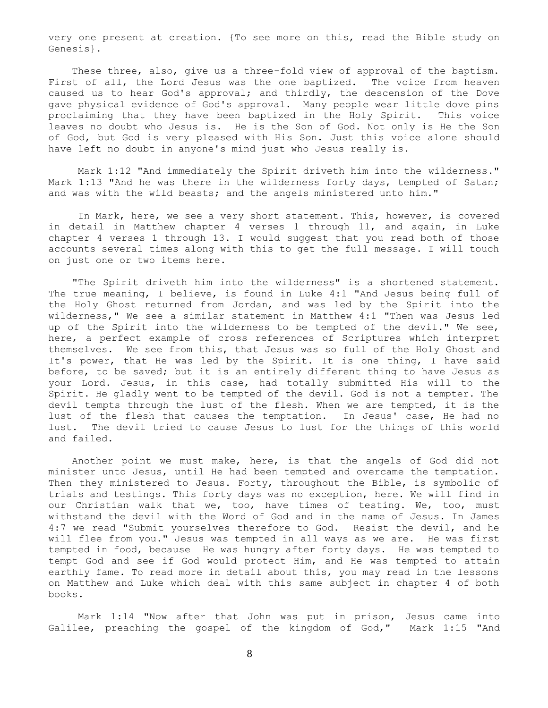very one present at creation. {To see more on this, read the Bible study on Genesis}.

 These three, also, give us a three-fold view of approval of the baptism. First of all, the Lord Jesus was the one baptized. The voice from heaven caused us to hear God's approval; and thirdly, the descension of the Dove gave physical evidence of God's approval. Many people wear little dove pins proclaiming that they have been baptized in the Holy Spirit. This voice leaves no doubt who Jesus is. He is the Son of God. Not only is He the Son of God, but God is very pleased with His Son. Just this voice alone should have left no doubt in anyone's mind just who Jesus really is.

 Mark 1:12 "And immediately the Spirit driveth him into the wilderness." Mark 1:13 "And he was there in the wilderness forty days, tempted of Satan; and was with the wild beasts; and the angels ministered unto him."

 In Mark, here, we see a very short statement. This, however, is covered in detail in Matthew chapter 4 verses 1 through 11, and again, in Luke chapter 4 verses 1 through 13. I would suggest that you read both of those accounts several times along with this to get the full message. I will touch on just one or two items here.

 "The Spirit driveth him into the wilderness" is a shortened statement. The true meaning, I believe, is found in Luke 4:1 "And Jesus being full of the Holy Ghost returned from Jordan, and was led by the Spirit into the wilderness," We see a similar statement in Matthew 4:1 "Then was Jesus led up of the Spirit into the wilderness to be tempted of the devil." We see, here, a perfect example of cross references of Scriptures which interpret themselves. We see from this, that Jesus was so full of the Holy Ghost and It's power, that He was led by the Spirit. It is one thing, I have said before, to be saved; but it is an entirely different thing to have Jesus as your Lord. Jesus, in this case, had totally submitted His will to the Spirit. He gladly went to be tempted of the devil. God is not a tempter. The devil tempts through the lust of the flesh. When we are tempted, it is the lust of the flesh that causes the temptation. In Jesus' case, He had no lust. The devil tried to cause Jesus to lust for the things of this world and failed.

 Another point we must make, here, is that the angels of God did not minister unto Jesus, until He had been tempted and overcame the temptation. Then they ministered to Jesus. Forty, throughout the Bible, is symbolic of trials and testings. This forty days was no exception, here. We will find in our Christian walk that we, too, have times of testing. We, too, must withstand the devil with the Word of God and in the name of Jesus. In James 4:7 we read "Submit yourselves therefore to God. Resist the devil, and he will flee from you." Jesus was tempted in all ways as we are. He was first tempted in food, because He was hungry after forty days. He was tempted to tempt God and see if God would protect Him, and He was tempted to attain earthly fame. To read more in detail about this, you may read in the lessons on Matthew and Luke which deal with this same subject in chapter 4 of both books.

 Mark 1:14 "Now after that John was put in prison, Jesus came into Galilee, preaching the gospel of the kingdom of God," Mark 1:15 "And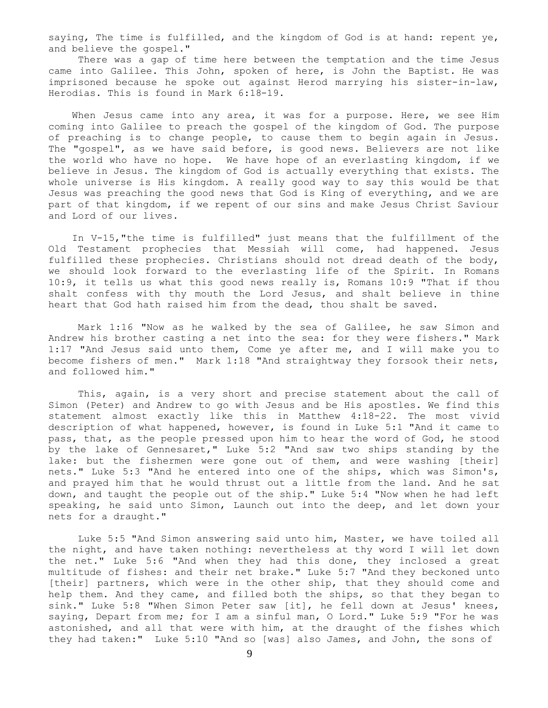saying, The time is fulfilled, and the kingdom of God is at hand: repent ye, and believe the gospel."

 There was a gap of time here between the temptation and the time Jesus came into Galilee. This John, spoken of here, is John the Baptist. He was imprisoned because he spoke out against Herod marrying his sister-in-law, Herodias. This is found in Mark 6:18-19.

When Jesus came into any area, it was for a purpose. Here, we see Him coming into Galilee to preach the gospel of the kingdom of God. The purpose of preaching is to change people, to cause them to begin again in Jesus. The "gospel", as we have said before, is good news. Believers are not like the world who have no hope. We have hope of an everlasting kingdom, if we believe in Jesus. The kingdom of God is actually everything that exists. The whole universe is His kingdom. A really good way to say this would be that Jesus was preaching the good news that God is King of everything, and we are part of that kingdom, if we repent of our sins and make Jesus Christ Saviour and Lord of our lives.

 In V-15,"the time is fulfilled" just means that the fulfillment of the Old Testament prophecies that Messiah will come, had happened. Jesus fulfilled these prophecies. Christians should not dread death of the body, we should look forward to the everlasting life of the Spirit. In Romans 10:9, it tells us what this good news really is, Romans 10:9 "That if thou shalt confess with thy mouth the Lord Jesus, and shalt believe in thine heart that God hath raised him from the dead, thou shalt be saved.

 Mark 1:16 "Now as he walked by the sea of Galilee, he saw Simon and Andrew his brother casting a net into the sea: for they were fishers." Mark 1:17 "And Jesus said unto them, Come ye after me, and I will make you to become fishers of men." Mark 1:18 "And straightway they forsook their nets, and followed him."

 This, again, is a very short and precise statement about the call of Simon (Peter) and Andrew to go with Jesus and be His apostles. We find this statement almost exactly like this in Matthew 4:18-22. The most vivid description of what happened, however, is found in Luke 5:1 "And it came to pass, that, as the people pressed upon him to hear the word of God, he stood by the lake of Gennesaret," Luke 5:2 "And saw two ships standing by the lake: but the fishermen were gone out of them, and were washing [their] nets." Luke 5:3 "And he entered into one of the ships, which was Simon's, and prayed him that he would thrust out a little from the land. And he sat down, and taught the people out of the ship." Luke 5:4 "Now when he had left speaking, he said unto Simon, Launch out into the deep, and let down your nets for a draught."

 Luke 5:5 "And Simon answering said unto him, Master, we have toiled all the night, and have taken nothing: nevertheless at thy word I will let down the net." Luke 5:6 "And when they had this done, they inclosed a great multitude of fishes: and their net brake." Luke 5:7 "And they beckoned unto [their] partners, which were in the other ship, that they should come and help them. And they came, and filled both the ships, so that they began to sink." Luke 5:8 "When Simon Peter saw [it], he fell down at Jesus' knees, saying, Depart from me; for I am a sinful man, O Lord." Luke 5:9 "For he was astonished, and all that were with him, at the draught of the fishes which they had taken:" Luke 5:10 "And so [was] also James, and John, the sons of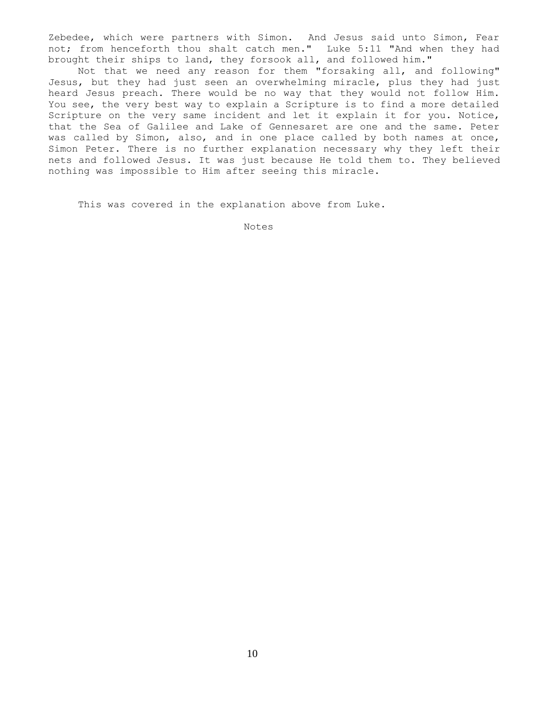Zebedee, which were partners with Simon. And Jesus said unto Simon, Fear not; from henceforth thou shalt catch men." Luke 5:11 "And when they had brought their ships to land, they forsook all, and followed him."

 Not that we need any reason for them "forsaking all, and following" Jesus, but they had just seen an overwhelming miracle, plus they had just heard Jesus preach. There would be no way that they would not follow Him. You see, the very best way to explain a Scripture is to find a more detailed Scripture on the very same incident and let it explain it for you. Notice, that the Sea of Galilee and Lake of Gennesaret are one and the same. Peter was called by Simon, also, and in one place called by both names at once, Simon Peter. There is no further explanation necessary why they left their nets and followed Jesus. It was just because He told them to. They believed nothing was impossible to Him after seeing this miracle.

This was covered in the explanation above from Luke.

Notes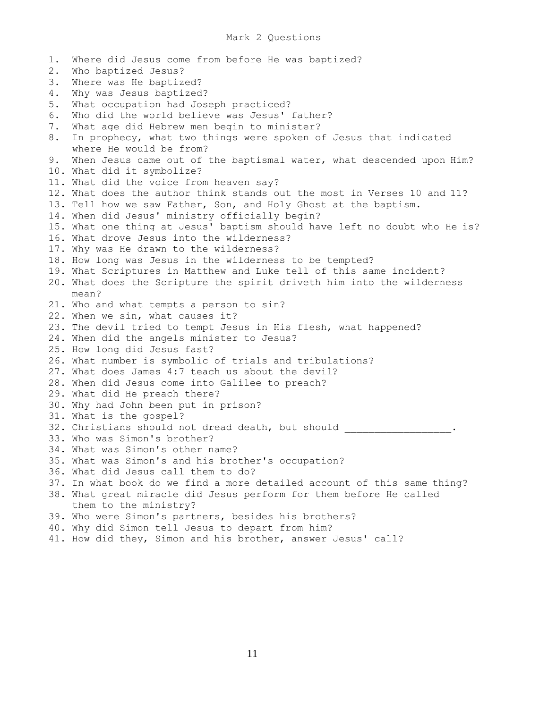1. Where did Jesus come from before He was baptized? 2. Who baptized Jesus? 3. Where was He baptized? 4. Why was Jesus baptized? 5. What occupation had Joseph practiced? 6. Who did the world believe was Jesus' father? 7. What age did Hebrew men begin to minister? 8. In prophecy, what two things were spoken of Jesus that indicated where He would be from? 9. When Jesus came out of the baptismal water, what descended upon Him? 10. What did it symbolize? 11. What did the voice from heaven say? 12. What does the author think stands out the most in Verses 10 and 11? 13. Tell how we saw Father, Son, and Holy Ghost at the baptism. 14. When did Jesus' ministry officially begin? 15. What one thing at Jesus' baptism should have left no doubt who He is? 16. What drove Jesus into the wilderness? 17. Why was He drawn to the wilderness? 18. How long was Jesus in the wilderness to be tempted? 19. What Scriptures in Matthew and Luke tell of this same incident? 20. What does the Scripture the spirit driveth him into the wilderness mean? 21. Who and what tempts a person to sin? 22. When we sin, what causes it? 23. The devil tried to tempt Jesus in His flesh, what happened? 24. When did the angels minister to Jesus? 25. How long did Jesus fast? 26. What number is symbolic of trials and tribulations? 27. What does James 4:7 teach us about the devil? 28. When did Jesus come into Galilee to preach? 29. What did He preach there? 30. Why had John been put in prison? 31. What is the gospel? 32. Christians should not dread death, but should 33. Who was Simon's brother? 34. What was Simon's other name? 35. What was Simon's and his brother's occupation? 36. What did Jesus call them to do? 37. In what book do we find a more detailed account of this same thing? 38. What great miracle did Jesus perform for them before He called them to the ministry? 39. Who were Simon's partners, besides his brothers? 40. Why did Simon tell Jesus to depart from him? 41. How did they, Simon and his brother, answer Jesus' call?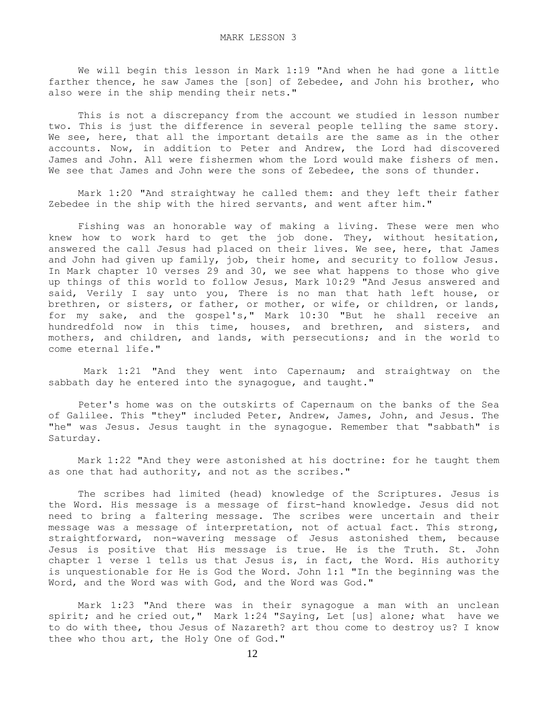We will begin this lesson in Mark 1:19 "And when he had gone a little farther thence, he saw James the [son] of Zebedee, and John his brother, who also were in the ship mending their nets."

 This is not a discrepancy from the account we studied in lesson number two. This is just the difference in several people telling the same story. We see, here, that all the important details are the same as in the other accounts. Now, in addition to Peter and Andrew, the Lord had discovered James and John. All were fishermen whom the Lord would make fishers of men. We see that James and John were the sons of Zebedee, the sons of thunder.

 Mark 1:20 "And straightway he called them: and they left their father Zebedee in the ship with the hired servants, and went after him."

 Fishing was an honorable way of making a living. These were men who knew how to work hard to get the job done. They, without hesitation, answered the call Jesus had placed on their lives. We see, here, that James and John had given up family, job, their home, and security to follow Jesus. In Mark chapter 10 verses 29 and 30, we see what happens to those who give up things of this world to follow Jesus, Mark 10:29 "And Jesus answered and said, Verily I say unto you, There is no man that hath left house, or brethren, or sisters, or father, or mother, or wife, or children, or lands, for my sake, and the gospel's," Mark 10:30 "But he shall receive an hundredfold now in this time, houses, and brethren, and sisters, and mothers, and children, and lands, with persecutions; and in the world to come eternal life."

 Mark 1:21 "And they went into Capernaum; and straightway on the sabbath day he entered into the synagogue, and taught."

 Peter's home was on the outskirts of Capernaum on the banks of the Sea of Galilee. This "they" included Peter, Andrew, James, John, and Jesus. The "he" was Jesus. Jesus taught in the synagogue. Remember that "sabbath" is Saturday.

 Mark 1:22 "And they were astonished at his doctrine: for he taught them as one that had authority, and not as the scribes."

 The scribes had limited (head) knowledge of the Scriptures. Jesus is the Word. His message is a message of first-hand knowledge. Jesus did not need to bring a faltering message. The scribes were uncertain and their message was a message of interpretation, not of actual fact. This strong, straightforward, non-wavering message of Jesus astonished them, because Jesus is positive that His message is true. He is the Truth. St. John chapter 1 verse 1 tells us that Jesus is, in fact, the Word. His authority is unquestionable for He is God the Word. John 1:1 "In the beginning was the Word, and the Word was with God, and the Word was God."

 Mark 1:23 "And there was in their synagogue a man with an unclean spirit; and he cried out," Mark 1:24 "Saying, Let [us] alone; what have we to do with thee, thou Jesus of Nazareth? art thou come to destroy us? I know thee who thou art, the Holy One of God."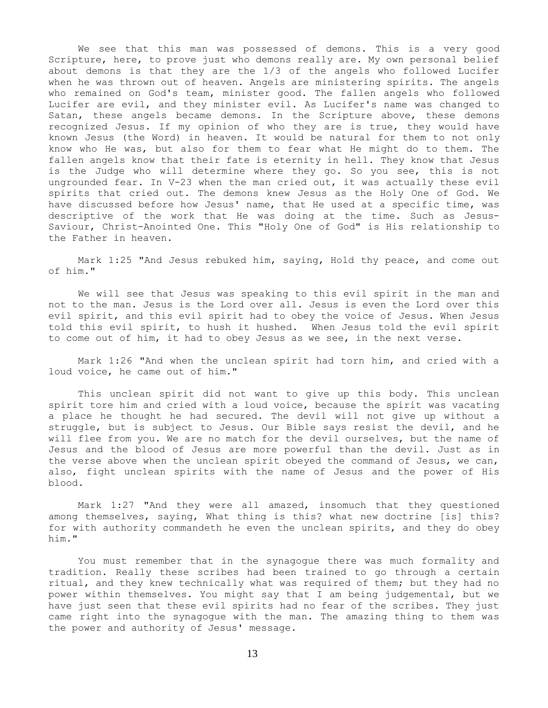We see that this man was possessed of demons. This is a very good Scripture, here, to prove just who demons really are. My own personal belief about demons is that they are the 1/3 of the angels who followed Lucifer when he was thrown out of heaven. Angels are ministering spirits. The angels who remained on God's team, minister good. The fallen angels who followed Lucifer are evil, and they minister evil. As Lucifer's name was changed to Satan, these angels became demons. In the Scripture above, these demons recognized Jesus. If my opinion of who they are is true, they would have known Jesus (the Word) in heaven. It would be natural for them to not only know who He was, but also for them to fear what He might do to them. The fallen angels know that their fate is eternity in hell. They know that Jesus is the Judge who will determine where they go. So you see, this is not ungrounded fear. In V-23 when the man cried out, it was actually these evil spirits that cried out. The demons knew Jesus as the Holy One of God. We have discussed before how Jesus' name, that He used at a specific time, was descriptive of the work that He was doing at the time. Such as Jesus-Saviour, Christ-Anointed One. This "Holy One of God" is His relationship to the Father in heaven.

 Mark 1:25 "And Jesus rebuked him, saying, Hold thy peace, and come out of him."

 We will see that Jesus was speaking to this evil spirit in the man and not to the man. Jesus is the Lord over all. Jesus is even the Lord over this evil spirit, and this evil spirit had to obey the voice of Jesus. When Jesus told this evil spirit, to hush it hushed. When Jesus told the evil spirit to come out of him, it had to obey Jesus as we see, in the next verse.

 Mark 1:26 "And when the unclean spirit had torn him, and cried with a loud voice, he came out of him."

 This unclean spirit did not want to give up this body. This unclean spirit tore him and cried with a loud voice, because the spirit was vacating a place he thought he had secured. The devil will not give up without a struggle, but is subject to Jesus. Our Bible says resist the devil, and he will flee from you. We are no match for the devil ourselves, but the name of Jesus and the blood of Jesus are more powerful than the devil. Just as in the verse above when the unclean spirit obeyed the command of Jesus, we can, also, fight unclean spirits with the name of Jesus and the power of His blood.

 Mark 1:27 "And they were all amazed, insomuch that they questioned among themselves, saying, What thing is this? what new doctrine [is] this? for with authority commandeth he even the unclean spirits, and they do obey him."

 You must remember that in the synagogue there was much formality and tradition. Really these scribes had been trained to go through a certain ritual, and they knew technically what was required of them; but they had no power within themselves. You might say that I am being judgemental, but we have just seen that these evil spirits had no fear of the scribes. They just came right into the synagogue with the man. The amazing thing to them was the power and authority of Jesus' message.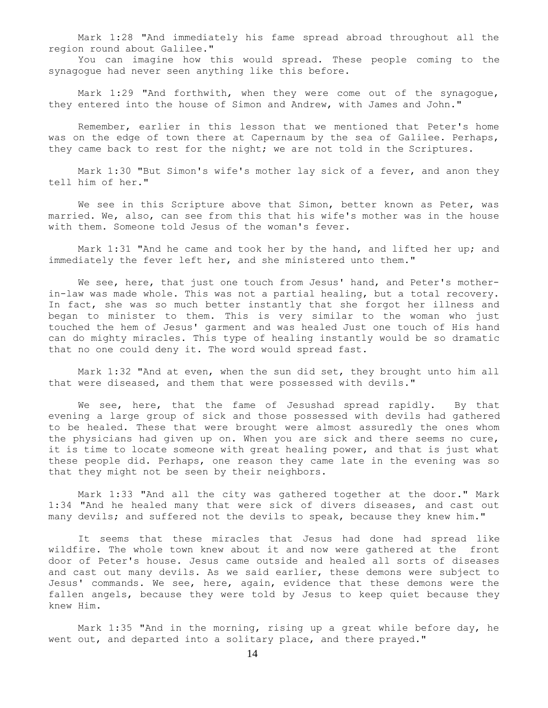Mark 1:28 "And immediately his fame spread abroad throughout all the region round about Galilee."

 You can imagine how this would spread. These people coming to the synagogue had never seen anything like this before.

Mark 1:29 "And forthwith, when they were come out of the synagogue, they entered into the house of Simon and Andrew, with James and John."

 Remember, earlier in this lesson that we mentioned that Peter's home was on the edge of town there at Capernaum by the sea of Galilee. Perhaps, they came back to rest for the night; we are not told in the Scriptures.

 Mark 1:30 "But Simon's wife's mother lay sick of a fever, and anon they tell him of her."

We see in this Scripture above that Simon, better known as Peter, was married. We, also, can see from this that his wife's mother was in the house with them. Someone told Jesus of the woman's fever.

 Mark 1:31 "And he came and took her by the hand, and lifted her up; and immediately the fever left her, and she ministered unto them."

We see, here, that just one touch from Jesus' hand, and Peter's motherin-law was made whole. This was not a partial healing, but a total recovery. In fact, she was so much better instantly that she forgot her illness and began to minister to them. This is very similar to the woman who just touched the hem of Jesus' garment and was healed Just one touch of His hand can do mighty miracles. This type of healing instantly would be so dramatic that no one could deny it. The word would spread fast.

 Mark 1:32 "And at even, when the sun did set, they brought unto him all that were diseased, and them that were possessed with devils."

We see, here, that the fame of Jesushad spread rapidly. By that evening a large group of sick and those possessed with devils had gathered to be healed. These that were brought were almost assuredly the ones whom the physicians had given up on. When you are sick and there seems no cure, it is time to locate someone with great healing power, and that is just what these people did. Perhaps, one reason they came late in the evening was so that they might not be seen by their neighbors.

 Mark 1:33 "And all the city was gathered together at the door." Mark 1:34 "And he healed many that were sick of divers diseases, and cast out many devils; and suffered not the devils to speak, because they knew him."

 It seems that these miracles that Jesus had done had spread like wildfire. The whole town knew about it and now were gathered at the front door of Peter's house. Jesus came outside and healed all sorts of diseases and cast out many devils. As we said earlier, these demons were subject to Jesus' commands. We see, here, again, evidence that these demons were the fallen angels, because they were told by Jesus to keep quiet because they knew Him.

 Mark 1:35 "And in the morning, rising up a great while before day, he went out, and departed into a solitary place, and there prayed."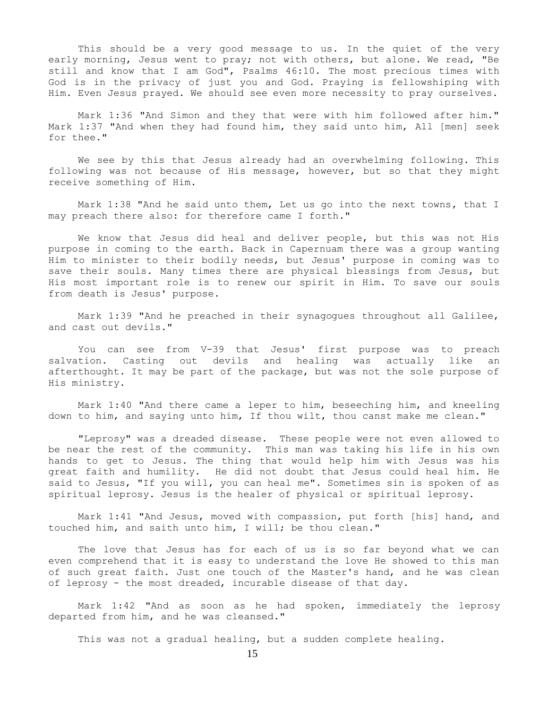This should be a very good message to us. In the quiet of the very early morning, Jesus went to pray; not with others, but alone. We read, "Be still and know that I am God", Psalms 46:10. The most precious times with God is in the privacy of just you and God. Praying is fellowshiping with Him. Even Jesus prayed. We should see even more necessity to pray ourselves.

 Mark 1:36 "And Simon and they that were with him followed after him." Mark 1:37 "And when they had found him, they said unto him, All [men] seek for thee."

 We see by this that Jesus already had an overwhelming following. This following was not because of His message, however, but so that they might receive something of Him.

 Mark 1:38 "And he said unto them, Let us go into the next towns, that I may preach there also: for therefore came I forth."

 We know that Jesus did heal and deliver people, but this was not His purpose in coming to the earth. Back in Capernuam there was a group wanting Him to minister to their bodily needs, but Jesus' purpose in coming was to save their souls. Many times there are physical blessings from Jesus, but His most important role is to renew our spirit in Him. To save our souls from death is Jesus' purpose.

 Mark 1:39 "And he preached in their synagogues throughout all Galilee, and cast out devils."

 You can see from V-39 that Jesus' first purpose was to preach salvation. Casting out devils and healing was actually like an afterthought. It may be part of the package, but was not the sole purpose of His ministry.

 Mark 1:40 "And there came a leper to him, beseeching him, and kneeling down to him, and saying unto him, If thou wilt, thou canst make me clean."

 "Leprosy" was a dreaded disease. These people were not even allowed to be near the rest of the community. This man was taking his life in his own hands to get to Jesus. The thing that would help him with Jesus was his great faith and humility. He did not doubt that Jesus could heal him. He said to Jesus, "If you will, you can heal me". Sometimes sin is spoken of as spiritual leprosy. Jesus is the healer of physical or spiritual leprosy.

 Mark 1:41 "And Jesus, moved with compassion, put forth [his] hand, and touched him, and saith unto him, I will; be thou clean."

 The love that Jesus has for each of us is so far beyond what we can even comprehend that it is easy to understand the love He showed to this man of such great faith. Just one touch of the Master's hand, and he was clean of leprosy - the most dreaded, incurable disease of that day.

 Mark 1:42 "And as soon as he had spoken, immediately the leprosy departed from him, and he was cleansed."

This was not a gradual healing, but a sudden complete healing.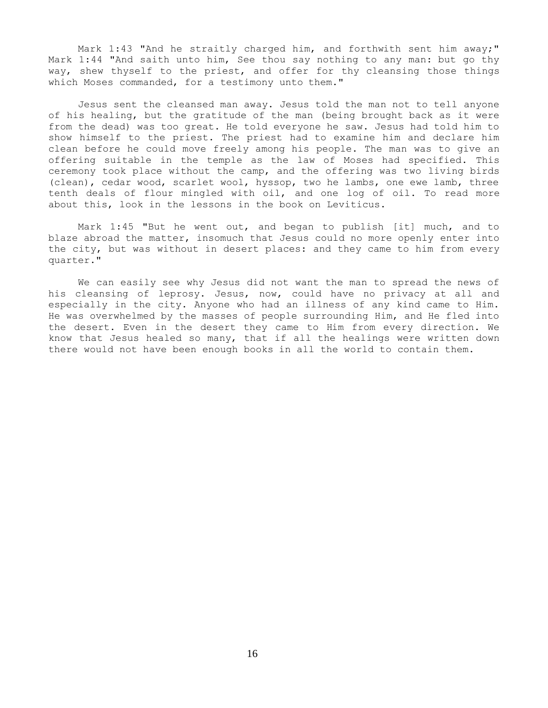Mark 1:43 "And he straitly charged him, and forthwith sent him away;" Mark 1:44 "And saith unto him, See thou say nothing to any man: but go thy way, shew thyself to the priest, and offer for thy cleansing those things which Moses commanded, for a testimony unto them."

 Jesus sent the cleansed man away. Jesus told the man not to tell anyone of his healing, but the gratitude of the man (being brought back as it were from the dead) was too great. He told everyone he saw. Jesus had told him to show himself to the priest. The priest had to examine him and declare him clean before he could move freely among his people. The man was to give an offering suitable in the temple as the law of Moses had specified. This ceremony took place without the camp, and the offering was two living birds (clean), cedar wood, scarlet wool, hyssop, two he lambs, one ewe lamb, three tenth deals of flour mingled with oil, and one log of oil. To read more about this, look in the lessons in the book on Leviticus.

 Mark 1:45 "But he went out, and began to publish [it] much, and to blaze abroad the matter, insomuch that Jesus could no more openly enter into the city, but was without in desert places: and they came to him from every quarter."

 We can easily see why Jesus did not want the man to spread the news of his cleansing of leprosy. Jesus, now, could have no privacy at all and especially in the city. Anyone who had an illness of any kind came to Him. He was overwhelmed by the masses of people surrounding Him, and He fled into the desert. Even in the desert they came to Him from every direction. We know that Jesus healed so many, that if all the healings were written down there would not have been enough books in all the world to contain them.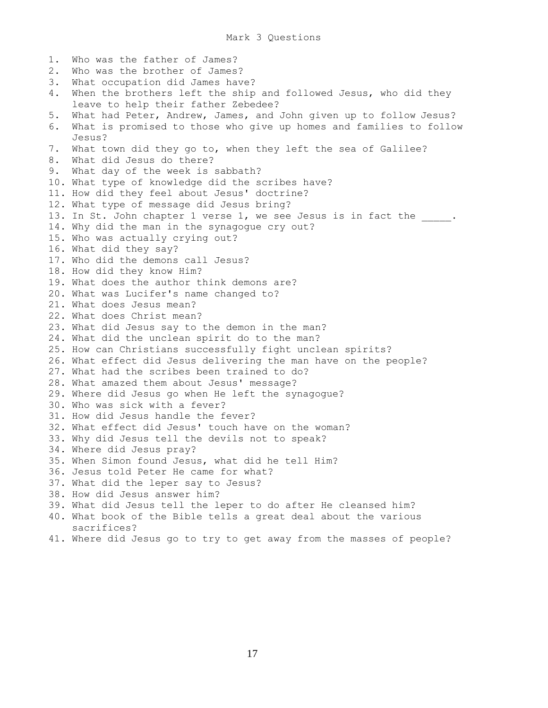1. Who was the father of James? 2. Who was the brother of James? 3. What occupation did James have? 4. When the brothers left the ship and followed Jesus, who did they leave to help their father Zebedee? 5. What had Peter, Andrew, James, and John given up to follow Jesus? 6. What is promised to those who give up homes and families to follow Jesus? 7. What town did they go to, when they left the sea of Galilee? 8. What did Jesus do there? 9. What day of the week is sabbath? 10. What type of knowledge did the scribes have? 11. How did they feel about Jesus' doctrine? 12. What type of message did Jesus bring? 13. In St. John chapter 1 verse 1, we see Jesus is in fact the . 14. Why did the man in the synagogue cry out? 15. Who was actually crying out? 16. What did they say? 17. Who did the demons call Jesus? 18. How did they know Him? 19. What does the author think demons are? 20. What was Lucifer's name changed to? 21. What does Jesus mean? 22. What does Christ mean? 23. What did Jesus say to the demon in the man? 24. What did the unclean spirit do to the man? 25. How can Christians successfully fight unclean spirits? 26. What effect did Jesus delivering the man have on the people? 27. What had the scribes been trained to do? 28. What amazed them about Jesus' message? 29. Where did Jesus go when He left the synagogue? 30. Who was sick with a fever? 31. How did Jesus handle the fever? 32. What effect did Jesus' touch have on the woman? 33. Why did Jesus tell the devils not to speak? 34. Where did Jesus pray? 35. When Simon found Jesus, what did he tell Him? 36. Jesus told Peter He came for what? 37. What did the leper say to Jesus? 38. How did Jesus answer him? 39. What did Jesus tell the leper to do after He cleansed him? 40. What book of the Bible tells a great deal about the various sacrifices? 41. Where did Jesus go to try to get away from the masses of people?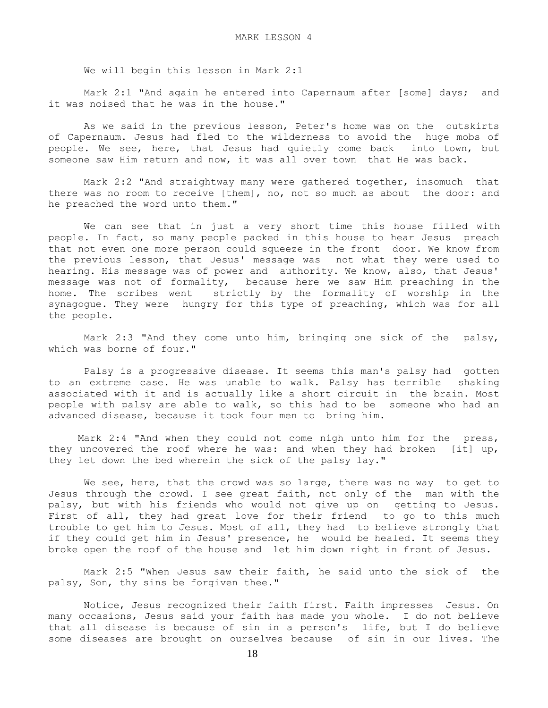We will begin this lesson in Mark 2:1

 Mark 2:1 "And again he entered into Capernaum after [some] days; and it was noised that he was in the house."

 As we said in the previous lesson, Peter's home was on the outskirts of Capernaum. Jesus had fled to the wilderness to avoid the huge mobs of people. We see, here, that Jesus had quietly come back into town, but someone saw Him return and now, it was all over town that He was back.

 Mark 2:2 "And straightway many were gathered together, insomuch that there was no room to receive [them], no, not so much as about the door: and he preached the word unto them."

 We can see that in just a very short time this house filled with people. In fact, so many people packed in this house to hear Jesus preach that not even one more person could squeeze in the front door. We know from the previous lesson, that Jesus' message was not what they were used to hearing. His message was of power and authority. We know, also, that Jesus' message was not of formality, because here we saw Him preaching in the home. The scribes went strictly by the formality of worship in the synagogue. They were hungry for this type of preaching, which was for all the people.

 Mark 2:3 "And they come unto him, bringing one sick of the palsy, which was borne of four."

 Palsy is a progressive disease. It seems this man's palsy had gotten to an extreme case. He was unable to walk. Palsy has terrible shaking associated with it and is actually like a short circuit in the brain. Most people with palsy are able to walk, so this had to be someone who had an advanced disease, because it took four men to bring him.

 Mark 2:4 "And when they could not come nigh unto him for the press, they uncovered the roof where he was: and when they had broken [it] up, they let down the bed wherein the sick of the palsy lay."

We see, here, that the crowd was so large, there was no way to get to Jesus through the crowd. I see great faith, not only of the man with the palsy, but with his friends who would not give up on getting to Jesus. First of all, they had great love for their friend to go to this much trouble to get him to Jesus. Most of all, they had to believe strongly that if they could get him in Jesus' presence, he would be healed. It seems they broke open the roof of the house and let him down right in front of Jesus.

 Mark 2:5 "When Jesus saw their faith, he said unto the sick of the palsy, Son, thy sins be forgiven thee."

 Notice, Jesus recognized their faith first. Faith impresses Jesus. On many occasions, Jesus said your faith has made you whole. I do not believe that all disease is because of sin in a person's life, but I do believe some diseases are brought on ourselves because of sin in our lives. The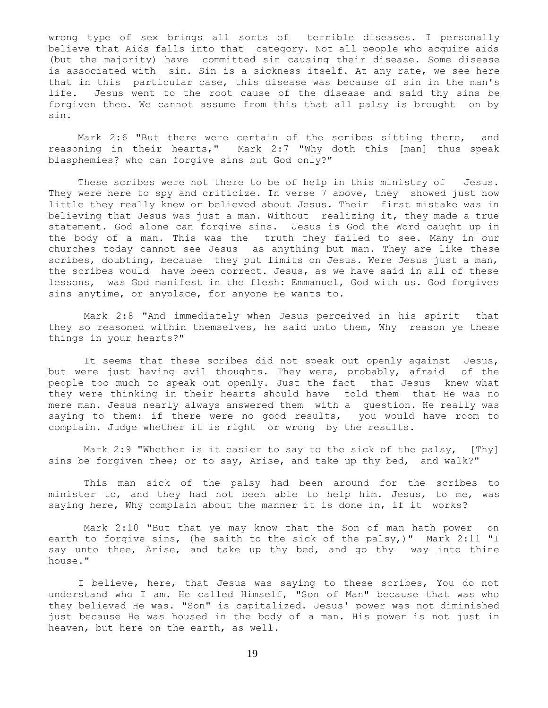wrong type of sex brings all sorts of terrible diseases. I personally believe that Aids falls into that category. Not all people who acquire aids (but the majority) have committed sin causing their disease. Some disease is associated with sin. Sin is a sickness itself. At any rate, we see here that in this particular case, this disease was because of sin in the man's life. Jesus went to the root cause of the disease and said thy sins be forgiven thee. We cannot assume from this that all palsy is brought on by sin.

 Mark 2:6 "But there were certain of the scribes sitting there, and reasoning in their hearts," Mark 2:7 "Why doth this [man] thus speak blasphemies? who can forgive sins but God only?"

These scribes were not there to be of help in this ministry of Jesus. They were here to spy and criticize. In verse 7 above, they showed just how little they really knew or believed about Jesus. Their first mistake was in believing that Jesus was just a man. Without realizing it, they made a true statement. God alone can forgive sins. Jesus is God the Word caught up in the body of a man. This was the truth they failed to see. Many in our churches today cannot see Jesus as anything but man. They are like these scribes, doubting, because they put limits on Jesus. Were Jesus just a man, the scribes would have been correct. Jesus, as we have said in all of these lessons, was God manifest in the flesh: Emmanuel, God with us. God forgives sins anytime, or anyplace, for anyone He wants to.

 Mark 2:8 "And immediately when Jesus perceived in his spirit that they so reasoned within themselves, he said unto them, Why reason ye these things in your hearts?"

 It seems that these scribes did not speak out openly against Jesus, but were just having evil thoughts. They were, probably, afraid of the people too much to speak out openly. Just the fact that Jesus knew what they were thinking in their hearts should have told them that He was no mere man. Jesus nearly always answered them with a question. He really was saying to them: if there were no good results, you would have room to complain. Judge whether it is right or wrong by the results.

Mark 2:9 "Whether is it easier to say to the sick of the palsy, [Thy] sins be forgiven thee; or to say, Arise, and take up thy bed, and walk?"

 This man sick of the palsy had been around for the scribes to minister to, and they had not been able to help him. Jesus, to me, was saying here, Why complain about the manner it is done in, if it works?

 Mark 2:10 "But that ye may know that the Son of man hath power on earth to forgive sins, (he saith to the sick of the palsy,)" Mark 2:11 "I say unto thee, Arise, and take up thy bed, and go thy way into thine house."

 I believe, here, that Jesus was saying to these scribes, You do not understand who I am. He called Himself, "Son of Man" because that was who they believed He was. "Son" is capitalized. Jesus' power was not diminished just because He was housed in the body of a man. His power is not just in heaven, but here on the earth, as well.

19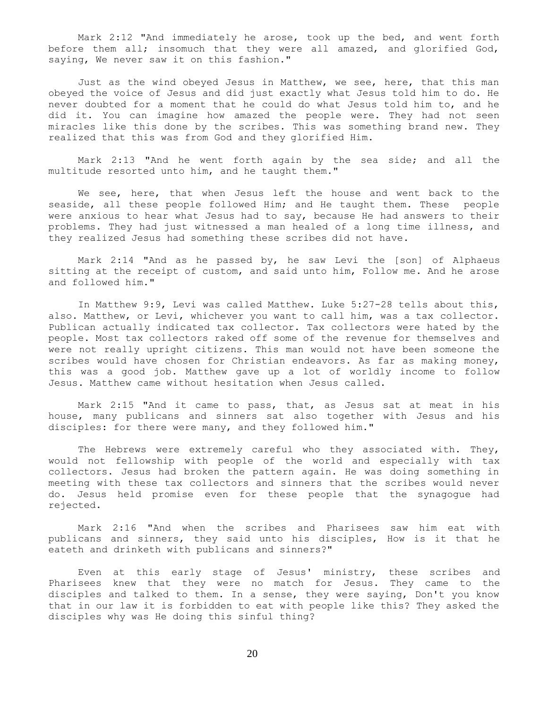Mark 2:12 "And immediately he arose, took up the bed, and went forth before them all; insomuch that they were all amazed, and glorified God, saying, We never saw it on this fashion."

 Just as the wind obeyed Jesus in Matthew, we see, here, that this man obeyed the voice of Jesus and did just exactly what Jesus told him to do. He never doubted for a moment that he could do what Jesus told him to, and he did it. You can imagine how amazed the people were. They had not seen miracles like this done by the scribes. This was something brand new. They realized that this was from God and they glorified Him.

 Mark 2:13 "And he went forth again by the sea side; and all the multitude resorted unto him, and he taught them."

 We see, here, that when Jesus left the house and went back to the seaside, all these people followed Him; and He taught them. These people were anxious to hear what Jesus had to say, because He had answers to their problems. They had just witnessed a man healed of a long time illness, and they realized Jesus had something these scribes did not have.

 Mark 2:14 "And as he passed by, he saw Levi the [son] of Alphaeus sitting at the receipt of custom, and said unto him, Follow me. And he arose and followed him."

 In Matthew 9:9, Levi was called Matthew. Luke 5:27-28 tells about this, also. Matthew, or Levi, whichever you want to call him, was a tax collector. Publican actually indicated tax collector. Tax collectors were hated by the people. Most tax collectors raked off some of the revenue for themselves and were not really upright citizens. This man would not have been someone the scribes would have chosen for Christian endeavors. As far as making money, this was a good job. Matthew gave up a lot of worldly income to follow Jesus. Matthew came without hesitation when Jesus called.

 Mark 2:15 "And it came to pass, that, as Jesus sat at meat in his house, many publicans and sinners sat also together with Jesus and his disciples: for there were many, and they followed him."

 The Hebrews were extremely careful who they associated with. They, would not fellowship with people of the world and especially with tax collectors. Jesus had broken the pattern again. He was doing something in meeting with these tax collectors and sinners that the scribes would never do. Jesus held promise even for these people that the synagogue had rejected.

 Mark 2:16 "And when the scribes and Pharisees saw him eat with publicans and sinners, they said unto his disciples, How is it that he eateth and drinketh with publicans and sinners?"

 Even at this early stage of Jesus' ministry, these scribes and Pharisees knew that they were no match for Jesus. They came to the disciples and talked to them. In a sense, they were saying, Don't you know that in our law it is forbidden to eat with people like this? They asked the disciples why was He doing this sinful thing?

20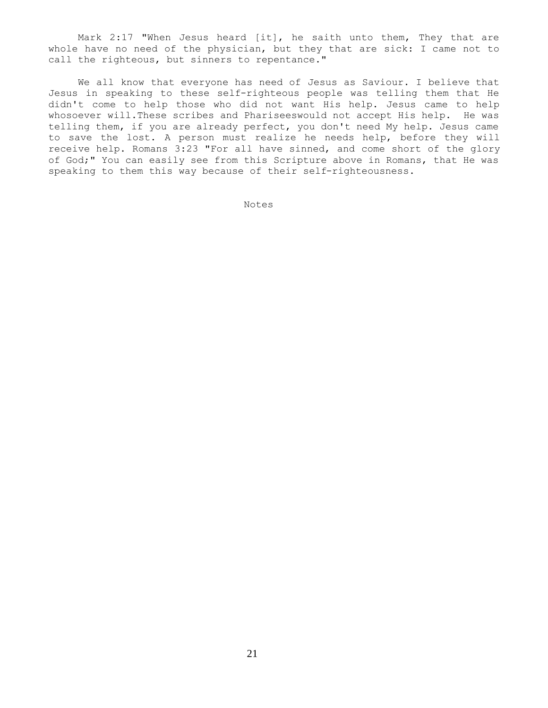Mark 2:17 "When Jesus heard [it], he saith unto them, They that are whole have no need of the physician, but they that are sick: I came not to call the righteous, but sinners to repentance."

 We all know that everyone has need of Jesus as Saviour. I believe that Jesus in speaking to these self-righteous people was telling them that He didn't come to help those who did not want His help. Jesus came to help whosoever will.These scribes and Phariseeswould not accept His help. He was telling them, if you are already perfect, you don't need My help. Jesus came to save the lost. A person must realize he needs help, before they will receive help. Romans 3:23 "For all have sinned, and come short of the glory of God;" You can easily see from this Scripture above in Romans, that He was speaking to them this way because of their self-righteousness.

Notes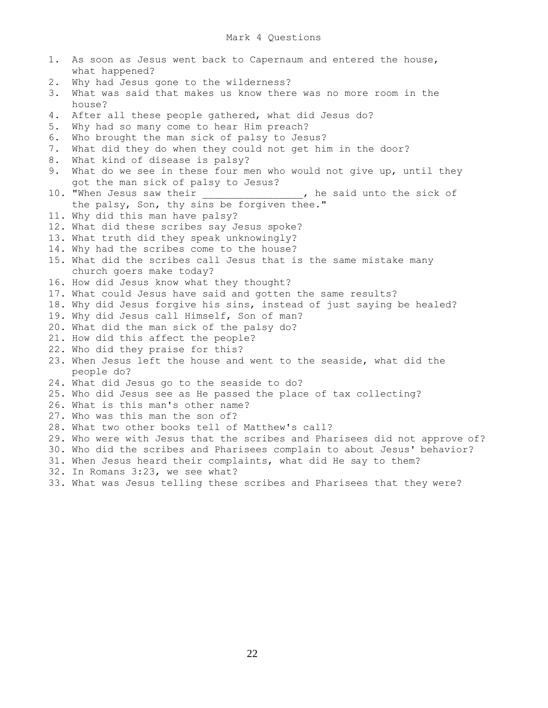1. As soon as Jesus went back to Capernaum and entered the house, what happened? 2. Why had Jesus gone to the wilderness? 3. What was said that makes us know there was no more room in the house? 4. After all these people gathered, what did Jesus do? 5. Why had so many come to hear Him preach? 6. Who brought the man sick of palsy to Jesus? 7. What did they do when they could not get him in the door? 8. What kind of disease is palsy? 9. What do we see in these four men who would not give up, until they got the man sick of palsy to Jesus?<br>10. "When Jesus saw their , he said unto the sick of the palsy, Son, thy sins be forgiven thee." 11. Why did this man have palsy? 12. What did these scribes say Jesus spoke? 13. What truth did they speak unknowingly? 14. Why had the scribes come to the house? 15. What did the scribes call Jesus that is the same mistake many church goers make today? 16. How did Jesus know what they thought? 17. What could Jesus have said and gotten the same results? 18. Why did Jesus forgive his sins, instead of just saying be healed? 19. Why did Jesus call Himself, Son of man? 20. What did the man sick of the palsy do? 21. How did this affect the people? 22. Who did they praise for this? 23. When Jesus left the house and went to the seaside, what did the people do? 24. What did Jesus go to the seaside to do? 25. Who did Jesus see as He passed the place of tax collecting? 26. What is this man's other name? 27. Who was this man the son of? 28. What two other books tell of Matthew's call? 29. Who were with Jesus that the scribes and Pharisees did not approve of? 30. Who did the scribes and Pharisees complain to about Jesus' behavior? 31. When Jesus heard their complaints, what did He say to them? 32. In Romans 3:23, we see what? 33. What was Jesus telling these scribes and Pharisees that they were?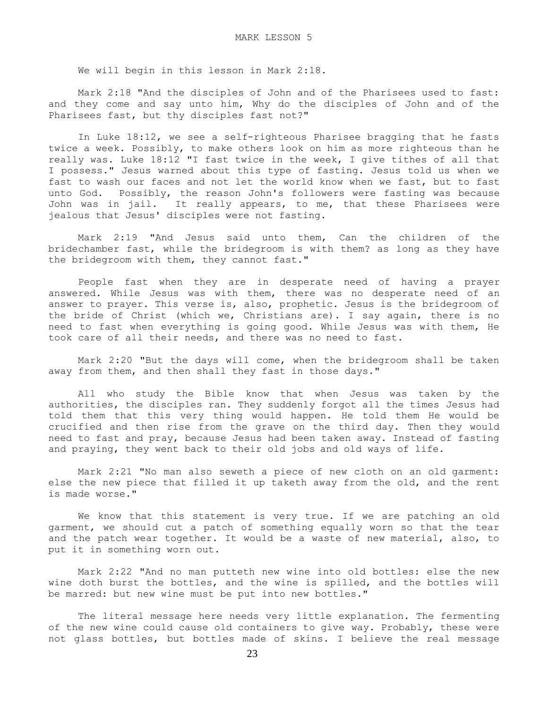We will begin in this lesson in Mark 2:18.

 Mark 2:18 "And the disciples of John and of the Pharisees used to fast: and they come and say unto him, Why do the disciples of John and of the Pharisees fast, but thy disciples fast not?"

 In Luke 18:12, we see a self-righteous Pharisee bragging that he fasts twice a week. Possibly, to make others look on him as more righteous than he really was. Luke 18:12 "I fast twice in the week, I give tithes of all that I possess." Jesus warned about this type of fasting. Jesus told us when we fast to wash our faces and not let the world know when we fast, but to fast unto God. Possibly, the reason John's followers were fasting was because John was in jail. It really appears, to me, that these Pharisees were jealous that Jesus' disciples were not fasting.

 Mark 2:19 "And Jesus said unto them, Can the children of the bridechamber fast, while the bridegroom is with them? as long as they have the bridegroom with them, they cannot fast."

 People fast when they are in desperate need of having a prayer answered. While Jesus was with them, there was no desperate need of an answer to prayer. This verse is, also, prophetic. Jesus is the bridegroom of the bride of Christ (which we, Christians are). I say again, there is no need to fast when everything is going good. While Jesus was with them, He took care of all their needs, and there was no need to fast.

 Mark 2:20 "But the days will come, when the bridegroom shall be taken away from them, and then shall they fast in those days."

 All who study the Bible know that when Jesus was taken by the authorities, the disciples ran. They suddenly forgot all the times Jesus had told them that this very thing would happen. He told them He would be crucified and then rise from the grave on the third day. Then they would need to fast and pray, because Jesus had been taken away. Instead of fasting and praying, they went back to their old jobs and old ways of life.

 Mark 2:21 "No man also seweth a piece of new cloth on an old garment: else the new piece that filled it up taketh away from the old, and the rent is made worse."

 We know that this statement is very true. If we are patching an old garment, we should cut a patch of something equally worn so that the tear and the patch wear together. It would be a waste of new material, also, to put it in something worn out.

 Mark 2:22 "And no man putteth new wine into old bottles: else the new wine doth burst the bottles, and the wine is spilled, and the bottles will be marred: but new wine must be put into new bottles."

 The literal message here needs very little explanation. The fermenting of the new wine could cause old containers to give way. Probably, these were not glass bottles, but bottles made of skins. I believe the real message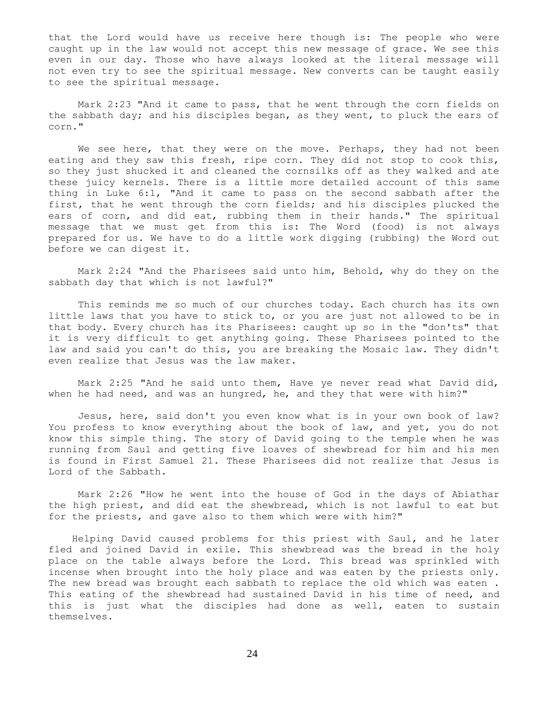that the Lord would have us receive here though is: The people who were caught up in the law would not accept this new message of grace. We see this even in our day. Those who have always looked at the literal message will not even try to see the spiritual message. New converts can be taught easily to see the spiritual message.

 Mark 2:23 "And it came to pass, that he went through the corn fields on the sabbath day; and his disciples began, as they went, to pluck the ears of corn."

We see here, that they were on the move. Perhaps, they had not been eating and they saw this fresh, ripe corn. They did not stop to cook this, so they just shucked it and cleaned the cornsilks off as they walked and ate these juicy kernels. There is a little more detailed account of this same thing in Luke 6:1, "And it came to pass on the second sabbath after the first, that he went through the corn fields; and his disciples plucked the ears of corn, and did eat, rubbing them in their hands." The spiritual message that we must get from this is: The Word (food) is not always prepared for us. We have to do a little work digging (rubbing) the Word out before we can digest it.

 Mark 2:24 "And the Pharisees said unto him, Behold, why do they on the sabbath day that which is not lawful?"

 This reminds me so much of our churches today. Each church has its own little laws that you have to stick to, or you are just not allowed to be in that body. Every church has its Pharisees: caught up so in the "don'ts" that it is very difficult to get anything going. These Pharisees pointed to the law and said you can't do this, you are breaking the Mosaic law. They didn't even realize that Jesus was the law maker.

 Mark 2:25 "And he said unto them, Have ye never read what David did, when he had need, and was an hungred, he, and they that were with him?"

 Jesus, here, said don't you even know what is in your own book of law? You profess to know everything about the book of law, and yet, you do not know this simple thing. The story of David going to the temple when he was running from Saul and getting five loaves of shewbread for him and his men is found in First Samuel 21. These Pharisees did not realize that Jesus is Lord of the Sabbath.

 Mark 2:26 "How he went into the house of God in the days of Abiathar the high priest, and did eat the shewbread, which is not lawful to eat but for the priests, and gave also to them which were with him?"

 Helping David caused problems for this priest with Saul, and he later fled and joined David in exile. This shewbread was the bread in the holy place on the table always before the Lord. This bread was sprinkled with incense when brought into the holy place and was eaten by the priests only. The new bread was brought each sabbath to replace the old which was eaten. This eating of the shewbread had sustained David in his time of need, and this is just what the disciples had done as well, eaten to sustain themselves.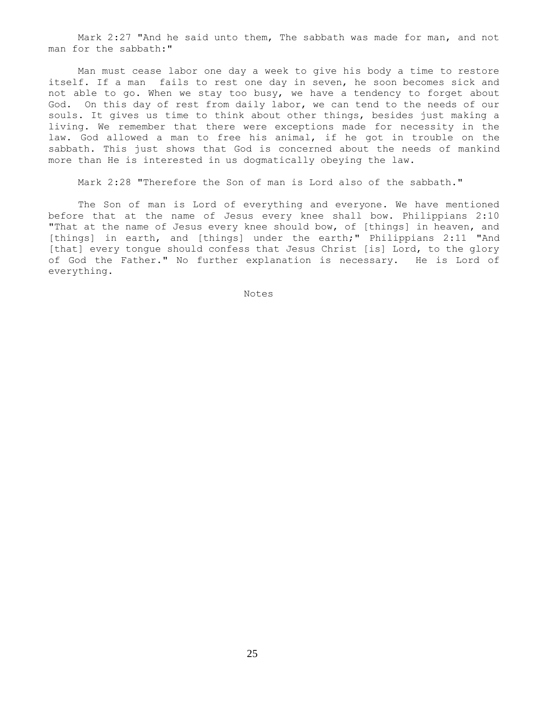Mark 2:27 "And he said unto them, The sabbath was made for man, and not man for the sabbath:"

 Man must cease labor one day a week to give his body a time to restore itself. If a man fails to rest one day in seven, he soon becomes sick and not able to go. When we stay too busy, we have a tendency to forget about God. On this day of rest from daily labor, we can tend to the needs of our souls. It gives us time to think about other things, besides just making a living. We remember that there were exceptions made for necessity in the law. God allowed a man to free his animal, if he got in trouble on the sabbath. This just shows that God is concerned about the needs of mankind more than He is interested in us dogmatically obeying the law.

Mark 2:28 "Therefore the Son of man is Lord also of the sabbath."

 The Son of man is Lord of everything and everyone. We have mentioned before that at the name of Jesus every knee shall bow. Philippians 2:10 "That at the name of Jesus every knee should bow, of [things] in heaven, and [things] in earth, and [things] under the earth;" Philippians 2:11 "And [that] every tongue should confess that Jesus Christ [is] Lord, to the glory of God the Father." No further explanation is necessary. He is Lord of everything.

Notes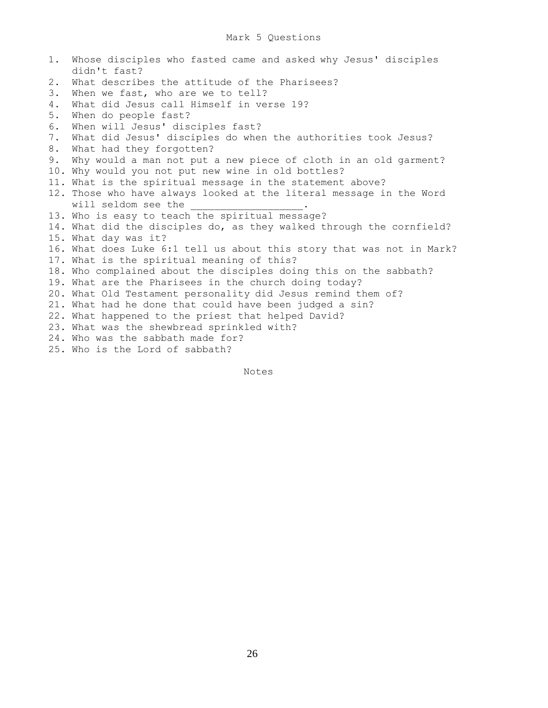1. Whose disciples who fasted came and asked why Jesus' disciples didn't fast? 2. What describes the attitude of the Pharisees? 3. When we fast, who are we to tell? 4. What did Jesus call Himself in verse 19? 5. When do people fast? 6. When will Jesus' disciples fast? 7. What did Jesus' disciples do when the authorities took Jesus? 8. What had they forgotten? 9. Why would a man not put a new piece of cloth in an old garment? 10. Why would you not put new wine in old bottles? 11. What is the spiritual message in the statement above? 12. Those who have always looked at the literal message in the Word will seldom see the 13. Who is easy to teach the spiritual message? 14. What did the disciples do, as they walked through the cornfield? 15. What day was it? 16. What does Luke 6:1 tell us about this story that was not in Mark? 17. What is the spiritual meaning of this? 18. Who complained about the disciples doing this on the sabbath? 19. What are the Pharisees in the church doing today? 20. What Old Testament personality did Jesus remind them of? 21. What had he done that could have been judged a sin? 22. What happened to the priest that helped David? 23. What was the shewbread sprinkled with? 24. Who was the sabbath made for? 25. Who is the Lord of sabbath?

Notes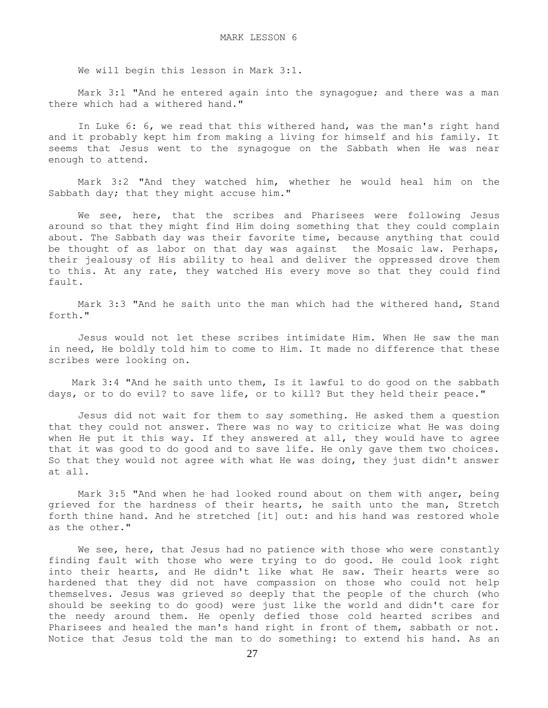We will begin this lesson in Mark 3:1.

 Mark 3:1 "And he entered again into the synagogue; and there was a man there which had a withered hand."

 In Luke 6: 6, we read that this withered hand, was the man's right hand and it probably kept him from making a living for himself and his family. It seems that Jesus went to the synagogue on the Sabbath when He was near enough to attend.

 Mark 3:2 "And they watched him, whether he would heal him on the Sabbath day; that they might accuse him."

 We see, here, that the scribes and Pharisees were following Jesus around so that they might find Him doing something that they could complain about. The Sabbath day was their favorite time, because anything that could be thought of as labor on that day was against the Mosaic law. Perhaps, their jealousy of His ability to heal and deliver the oppressed drove them to this. At any rate, they watched His every move so that they could find fault.

 Mark 3:3 "And he saith unto the man which had the withered hand, Stand forth."

 Jesus would not let these scribes intimidate Him. When He saw the man in need, He boldly told him to come to Him. It made no difference that these scribes were looking on.

 Mark 3:4 "And he saith unto them, Is it lawful to do good on the sabbath days, or to do evil? to save life, or to kill? But they held their peace."

 Jesus did not wait for them to say something. He asked them a question that they could not answer. There was no way to criticize what He was doing when He put it this way. If they answered at all, they would have to agree that it was good to do good and to save life. He only gave them two choices. So that they would not agree with what He was doing, they just didn't answer at all.

 Mark 3:5 "And when he had looked round about on them with anger, being grieved for the hardness of their hearts, he saith unto the man, Stretch forth thine hand. And he stretched [it] out: and his hand was restored whole as the other."

We see, here, that Jesus had no patience with those who were constantly finding fault with those who were trying to do good. He could look right into their hearts, and He didn't like what He saw. Their hearts were so hardened that they did not have compassion on those who could not help themselves. Jesus was grieved so deeply that the people of the church (who should be seeking to do good) were just like the world and didn't care for the needy around them. He openly defied those cold hearted scribes and Pharisees and healed the man's hand right in front of them, sabbath or not. Notice that Jesus told the man to do something: to extend his hand. As an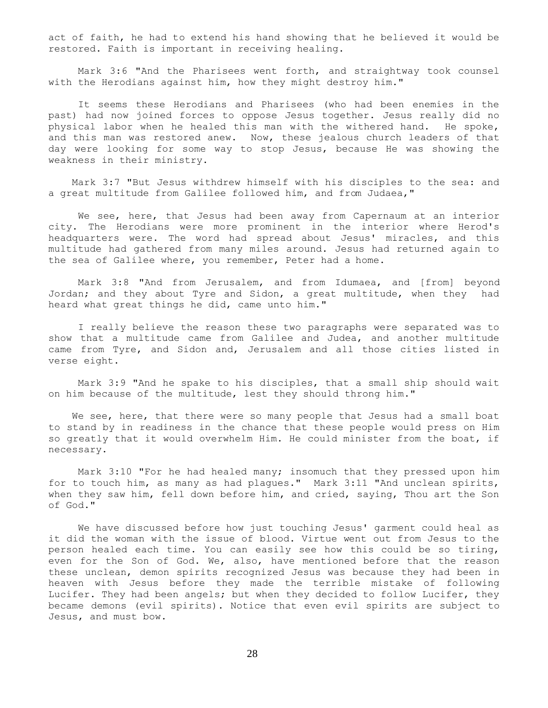act of faith, he had to extend his hand showing that he believed it would be restored. Faith is important in receiving healing.

 Mark 3:6 "And the Pharisees went forth, and straightway took counsel with the Herodians against him, how they might destroy him."

 It seems these Herodians and Pharisees (who had been enemies in the past) had now joined forces to oppose Jesus together. Jesus really did no physical labor when he healed this man with the withered hand. He spoke, and this man was restored anew. Now, these jealous church leaders of that day were looking for some way to stop Jesus, because He was showing the weakness in their ministry.

 Mark 3:7 "But Jesus withdrew himself with his disciples to the sea: and a great multitude from Galilee followed him, and from Judaea,"

 We see, here, that Jesus had been away from Capernaum at an interior city. The Herodians were more prominent in the interior where Herod's headquarters were. The word had spread about Jesus' miracles, and this multitude had gathered from many miles around. Jesus had returned again to the sea of Galilee where, you remember, Peter had a home.

 Mark 3:8 "And from Jerusalem, and from Idumaea, and [from] beyond Jordan; and they about Tyre and Sidon, a great multitude, when they had heard what great things he did, came unto him."

 I really believe the reason these two paragraphs were separated was to show that a multitude came from Galilee and Judea, and another multitude came from Tyre, and Sidon and, Jerusalem and all those cities listed in verse eight.

 Mark 3:9 "And he spake to his disciples, that a small ship should wait on him because of the multitude, lest they should throng him."

We see, here, that there were so many people that Jesus had a small boat to stand by in readiness in the chance that these people would press on Him so greatly that it would overwhelm Him. He could minister from the boat, if necessary.

 Mark 3:10 "For he had healed many; insomuch that they pressed upon him for to touch him, as many as had plagues." Mark 3:11 "And unclean spirits, when they saw him, fell down before him, and cried, saying, Thou art the Son of God."

 We have discussed before how just touching Jesus' garment could heal as it did the woman with the issue of blood. Virtue went out from Jesus to the person healed each time. You can easily see how this could be so tiring, even for the Son of God. We, also, have mentioned before that the reason these unclean, demon spirits recognized Jesus was because they had been in heaven with Jesus before they made the terrible mistake of following Lucifer. They had been angels; but when they decided to follow Lucifer, they became demons (evil spirits). Notice that even evil spirits are subject to Jesus, and must bow.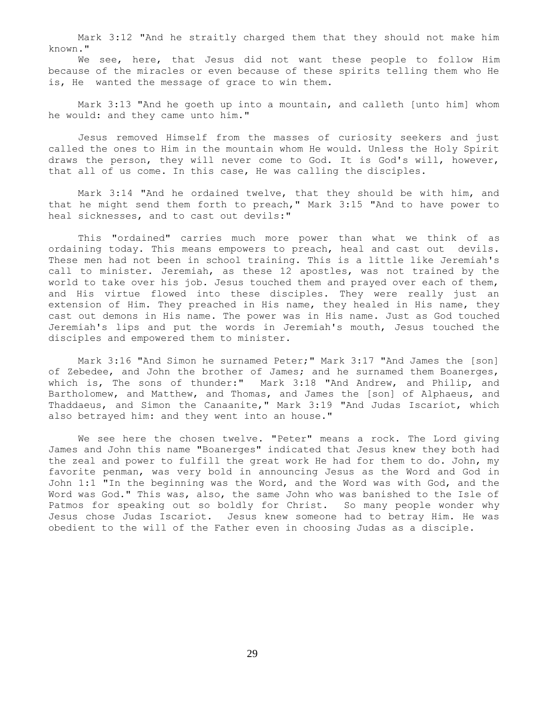Mark 3:12 "And he straitly charged them that they should not make him known."

 We see, here, that Jesus did not want these people to follow Him because of the miracles or even because of these spirits telling them who He is, He wanted the message of grace to win them.

 Mark 3:13 "And he goeth up into a mountain, and calleth [unto him] whom he would: and they came unto him."

 Jesus removed Himself from the masses of curiosity seekers and just called the ones to Him in the mountain whom He would. Unless the Holy Spirit draws the person, they will never come to God. It is God's will, however, that all of us come. In this case, He was calling the disciples.

 Mark 3:14 "And he ordained twelve, that they should be with him, and that he might send them forth to preach," Mark 3:15 "And to have power to heal sicknesses, and to cast out devils:"

 This "ordained" carries much more power than what we think of as ordaining today. This means empowers to preach, heal and cast out devils. These men had not been in school training. This is a little like Jeremiah's call to minister. Jeremiah, as these 12 apostles, was not trained by the world to take over his job. Jesus touched them and prayed over each of them, and His virtue flowed into these disciples. They were really just an extension of Him. They preached in His name, they healed in His name, they cast out demons in His name. The power was in His name. Just as God touched Jeremiah's lips and put the words in Jeremiah's mouth, Jesus touched the disciples and empowered them to minister.

 Mark 3:16 "And Simon he surnamed Peter;" Mark 3:17 "And James the [son] of Zebedee, and John the brother of James; and he surnamed them Boanerges, which is, The sons of thunder:" Mark 3:18 "And Andrew, and Philip, and Bartholomew, and Matthew, and Thomas, and James the [son] of Alphaeus, and Thaddaeus, and Simon the Canaanite," Mark 3:19 "And Judas Iscariot, which also betrayed him: and they went into an house."

 We see here the chosen twelve. "Peter" means a rock. The Lord giving James and John this name "Boanerges" indicated that Jesus knew they both had the zeal and power to fulfill the great work He had for them to do. John, my favorite penman, was very bold in announcing Jesus as the Word and God in John 1:1 "In the beginning was the Word, and the Word was with God, and the Word was God." This was, also, the same John who was banished to the Isle of Patmos for speaking out so boldly for Christ. So many people wonder why Jesus chose Judas Iscariot. Jesus knew someone had to betray Him. He was obedient to the will of the Father even in choosing Judas as a disciple.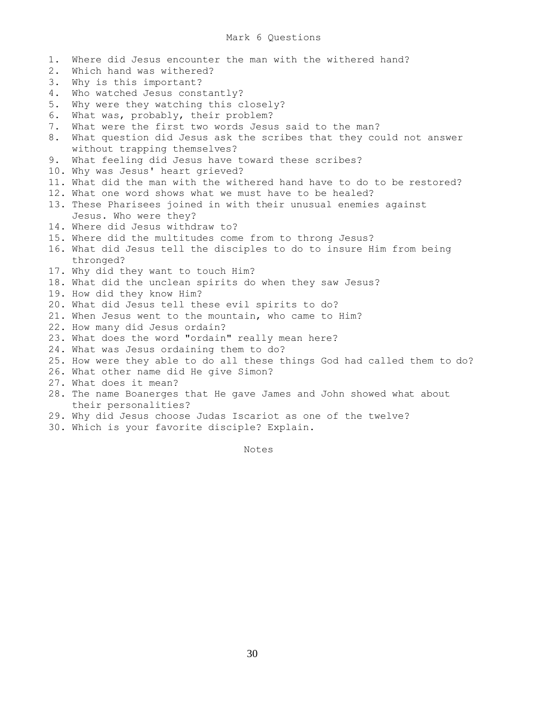- 1. Where did Jesus encounter the man with the withered hand? 2. Which hand was withered? 3. Why is this important? 4. Who watched Jesus constantly? 5. Why were they watching this closely? 6. What was, probably, their problem? 7. What were the first two words Jesus said to the man? 8. What question did Jesus ask the scribes that they could not answer without trapping themselves? 9. What feeling did Jesus have toward these scribes? 10. Why was Jesus' heart grieved? 11. What did the man with the withered hand have to do to be restored? 12. What one word shows what we must have to be healed? 13. These Pharisees joined in with their unusual enemies against Jesus. Who were they? 14. Where did Jesus withdraw to? 15. Where did the multitudes come from to throng Jesus? 16. What did Jesus tell the disciples to do to insure Him from being thronged? 17. Why did they want to touch Him? 18. What did the unclean spirits do when they saw Jesus? 19. How did they know Him? 20. What did Jesus tell these evil spirits to do? 21. When Jesus went to the mountain, who came to Him? 22. How many did Jesus ordain? 23. What does the word "ordain" really mean here? 24. What was Jesus ordaining them to do? 25. How were they able to do all these things God had called them to do? 26. What other name did He give Simon? 27. What does it mean? 28. The name Boanerges that He gave James and John showed what about their personalities? 29. Why did Jesus choose Judas Iscariot as one of the twelve?
	- 30. Which is your favorite disciple? Explain.

Notes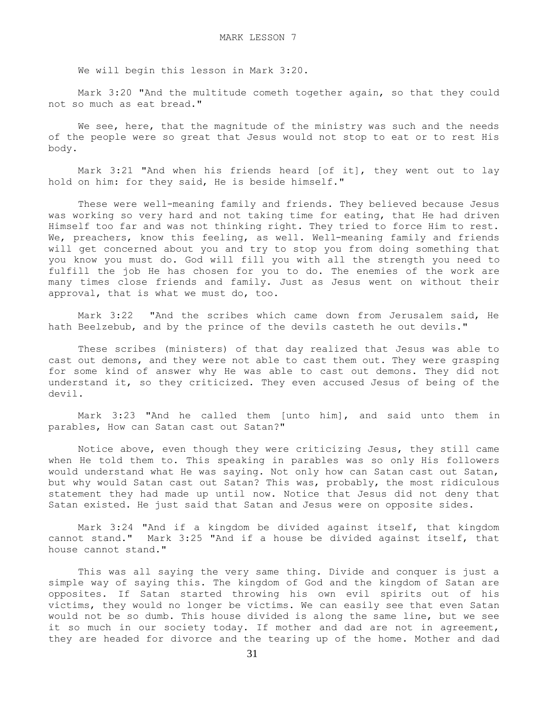We will begin this lesson in Mark 3:20.

 Mark 3:20 "And the multitude cometh together again, so that they could not so much as eat bread."

We see, here, that the magnitude of the ministry was such and the needs of the people were so great that Jesus would not stop to eat or to rest His body.

 Mark 3:21 "And when his friends heard [of it], they went out to lay hold on him: for they said, He is beside himself."

 These were well-meaning family and friends. They believed because Jesus was working so very hard and not taking time for eating, that He had driven Himself too far and was not thinking right. They tried to force Him to rest. We, preachers, know this feeling, as well. Well-meaning family and friends will get concerned about you and try to stop you from doing something that you know you must do. God will fill you with all the strength you need to fulfill the job He has chosen for you to do. The enemies of the work are many times close friends and family. Just as Jesus went on without their approval, that is what we must do, too.

 Mark 3:22 "And the scribes which came down from Jerusalem said, He hath Beelzebub, and by the prince of the devils casteth he out devils."

 These scribes (ministers) of that day realized that Jesus was able to cast out demons, and they were not able to cast them out. They were grasping for some kind of answer why He was able to cast out demons. They did not understand it, so they criticized. They even accused Jesus of being of the devil.

 Mark 3:23 "And he called them [unto him], and said unto them in parables, How can Satan cast out Satan?"

 Notice above, even though they were criticizing Jesus, they still came when He told them to. This speaking in parables was so only His followers would understand what He was saying. Not only how can Satan cast out Satan, but why would Satan cast out Satan? This was, probably, the most ridiculous statement they had made up until now. Notice that Jesus did not deny that Satan existed. He just said that Satan and Jesus were on opposite sides.

 Mark 3:24 "And if a kingdom be divided against itself, that kingdom cannot stand." Mark 3:25 "And if a house be divided against itself, that house cannot stand."

 This was all saying the very same thing. Divide and conquer is just a simple way of saying this. The kingdom of God and the kingdom of Satan are opposites. If Satan started throwing his own evil spirits out of his victims, they would no longer be victims. We can easily see that even Satan would not be so dumb. This house divided is along the same line, but we see it so much in our society today. If mother and dad are not in agreement, they are headed for divorce and the tearing up of the home. Mother and dad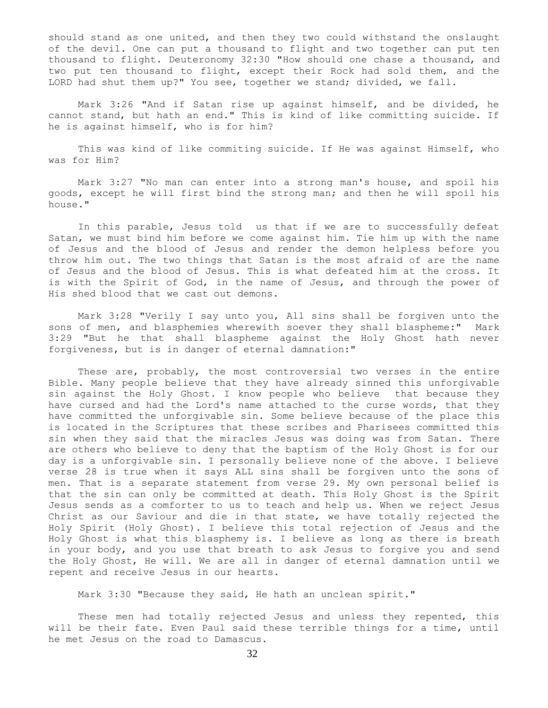should stand as one united, and then they two could withstand the onslaught of the devil. One can put a thousand to flight and two together can put ten thousand to flight. Deuteronomy 32:30 "How should one chase a thousand, and two put ten thousand to flight, except their Rock had sold them, and the LORD had shut them up?" You see, together we stand; divided, we fall.

 Mark 3:26 "And if Satan rise up against himself, and be divided, he cannot stand, but hath an end." This is kind of like committing suicide. If he is against himself, who is for him?

 This was kind of like commiting suicide. If He was against Himself, who was for Him?

 Mark 3:27 "No man can enter into a strong man's house, and spoil his goods, except he will first bind the strong man; and then he will spoil his house."

 In this parable, Jesus told us that if we are to successfully defeat Satan, we must bind him before we come against him. Tie him up with the name of Jesus and the blood of Jesus and render the demon helpless before you throw him out. The two things that Satan is the most afraid of are the name of Jesus and the blood of Jesus. This is what defeated him at the cross. It is with the Spirit of God, in the name of Jesus, and through the power of His shed blood that we cast out demons.

 Mark 3:28 "Verily I say unto you, All sins shall be forgiven unto the sons of men, and blasphemies wherewith soever they shall blaspheme:" Mark 3:29 "But he that shall blaspheme against the Holy Ghost hath never forgiveness, but is in danger of eternal damnation:"

 These are, probably, the most controversial two verses in the entire Bible. Many people believe that they have already sinned this unforgivable sin against the Holy Ghost. I know people who believe that because they have cursed and had the Lord's name attached to the curse words, that they have committed the unforgivable sin. Some believe because of the place this is located in the Scriptures that these scribes and Pharisees committed this sin when they said that the miracles Jesus was doing was from Satan. There are others who believe to deny that the baptism of the Holy Ghost is for our day is a unforgivable sin. I personally believe none of the above. I believe verse 28 is true when it says ALL sins shall be forgiven unto the sons of men. That is a separate statement from verse 29. My own personal belief is that the sin can only be committed at death. This Holy Ghost is the Spirit Jesus sends as a comforter to us to teach and help us. When we reject Jesus Christ as our Saviour and die in that state, we have totally rejected the Holy Spirit (Holy Ghost). I believe this total rejection of Jesus and the Holy Ghost is what this blasphemy is. I believe as long as there is breath in your body, and you use that breath to ask Jesus to forgive you and send the Holy Ghost, He will. We are all in danger of eternal damnation until we repent and receive Jesus in our hearts.

Mark 3:30 "Because they said, He hath an unclean spirit."

 These men had totally rejected Jesus and unless they repented, this will be their fate. Even Paul said these terrible things for a time, until he met Jesus on the road to Damascus.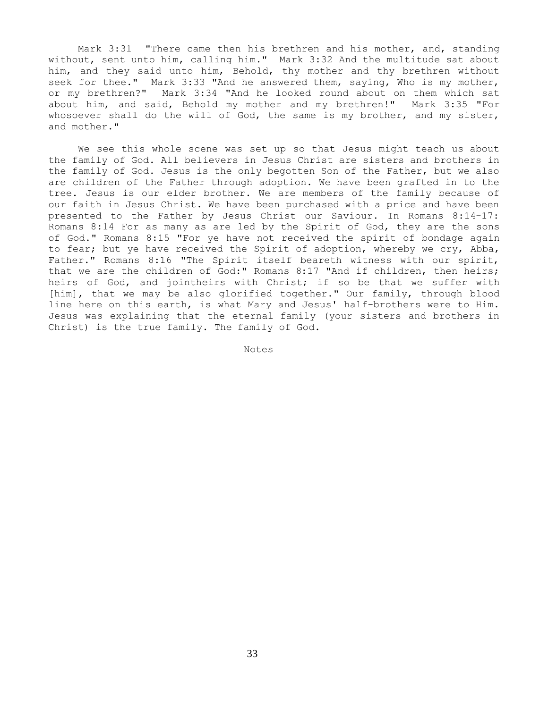Mark 3:31 "There came then his brethren and his mother, and, standing without, sent unto him, calling him." Mark 3:32 And the multitude sat about him, and they said unto him, Behold, thy mother and thy brethren without seek for thee." Mark 3:33 "And he answered them, saying, Who is my mother, or my brethren?" Mark 3:34 "And he looked round about on them which sat about him, and said, Behold my mother and my brethren!" Mark 3:35 "For whosoever shall do the will of God, the same is my brother, and my sister, and mother."

 We see this whole scene was set up so that Jesus might teach us about the family of God. All believers in Jesus Christ are sisters and brothers in the family of God. Jesus is the only begotten Son of the Father, but we also are children of the Father through adoption. We have been grafted in to the tree. Jesus is our elder brother. We are members of the family because of our faith in Jesus Christ. We have been purchased with a price and have been presented to the Father by Jesus Christ our Saviour. In Romans 8:14-17: Romans 8:14 For as many as are led by the Spirit of God, they are the sons of God." Romans 8:15 "For ye have not received the spirit of bondage again to fear; but ye have received the Spirit of adoption, whereby we cry, Abba, Father." Romans 8:16 "The Spirit itself beareth witness with our spirit, that we are the children of God:" Romans 8:17 "And if children, then heirs; heirs of God, and jointheirs with Christ; if so be that we suffer with [him], that we may be also glorified together." Our family, through blood line here on this earth, is what Mary and Jesus' half-brothers were to Him. Jesus was explaining that the eternal family (your sisters and brothers in Christ) is the true family. The family of God.

Notes

33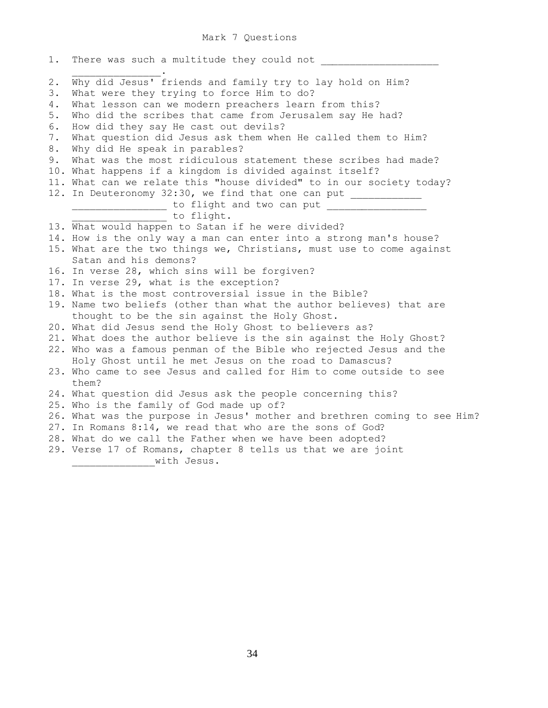Mark 7 Questions

| 1.          | There was such a multitude they could not                                                                                     |
|-------------|-------------------------------------------------------------------------------------------------------------------------------|
| $2$ .<br>3. | Why did Jesus' friends and family try to lay hold on Him?<br>What were they trying to force Him to do?                        |
| 4.<br>5.    | What lesson can we modern preachers learn from this?<br>Who did the scribes that came from Jerusalem say He had?              |
| 6.          | How did they say He cast out devils?                                                                                          |
| 7.          | What question did Jesus ask them when He called them to Him?                                                                  |
| 8.          | Why did He speak in parables?                                                                                                 |
| 9.          | What was the most ridiculous statement these scribes had made?                                                                |
|             | 10. What happens if a kingdom is divided against itself?                                                                      |
| 12.         | 11. What can we relate this "house divided" to in our society today?                                                          |
|             | In Deuteronomy 32:30, we find that one can put _____________<br>_______________ to flight and two can put ___________________ |
|             | to flight.                                                                                                                    |
|             | 13. What would happen to Satan if he were divided?                                                                            |
|             | 14. How is the only way a man can enter into a strong man's house?                                                            |
|             | 15. What are the two things we, Christians, must use to come against                                                          |
|             | Satan and his demons?                                                                                                         |
|             | 16. In verse 28, which sins will be forgiven?                                                                                 |
|             | 17. In verse 29, what is the exception?<br>18. What is the most controversial issue in the Bible?                             |
|             | 19. Name two beliefs (other than what the author believes) that are                                                           |
|             | thought to be the sin against the Holy Ghost.                                                                                 |
|             | 20. What did Jesus send the Holy Ghost to believers as?                                                                       |
|             | 21. What does the author believe is the sin against the Holy Ghost?                                                           |
|             | 22. Who was a famous penman of the Bible who rejected Jesus and the                                                           |
|             | Holy Ghost until he met Jesus on the road to Damascus?                                                                        |
|             | 23. Who came to see Jesus and called for Him to come outside to see<br>them?                                                  |
|             | 24. What question did Jesus ask the people concerning this?                                                                   |
|             | 25. Who is the family of God made up of?                                                                                      |
|             | 26. What was the purpose in Jesus' mother and brethren coming to see Him?                                                     |
|             | 27. In Romans 8:14, we read that who are the sons of God?                                                                     |
|             | 28. What do we call the Father when we have been adopted?                                                                     |
|             | 29. Verse 17 of Romans, chapter 8 tells us that we are joint<br>with Jesus.                                                   |
|             |                                                                                                                               |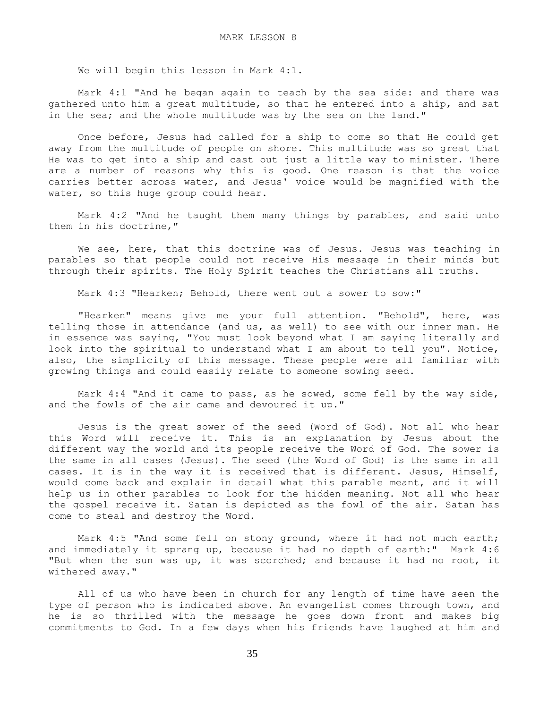We will begin this lesson in Mark 4:1.

 Mark 4:1 "And he began again to teach by the sea side: and there was gathered unto him a great multitude, so that he entered into a ship, and sat in the sea; and the whole multitude was by the sea on the land."

 Once before, Jesus had called for a ship to come so that He could get away from the multitude of people on shore. This multitude was so great that He was to get into a ship and cast out just a little way to minister. There are a number of reasons why this is good. One reason is that the voice carries better across water, and Jesus' voice would be magnified with the water, so this huge group could hear.

 Mark 4:2 "And he taught them many things by parables, and said unto them in his doctrine,"

We see, here, that this doctrine was of Jesus. Jesus was teaching in parables so that people could not receive His message in their minds but through their spirits. The Holy Spirit teaches the Christians all truths.

Mark 4:3 "Hearken; Behold, there went out a sower to sow:"

 "Hearken" means give me your full attention. "Behold", here, was telling those in attendance (and us, as well) to see with our inner man. He in essence was saying, "You must look beyond what I am saying literally and look into the spiritual to understand what I am about to tell you". Notice, also, the simplicity of this message. These people were all familiar with growing things and could easily relate to someone sowing seed.

 Mark 4:4 "And it came to pass, as he sowed, some fell by the way side, and the fowls of the air came and devoured it up."

 Jesus is the great sower of the seed (Word of God). Not all who hear this Word will receive it. This is an explanation by Jesus about the different way the world and its people receive the Word of God. The sower is the same in all cases (Jesus). The seed (the Word of God) is the same in all cases. It is in the way it is received that is different. Jesus, Himself, would come back and explain in detail what this parable meant, and it will help us in other parables to look for the hidden meaning. Not all who hear the gospel receive it. Satan is depicted as the fowl of the air. Satan has come to steal and destroy the Word.

 Mark 4:5 "And some fell on stony ground, where it had not much earth; and immediately it sprang up, because it had no depth of earth:" Mark 4:6 "But when the sun was up, it was scorched; and because it had no root, it withered away."

 All of us who have been in church for any length of time have seen the type of person who is indicated above. An evangelist comes through town, and he is so thrilled with the message he goes down front and makes big commitments to God. In a few days when his friends have laughed at him and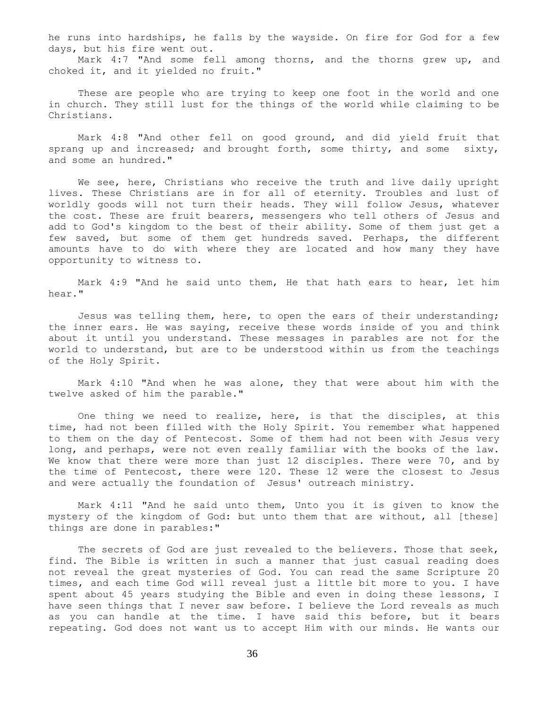he runs into hardships, he falls by the wayside. On fire for God for a few days, but his fire went out.

 Mark 4:7 "And some fell among thorns, and the thorns grew up, and choked it, and it yielded no fruit."

 These are people who are trying to keep one foot in the world and one in church. They still lust for the things of the world while claiming to be Christians.

 Mark 4:8 "And other fell on good ground, and did yield fruit that sprang up and increased; and brought forth, some thirty, and some sixty, and some an hundred."

We see, here, Christians who receive the truth and live daily upright lives. These Christians are in for all of eternity. Troubles and lust of worldly goods will not turn their heads. They will follow Jesus, whatever the cost. These are fruit bearers, messengers who tell others of Jesus and add to God's kingdom to the best of their ability. Some of them just get a few saved, but some of them get hundreds saved. Perhaps, the different amounts have to do with where they are located and how many they have opportunity to witness to.

 Mark 4:9 "And he said unto them, He that hath ears to hear, let him hear."

 Jesus was telling them, here, to open the ears of their understanding; the inner ears. He was saying, receive these words inside of you and think about it until you understand. These messages in parables are not for the world to understand, but are to be understood within us from the teachings of the Holy Spirit.

 Mark 4:10 "And when he was alone, they that were about him with the twelve asked of him the parable."

 One thing we need to realize, here, is that the disciples, at this time, had not been filled with the Holy Spirit. You remember what happened to them on the day of Pentecost. Some of them had not been with Jesus very long, and perhaps, were not even really familiar with the books of the law. We know that there were more than just 12 disciples. There were 70, and by the time of Pentecost, there were 120. These  $12^{\circ}$  were the closest to Jesus and were actually the foundation of Jesus' outreach ministry.

 Mark 4:11 "And he said unto them, Unto you it is given to know the mystery of the kingdom of God: but unto them that are without, all [these] things are done in parables:"

 The secrets of God are just revealed to the believers. Those that seek, find. The Bible is written in such a manner that just casual reading does not reveal the great mysteries of God. You can read the same Scripture 20 times, and each time God will reveal just a little bit more to you. I have spent about 45 years studying the Bible and even in doing these lessons, I have seen things that I never saw before. I believe the Lord reveals as much as you can handle at the time. I have said this before, but it bears repeating. God does not want us to accept Him with our minds. He wants our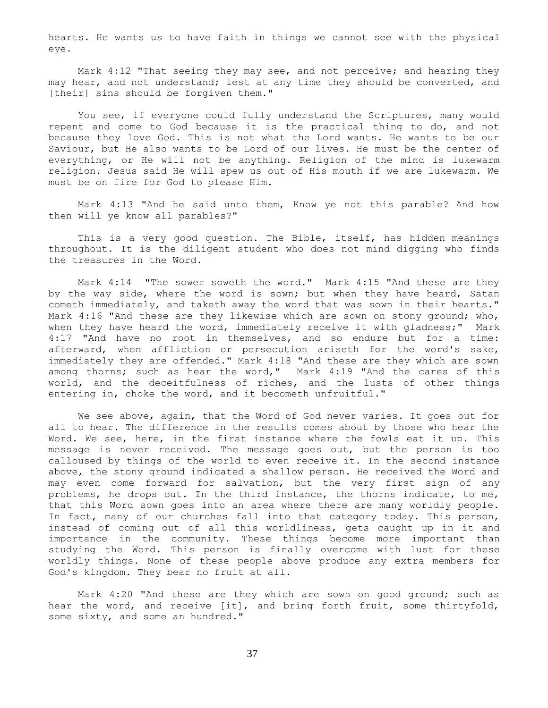hearts. He wants us to have faith in things we cannot see with the physical eye.

 Mark 4:12 "That seeing they may see, and not perceive; and hearing they may hear, and not understand; lest at any time they should be converted, and [their] sins should be forgiven them."

 You see, if everyone could fully understand the Scriptures, many would repent and come to God because it is the practical thing to do, and not because they love God. This is not what the Lord wants. He wants to be our Saviour, but He also wants to be Lord of our lives. He must be the center of everything, or He will not be anything. Religion of the mind is lukewarm religion. Jesus said He will spew us out of His mouth if we are lukewarm. We must be on fire for God to please Him.

 Mark 4:13 "And he said unto them, Know ye not this parable? And how then will ye know all parables?"

 This is a very good question. The Bible, itself, has hidden meanings throughout. It is the diligent student who does not mind digging who finds the treasures in the Word.

 Mark 4:14 "The sower soweth the word." Mark 4:15 "And these are they by the way side, where the word is sown; but when they have heard, Satan cometh immediately, and taketh away the word that was sown in their hearts." Mark 4:16 "And these are they likewise which are sown on stony ground; who, when they have heard the word, immediately receive it with gladness;" Mark 4:17 "And have no root in themselves, and so endure but for a time: afterward, when affliction or persecution ariseth for the word's sake, immediately they are offended." Mark 4:18 "And these are they which are sown among thorns; such as hear the word," Mark 4:19 "And the cares of this world, and the deceitfulness of riches, and the lusts of other things entering in, choke the word, and it becometh unfruitful."

 We see above, again, that the Word of God never varies. It goes out for all to hear. The difference in the results comes about by those who hear the Word. We see, here, in the first instance where the fowls eat it up. This message is never received. The message goes out, but the person is too calloused by things of the world to even receive it. In the second instance above, the stony ground indicated a shallow person. He received the Word and may even come forward for salvation, but the very first sign of any problems, he drops out. In the third instance, the thorns indicate, to me, that this Word sown goes into an area where there are many worldly people. In fact, many of our churches fall into that category today. This person, instead of coming out of all this worldliness, gets caught up in it and importance in the community. These things become more important than studying the Word. This person is finally overcome with lust for these worldly things. None of these people above produce any extra members for God's kingdom. They bear no fruit at all.

 Mark 4:20 "And these are they which are sown on good ground; such as hear the word, and receive [it], and bring forth fruit, some thirtyfold, some sixty, and some an hundred."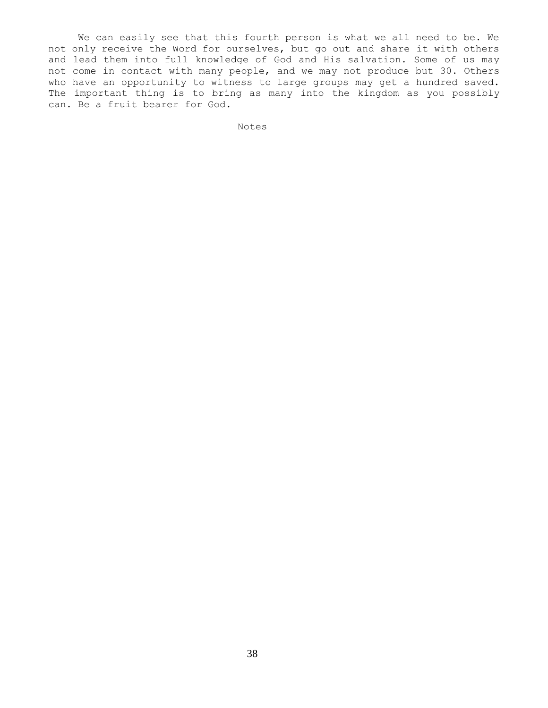We can easily see that this fourth person is what we all need to be. We not only receive the Word for ourselves, but go out and share it with others and lead them into full knowledge of God and His salvation. Some of us may not come in contact with many people, and we may not produce but 30. Others who have an opportunity to witness to large groups may get a hundred saved. The important thing is to bring as many into the kingdom as you possibly can. Be a fruit bearer for God.

Notes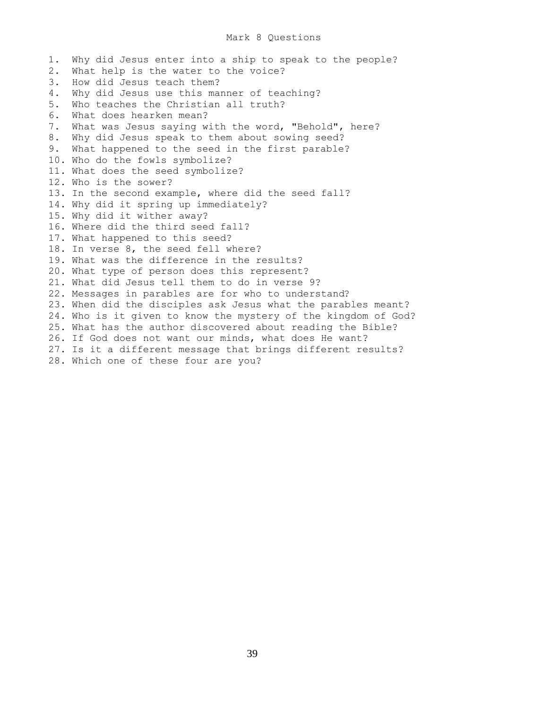# Mark 8 Questions

1. Why did Jesus enter into a ship to speak to the people? 2. What help is the water to the voice? 3. How did Jesus teach them? 4. Why did Jesus use this manner of teaching? 5. Who teaches the Christian all truth? 6. What does hearken mean? 7. What was Jesus saying with the word, "Behold", here? 8. Why did Jesus speak to them about sowing seed? 9. What happened to the seed in the first parable? 10. Who do the fowls symbolize? 11. What does the seed symbolize? 12. Who is the sower? 13. In the second example, where did the seed fall? 14. Why did it spring up immediately? 15. Why did it wither away? 16. Where did the third seed fall? 17. What happened to this seed? 18. In verse 8, the seed fell where? 19. What was the difference in the results? 20. What type of person does this represent? 21. What did Jesus tell them to do in verse 9? 22. Messages in parables are for who to understand? 23. When did the disciples ask Jesus what the parables meant? 24. Who is it given to know the mystery of the kingdom of God? 25. What has the author discovered about reading the Bible? 26. If God does not want our minds, what does He want? 27. Is it a different message that brings different results? 28. Which one of these four are you?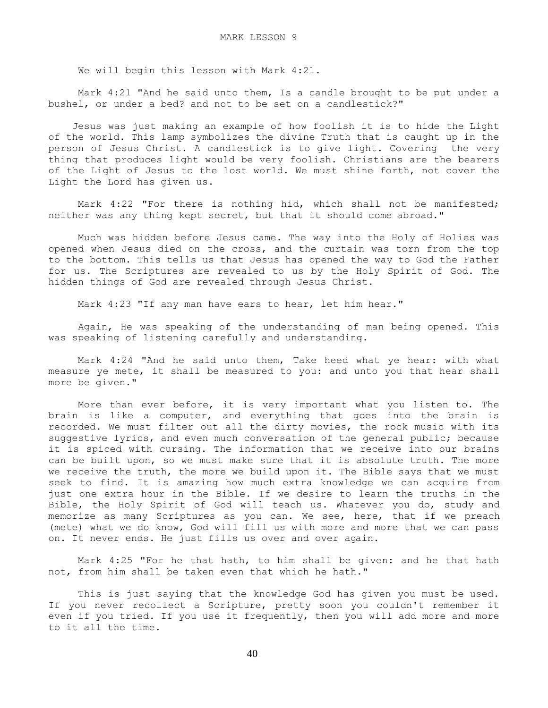We will begin this lesson with Mark 4:21.

 Mark 4:21 "And he said unto them, Is a candle brought to be put under a bushel, or under a bed? and not to be set on a candlestick?"

 Jesus was just making an example of how foolish it is to hide the Light of the world. This lamp symbolizes the divine Truth that is caught up in the person of Jesus Christ. A candlestick is to give light. Covering the very thing that produces light would be very foolish. Christians are the bearers of the Light of Jesus to the lost world. We must shine forth, not cover the Light the Lord has given us.

Mark 4:22 "For there is nothing hid, which shall not be manifested; neither was any thing kept secret, but that it should come abroad."

 Much was hidden before Jesus came. The way into the Holy of Holies was opened when Jesus died on the cross, and the curtain was torn from the top to the bottom. This tells us that Jesus has opened the way to God the Father for us. The Scriptures are revealed to us by the Holy Spirit of God. The hidden things of God are revealed through Jesus Christ.

Mark 4:23 "If any man have ears to hear, let him hear."

 Again, He was speaking of the understanding of man being opened. This was speaking of listening carefully and understanding.

 Mark 4:24 "And he said unto them, Take heed what ye hear: with what measure ye mete, it shall be measured to you: and unto you that hear shall more be given."

 More than ever before, it is very important what you listen to. The brain is like a computer, and everything that goes into the brain is recorded. We must filter out all the dirty movies, the rock music with its suggestive lyrics, and even much conversation of the general public; because it is spiced with cursing. The information that we receive into our brains can be built upon, so we must make sure that it is absolute truth. The more we receive the truth, the more we build upon it. The Bible says that we must seek to find. It is amazing how much extra knowledge we can acquire from just one extra hour in the Bible. If we desire to learn the truths in the Bible, the Holy Spirit of God will teach us. Whatever you do, study and memorize as many Scriptures as you can. We see, here, that if we preach (mete) what we do know, God will fill us with more and more that we can pass on. It never ends. He just fills us over and over again.

 Mark 4:25 "For he that hath, to him shall be given: and he that hath not, from him shall be taken even that which he hath."

 This is just saying that the knowledge God has given you must be used. If you never recollect a Scripture, pretty soon you couldn't remember it even if you tried. If you use it frequently, then you will add more and more to it all the time.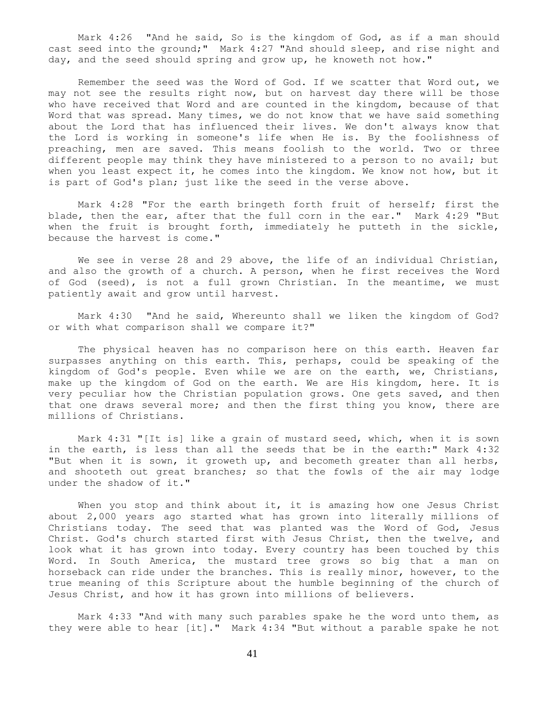Mark 4:26 "And he said, So is the kingdom of God, as if a man should cast seed into the ground;" Mark 4:27 "And should sleep, and rise night and day, and the seed should spring and grow up, he knoweth not how."

 Remember the seed was the Word of God. If we scatter that Word out, we may not see the results right now, but on harvest day there will be those who have received that Word and are counted in the kingdom, because of that Word that was spread. Many times, we do not know that we have said something about the Lord that has influenced their lives. We don't always know that the Lord is working in someone's life when He is. By the foolishness of preaching, men are saved. This means foolish to the world. Two or three different people may think they have ministered to a person to no avail; but when you least expect it, he comes into the kingdom. We know not how, but it is part of God's plan; just like the seed in the verse above.

 Mark 4:28 "For the earth bringeth forth fruit of herself; first the blade, then the ear, after that the full corn in the ear." Mark 4:29 "But when the fruit is brought forth, immediately he putteth in the sickle, because the harvest is come."

We see in verse 28 and 29 above, the life of an individual Christian, and also the growth of a church. A person, when he first receives the Word of God (seed), is not a full grown Christian. In the meantime, we must patiently await and grow until harvest.

 Mark 4:30 "And he said, Whereunto shall we liken the kingdom of God? or with what comparison shall we compare it?"

 The physical heaven has no comparison here on this earth. Heaven far surpasses anything on this earth. This, perhaps, could be speaking of the kingdom of God's people. Even while we are on the earth, we, Christians, make up the kingdom of God on the earth. We are His kingdom, here. It is very peculiar how the Christian population grows. One gets saved, and then that one draws several more; and then the first thing you know, there are millions of Christians.

 Mark 4:31 "[It is] like a grain of mustard seed, which, when it is sown in the earth, is less than all the seeds that be in the earth:" Mark 4:32 "But when it is sown, it groweth up, and becometh greater than all herbs, and shooteth out great branches; so that the fowls of the air may lodge under the shadow of it."

When you stop and think about it, it is amazing how one Jesus Christ about 2,000 years ago started what has grown into literally millions of Christians today. The seed that was planted was the Word of God, Jesus Christ. God's church started first with Jesus Christ, then the twelve, and look what it has grown into today. Every country has been touched by this Word. In South America, the mustard tree grows so big that a man on horseback can ride under the branches. This is really minor, however, to the true meaning of this Scripture about the humble beginning of the church of Jesus Christ, and how it has grown into millions of believers.

 Mark 4:33 "And with many such parables spake he the word unto them, as they were able to hear [it]." Mark 4:34 "But without a parable spake he not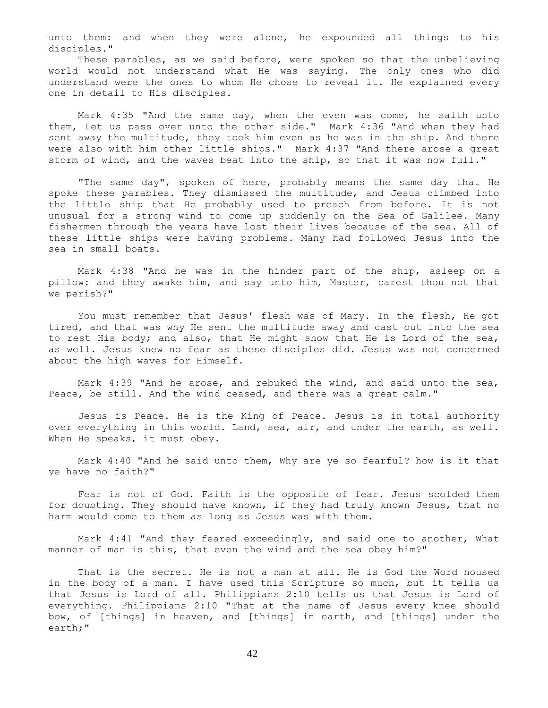unto them: and when they were alone, he expounded all things to his disciples."

 These parables, as we said before, were spoken so that the unbelieving world would not understand what He was saying. The only ones who did understand were the ones to whom He chose to reveal it. He explained every one in detail to His disciples.

 Mark 4:35 "And the same day, when the even was come, he saith unto them, Let us pass over unto the other side." Mark 4:36 "And when they had sent away the multitude, they took him even as he was in the ship. And there were also with him other little ships." Mark 4:37 "And there arose a great storm of wind, and the waves beat into the ship, so that it was now full."

 "The same day", spoken of here, probably means the same day that He spoke these parables. They dismissed the multitude, and Jesus climbed into the little ship that He probably used to preach from before. It is not unusual for a strong wind to come up suddenly on the Sea of Galilee. Many fishermen through the years have lost their lives because of the sea. All of these little ships were having problems. Many had followed Jesus into the sea in small boats.

 Mark 4:38 "And he was in the hinder part of the ship, asleep on a pillow: and they awake him, and say unto him, Master, carest thou not that we perish?"

You must remember that Jesus' flesh was of Mary. In the flesh, He got tired, and that was why He sent the multitude away and cast out into the sea to rest His body; and also, that He might show that He is Lord of the sea, as well. Jesus knew no fear as these disciples did. Jesus was not concerned about the high waves for Himself.

 Mark 4:39 "And he arose, and rebuked the wind, and said unto the sea, Peace, be still. And the wind ceased, and there was a great calm."

 Jesus is Peace. He is the King of Peace. Jesus is in total authority over everything in this world. Land, sea, air, and under the earth, as well. When He speaks, it must obey.

 Mark 4:40 "And he said unto them, Why are ye so fearful? how is it that ye have no faith?"

 Fear is not of God. Faith is the opposite of fear. Jesus scolded them for doubting. They should have known, if they had truly known Jesus, that no harm would come to them as long as Jesus was with them.

 Mark 4:41 "And they feared exceedingly, and said one to another, What manner of man is this, that even the wind and the sea obey him?"

 That is the secret. He is not a man at all. He is God the Word housed in the body of a man. I have used this Scripture so much, but it tells us that Jesus is Lord of all. Philippians 2:10 tells us that Jesus is Lord of everything. Philippians 2:10 "That at the name of Jesus every knee should bow, of [things] in heaven, and [things] in earth, and [things] under the earth;"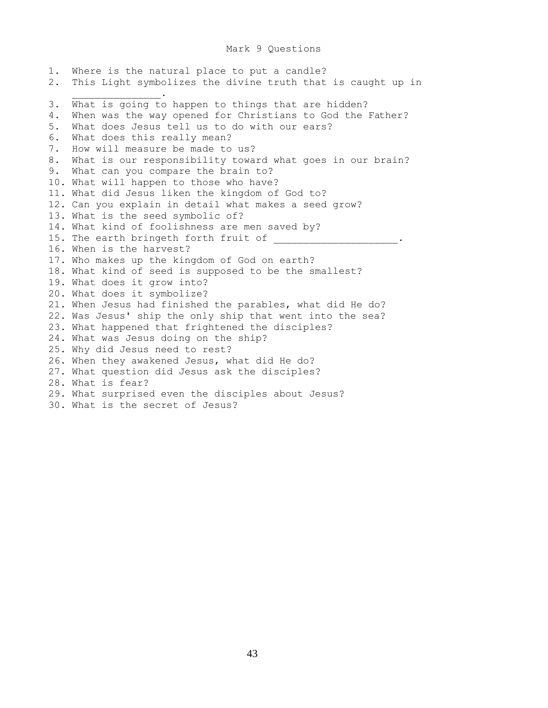### Mark 9 Questions

1. Where is the natural place to put a candle? 2. This Light symbolizes the divine truth that is caught up in  $\mathcal{L}=\mathcal{L}=\mathcal{L}=\mathcal{L}=\mathcal{L}=\mathcal{L}=\mathcal{L}=\mathcal{L}$ 3. What is going to happen to things that are hidden? 4. When was the way opened for Christians to God the Father? 5. What does Jesus tell us to do with our ears? 6. What does this really mean? 7. How will measure be made to us? 8. What is our responsibility toward what goes in our brain? 9. What can you compare the brain to? 10. What will happen to those who have? 11. What did Jesus liken the kingdom of God to? 12. Can you explain in detail what makes a seed grow? 13. What is the seed symbolic of? 14. What kind of foolishness are men saved by? 15. The earth bringeth forth fruit of 16. When is the harvest? 17. Who makes up the kingdom of God on earth? 18. What kind of seed is supposed to be the smallest? 19. What does it grow into? 20. What does it symbolize? 21. When Jesus had finished the parables, what did He do? 22. Was Jesus' ship the only ship that went into the sea? 23. What happened that frightened the disciples? 24. What was Jesus doing on the ship? 25. Why did Jesus need to rest? 26. When they awakened Jesus, what did He do? 27. What question did Jesus ask the disciples? 28. What is fear? 29. What surprised even the disciples about Jesus? 30. What is the secret of Jesus?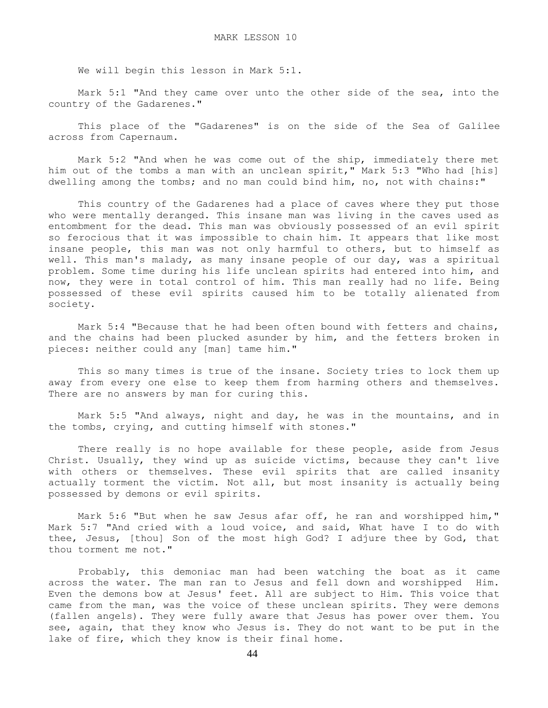We will begin this lesson in Mark 5:1.

 Mark 5:1 "And they came over unto the other side of the sea, into the country of the Gadarenes."

 This place of the "Gadarenes" is on the side of the Sea of Galilee across from Capernaum.

 Mark 5:2 "And when he was come out of the ship, immediately there met him out of the tombs a man with an unclean spirit," Mark 5:3 "Who had [his] dwelling among the tombs; and no man could bind him, no, not with chains:"

 This country of the Gadarenes had a place of caves where they put those who were mentally deranged. This insane man was living in the caves used as entombment for the dead. This man was obviously possessed of an evil spirit so ferocious that it was impossible to chain him. It appears that like most insane people, this man was not only harmful to others, but to himself as well. This man's malady, as many insane people of our day, was a spiritual problem. Some time during his life unclean spirits had entered into him, and now, they were in total control of him. This man really had no life. Being possessed of these evil spirits caused him to be totally alienated from society.

 Mark 5:4 "Because that he had been often bound with fetters and chains, and the chains had been plucked asunder by him, and the fetters broken in pieces: neither could any [man] tame him."

 This so many times is true of the insane. Society tries to lock them up away from every one else to keep them from harming others and themselves. There are no answers by man for curing this.

 Mark 5:5 "And always, night and day, he was in the mountains, and in the tombs, crying, and cutting himself with stones."

 There really is no hope available for these people, aside from Jesus Christ. Usually, they wind up as suicide victims, because they can't live with others or themselves. These evil spirits that are called insanity actually torment the victim. Not all, but most insanity is actually being possessed by demons or evil spirits.

 Mark 5:6 "But when he saw Jesus afar off, he ran and worshipped him," Mark 5:7 "And cried with a loud voice, and said, What have I to do with thee, Jesus, [thou] Son of the most high God? I adjure thee by God, that thou torment me not."

 Probably, this demoniac man had been watching the boat as it came across the water. The man ran to Jesus and fell down and worshipped Him. Even the demons bow at Jesus' feet. All are subject to Him. This voice that came from the man, was the voice of these unclean spirits. They were demons (fallen angels). They were fully aware that Jesus has power over them. You see, again, that they know who Jesus is. They do not want to be put in the lake of fire, which they know is their final home.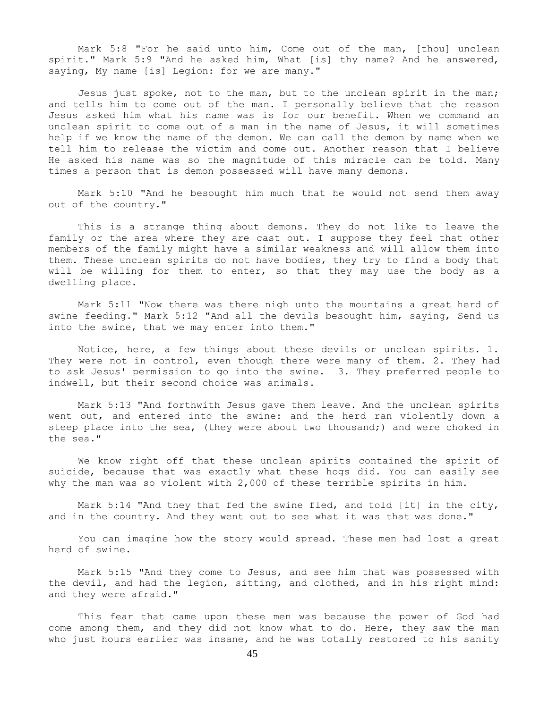Mark 5:8 "For he said unto him, Come out of the man, [thou] unclean spirit." Mark 5:9 "And he asked him, What [is] thy name? And he answered, saying, My name [is] Legion: for we are many."

 Jesus just spoke, not to the man, but to the unclean spirit in the man; and tells him to come out of the man. I personally believe that the reason Jesus asked him what his name was is for our benefit. When we command an unclean spirit to come out of a man in the name of Jesus, it will sometimes help if we know the name of the demon. We can call the demon by name when we tell him to release the victim and come out. Another reason that I believe He asked his name was so the magnitude of this miracle can be told. Many times a person that is demon possessed will have many demons.

 Mark 5:10 "And he besought him much that he would not send them away out of the country."

 This is a strange thing about demons. They do not like to leave the family or the area where they are cast out. I suppose they feel that other members of the family might have a similar weakness and will allow them into them. These unclean spirits do not have bodies, they try to find a body that will be willing for them to enter, so that they may use the body as a dwelling place.

 Mark 5:11 "Now there was there nigh unto the mountains a great herd of swine feeding." Mark 5:12 "And all the devils besought him, saying, Send us into the swine, that we may enter into them."

 Notice, here, a few things about these devils or unclean spirits. 1. They were not in control, even though there were many of them. 2. They had to ask Jesus' permission to go into the swine. 3. They preferred people to indwell, but their second choice was animals.

 Mark 5:13 "And forthwith Jesus gave them leave. And the unclean spirits went out, and entered into the swine: and the herd ran violently down a steep place into the sea, (they were about two thousand;) and were choked in the sea."

 We know right off that these unclean spirits contained the spirit of suicide, because that was exactly what these hogs did. You can easily see why the man was so violent with 2,000 of these terrible spirits in him.

 Mark 5:14 "And they that fed the swine fled, and told [it] in the city, and in the country. And they went out to see what it was that was done."

 You can imagine how the story would spread. These men had lost a great herd of swine.

 Mark 5:15 "And they come to Jesus, and see him that was possessed with the devil, and had the legion, sitting, and clothed, and in his right mind: and they were afraid."

 This fear that came upon these men was because the power of God had come among them, and they did not know what to do. Here, they saw the man who just hours earlier was insane, and he was totally restored to his sanity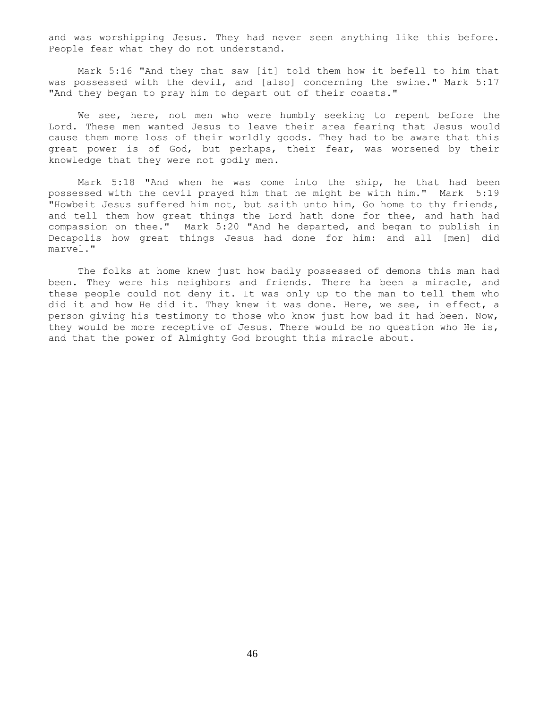and was worshipping Jesus. They had never seen anything like this before. People fear what they do not understand.

 Mark 5:16 "And they that saw [it] told them how it befell to him that was possessed with the devil, and [also] concerning the swine." Mark 5:17 "And they began to pray him to depart out of their coasts."

 We see, here, not men who were humbly seeking to repent before the Lord. These men wanted Jesus to leave their area fearing that Jesus would cause them more loss of their worldly goods. They had to be aware that this great power is of God, but perhaps, their fear, was worsened by their knowledge that they were not godly men.

 Mark 5:18 "And when he was come into the ship, he that had been possessed with the devil prayed him that he might be with him." Mark 5:19 "Howbeit Jesus suffered him not, but saith unto him, Go home to thy friends, and tell them how great things the Lord hath done for thee, and hath had compassion on thee." Mark 5:20 "And he departed, and began to publish in Decapolis how great things Jesus had done for him: and all [men] did marvel."

 The folks at home knew just how badly possessed of demons this man had been. They were his neighbors and friends. There ha been a miracle, and these people could not deny it. It was only up to the man to tell them who did it and how He did it. They knew it was done. Here, we see, in effect, a person giving his testimony to those who know just how bad it had been. Now, they would be more receptive of Jesus. There would be no question who He is, and that the power of Almighty God brought this miracle about.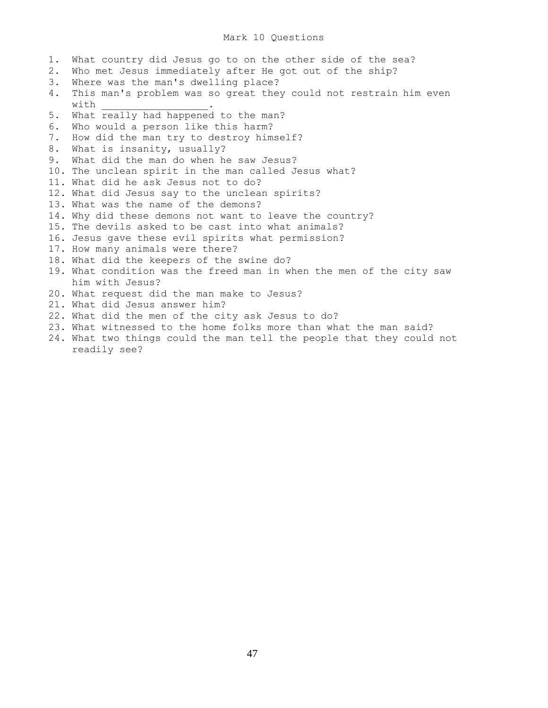# Mark 10 Questions

1. What country did Jesus go to on the other side of the sea? 2. Who met Jesus immediately after He got out of the ship? 3. Where was the man's dwelling place? 4. This man's problem was so great they could not restrain him even with 5. What really had happened to the man? 6. Who would a person like this harm? 7. How did the man try to destroy himself? 8. What is insanity, usually? 9. What did the man do when he saw Jesus? 10. The unclean spirit in the man called Jesus what? 11. What did he ask Jesus not to do? 12. What did Jesus say to the unclean spirits? 13. What was the name of the demons? 14. Why did these demons not want to leave the country? 15. The devils asked to be cast into what animals? 16. Jesus gave these evil spirits what permission? 17. How many animals were there? 18. What did the keepers of the swine do? 19. What condition was the freed man in when the men of the city saw him with Jesus? 20. What request did the man make to Jesus? 21. What did Jesus answer him? 22. What did the men of the city ask Jesus to do? 23. What witnessed to the home folks more than what the man said? 24. What two things could the man tell the people that they could not readily see?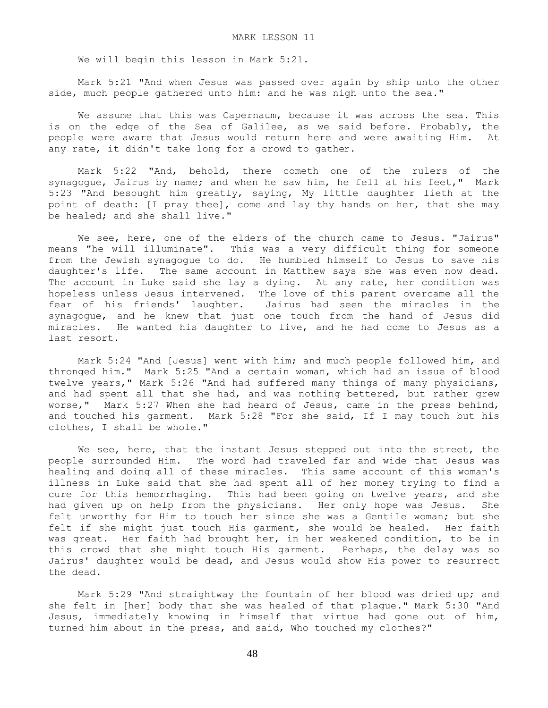We will begin this lesson in Mark 5:21.

 Mark 5:21 "And when Jesus was passed over again by ship unto the other side, much people gathered unto him: and he was nigh unto the sea."

We assume that this was Capernaum, because it was across the sea. This is on the edge of the Sea of Galilee, as we said before. Probably, the people were aware that Jesus would return here and were awaiting Him. At any rate, it didn't take long for a crowd to gather.

 Mark 5:22 "And, behold, there cometh one of the rulers of the synagogue, Jairus by name; and when he saw him, he fell at his feet," Mark 5:23 "And besought him greatly, saying, My little daughter lieth at the point of death: [I pray thee], come and lay thy hands on her, that she may be healed; and she shall live."

We see, here, one of the elders of the church came to Jesus. "Jairus" means "he will illuminate". This was a very difficult thing for someone from the Jewish synagogue to do. He humbled himself to Jesus to save his daughter's life. The same account in Matthew says she was even now dead. The account in Luke said she lay a dying. At any rate, her condition was hopeless unless Jesus intervened. The love of this parent overcame all the fear of his friends' laughter. Jairus had seen the miracles in the synagogue, and he knew that just one touch from the hand of Jesus did miracles. He wanted his daughter to live, and he had come to Jesus as a last resort.

 Mark 5:24 "And [Jesus] went with him; and much people followed him, and thronged him." Mark 5:25 "And a certain woman, which had an issue of blood twelve years," Mark 5:26 "And had suffered many things of many physicians, and had spent all that she had, and was nothing bettered, but rather grew worse," Mark 5:27 When she had heard of Jesus, came in the press behind, and touched his garment. Mark 5:28 "For she said, If I may touch but his clothes, I shall be whole."

We see, here, that the instant Jesus stepped out into the street, the people surrounded Him. The word had traveled far and wide that Jesus was healing and doing all of these miracles. This same account of this woman's illness in Luke said that she had spent all of her money trying to find a cure for this hemorrhaging. This had been going on twelve years, and she had given up on help from the physicians. Her only hope was Jesus. She felt unworthy for Him to touch her since she was a Gentile woman; but she felt if she might just touch His garment, she would be healed. Her faith was great. Her faith had brought her, in her weakened condition, to be in this crowd that she might touch His garment. Perhaps, the delay was so Jairus' daughter would be dead, and Jesus would show His power to resurrect the dead.

 Mark 5:29 "And straightway the fountain of her blood was dried up; and she felt in [her] body that she was healed of that plague." Mark 5:30 "And Jesus, immediately knowing in himself that virtue had gone out of him, turned him about in the press, and said, Who touched my clothes?"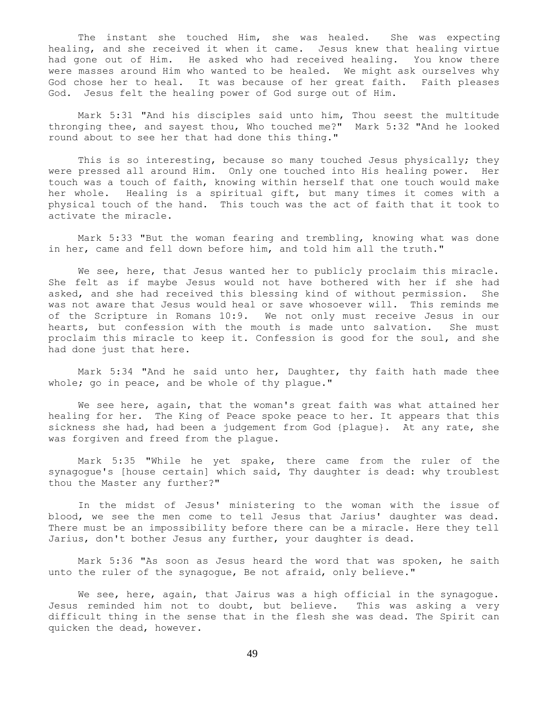The instant she touched Him, she was healed. She was expecting healing, and she received it when it came. Jesus knew that healing virtue had gone out of Him. He asked who had received healing. You know there were masses around Him who wanted to be healed. We might ask ourselves why God chose her to heal. It was because of her great faith. Faith pleases God. Jesus felt the healing power of God surge out of Him.

 Mark 5:31 "And his disciples said unto him, Thou seest the multitude thronging thee, and sayest thou, Who touched me?" Mark 5:32 "And he looked round about to see her that had done this thing."

This is so interesting, because so many touched Jesus physically; they were pressed all around Him. Only one touched into His healing power. Her touch was a touch of faith, knowing within herself that one touch would make her whole. Healing is a spiritual gift, but many times it comes with a physical touch of the hand. This touch was the act of faith that it took to activate the miracle.

 Mark 5:33 "But the woman fearing and trembling, knowing what was done in her, came and fell down before him, and told him all the truth."

We see, here, that Jesus wanted her to publicly proclaim this miracle. She felt as if maybe Jesus would not have bothered with her if she had asked, and she had received this blessing kind of without permission. She was not aware that Jesus would heal or save whosoever will. This reminds me of the Scripture in Romans 10:9. We not only must receive Jesus in our hearts, but confession with the mouth is made unto salvation. She must proclaim this miracle to keep it. Confession is good for the soul, and she had done just that here.

 Mark 5:34 "And he said unto her, Daughter, thy faith hath made thee whole; go in peace, and be whole of thy plague."

 We see here, again, that the woman's great faith was what attained her healing for her. The King of Peace spoke peace to her. It appears that this sickness she had, had been a judgement from God {plague}. At any rate, she was forgiven and freed from the plague.

 Mark 5:35 "While he yet spake, there came from the ruler of the synagogue's [house certain] which said, Thy daughter is dead: why troublest thou the Master any further?"

 In the midst of Jesus' ministering to the woman with the issue of blood, we see the men come to tell Jesus that Jarius' daughter was dead. There must be an impossibility before there can be a miracle. Here they tell Jarius, don't bother Jesus any further, your daughter is dead.

 Mark 5:36 "As soon as Jesus heard the word that was spoken, he saith unto the ruler of the synagogue, Be not afraid, only believe."

We see, here, again, that Jairus was a high official in the synagogue. Jesus reminded him not to doubt, but believe. This was asking a very difficult thing in the sense that in the flesh she was dead. The Spirit can quicken the dead, however.

49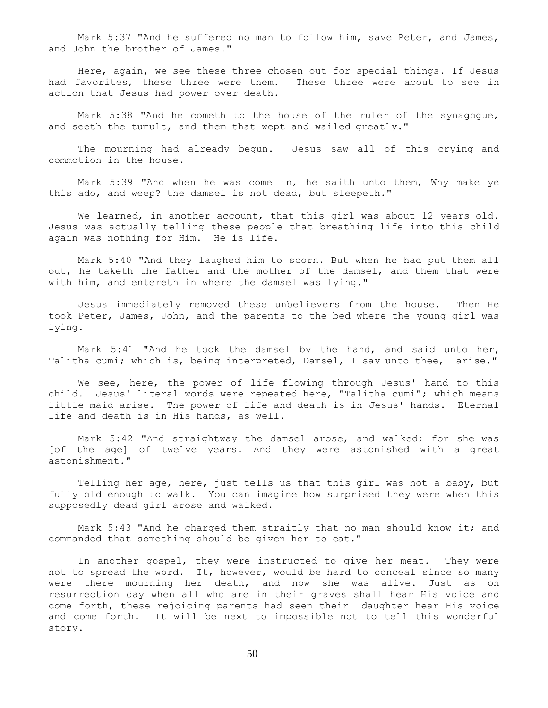Mark 5:37 "And he suffered no man to follow him, save Peter, and James, and John the brother of James."

 Here, again, we see these three chosen out for special things. If Jesus had favorites, these three were them. These three were about to see in action that Jesus had power over death.

 Mark 5:38 "And he cometh to the house of the ruler of the synagogue, and seeth the tumult, and them that wept and wailed greatly."

 The mourning had already begun. Jesus saw all of this crying and commotion in the house.

 Mark 5:39 "And when he was come in, he saith unto them, Why make ye this ado, and weep? the damsel is not dead, but sleepeth."

We learned, in another account, that this girl was about 12 years old. Jesus was actually telling these people that breathing life into this child again was nothing for Him. He is life.

 Mark 5:40 "And they laughed him to scorn. But when he had put them all out, he taketh the father and the mother of the damsel, and them that were with him, and entereth in where the damsel was lying."

 Jesus immediately removed these unbelievers from the house. Then He took Peter, James, John, and the parents to the bed where the young girl was lying.

 Mark 5:41 "And he took the damsel by the hand, and said unto her, Talitha cumi; which is, being interpreted, Damsel, I say unto thee, arise."

We see, here, the power of life flowing through Jesus' hand to this child. Jesus' literal words were repeated here, "Talitha cumi"; which means little maid arise. The power of life and death is in Jesus' hands. Eternal life and death is in His hands, as well.

 Mark 5:42 "And straightway the damsel arose, and walked; for she was [of the age] of twelve years. And they were astonished with a great astonishment."

 Telling her age, here, just tells us that this girl was not a baby, but fully old enough to walk. You can imagine how surprised they were when this supposedly dead girl arose and walked.

 Mark 5:43 "And he charged them straitly that no man should know it; and commanded that something should be given her to eat."

 In another gospel, they were instructed to give her meat. They were not to spread the word. It, however, would be hard to conceal since so many were there mourning her death, and now she was alive. Just as on resurrection day when all who are in their graves shall hear His voice and come forth, these rejoicing parents had seen their daughter hear His voice and come forth. It will be next to impossible not to tell this wonderful story.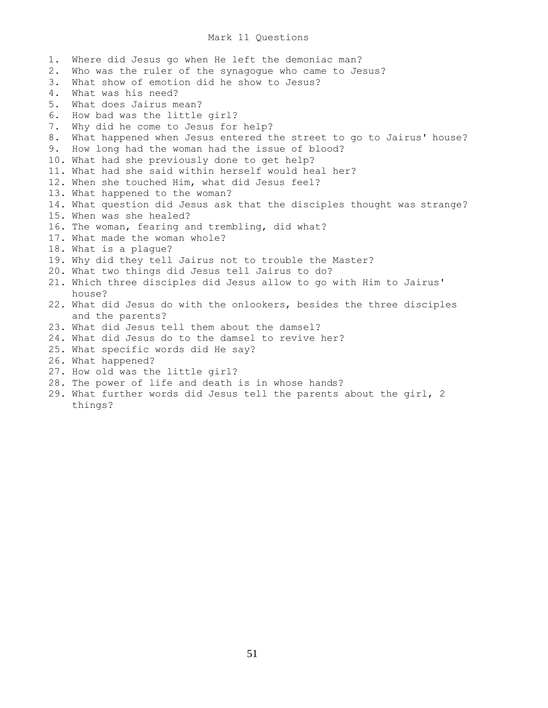# Mark 11 Questions

1. Where did Jesus go when He left the demoniac man? 2. Who was the ruler of the synagogue who came to Jesus? 3. What show of emotion did he show to Jesus? 4. What was his need? 5. What does Jairus mean? 6. How bad was the little girl? 7. Why did he come to Jesus for help? 8. What happened when Jesus entered the street to go to Jairus' house? 9. How long had the woman had the issue of blood? 10. What had she previously done to get help? 11. What had she said within herself would heal her? 12. When she touched Him, what did Jesus feel? 13. What happened to the woman? 14. What question did Jesus ask that the disciples thought was strange? 15. When was she healed? 16. The woman, fearing and trembling, did what? 17. What made the woman whole? 18. What is a plague? 19. Why did they tell Jairus not to trouble the Master? 20. What two things did Jesus tell Jairus to do? 21. Which three disciples did Jesus allow to go with Him to Jairus' house? 22. What did Jesus do with the onlookers, besides the three disciples and the parents? 23. What did Jesus tell them about the damsel? 24. What did Jesus do to the damsel to revive her? 25. What specific words did He say? 26. What happened? 27. How old was the little girl? 28. The power of life and death is in whose hands? 29. What further words did Jesus tell the parents about the girl, 2 things?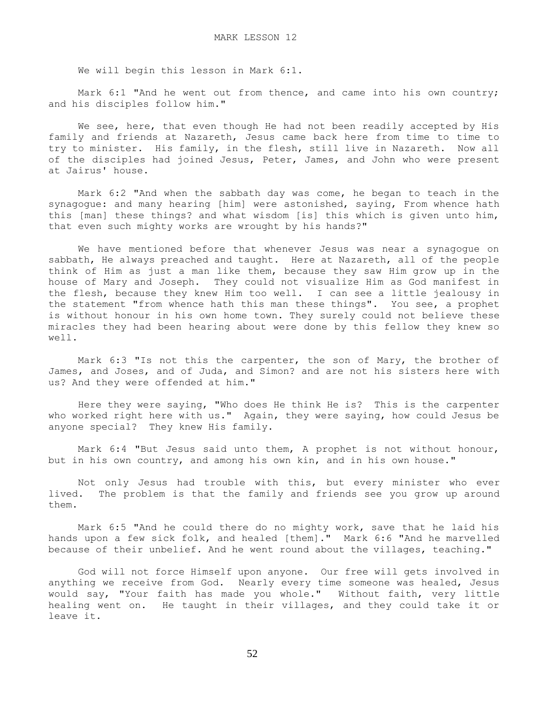We will begin this lesson in Mark 6:1.

Mark 6:1 "And he went out from thence, and came into his own country; and his disciples follow him."

We see, here, that even though He had not been readily accepted by His family and friends at Nazareth, Jesus came back here from time to time to try to minister. His family, in the flesh, still live in Nazareth. Now all of the disciples had joined Jesus, Peter, James, and John who were present at Jairus' house.

 Mark 6:2 "And when the sabbath day was come, he began to teach in the synagogue: and many hearing [him] were astonished, saying, From whence hath this [man] these things? and what wisdom [is] this which is given unto him, that even such mighty works are wrought by his hands?"

 We have mentioned before that whenever Jesus was near a synagogue on sabbath, He always preached and taught. Here at Nazareth, all of the people think of Him as just a man like them, because they saw Him grow up in the house of Mary and Joseph. They could not visualize Him as God manifest in the flesh, because they knew Him too well. I can see a little jealousy in the statement "from whence hath this man these things". You see, a prophet is without honour in his own home town. They surely could not believe these miracles they had been hearing about were done by this fellow they knew so well.

 Mark 6:3 "Is not this the carpenter, the son of Mary, the brother of James, and Joses, and of Juda, and Simon? and are not his sisters here with us? And they were offended at him."

 Here they were saying, "Who does He think He is? This is the carpenter who worked right here with us." Again, they were saying, how could Jesus be anyone special? They knew His family.

 Mark 6:4 "But Jesus said unto them, A prophet is not without honour, but in his own country, and among his own kin, and in his own house."

 Not only Jesus had trouble with this, but every minister who ever lived. The problem is that the family and friends see you grow up around them.

 Mark 6:5 "And he could there do no mighty work, save that he laid his hands upon a few sick folk, and healed [them]." Mark 6:6 "And he marvelled because of their unbelief. And he went round about the villages, teaching."

 God will not force Himself upon anyone. Our free will gets involved in anything we receive from God. Nearly every time someone was healed, Jesus would say, "Your faith has made you whole." Without faith, very little healing went on. He taught in their villages, and they could take it or leave it.

52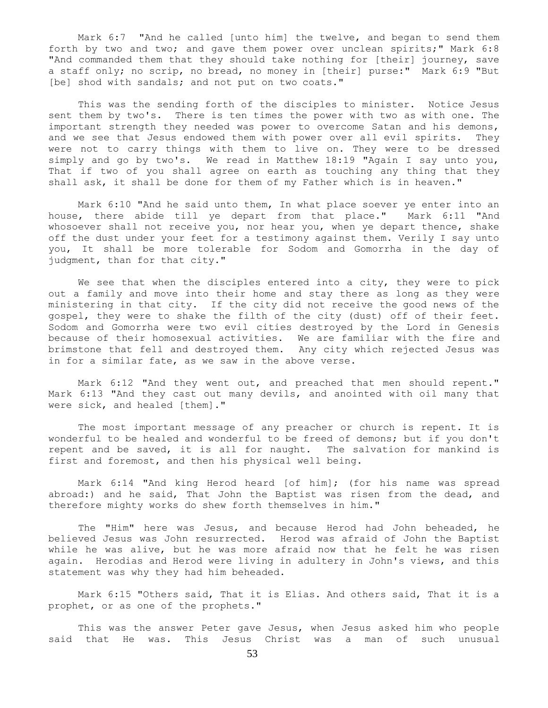Mark 6:7 "And he called [unto him] the twelve, and began to send them forth by two and two; and gave them power over unclean spirits;" Mark 6:8 "And commanded them that they should take nothing for [their] journey, save a staff only; no scrip, no bread, no money in [their] purse:" Mark 6:9 "But [be] shod with sandals; and not put on two coats."

 This was the sending forth of the disciples to minister. Notice Jesus sent them by two's. There is ten times the power with two as with one. The important strength they needed was power to overcome Satan and his demons, and we see that Jesus endowed them with power over all evil spirits. They were not to carry things with them to live on. They were to be dressed simply and go by two's. We read in Matthew 18:19 "Again I say unto you, That if two of you shall agree on earth as touching any thing that they shall ask, it shall be done for them of my Father which is in heaven."

 Mark 6:10 "And he said unto them, In what place soever ye enter into an house, there abide till ye depart from that place." Mark 6:11 "And whosoever shall not receive you, nor hear you, when ye depart thence, shake off the dust under your feet for a testimony against them. Verily I say unto you, It shall be more tolerable for Sodom and Gomorrha in the day of judgment, than for that city."

We see that when the disciples entered into a city, they were to pick out a family and move into their home and stay there as long as they were ministering in that city. If the city did not receive the good news of the gospel, they were to shake the filth of the city (dust) off of their feet. Sodom and Gomorrha were two evil cities destroyed by the Lord in Genesis because of their homosexual activities. We are familiar with the fire and brimstone that fell and destroyed them. Any city which rejected Jesus was in for a similar fate, as we saw in the above verse.

 Mark 6:12 "And they went out, and preached that men should repent." Mark 6:13 "And they cast out many devils, and anointed with oil many that were sick, and healed [them]."

 The most important message of any preacher or church is repent. It is wonderful to be healed and wonderful to be freed of demons; but if you don't repent and be saved, it is all for naught. The salvation for mankind is first and foremost, and then his physical well being.

 Mark 6:14 "And king Herod heard [of him]; (for his name was spread abroad:) and he said, That John the Baptist was risen from the dead, and therefore mighty works do shew forth themselves in him."

 The "Him" here was Jesus, and because Herod had John beheaded, he believed Jesus was John resurrected. Herod was afraid of John the Baptist while he was alive, but he was more afraid now that he felt he was risen again. Herodias and Herod were living in adultery in John's views, and this statement was why they had him beheaded.

 Mark 6:15 "Others said, That it is Elias. And others said, That it is a prophet, or as one of the prophets."

 This was the answer Peter gave Jesus, when Jesus asked him who people said that He was. This Jesus Christ was a man of such unusual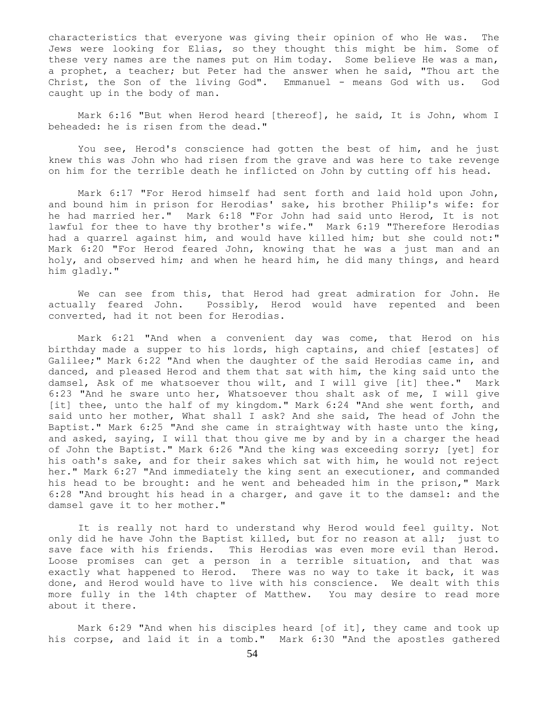characteristics that everyone was giving their opinion of who He was. The Jews were looking for Elias, so they thought this might be him. Some of these very names are the names put on Him today. Some believe He was a man, a prophet, a teacher; but Peter had the answer when he said, "Thou art the Christ, the Son of the living God". Emmanuel - means God with us. God caught up in the body of man.

 Mark 6:16 "But when Herod heard [thereof], he said, It is John, whom I beheaded: he is risen from the dead."

 You see, Herod's conscience had gotten the best of him, and he just knew this was John who had risen from the grave and was here to take revenge on him for the terrible death he inflicted on John by cutting off his head.

 Mark 6:17 "For Herod himself had sent forth and laid hold upon John, and bound him in prison for Herodias' sake, his brother Philip's wife: for he had married her." Mark 6:18 "For John had said unto Herod, It is not lawful for thee to have thy brother's wife." Mark 6:19 "Therefore Herodias had a quarrel against him, and would have killed him; but she could not:" Mark 6:20 "For Herod feared John, knowing that he was a just man and an holy, and observed him; and when he heard him, he did many things, and heard him gladly."

 We can see from this, that Herod had great admiration for John. He actually feared John. Possibly, Herod would have repented and been converted, had it not been for Herodias.

 Mark 6:21 "And when a convenient day was come, that Herod on his birthday made a supper to his lords, high captains, and chief [estates] of Galilee;" Mark 6:22 "And when the daughter of the said Herodias came in, and danced, and pleased Herod and them that sat with him, the king said unto the damsel, Ask of me whatsoever thou wilt, and I will give [it] thee." Mark 6:23 "And he sware unto her, Whatsoever thou shalt ask of me, I will give [it] thee, unto the half of my kingdom." Mark 6:24 "And she went forth, and said unto her mother, What shall I ask? And she said, The head of John the Baptist." Mark 6:25 "And she came in straightway with haste unto the king, and asked, saying, I will that thou give me by and by in a charger the head of John the Baptist." Mark 6:26 "And the king was exceeding sorry; [yet] for his oath's sake, and for their sakes which sat with him, he would not reject her." Mark 6:27 "And immediately the king sent an executioner, and commanded his head to be brought: and he went and beheaded him in the prison," Mark 6:28 "And brought his head in a charger, and gave it to the damsel: and the damsel gave it to her mother."

 It is really not hard to understand why Herod would feel guilty. Not only did he have John the Baptist killed, but for no reason at all; just to save face with his friends. This Herodias was even more evil than Herod. Loose promises can get a person in a terrible situation, and that was exactly what happened to Herod. There was no way to take it back, it was done, and Herod would have to live with his conscience. We dealt with this more fully in the 14th chapter of Matthew. You may desire to read more about it there.

 Mark 6:29 "And when his disciples heard [of it], they came and took up his corpse, and laid it in a tomb." Mark 6:30 "And the apostles gathered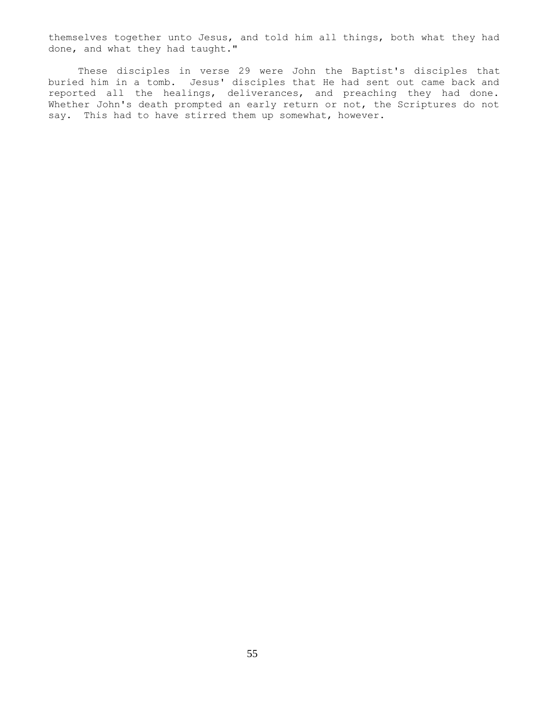themselves together unto Jesus, and told him all things, both what they had done, and what they had taught."

 These disciples in verse 29 were John the Baptist's disciples that buried him in a tomb. Jesus' disciples that He had sent out came back and reported all the healings, deliverances, and preaching they had done. Whether John's death prompted an early return or not, the Scriptures do not say. This had to have stirred them up somewhat, however.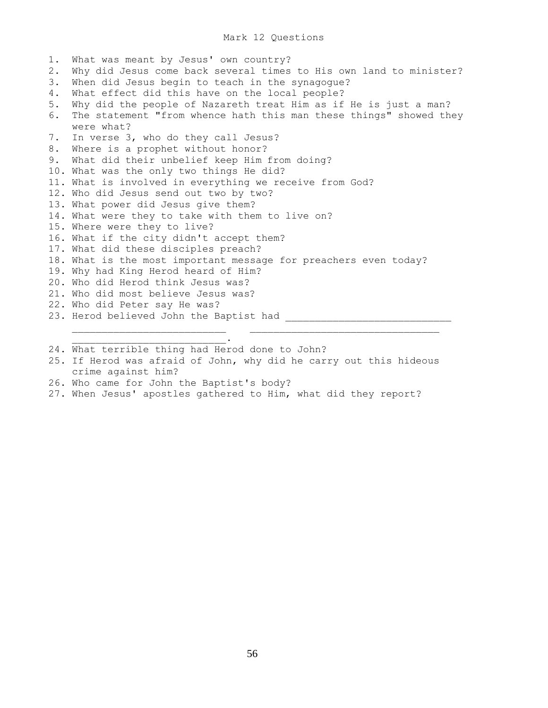## Mark 12 Questions

1. What was meant by Jesus' own country? 2. Why did Jesus come back several times to His own land to minister? 3. When did Jesus begin to teach in the synagogue? 4. What effect did this have on the local people? 5. Why did the people of Nazareth treat Him as if He is just a man? 6. The statement "from whence hath this man these things" showed they were what? 7. In verse 3, who do they call Jesus? 8. Where is a prophet without honor? 9. What did their unbelief keep Him from doing? 10. What was the only two things He did? 11. What is involved in everything we receive from God? 12. Who did Jesus send out two by two? 13. What power did Jesus give them? 14. What were they to take with them to live on? 15. Where were they to live? 16. What if the city didn't accept them? 17. What did these disciples preach? 18. What is the most important message for preachers even today? 19. Why had King Herod heard of Him? 20. Who did Herod think Jesus was? 21. Who did most believe Jesus was? 22. Who did Peter say He was? 23. Herod believed John the Baptist had  $\overline{\phantom{a}}$  , and the contract of the contract of  $\overline{\phantom{a}}$  , and  $\overline{\phantom{a}}$  , and  $\overline{\phantom{a}}$  , and  $\overline{\phantom{a}}$  , and  $\overline{\phantom{a}}$  , and  $\overline{\phantom{a}}$  , and  $\overline{\phantom{a}}$  , and  $\overline{\phantom{a}}$  , and  $\overline{\phantom{a}}$  , and  $\overline{\phantom{a$ 

24. What terrible thing had Herod done to John?

- 25. If Herod was afraid of John, why did he carry out this hideous crime against him?
- 26. Who came for John the Baptist's body?

 $\mathcal{L}_\text{max}$  and  $\mathcal{L}_\text{max}$  and  $\mathcal{L}_\text{max}$  and  $\mathcal{L}_\text{max}$ 

27. When Jesus' apostles gathered to Him, what did they report?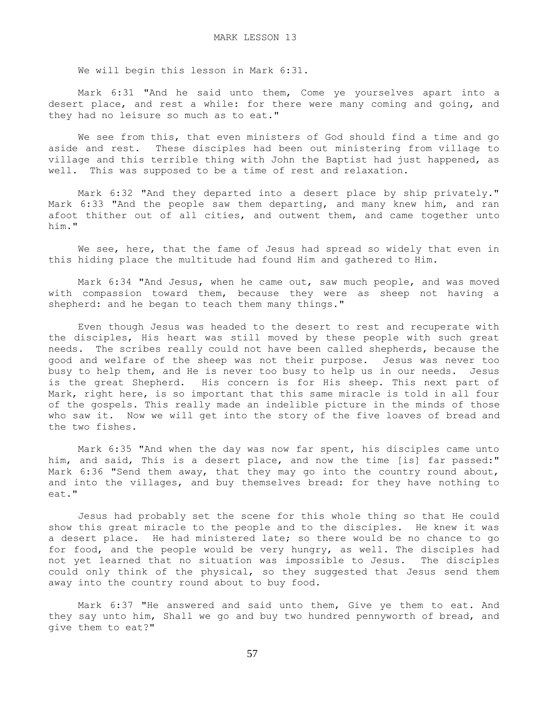We will begin this lesson in Mark 6:31.

 Mark 6:31 "And he said unto them, Come ye yourselves apart into a desert place, and rest a while: for there were many coming and going, and they had no leisure so much as to eat."

 We see from this, that even ministers of God should find a time and go aside and rest. These disciples had been out ministering from village to village and this terrible thing with John the Baptist had just happened, as well. This was supposed to be a time of rest and relaxation.

 Mark 6:32 "And they departed into a desert place by ship privately." Mark 6:33 "And the people saw them departing, and many knew him, and ran afoot thither out of all cities, and outwent them, and came together unto him."

We see, here, that the fame of Jesus had spread so widely that even in this hiding place the multitude had found Him and gathered to Him.

 Mark 6:34 "And Jesus, when he came out, saw much people, and was moved with compassion toward them, because they were as sheep not having a shepherd: and he began to teach them many things."

 Even though Jesus was headed to the desert to rest and recuperate with the disciples, His heart was still moved by these people with such great needs. The scribes really could not have been called shepherds, because the good and welfare of the sheep was not their purpose. Jesus was never too busy to help them, and He is never too busy to help us in our needs. Jesus is the great Shepherd. His concern is for His sheep. This next part of Mark, right here, is so important that this same miracle is told in all four of the gospels. This really made an indelible picture in the minds of those who saw it. Now we will get into the story of the five loaves of bread and the two fishes.

 Mark 6:35 "And when the day was now far spent, his disciples came unto him, and said, This is a desert place, and now the time [is] far passed:" Mark 6:36 "Send them away, that they may go into the country round about, and into the villages, and buy themselves bread: for they have nothing to eat."

 Jesus had probably set the scene for this whole thing so that He could show this great miracle to the people and to the disciples. He knew it was a desert place. He had ministered late; so there would be no chance to go for food, and the people would be very hungry, as well. The disciples had not yet learned that no situation was impossible to Jesus. The disciples could only think of the physical, so they suggested that Jesus send them away into the country round about to buy food.

 Mark 6:37 "He answered and said unto them, Give ye them to eat. And they say unto him, Shall we go and buy two hundred pennyworth of bread, and give them to eat?"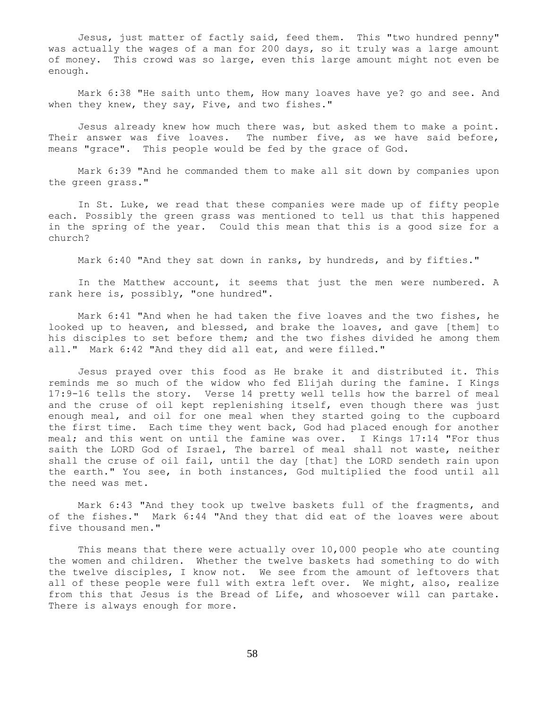Jesus, just matter of factly said, feed them. This "two hundred penny" was actually the wages of a man for 200 days, so it truly was a large amount of money. This crowd was so large, even this large amount might not even be enough.

 Mark 6:38 "He saith unto them, How many loaves have ye? go and see. And when they knew, they say, Five, and two fishes."

 Jesus already knew how much there was, but asked them to make a point. Their answer was five loaves. The number five, as we have said before, means "grace". This people would be fed by the grace of God.

 Mark 6:39 "And he commanded them to make all sit down by companies upon the green grass."

 In St. Luke, we read that these companies were made up of fifty people each. Possibly the green grass was mentioned to tell us that this happened in the spring of the year. Could this mean that this is a good size for a church?

Mark 6:40 "And they sat down in ranks, by hundreds, and by fifties."

 In the Matthew account, it seems that just the men were numbered. A rank here is, possibly, "one hundred".

 Mark 6:41 "And when he had taken the five loaves and the two fishes, he looked up to heaven, and blessed, and brake the loaves, and gave [them] to his disciples to set before them; and the two fishes divided he among them all." Mark 6:42 "And they did all eat, and were filled."

 Jesus prayed over this food as He brake it and distributed it. This reminds me so much of the widow who fed Elijah during the famine. I Kings 17:9-16 tells the story. Verse 14 pretty well tells how the barrel of meal and the cruse of oil kept replenishing itself, even though there was just enough meal, and oil for one meal when they started going to the cupboard the first time. Each time they went back, God had placed enough for another meal; and this went on until the famine was over. I Kings 17:14 "For thus saith the LORD God of Israel, The barrel of meal shall not waste, neither shall the cruse of oil fail, until the day [that] the LORD sendeth rain upon the earth." You see, in both instances, God multiplied the food until all the need was met.

 Mark 6:43 "And they took up twelve baskets full of the fragments, and of the fishes." Mark 6:44 "And they that did eat of the loaves were about five thousand men."

 This means that there were actually over 10,000 people who ate counting the women and children. Whether the twelve baskets had something to do with the twelve disciples, I know not. We see from the amount of leftovers that all of these people were full with extra left over. We might, also, realize from this that Jesus is the Bread of Life, and whosoever will can partake. There is always enough for more.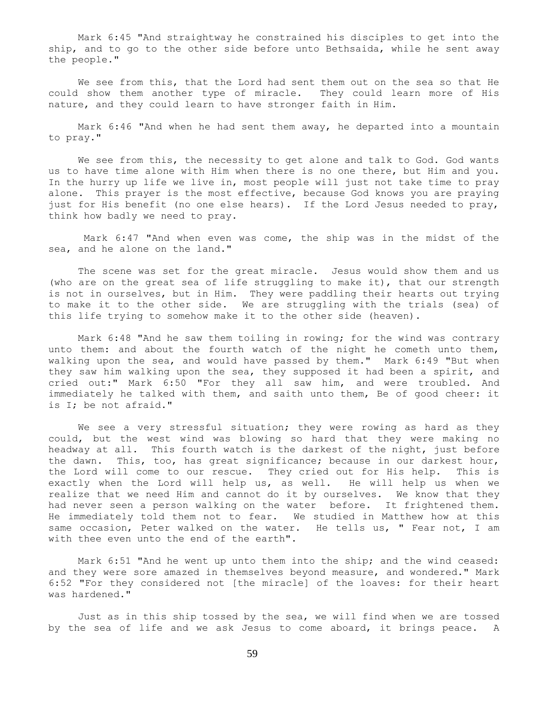Mark 6:45 "And straightway he constrained his disciples to get into the ship, and to go to the other side before unto Bethsaida, while he sent away the people."

 We see from this, that the Lord had sent them out on the sea so that He could show them another type of miracle. They could learn more of His nature, and they could learn to have stronger faith in Him.

 Mark 6:46 "And when he had sent them away, he departed into a mountain to pray."

We see from this, the necessity to get alone and talk to God. God wants us to have time alone with Him when there is no one there, but Him and you. In the hurry up life we live in, most people will just not take time to pray alone. This prayer is the most effective, because God knows you are praying just for His benefit (no one else hears). If the Lord Jesus needed to pray, think how badly we need to pray.

 Mark 6:47 "And when even was come, the ship was in the midst of the sea, and he alone on the land."

 The scene was set for the great miracle. Jesus would show them and us (who are on the great sea of life struggling to make it), that our strength is not in ourselves, but in Him. They were paddling their hearts out trying to make it to the other side. We are struggling with the trials (sea) of this life trying to somehow make it to the other side (heaven).

 Mark 6:48 "And he saw them toiling in rowing; for the wind was contrary unto them: and about the fourth watch of the night he cometh unto them, walking upon the sea, and would have passed by them." Mark 6:49 "But when they saw him walking upon the sea, they supposed it had been a spirit, and cried out:" Mark 6:50 "For they all saw him, and were troubled. And immediately he talked with them, and saith unto them, Be of good cheer: it is I; be not afraid."

We see a very stressful situation; they were rowing as hard as they could, but the west wind was blowing so hard that they were making no headway at all. This fourth watch is the darkest of the night, just before the dawn. This, too, has great significance; because in our darkest hour, the Lord will come to our rescue. They cried out for His help. This is exactly when the Lord will help us, as well. He will help us when we realize that we need Him and cannot do it by ourselves. We know that they had never seen a person walking on the water before. It frightened them. He immediately told them not to fear. We studied in Matthew how at this same occasion, Peter walked on the water. He tells us, " Fear not, I am with thee even unto the end of the earth".

 Mark 6:51 "And he went up unto them into the ship; and the wind ceased: and they were sore amazed in themselves beyond measure, and wondered." Mark 6:52 "For they considered not [the miracle] of the loaves: for their heart was hardened."

 Just as in this ship tossed by the sea, we will find when we are tossed by the sea of life and we ask Jesus to come aboard, it brings peace. A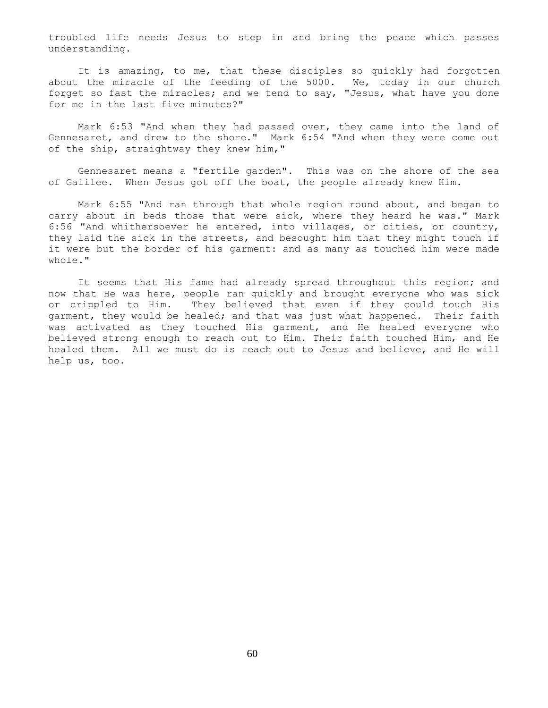troubled life needs Jesus to step in and bring the peace which passes understanding.

It is amazing, to me, that these disciples so quickly had forgotten about the miracle of the feeding of the 5000. We, today in our church forget so fast the miracles; and we tend to say, "Jesus, what have you done for me in the last five minutes?"

 Mark 6:53 "And when they had passed over, they came into the land of Gennesaret, and drew to the shore." Mark 6:54 "And when they were come out of the ship, straightway they knew him,"

 Gennesaret means a "fertile garden". This was on the shore of the sea of Galilee. When Jesus got off the boat, the people already knew Him.

 Mark 6:55 "And ran through that whole region round about, and began to carry about in beds those that were sick, where they heard he was." Mark 6:56 "And whithersoever he entered, into villages, or cities, or country, they laid the sick in the streets, and besought him that they might touch if it were but the border of his garment: and as many as touched him were made whole."

 It seems that His fame had already spread throughout this region; and now that He was here, people ran quickly and brought everyone who was sick or crippled to Him. They believed that even if they could touch His garment, they would be healed; and that was just what happened. Their faith was activated as they touched His garment, and He healed everyone who believed strong enough to reach out to Him. Their faith touched Him, and He healed them. All we must do is reach out to Jesus and believe, and He will help us, too.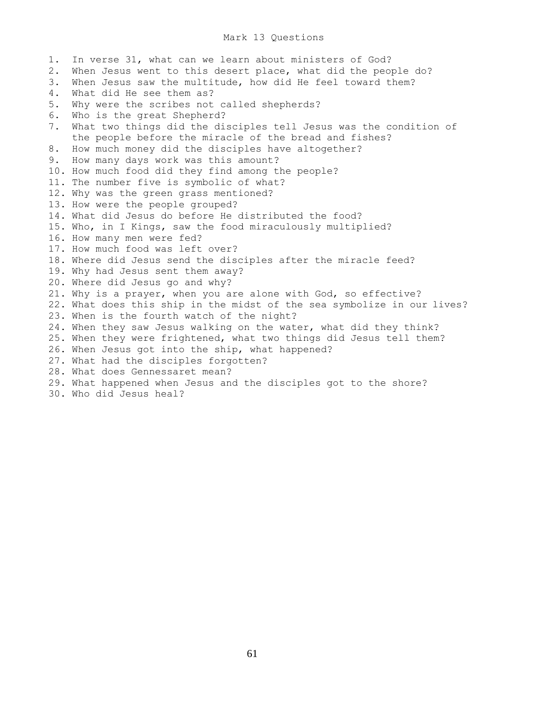### Mark 13 Questions

1. In verse 31, what can we learn about ministers of God? 2. When Jesus went to this desert place, what did the people do? 3. When Jesus saw the multitude, how did He feel toward them? 4. What did He see them as? 5. Why were the scribes not called shepherds? 6. Who is the great Shepherd? 7. What two things did the disciples tell Jesus was the condition of the people before the miracle of the bread and fishes? 8. How much money did the disciples have altogether? 9. How many days work was this amount? 10. How much food did they find among the people? 11. The number five is symbolic of what? 12. Why was the green grass mentioned? 13. How were the people grouped? 14. What did Jesus do before He distributed the food? 15. Who, in I Kings, saw the food miraculously multiplied? 16. How many men were fed? 17. How much food was left over? 18. Where did Jesus send the disciples after the miracle feed? 19. Why had Jesus sent them away? 20. Where did Jesus go and why? 21. Why is a prayer, when you are alone with God, so effective? 22. What does this ship in the midst of the sea symbolize in our lives? 23. When is the fourth watch of the night? 24. When they saw Jesus walking on the water, what did they think? 25. When they were frightened, what two things did Jesus tell them? 26. When Jesus got into the ship, what happened? 27. What had the disciples forgotten? 28. What does Gennessaret mean? 29. What happened when Jesus and the disciples got to the shore? 30. Who did Jesus heal?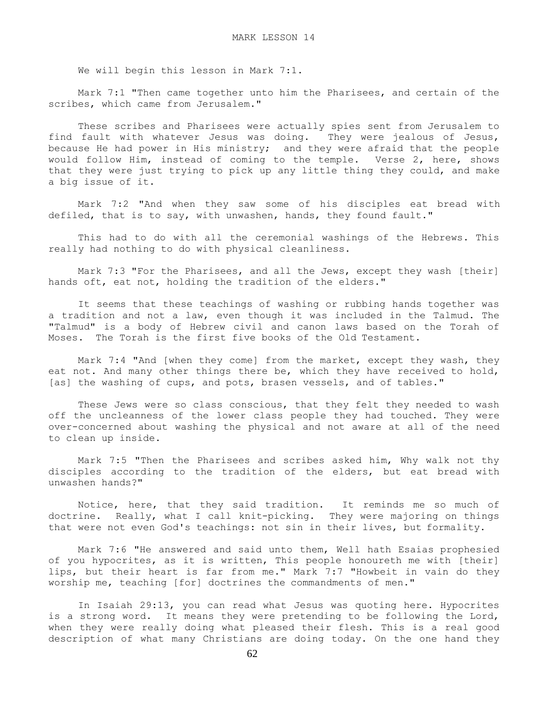We will begin this lesson in Mark 7:1.

 Mark 7:1 "Then came together unto him the Pharisees, and certain of the scribes, which came from Jerusalem."

 These scribes and Pharisees were actually spies sent from Jerusalem to find fault with whatever Jesus was doing. They were jealous of Jesus, because He had power in His ministry; and they were afraid that the people would follow Him, instead of coming to the temple. Verse 2, here, shows that they were just trying to pick up any little thing they could, and make a big issue of it.

 Mark 7:2 "And when they saw some of his disciples eat bread with defiled, that is to say, with unwashen, hands, they found fault."

 This had to do with all the ceremonial washings of the Hebrews. This really had nothing to do with physical cleanliness.

Mark 7:3 "For the Pharisees, and all the Jews, except they wash [their] hands oft, eat not, holding the tradition of the elders."

 It seems that these teachings of washing or rubbing hands together was a tradition and not a law, even though it was included in the Talmud. The "Talmud" is a body of Hebrew civil and canon laws based on the Torah of Moses. The Torah is the first five books of the Old Testament.

 Mark 7:4 "And [when they come] from the market, except they wash, they eat not. And many other things there be, which they have received to hold, [as] the washing of cups, and pots, brasen vessels, and of tables."

These Jews were so class conscious, that they felt they needed to wash off the uncleanness of the lower class people they had touched. They were over-concerned about washing the physical and not aware at all of the need to clean up inside.

 Mark 7:5 "Then the Pharisees and scribes asked him, Why walk not thy disciples according to the tradition of the elders, but eat bread with unwashen hands?"

 Notice, here, that they said tradition. It reminds me so much of doctrine. Really, what I call knit-picking. They were majoring on things that were not even God's teachings: not sin in their lives, but formality.

 Mark 7:6 "He answered and said unto them, Well hath Esaias prophesied of you hypocrites, as it is written, This people honoureth me with [their] lips, but their heart is far from me." Mark 7:7 "Howbeit in vain do they worship me, teaching [for] doctrines the commandments of men."

 In Isaiah 29:13, you can read what Jesus was quoting here. Hypocrites is a strong word. It means they were pretending to be following the Lord, when they were really doing what pleased their flesh. This is a real good description of what many Christians are doing today. On the one hand they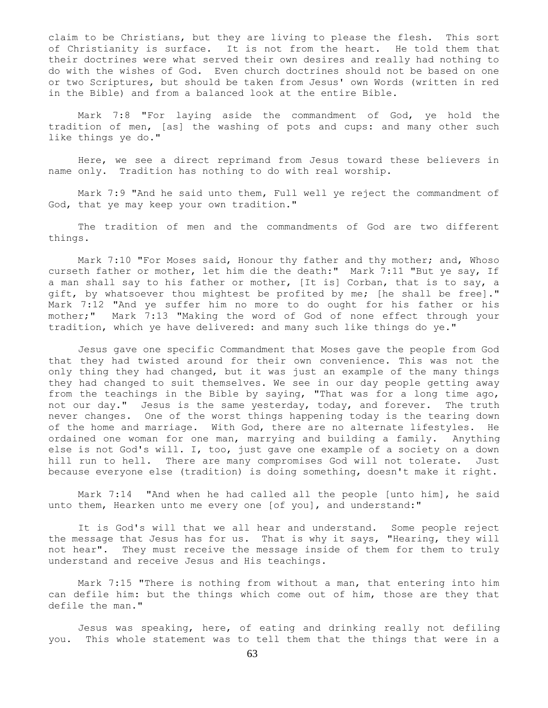claim to be Christians, but they are living to please the flesh. This sort of Christianity is surface. It is not from the heart. He told them that their doctrines were what served their own desires and really had nothing to do with the wishes of God. Even church doctrines should not be based on one or two Scriptures, but should be taken from Jesus' own Words (written in red in the Bible) and from a balanced look at the entire Bible.

 Mark 7:8 "For laying aside the commandment of God, ye hold the tradition of men, [as] the washing of pots and cups: and many other such like things ye do."

 Here, we see a direct reprimand from Jesus toward these believers in name only. Tradition has nothing to do with real worship.

 Mark 7:9 "And he said unto them, Full well ye reject the commandment of God, that ye may keep your own tradition."

 The tradition of men and the commandments of God are two different things.

Mark 7:10 "For Moses said, Honour thy father and thy mother; and, Whoso curseth father or mother, let him die the death:" Mark 7:11 "But ye say, If a man shall say to his father or mother, [It is] Corban, that is to say, a gift, by whatsoever thou mightest be profited by me; [he shall be free]." Mark 7:12 "And ye suffer him no more to do ought for his father or his mother;" Mark 7:13 "Making the word of God of none effect through your tradition, which ye have delivered: and many such like things do ye."

 Jesus gave one specific Commandment that Moses gave the people from God that they had twisted around for their own convenience. This was not the only thing they had changed, but it was just an example of the many things they had changed to suit themselves. We see in our day people getting away from the teachings in the Bible by saying, "That was for a long time ago, not our day." Jesus is the same yesterday, today, and forever. The truth never changes. One of the worst things happening today is the tearing down of the home and marriage. With God, there are no alternate lifestyles. He ordained one woman for one man, marrying and building a family. Anything else is not God's will. I, too, just gave one example of a society on a down hill run to hell. There are many compromises God will not tolerate. Just because everyone else (tradition) is doing something, doesn't make it right.

 Mark 7:14 "And when he had called all the people [unto him], he said unto them, Hearken unto me every one [of you], and understand:"

 It is God's will that we all hear and understand. Some people reject the message that Jesus has for us. That is why it says, "Hearing, they will not hear". They must receive the message inside of them for them to truly understand and receive Jesus and His teachings.

 Mark 7:15 "There is nothing from without a man, that entering into him can defile him: but the things which come out of him, those are they that defile the man."

 Jesus was speaking, here, of eating and drinking really not defiling you. This whole statement was to tell them that the things that were in a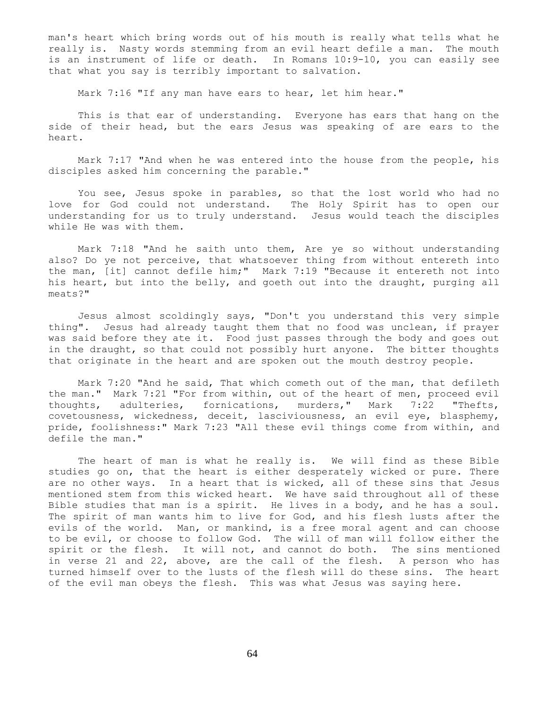man's heart which bring words out of his mouth is really what tells what he really is. Nasty words stemming from an evil heart defile a man. The mouth is an instrument of life or death. In Romans 10:9-10, you can easily see that what you say is terribly important to salvation.

Mark 7:16 "If any man have ears to hear, let him hear."

 This is that ear of understanding. Everyone has ears that hang on the side of their head, but the ears Jesus was speaking of are ears to the heart.

 Mark 7:17 "And when he was entered into the house from the people, his disciples asked him concerning the parable."

 You see, Jesus spoke in parables, so that the lost world who had no love for God could not understand. The Holy Spirit has to open our understanding for us to truly understand. Jesus would teach the disciples while He was with them.

 Mark 7:18 "And he saith unto them, Are ye so without understanding also? Do ye not perceive, that whatsoever thing from without entereth into the man, [it] cannot defile him;" Mark 7:19 "Because it entereth not into his heart, but into the belly, and goeth out into the draught, purging all meats?"

 Jesus almost scoldingly says, "Don't you understand this very simple thing". Jesus had already taught them that no food was unclean, if prayer was said before they ate it. Food just passes through the body and goes out in the draught, so that could not possibly hurt anyone. The bitter thoughts that originate in the heart and are spoken out the mouth destroy people.

 Mark 7:20 "And he said, That which cometh out of the man, that defileth the man." Mark 7:21 "For from within, out of the heart of men, proceed evil thoughts, adulteries, fornications, murders," Mark 7:22 "Thefts, covetousness, wickedness, deceit, lasciviousness, an evil eye, blasphemy, pride, foolishness:" Mark 7:23 "All these evil things come from within, and defile the man."

 The heart of man is what he really is. We will find as these Bible studies go on, that the heart is either desperately wicked or pure. There are no other ways. In a heart that is wicked, all of these sins that Jesus mentioned stem from this wicked heart. We have said throughout all of these Bible studies that man is a spirit. He lives in a body, and he has a soul. The spirit of man wants him to live for God, and his flesh lusts after the evils of the world. Man, or mankind, is a free moral agent and can choose to be evil, or choose to follow God. The will of man will follow either the spirit or the flesh. It will not, and cannot do both. The sins mentioned in verse 21 and 22, above, are the call of the flesh. A person who has turned himself over to the lusts of the flesh will do these sins. The heart of the evil man obeys the flesh. This was what Jesus was saying here.

64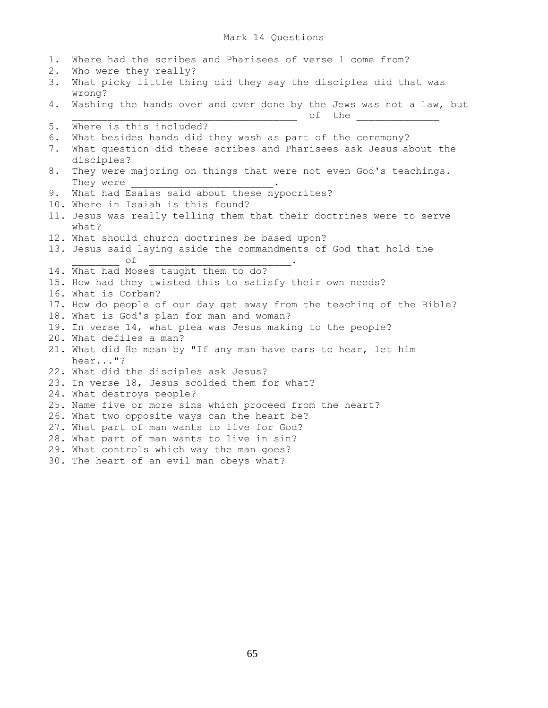## Mark 14 Questions

1. Where had the scribes and Pharisees of verse 1 come from? 2. Who were they really? 3. What picky little thing did they say the disciples did that was wrong? 4. Washing the hands over and over done by the Jews was not a law, but \_\_\_\_\_\_\_\_\_\_\_\_\_\_\_\_\_\_\_\_\_\_\_\_\_\_\_\_\_\_\_\_\_\_\_\_\_\_ of the \_\_\_\_\_\_\_\_\_\_\_\_\_\_ 5. Where is this included? 6. What besides hands did they wash as part of the ceremony? 7. What question did these scribes and Pharisees ask Jesus about the disciples? 8. They were majoring on things that were not even God's teachings. They were 9. What had Esaias said about these hypocrites? 10. Where in Isaiah is this found? 11. Jesus was really telling them that their doctrines were to serve what? 12. What should church doctrines be based upon? 13. Jesus said laying aside the commandments of God that hold the  $\circ$  f 14. What had Moses taught them to do? 15. How had they twisted this to satisfy their own needs? 16. What is Corban? 17. How do people of our day get away from the teaching of the Bible? 18. What is God's plan for man and woman? 19. In verse 14, what plea was Jesus making to the people? 20. What defiles a man? 21. What did He mean by "If any man have ears to hear, let him hear..."? 22. What did the disciples ask Jesus? 23. In verse 18, Jesus scolded them for what? 24. What destroys people? 25. Name five or more sins which proceed from the heart? 26. What two opposite ways can the heart be? 27. What part of man wants to live for God? 28. What part of man wants to live in sin? 29. What controls which way the man goes? 30. The heart of an evil man obeys what?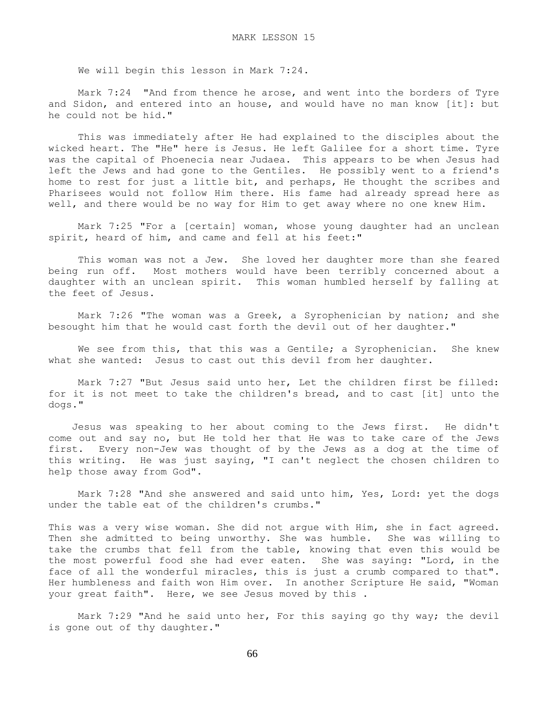We will begin this lesson in Mark 7:24.

 Mark 7:24 "And from thence he arose, and went into the borders of Tyre and Sidon, and entered into an house, and would have no man know [it]: but he could not be hid."

 This was immediately after He had explained to the disciples about the wicked heart. The "He" here is Jesus. He left Galilee for a short time. Tyre was the capital of Phoenecia near Judaea. This appears to be when Jesus had left the Jews and had gone to the Gentiles. He possibly went to a friend's home to rest for just a little bit, and perhaps, He thought the scribes and Pharisees would not follow Him there. His fame had already spread here as well, and there would be no way for Him to get away where no one knew Him.

 Mark 7:25 "For a [certain] woman, whose young daughter had an unclean spirit, heard of him, and came and fell at his feet:"

 This woman was not a Jew. She loved her daughter more than she feared being run off. Most mothers would have been terribly concerned about a daughter with an unclean spirit. This woman humbled herself by falling at the feet of Jesus.

 Mark 7:26 "The woman was a Greek, a Syrophenician by nation; and she besought him that he would cast forth the devil out of her daughter."

We see from this, that this was a Gentile; a Syrophenician. She knew what she wanted: Jesus to cast out this devil from her daughter.

 Mark 7:27 "But Jesus said unto her, Let the children first be filled: for it is not meet to take the children's bread, and to cast [it] unto the dogs."

 Jesus was speaking to her about coming to the Jews first. He didn't come out and say no, but He told her that He was to take care of the Jews first. Every non-Jew was thought of by the Jews as a dog at the time of this writing. He was just saying, "I can't neglect the chosen children to help those away from God".

 Mark 7:28 "And she answered and said unto him, Yes, Lord: yet the dogs under the table eat of the children's crumbs."

This was a very wise woman. She did not argue with Him, she in fact agreed. Then she admitted to being unworthy. She was humble. She was willing to take the crumbs that fell from the table, knowing that even this would be the most powerful food she had ever eaten. She was saying: "Lord, in the face of all the wonderful miracles, this is just a crumb compared to that". Her humbleness and faith won Him over. In another Scripture He said, "Woman your great faith". Here, we see Jesus moved by this .

Mark 7:29 "And he said unto her, For this saying go thy way; the devil is gone out of thy daughter."

66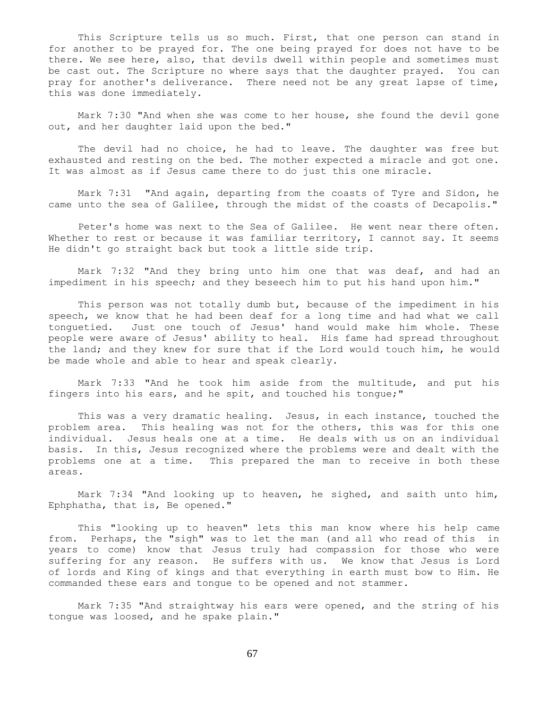This Scripture tells us so much. First, that one person can stand in for another to be prayed for. The one being prayed for does not have to be there. We see here, also, that devils dwell within people and sometimes must be cast out. The Scripture no where says that the daughter prayed. You can pray for another's deliverance. There need not be any great lapse of time, this was done immediately.

 Mark 7:30 "And when she was come to her house, she found the devil gone out, and her daughter laid upon the bed."

 The devil had no choice, he had to leave. The daughter was free but exhausted and resting on the bed. The mother expected a miracle and got one. It was almost as if Jesus came there to do just this one miracle.

 Mark 7:31 "And again, departing from the coasts of Tyre and Sidon, he came unto the sea of Galilee, through the midst of the coasts of Decapolis."

 Peter's home was next to the Sea of Galilee. He went near there often. Whether to rest or because it was familiar territory, I cannot say. It seems He didn't go straight back but took a little side trip.

 Mark 7:32 "And they bring unto him one that was deaf, and had an impediment in his speech; and they beseech him to put his hand upon him."

This person was not totally dumb but, because of the impediment in his speech, we know that he had been deaf for a long time and had what we call tonguetied. Just one touch of Jesus' hand would make him whole. These people were aware of Jesus' ability to heal. His fame had spread throughout the land; and they knew for sure that if the Lord would touch him, he would be made whole and able to hear and speak clearly.

 Mark 7:33 "And he took him aside from the multitude, and put his fingers into his ears, and he spit, and touched his tongue;"

 This was a very dramatic healing. Jesus, in each instance, touched the problem area. This healing was not for the others, this was for this one individual. Jesus heals one at a time. He deals with us on an individual basis. In this, Jesus recognized where the problems were and dealt with the problems one at a time. This prepared the man to receive in both these areas.

 Mark 7:34 "And looking up to heaven, he sighed, and saith unto him, Ephphatha, that is, Be opened."

 This "looking up to heaven" lets this man know where his help came from. Perhaps, the "sigh" was to let the man (and all who read of this in years to come) know that Jesus truly had compassion for those who were suffering for any reason. He suffers with us. We know that Jesus is Lord of lords and King of kings and that everything in earth must bow to Him. He commanded these ears and tongue to be opened and not stammer.

 Mark 7:35 "And straightway his ears were opened, and the string of his tongue was loosed, and he spake plain."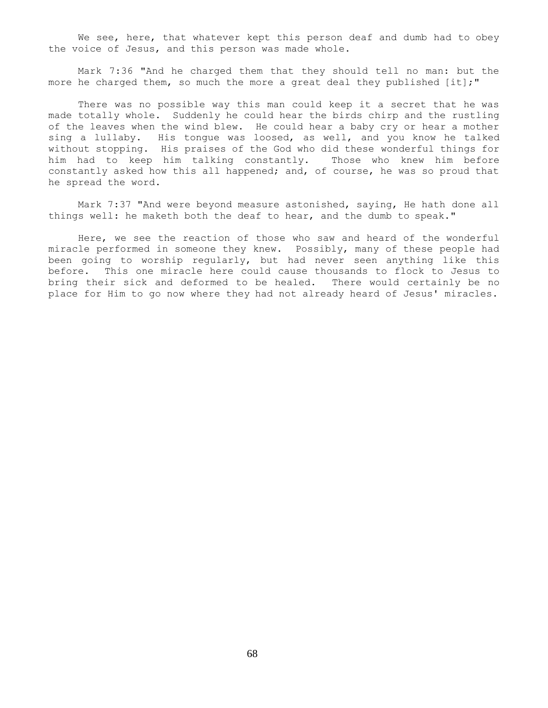We see, here, that whatever kept this person deaf and dumb had to obey the voice of Jesus, and this person was made whole.

 Mark 7:36 "And he charged them that they should tell no man: but the more he charged them, so much the more a great deal they published [it];"

 There was no possible way this man could keep it a secret that he was made totally whole. Suddenly he could hear the birds chirp and the rustling of the leaves when the wind blew. He could hear a baby cry or hear a mother sing a lullaby. His tongue was loosed, as well, and you know he talked without stopping. His praises of the God who did these wonderful things for him had to keep him talking constantly. Those who knew him before constantly asked how this all happened; and, of course, he was so proud that he spread the word.

 Mark 7:37 "And were beyond measure astonished, saying, He hath done all things well: he maketh both the deaf to hear, and the dumb to speak."

 Here, we see the reaction of those who saw and heard of the wonderful miracle performed in someone they knew. Possibly, many of these people had been going to worship regularly, but had never seen anything like this before. This one miracle here could cause thousands to flock to Jesus to bring their sick and deformed to be healed. There would certainly be no place for Him to go now where they had not already heard of Jesus' miracles.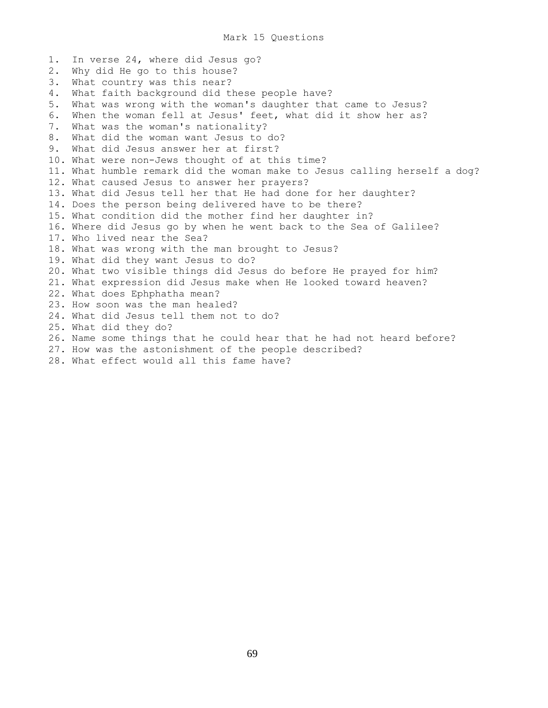1. In verse 24, where did Jesus go? 2. Why did He go to this house? 3. What country was this near? 4. What faith background did these people have? 5. What was wrong with the woman's daughter that came to Jesus? 6. When the woman fell at Jesus' feet, what did it show her as? 7. What was the woman's nationality? 8. What did the woman want Jesus to do? 9. What did Jesus answer her at first? 10. What were non-Jews thought of at this time? 11. What humble remark did the woman make to Jesus calling herself a dog? 12. What caused Jesus to answer her prayers? 13. What did Jesus tell her that He had done for her daughter? 14. Does the person being delivered have to be there? 15. What condition did the mother find her daughter in? 16. Where did Jesus go by when he went back to the Sea of Galilee? 17. Who lived near the Sea? 18. What was wrong with the man brought to Jesus? 19. What did they want Jesus to do? 20. What two visible things did Jesus do before He prayed for him? 21. What expression did Jesus make when He looked toward heaven? 22. What does Ephphatha mean? 23. How soon was the man healed? 24. What did Jesus tell them not to do? 25. What did they do? 26. Name some things that he could hear that he had not heard before? 27. How was the astonishment of the people described? 28. What effect would all this fame have?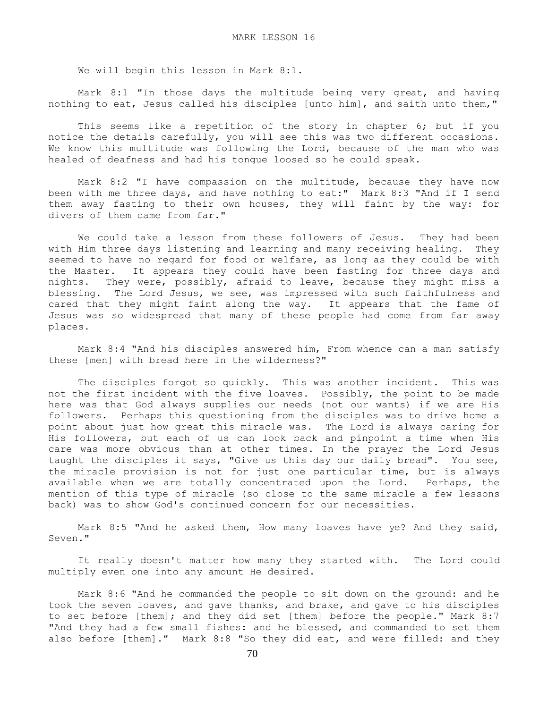We will begin this lesson in Mark 8:1.

 Mark 8:1 "In those days the multitude being very great, and having nothing to eat, Jesus called his disciples [unto him], and saith unto them,"

 This seems like a repetition of the story in chapter 6; but if you notice the details carefully, you will see this was two different occasions. We know this multitude was following the Lord, because of the man who was healed of deafness and had his tongue loosed so he could speak.

 Mark 8:2 "I have compassion on the multitude, because they have now been with me three days, and have nothing to eat:" Mark 8:3 "And if I send them away fasting to their own houses, they will faint by the way: for divers of them came from far."

We could take a lesson from these followers of Jesus. They had been with Him three days listening and learning and many receiving healing. They seemed to have no regard for food or welfare, as long as they could be with the Master. It appears they could have been fasting for three days and nights. They were, possibly, afraid to leave, because they might miss a blessing. The Lord Jesus, we see, was impressed with such faithfulness and cared that they might faint along the way. It appears that the fame of Jesus was so widespread that many of these people had come from far away places.

 Mark 8:4 "And his disciples answered him, From whence can a man satisfy these [men] with bread here in the wilderness?"

The disciples forgot so quickly. This was another incident. This was not the first incident with the five loaves. Possibly, the point to be made here was that God always supplies our needs (not our wants) if we are His followers. Perhaps this questioning from the disciples was to drive home a point about just how great this miracle was. The Lord is always caring for His followers, but each of us can look back and pinpoint a time when His care was more obvious than at other times. In the prayer the Lord Jesus taught the disciples it says, "Give us this day our daily bread". You see, the miracle provision is not for just one particular time, but is always available when we are totally concentrated upon the Lord. Perhaps, the mention of this type of miracle (so close to the same miracle a few lessons back) was to show God's continued concern for our necessities.

 Mark 8:5 "And he asked them, How many loaves have ye? And they said, Seven."

 It really doesn't matter how many they started with. The Lord could multiply even one into any amount He desired.

 Mark 8:6 "And he commanded the people to sit down on the ground: and he took the seven loaves, and gave thanks, and brake, and gave to his disciples to set before [them]; and they did set [them] before the people." Mark 8:7 "And they had a few small fishes: and he blessed, and commanded to set them also before [them]." Mark 8:8 "So they did eat, and were filled: and they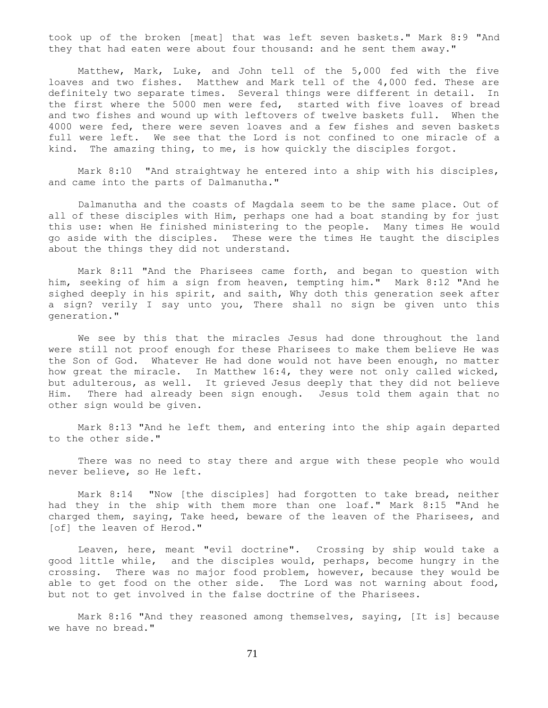took up of the broken [meat] that was left seven baskets." Mark 8:9 "And they that had eaten were about four thousand: and he sent them away."

 Matthew, Mark, Luke, and John tell of the 5,000 fed with the five loaves and two fishes. Matthew and Mark tell of the 4,000 fed. These are definitely two separate times. Several things were different in detail. In the first where the 5000 men were fed, started with five loaves of bread and two fishes and wound up with leftovers of twelve baskets full. When the 4000 were fed, there were seven loaves and a few fishes and seven baskets full were left. We see that the Lord is not confined to one miracle of a kind. The amazing thing, to me, is how quickly the disciples forgot.

 Mark 8:10 "And straightway he entered into a ship with his disciples, and came into the parts of Dalmanutha."

 Dalmanutha and the coasts of Magdala seem to be the same place. Out of all of these disciples with Him, perhaps one had a boat standing by for just this use: when He finished ministering to the people. Many times He would go aside with the disciples. These were the times He taught the disciples about the things they did not understand.

 Mark 8:11 "And the Pharisees came forth, and began to question with him, seeking of him a sign from heaven, tempting him." Mark 8:12 "And he sighed deeply in his spirit, and saith, Why doth this generation seek after a sign? verily I say unto you, There shall no sign be given unto this generation."

 We see by this that the miracles Jesus had done throughout the land were still not proof enough for these Pharisees to make them believe He was the Son of God. Whatever He had done would not have been enough, no matter how great the miracle. In Matthew 16:4, they were not only called wicked, but adulterous, as well. It grieved Jesus deeply that they did not believe Him. There had already been sign enough. Jesus told them again that no other sign would be given.

 Mark 8:13 "And he left them, and entering into the ship again departed to the other side."

 There was no need to stay there and argue with these people who would never believe, so He left.

 Mark 8:14 "Now [the disciples] had forgotten to take bread, neither had they in the ship with them more than one loaf." Mark 8:15 "And he charged them, saying, Take heed, beware of the leaven of the Pharisees, and [of] the leaven of Herod."

 Leaven, here, meant "evil doctrine". Crossing by ship would take a good little while, and the disciples would, perhaps, become hungry in the crossing. There was no major food problem, however, because they would be able to get food on the other side. The Lord was not warning about food, but not to get involved in the false doctrine of the Pharisees.

 Mark 8:16 "And they reasoned among themselves, saying, [It is] because we have no bread."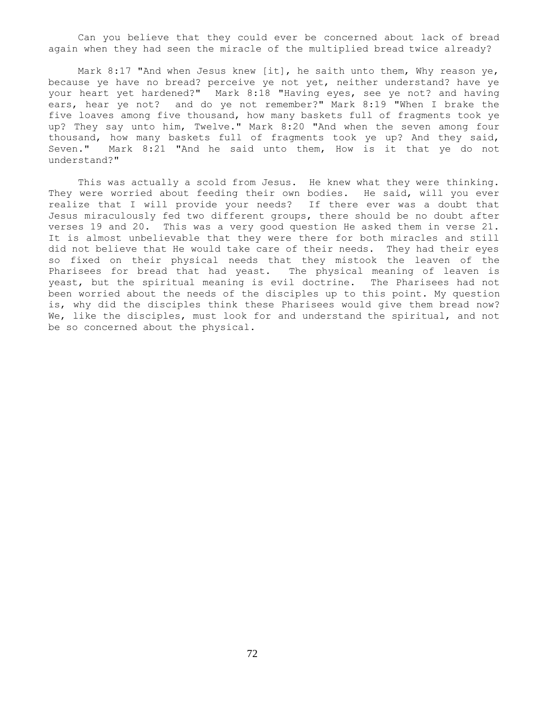Can you believe that they could ever be concerned about lack of bread again when they had seen the miracle of the multiplied bread twice already?

Mark 8:17 "And when Jesus knew [it], he saith unto them, Why reason ye, because ye have no bread? perceive ye not yet, neither understand? have ye your heart yet hardened?" Mark 8:18 "Having eyes, see ye not? and having ears, hear ye not? and do ye not remember?" Mark 8:19 "When I brake the five loaves among five thousand, how many baskets full of fragments took ye up? They say unto him, Twelve." Mark 8:20 "And when the seven among four thousand, how many baskets full of fragments took ye up? And they said, Seven." Mark 8:21 "And he said unto them, How is it that ye do not understand?"

 This was actually a scold from Jesus. He knew what they were thinking. They were worried about feeding their own bodies. He said, will you ever realize that I will provide your needs? If there ever was a doubt that Jesus miraculously fed two different groups, there should be no doubt after verses 19 and 20. This was a very good question He asked them in verse 21. It is almost unbelievable that they were there for both miracles and still did not believe that He would take care of their needs. They had their eyes so fixed on their physical needs that they mistook the leaven of the Pharisees for bread that had yeast. The physical meaning of leaven is yeast, but the spiritual meaning is evil doctrine. The Pharisees had not been worried about the needs of the disciples up to this point. My question is, why did the disciples think these Pharisees would give them bread now? We, like the disciples, must look for and understand the spiritual, and not be so concerned about the physical.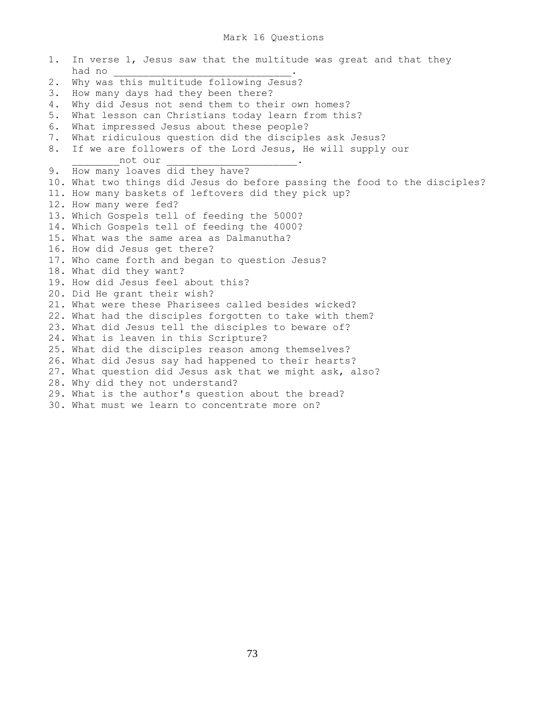1. In verse 1, Jesus saw that the multitude was great and that they had no \_\_\_\_\_\_\_\_\_\_\_\_\_\_\_\_\_\_\_\_\_\_\_\_\_\_\_\_\_\_. 2. Why was this multitude following Jesus? 3. How many days had they been there? 4. Why did Jesus not send them to their own homes? 5. What lesson can Christians today learn from this? 6. What impressed Jesus about these people? 7. What ridiculous question did the disciples ask Jesus? 8. If we are followers of the Lord Jesus, He will supply our not our 9. How many loaves did they have? 10. What two things did Jesus do before passing the food to the disciples? 11. How many baskets of leftovers did they pick up? 12. How many were fed? 13. Which Gospels tell of feeding the 5000? 14. Which Gospels tell of feeding the 4000? 15. What was the same area as Dalmanutha? 16. How did Jesus get there? 17. Who came forth and began to question Jesus? 18. What did they want? 19. How did Jesus feel about this? 20. Did He grant their wish? 21. What were these Pharisees called besides wicked? 22. What had the disciples forgotten to take with them? 23. What did Jesus tell the disciples to beware of? 24. What is leaven in this Scripture? 25. What did the disciples reason among themselves? 26. What did Jesus say had happened to their hearts? 27. What question did Jesus ask that we might ask, also? 28. Why did they not understand? 29. What is the author's question about the bread? 30. What must we learn to concentrate more on?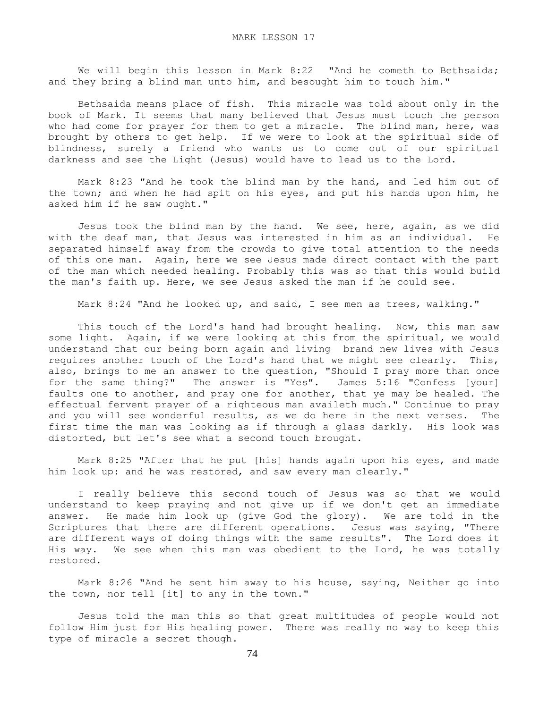We will begin this lesson in Mark 8:22 "And he cometh to Bethsaida; and they bring a blind man unto him, and besought him to touch him."

 Bethsaida means place of fish. This miracle was told about only in the book of Mark. It seems that many believed that Jesus must touch the person who had come for prayer for them to get a miracle. The blind man, here, was brought by others to get help. If we were to look at the spiritual side of blindness, surely a friend who wants us to come out of our spiritual darkness and see the Light (Jesus) would have to lead us to the Lord.

 Mark 8:23 "And he took the blind man by the hand, and led him out of the town; and when he had spit on his eyes, and put his hands upon him, he asked him if he saw ought."

 Jesus took the blind man by the hand. We see, here, again, as we did with the deaf man, that Jesus was interested in him as an individual. He separated himself away from the crowds to give total attention to the needs of this one man. Again, here we see Jesus made direct contact with the part of the man which needed healing. Probably this was so that this would build the man's faith up. Here, we see Jesus asked the man if he could see.

Mark 8:24 "And he looked up, and said, I see men as trees, walking."

 This touch of the Lord's hand had brought healing. Now, this man saw some light. Again, if we were looking at this from the spiritual, we would understand that our being born again and living brand new lives with Jesus requires another touch of the Lord's hand that we might see clearly. This, also, brings to me an answer to the question, "Should I pray more than once for the same thing?" The answer is "Yes". James 5:16 "Confess [your] faults one to another, and pray one for another, that ye may be healed. The effectual fervent prayer of a righteous man availeth much." Continue to pray and you will see wonderful results, as we do here in the next verses. The first time the man was looking as if through a glass darkly. His look was distorted, but let's see what a second touch brought.

 Mark 8:25 "After that he put [his] hands again upon his eyes, and made him look up: and he was restored, and saw every man clearly."

 I really believe this second touch of Jesus was so that we would understand to keep praying and not give up if we don't get an immediate answer. He made him look up (give God the glory). We are told in the Scriptures that there are different operations. Jesus was saying, "There are different ways of doing things with the same results". The Lord does it His way. We see when this man was obedient to the Lord, he was totally restored.

 Mark 8:26 "And he sent him away to his house, saying, Neither go into the town, nor tell [it] to any in the town."

 Jesus told the man this so that great multitudes of people would not follow Him just for His healing power. There was really no way to keep this type of miracle a secret though.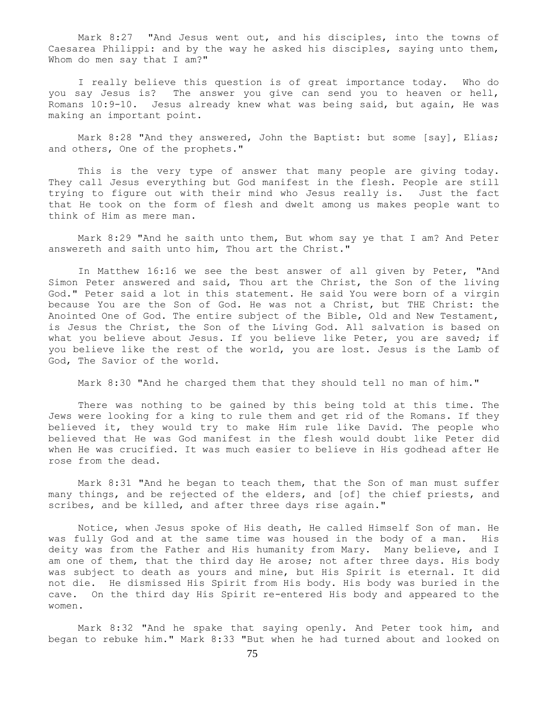Mark 8:27 "And Jesus went out, and his disciples, into the towns of Caesarea Philippi: and by the way he asked his disciples, saying unto them, Whom do men say that I am?"

 I really believe this question is of great importance today. Who do you say Jesus is? The answer you give can send you to heaven or hell, Romans 10:9-10. Jesus already knew what was being said, but again, He was making an important point.

 Mark 8:28 "And they answered, John the Baptist: but some [say], Elias; and others, One of the prophets."

 This is the very type of answer that many people are giving today. They call Jesus everything but God manifest in the flesh. People are still trying to figure out with their mind who Jesus really is. Just the fact that He took on the form of flesh and dwelt among us makes people want to think of Him as mere man.

 Mark 8:29 "And he saith unto them, But whom say ye that I am? And Peter answereth and saith unto him, Thou art the Christ."

 In Matthew 16:16 we see the best answer of all given by Peter, "And Simon Peter answered and said, Thou art the Christ, the Son of the living God." Peter said a lot in this statement. He said You were born of a virgin because You are the Son of God. He was not a Christ, but THE Christ: the Anointed One of God. The entire subject of the Bible, Old and New Testament, is Jesus the Christ, the Son of the Living God. All salvation is based on what you believe about Jesus. If you believe like Peter, you are saved; if you believe like the rest of the world, you are lost. Jesus is the Lamb of God, The Savior of the world.

Mark 8:30 "And he charged them that they should tell no man of him."

 There was nothing to be gained by this being told at this time. The Jews were looking for a king to rule them and get rid of the Romans. If they believed it, they would try to make Him rule like David. The people who believed that He was God manifest in the flesh would doubt like Peter did when He was crucified. It was much easier to believe in His godhead after He rose from the dead.

 Mark 8:31 "And he began to teach them, that the Son of man must suffer many things, and be rejected of the elders, and [of] the chief priests, and scribes, and be killed, and after three days rise again."

 Notice, when Jesus spoke of His death, He called Himself Son of man. He was fully God and at the same time was housed in the body of a man. His deity was from the Father and His humanity from Mary. Many believe, and I am one of them, that the third day He arose; not after three days. His body was subject to death as yours and mine, but His Spirit is eternal. It did not die. He dismissed His Spirit from His body. His body was buried in the cave. On the third day His Spirit re-entered His body and appeared to the women.

 Mark 8:32 "And he spake that saying openly. And Peter took him, and began to rebuke him." Mark 8:33 "But when he had turned about and looked on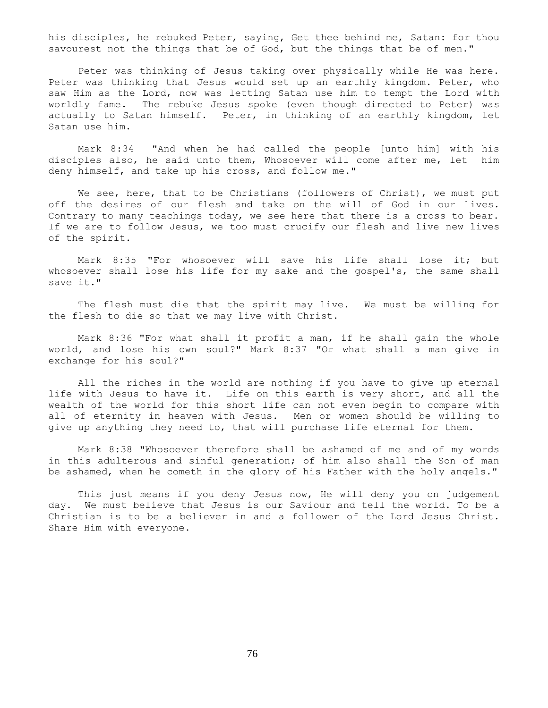his disciples, he rebuked Peter, saying, Get thee behind me, Satan: for thou savourest not the things that be of God, but the things that be of men."

 Peter was thinking of Jesus taking over physically while He was here. Peter was thinking that Jesus would set up an earthly kingdom. Peter, who saw Him as the Lord, now was letting Satan use him to tempt the Lord with worldly fame. The rebuke Jesus spoke (even though directed to Peter) was actually to Satan himself. Peter, in thinking of an earthly kingdom, let Satan use him.

 Mark 8:34 "And when he had called the people [unto him] with his disciples also, he said unto them, Whosoever will come after me, let him deny himself, and take up his cross, and follow me."

We see, here, that to be Christians (followers of Christ), we must put off the desires of our flesh and take on the will of God in our lives. Contrary to many teachings today, we see here that there is a cross to bear. If we are to follow Jesus, we too must crucify our flesh and live new lives of the spirit.

 Mark 8:35 "For whosoever will save his life shall lose it; but whosoever shall lose his life for my sake and the gospel's, the same shall save it."

 The flesh must die that the spirit may live. We must be willing for the flesh to die so that we may live with Christ.

 Mark 8:36 "For what shall it profit a man, if he shall gain the whole world, and lose his own soul?" Mark 8:37 "Or what shall a man give in exchange for his soul?"

 All the riches in the world are nothing if you have to give up eternal life with Jesus to have it. Life on this earth is very short, and all the wealth of the world for this short life can not even begin to compare with all of eternity in heaven with Jesus. Men or women should be willing to give up anything they need to, that will purchase life eternal for them.

 Mark 8:38 "Whosoever therefore shall be ashamed of me and of my words in this adulterous and sinful generation; of him also shall the Son of man be ashamed, when he cometh in the glory of his Father with the holy angels."

 This just means if you deny Jesus now, He will deny you on judgement day. We must believe that Jesus is our Saviour and tell the world. To be a Christian is to be a believer in and a follower of the Lord Jesus Christ. Share Him with everyone.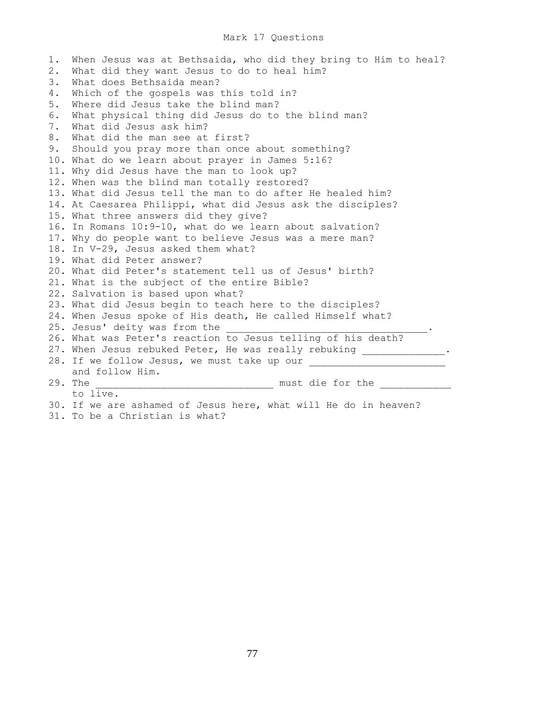## Mark 17 Questions

1. When Jesus was at Bethsaida, who did they bring to Him to heal? 2. What did they want Jesus to do to heal him? 3. What does Bethsaida mean? 4. Which of the gospels was this told in? 5. Where did Jesus take the blind man? 6. What physical thing did Jesus do to the blind man? 7. What did Jesus ask him? 8. What did the man see at first? 9. Should you pray more than once about something? 10. What do we learn about prayer in James 5:16? 11. Why did Jesus have the man to look up? 12. When was the blind man totally restored? 13. What did Jesus tell the man to do after He healed him? 14. At Caesarea Philippi, what did Jesus ask the disciples? 15. What three answers did they give? 16. In Romans 10:9-10, what do we learn about salvation? 17. Why do people want to believe Jesus was a mere man? 18. In V-29, Jesus asked them what? 19. What did Peter answer? 20. What did Peter's statement tell us of Jesus' birth? 21. What is the subject of the entire Bible? 22. Salvation is based upon what? 23. What did Jesus begin to teach here to the disciples? 24. When Jesus spoke of His death, He called Himself what? 25. Jesus' deity was from the 26. What was Peter's reaction to Jesus telling of his death? 27. When Jesus rebuked Peter, He was really rebuking \_\_\_\_\_\_\_\_\_\_\_. 28. If we follow Jesus, we must take up our \_\_\_\_\_\_\_\_\_\_\_\_\_\_\_\_\_\_\_\_\_\_\_ and follow Him. 29. The \_\_\_\_\_\_\_\_\_\_\_\_\_\_\_\_\_\_\_\_\_\_\_\_\_\_\_\_\_\_ must die for the \_\_\_\_\_\_\_\_\_\_\_\_ to live. 30. If we are ashamed of Jesus here, what will He do in heaven?

31. To be a Christian is what?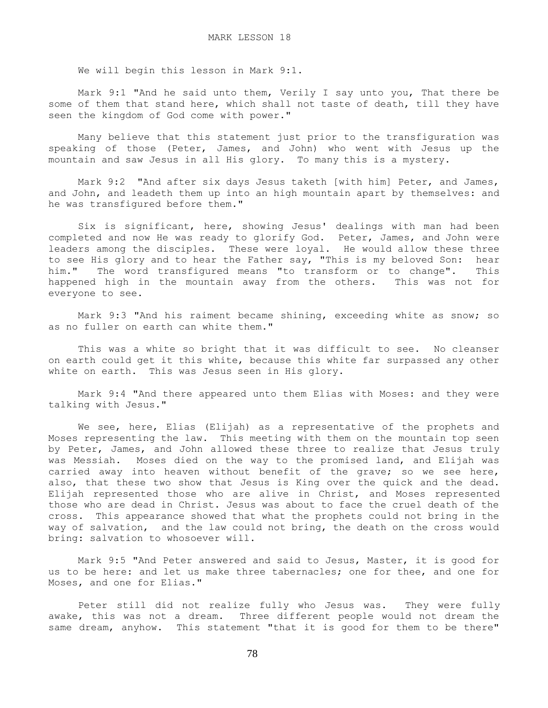We will begin this lesson in Mark 9:1.

 Mark 9:1 "And he said unto them, Verily I say unto you, That there be some of them that stand here, which shall not taste of death, till they have seen the kingdom of God come with power."

 Many believe that this statement just prior to the transfiguration was speaking of those (Peter, James, and John) who went with Jesus up the mountain and saw Jesus in all His glory. To many this is a mystery.

 Mark 9:2 "And after six days Jesus taketh [with him] Peter, and James, and John, and leadeth them up into an high mountain apart by themselves: and he was transfigured before them."

 Six is significant, here, showing Jesus' dealings with man had been completed and now He was ready to glorify God. Peter, James, and John were leaders among the disciples. These were loyal. He would allow these three to see His glory and to hear the Father say, "This is my beloved Son: hear him." The word transfigured means "to transform or to change". This happened high in the mountain away from the others. This was not for everyone to see.

 Mark 9:3 "And his raiment became shining, exceeding white as snow; so as no fuller on earth can white them."

This was a white so bright that it was difficult to see. No cleanser on earth could get it this white, because this white far surpassed any other white on earth. This was Jesus seen in His glory.

 Mark 9:4 "And there appeared unto them Elias with Moses: and they were talking with Jesus."

We see, here, Elias (Elijah) as a representative of the prophets and Moses representing the law. This meeting with them on the mountain top seen by Peter, James, and John allowed these three to realize that Jesus truly was Messiah. Moses died on the way to the promised land, and Elijah was carried away into heaven without benefit of the grave; so we see here, also, that these two show that Jesus is King over the quick and the dead. Elijah represented those who are alive in Christ, and Moses represented those who are dead in Christ. Jesus was about to face the cruel death of the cross. This appearance showed that what the prophets could not bring in the way of salvation, and the law could not bring, the death on the cross would bring: salvation to whosoever will.

 Mark 9:5 "And Peter answered and said to Jesus, Master, it is good for us to be here: and let us make three tabernacles; one for thee, and one for Moses, and one for Elias."

 Peter still did not realize fully who Jesus was. They were fully awake, this was not a dream. Three different people would not dream the same dream, anyhow. This statement "that it is good for them to be there"

78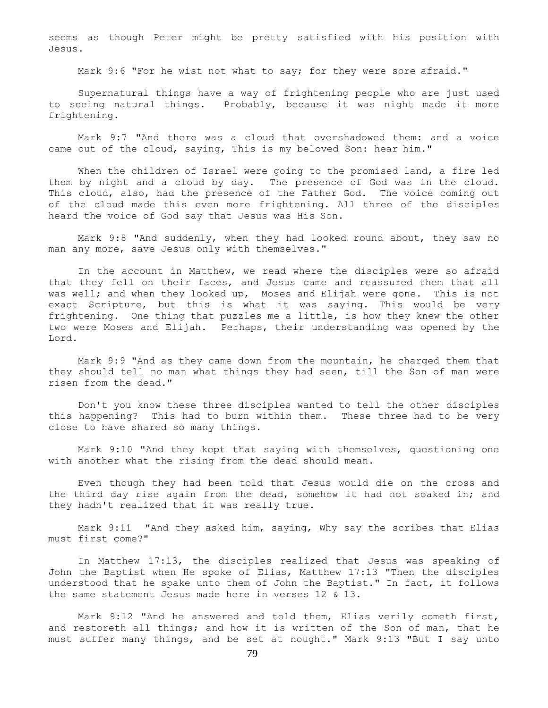seems as though Peter might be pretty satisfied with his position with Jesus.

Mark 9:6 "For he wist not what to say; for they were sore afraid."

 Supernatural things have a way of frightening people who are just used to seeing natural things. Probably, because it was night made it more frightening.

 Mark 9:7 "And there was a cloud that overshadowed them: and a voice came out of the cloud, saying, This is my beloved Son: hear him."

 When the children of Israel were going to the promised land, a fire led them by night and a cloud by day. The presence of God was in the cloud. This cloud, also, had the presence of the Father God. The voice coming out of the cloud made this even more frightening. All three of the disciples heard the voice of God say that Jesus was His Son.

 Mark 9:8 "And suddenly, when they had looked round about, they saw no man any more, save Jesus only with themselves."

 In the account in Matthew, we read where the disciples were so afraid that they fell on their faces, and Jesus came and reassured them that all was well; and when they looked up, Moses and Elijah were gone. This is not exact Scripture, but this is what it was saying. This would be very frightening. One thing that puzzles me a little, is how they knew the other two were Moses and Elijah. Perhaps, their understanding was opened by the Lord.

 Mark 9:9 "And as they came down from the mountain, he charged them that they should tell no man what things they had seen, till the Son of man were risen from the dead."

 Don't you know these three disciples wanted to tell the other disciples this happening? This had to burn within them. These three had to be very close to have shared so many things.

 Mark 9:10 "And they kept that saying with themselves, questioning one with another what the rising from the dead should mean.

 Even though they had been told that Jesus would die on the cross and the third day rise again from the dead, somehow it had not soaked in; and they hadn't realized that it was really true.

 Mark 9:11 "And they asked him, saying, Why say the scribes that Elias must first come?"

 In Matthew 17:13, the disciples realized that Jesus was speaking of John the Baptist when He spoke of Elias, Matthew 17:13 "Then the disciples understood that he spake unto them of John the Baptist." In fact, it follows the same statement Jesus made here in verses 12 & 13.

 Mark 9:12 "And he answered and told them, Elias verily cometh first, and restoreth all things; and how it is written of the Son of man, that he must suffer many things, and be set at nought." Mark 9:13 "But I say unto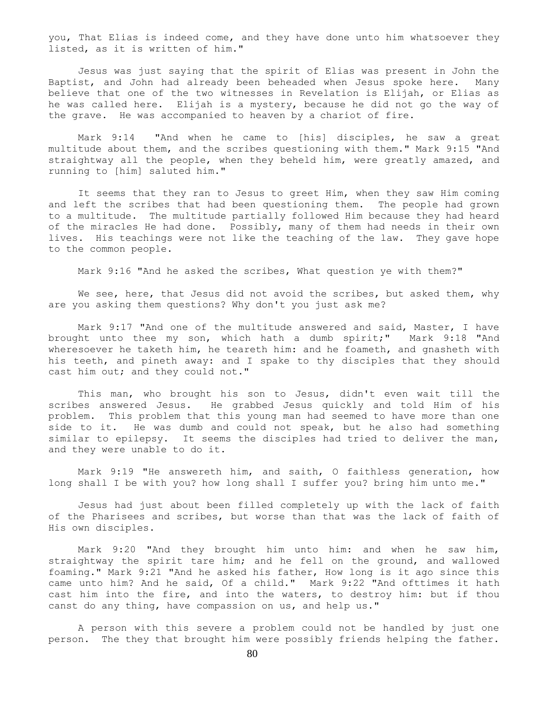you, That Elias is indeed come, and they have done unto him whatsoever they listed, as it is written of him."

 Jesus was just saying that the spirit of Elias was present in John the Baptist, and John had already been beheaded when Jesus spoke here. Many believe that one of the two witnesses in Revelation is Elijah, or Elias as he was called here. Elijah is a mystery, because he did not go the way of the grave. He was accompanied to heaven by a chariot of fire.

 Mark 9:14 "And when he came to [his] disciples, he saw a great multitude about them, and the scribes questioning with them." Mark 9:15 "And straightway all the people, when they beheld him, were greatly amazed, and running to [him] saluted him."

It seems that they ran to Jesus to greet Him, when they saw Him coming and left the scribes that had been questioning them. The people had grown to a multitude. The multitude partially followed Him because they had heard of the miracles He had done. Possibly, many of them had needs in their own lives. His teachings were not like the teaching of the law. They gave hope to the common people.

Mark 9:16 "And he asked the scribes, What question ye with them?"

We see, here, that Jesus did not avoid the scribes, but asked them, why are you asking them questions? Why don't you just ask me?

 Mark 9:17 "And one of the multitude answered and said, Master, I have brought unto thee my son, which hath a dumb spirit;" Mark 9:18 "And wheresoever he taketh him, he teareth him: and he foameth, and gnasheth with his teeth, and pineth away: and I spake to thy disciples that they should cast him out; and they could not."

 This man, who brought his son to Jesus, didn't even wait till the scribes answered Jesus. He grabbed Jesus quickly and told Him of his problem. This problem that this young man had seemed to have more than one side to it. He was dumb and could not speak, but he also had something similar to epilepsy. It seems the disciples had tried to deliver the man, and they were unable to do it.

 Mark 9:19 "He answereth him, and saith, O faithless generation, how long shall I be with you? how long shall I suffer you? bring him unto me."

 Jesus had just about been filled completely up with the lack of faith of the Pharisees and scribes, but worse than that was the lack of faith of His own disciples.

 Mark 9:20 "And they brought him unto him: and when he saw him, straightway the spirit tare him; and he fell on the ground, and wallowed foaming." Mark 9:21 "And he asked his father, How long is it ago since this came unto him? And he said, Of a child." Mark 9:22 "And ofttimes it hath cast him into the fire, and into the waters, to destroy him: but if thou canst do any thing, have compassion on us, and help us."

 A person with this severe a problem could not be handled by just one person. The they that brought him were possibly friends helping the father.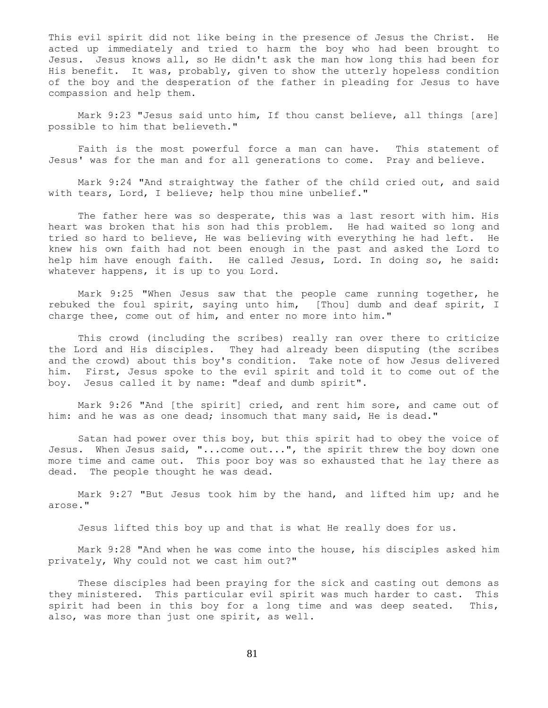This evil spirit did not like being in the presence of Jesus the Christ. He acted up immediately and tried to harm the boy who had been brought to Jesus. Jesus knows all, so He didn't ask the man how long this had been for His benefit. It was, probably, given to show the utterly hopeless condition of the boy and the desperation of the father in pleading for Jesus to have compassion and help them.

Mark 9:23 "Jesus said unto him, If thou canst believe, all things [are] possible to him that believeth."

 Faith is the most powerful force a man can have. This statement of Jesus' was for the man and for all generations to come. Pray and believe.

 Mark 9:24 "And straightway the father of the child cried out, and said with tears, Lord, I believe; help thou mine unbelief."

 The father here was so desperate, this was a last resort with him. His heart was broken that his son had this problem. He had waited so long and tried so hard to believe, He was believing with everything he had left. He knew his own faith had not been enough in the past and asked the Lord to help him have enough faith. He called Jesus, Lord. In doing so, he said: whatever happens, it is up to you Lord.

 Mark 9:25 "When Jesus saw that the people came running together, he rebuked the foul spirit, saying unto him, [Thou] dumb and deaf spirit, I charge thee, come out of him, and enter no more into him."

 This crowd (including the scribes) really ran over there to criticize the Lord and His disciples. They had already been disputing (the scribes and the crowd) about this boy's condition. Take note of how Jesus delivered him. First, Jesus spoke to the evil spirit and told it to come out of the boy. Jesus called it by name: "deaf and dumb spirit".

 Mark 9:26 "And [the spirit] cried, and rent him sore, and came out of him: and he was as one dead; insomuch that many said, He is dead."

 Satan had power over this boy, but this spirit had to obey the voice of Jesus. When Jesus said, "... come out...", the spirit threw the boy down one more time and came out. This poor boy was so exhausted that he lay there as dead. The people thought he was dead.

 Mark 9:27 "But Jesus took him by the hand, and lifted him up; and he arose."

Jesus lifted this boy up and that is what He really does for us.

 Mark 9:28 "And when he was come into the house, his disciples asked him privately, Why could not we cast him out?"

 These disciples had been praying for the sick and casting out demons as they ministered. This particular evil spirit was much harder to cast. This spirit had been in this boy for a long time and was deep seated. This, also, was more than just one spirit, as well.

81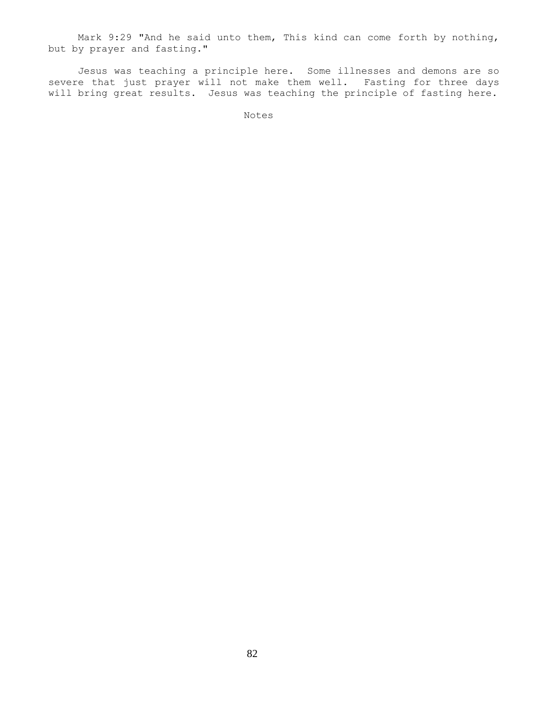Mark 9:29 "And he said unto them, This kind can come forth by nothing, but by prayer and fasting."

 Jesus was teaching a principle here. Some illnesses and demons are so severe that just prayer will not make them well. Fasting for three days will bring great results. Jesus was teaching the principle of fasting here.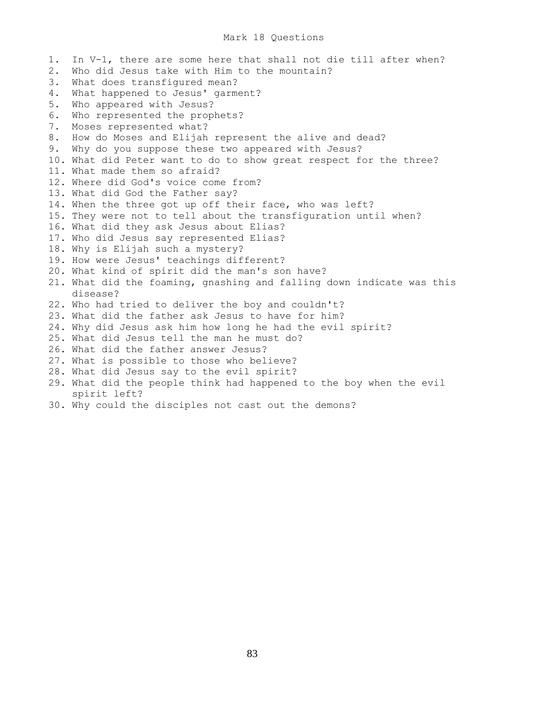# Mark 18 Questions

1. In V-1, there are some here that shall not die till after when? 2. Who did Jesus take with Him to the mountain? 3. What does transfigured mean? 4. What happened to Jesus' garment? 5. Who appeared with Jesus? 6. Who represented the prophets? 7. Moses represented what? 8. How do Moses and Elijah represent the alive and dead? 9. Why do you suppose these two appeared with Jesus? 10. What did Peter want to do to show great respect for the three? 11. What made them so afraid? 12. Where did God's voice come from? 13. What did God the Father say? 14. When the three got up off their face, who was left? 15. They were not to tell about the transfiguration until when? 16. What did they ask Jesus about Elias? 17. Who did Jesus say represented Elias? 18. Why is Elijah such a mystery? 19. How were Jesus' teachings different? 20. What kind of spirit did the man's son have? 21. What did the foaming, gnashing and falling down indicate was this disease? 22. Who had tried to deliver the boy and couldn't? 23. What did the father ask Jesus to have for him? 24. Why did Jesus ask him how long he had the evil spirit? 25. What did Jesus tell the man he must do? 26. What did the father answer Jesus? 27. What is possible to those who believe? 28. What did Jesus say to the evil spirit? 29. What did the people think had happened to the boy when the evil spirit left? 30. Why could the disciples not cast out the demons?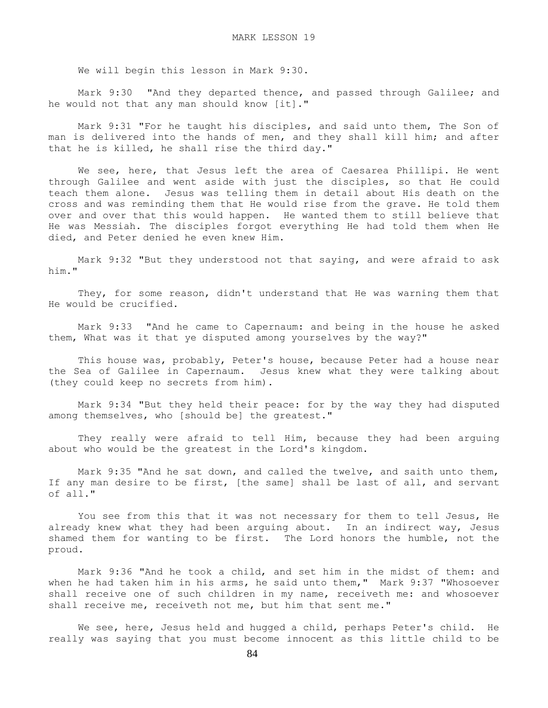We will begin this lesson in Mark 9:30.

 Mark 9:30 "And they departed thence, and passed through Galilee; and he would not that any man should know [it]."

 Mark 9:31 "For he taught his disciples, and said unto them, The Son of man is delivered into the hands of men, and they shall kill him; and after that he is killed, he shall rise the third day."

We see, here, that Jesus left the area of Caesarea Phillipi. He went through Galilee and went aside with just the disciples, so that He could teach them alone. Jesus was telling them in detail about His death on the cross and was reminding them that He would rise from the grave. He told them over and over that this would happen. He wanted them to still believe that He was Messiah. The disciples forgot everything He had told them when He died, and Peter denied he even knew Him.

 Mark 9:32 "But they understood not that saying, and were afraid to ask him."

 They, for some reason, didn't understand that He was warning them that He would be crucified.

 Mark 9:33 "And he came to Capernaum: and being in the house he asked them, What was it that ye disputed among yourselves by the way?"

 This house was, probably, Peter's house, because Peter had a house near the Sea of Galilee in Capernaum. Jesus knew what they were talking about (they could keep no secrets from him).

 Mark 9:34 "But they held their peace: for by the way they had disputed among themselves, who [should be] the greatest."

They really were afraid to tell Him, because they had been arguing about who would be the greatest in the Lord's kingdom.

 Mark 9:35 "And he sat down, and called the twelve, and saith unto them, If any man desire to be first, [the same] shall be last of all, and servant of all."

You see from this that it was not necessary for them to tell Jesus, He already knew what they had been arguing about. In an indirect way, Jesus shamed them for wanting to be first. The Lord honors the humble, not the proud.

 Mark 9:36 "And he took a child, and set him in the midst of them: and when he had taken him in his arms, he said unto them," Mark 9:37 "Whosoever shall receive one of such children in my name, receiveth me: and whosoever shall receive me, receiveth not me, but him that sent me."

We see, here, Jesus held and hugged a child, perhaps Peter's child. He really was saying that you must become innocent as this little child to be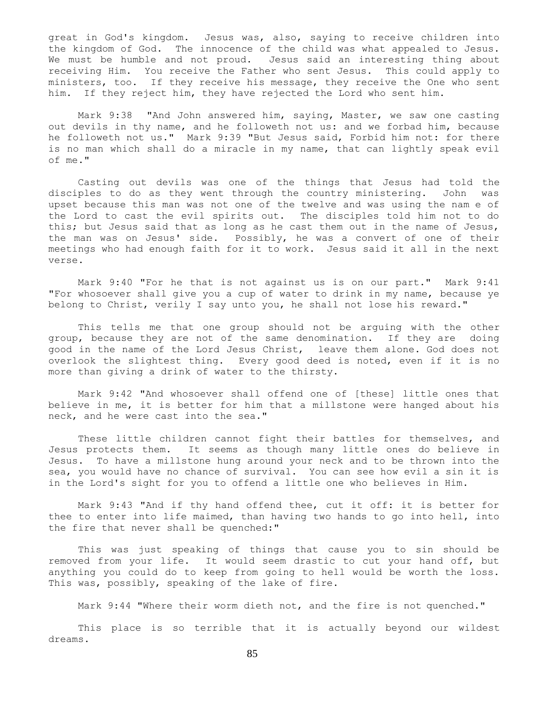great in God's kingdom. Jesus was, also, saying to receive children into the kingdom of God. The innocence of the child was what appealed to Jesus. We must be humble and not proud. Jesus said an interesting thing about receiving Him. You receive the Father who sent Jesus. This could apply to ministers, too. If they receive his message, they receive the One who sent him. If they reject him, they have rejected the Lord who sent him.

 Mark 9:38 "And John answered him, saying, Master, we saw one casting out devils in thy name, and he followeth not us: and we forbad him, because he followeth not us." Mark 9:39 "But Jesus said, Forbid him not: for there is no man which shall do a miracle in my name, that can lightly speak evil of me."

 Casting out devils was one of the things that Jesus had told the disciples to do as they went through the country ministering. John was upset because this man was not one of the twelve and was using the nam e of the Lord to cast the evil spirits out. The disciples told him not to do this; but Jesus said that as long as he cast them out in the name of Jesus, the man was on Jesus' side. Possibly, he was a convert of one of their meetings who had enough faith for it to work. Jesus said it all in the next verse.

 Mark 9:40 "For he that is not against us is on our part." Mark 9:41 "For whosoever shall give you a cup of water to drink in my name, because ye belong to Christ, verily I say unto you, he shall not lose his reward."

 This tells me that one group should not be arguing with the other group, because they are not of the same denomination. If they are doing good in the name of the Lord Jesus Christ, leave them alone. God does not overlook the slightest thing. Every good deed is noted, even if it is no more than giving a drink of water to the thirsty.

 Mark 9:42 "And whosoever shall offend one of [these] little ones that believe in me, it is better for him that a millstone were hanged about his neck, and he were cast into the sea."

These little children cannot fight their battles for themselves, and Jesus protects them. It seems as though many little ones do believe in Jesus. To have a millstone hung around your neck and to be thrown into the sea, you would have no chance of survival. You can see how evil a sin it is in the Lord's sight for you to offend a little one who believes in Him.

 Mark 9:43 "And if thy hand offend thee, cut it off: it is better for thee to enter into life maimed, than having two hands to go into hell, into the fire that never shall be quenched:"

 This was just speaking of things that cause you to sin should be removed from your life. It would seem drastic to cut your hand off, but anything you could do to keep from going to hell would be worth the loss. This was, possibly, speaking of the lake of fire.

Mark 9:44 "Where their worm dieth not, and the fire is not quenched."

 This place is so terrible that it is actually beyond our wildest dreams.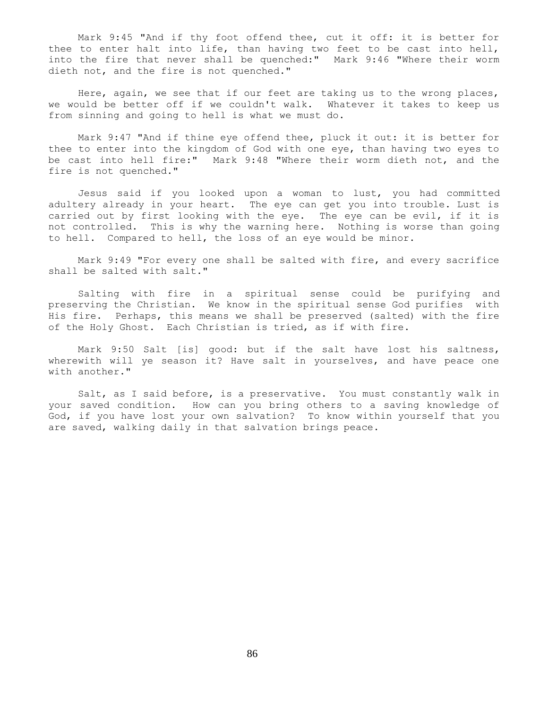Mark 9:45 "And if thy foot offend thee, cut it off: it is better for thee to enter halt into life, than having two feet to be cast into hell, into the fire that never shall be quenched:" Mark 9:46 "Where their worm dieth not, and the fire is not quenched."

 Here, again, we see that if our feet are taking us to the wrong places, we would be better off if we couldn't walk. Whatever it takes to keep us from sinning and going to hell is what we must do.

 Mark 9:47 "And if thine eye offend thee, pluck it out: it is better for thee to enter into the kingdom of God with one eye, than having two eyes to be cast into hell fire:" Mark 9:48 "Where their worm dieth not, and the fire is not quenched."

 Jesus said if you looked upon a woman to lust, you had committed adultery already in your heart. The eye can get you into trouble. Lust is carried out by first looking with the eye. The eye can be evil, if it is not controlled. This is why the warning here. Nothing is worse than going to hell. Compared to hell, the loss of an eye would be minor.

 Mark 9:49 "For every one shall be salted with fire, and every sacrifice shall be salted with salt."

 Salting with fire in a spiritual sense could be purifying and preserving the Christian. We know in the spiritual sense God purifies with His fire. Perhaps, this means we shall be preserved (salted) with the fire of the Holy Ghost. Each Christian is tried, as if with fire.

 Mark 9:50 Salt [is] good: but if the salt have lost his saltness, wherewith will ye season it? Have salt in yourselves, and have peace one with another."

Salt, as I said before, is a preservative. You must constantly walk in your saved condition. How can you bring others to a saving knowledge of God, if you have lost your own salvation? To know within yourself that you are saved, walking daily in that salvation brings peace.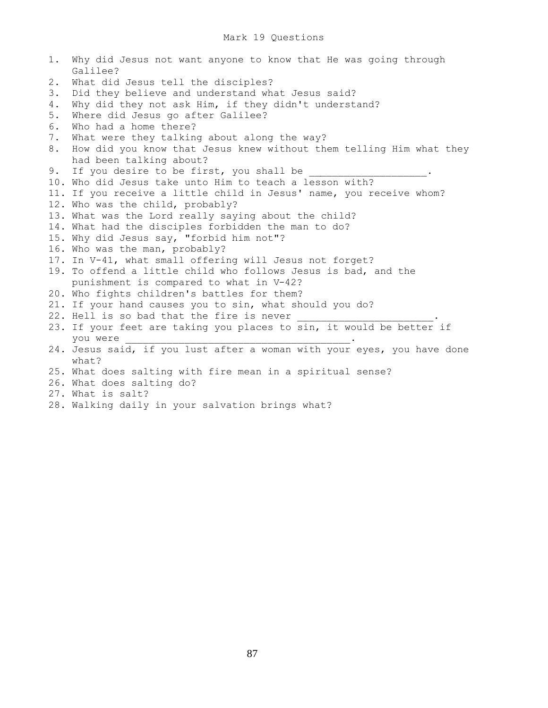1. Why did Jesus not want anyone to know that He was going through Galilee? 2. What did Jesus tell the disciples? 3. Did they believe and understand what Jesus said? 4. Why did they not ask Him, if they didn't understand? 5. Where did Jesus go after Galilee? 6. Who had a home there? 7. What were they talking about along the way? 8. How did you know that Jesus knew without them telling Him what they had been talking about? 9. If you desire to be first, you shall be 10. Who did Jesus take unto Him to teach a lesson with? 11. If you receive a little child in Jesus' name, you receive whom? 12. Who was the child, probably? 13. What was the Lord really saying about the child? 14. What had the disciples forbidden the man to do? 15. Why did Jesus say, "forbid him not"? 16. Who was the man, probably? 17. In V-41, what small offering will Jesus not forget? 19. To offend a little child who follows Jesus is bad, and the punishment is compared to what in V-42? 20. Who fights children's battles for them? 21. If your hand causes you to sin, what should you do? 22. Hell is so bad that the fire is never 23. If your feet are taking you places to sin, it would be better if you were **we** 24. Jesus said, if you lust after a woman with your eyes, you have done what? 25. What does salting with fire mean in a spiritual sense? 26. What does salting do? 27. What is salt? 28. Walking daily in your salvation brings what?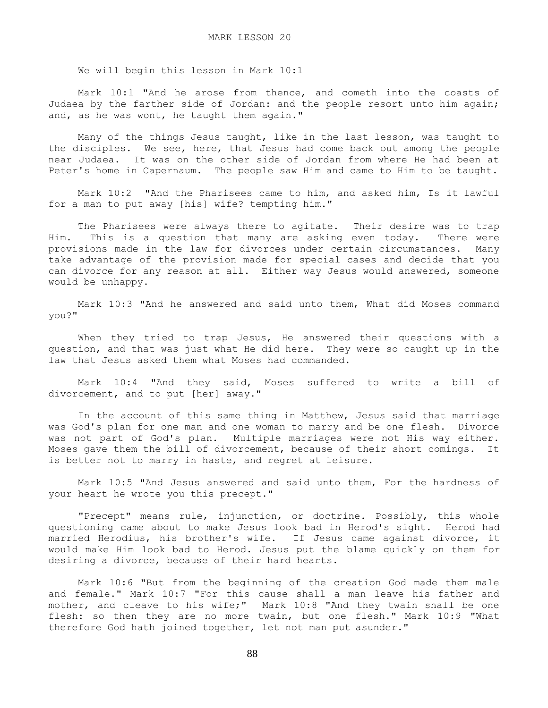We will begin this lesson in Mark 10:1

 Mark 10:1 "And he arose from thence, and cometh into the coasts of Judaea by the farther side of Jordan: and the people resort unto him again; and, as he was wont, he taught them again."

 Many of the things Jesus taught, like in the last lesson, was taught to the disciples. We see, here, that Jesus had come back out among the people near Judaea. It was on the other side of Jordan from where He had been at Peter's home in Capernaum. The people saw Him and came to Him to be taught.

 Mark 10:2 "And the Pharisees came to him, and asked him, Is it lawful for a man to put away [his] wife? tempting him."

 The Pharisees were always there to agitate. Their desire was to trap Him. This is a question that many are asking even today. There were provisions made in the law for divorces under certain circumstances. Many take advantage of the provision made for special cases and decide that you can divorce for any reason at all. Either way Jesus would answered, someone would be unhappy.

 Mark 10:3 "And he answered and said unto them, What did Moses command you?"

 When they tried to trap Jesus, He answered their questions with a question, and that was just what He did here. They were so caught up in the law that Jesus asked them what Moses had commanded.

 Mark 10:4 "And they said, Moses suffered to write a bill of divorcement, and to put [her] away."

 In the account of this same thing in Matthew, Jesus said that marriage was God's plan for one man and one woman to marry and be one flesh. Divorce was not part of God's plan. Multiple marriages were not His way either. Moses gave them the bill of divorcement, because of their short comings. It is better not to marry in haste, and regret at leisure.

 Mark 10:5 "And Jesus answered and said unto them, For the hardness of your heart he wrote you this precept."

 "Precept" means rule, injunction, or doctrine. Possibly, this whole questioning came about to make Jesus look bad in Herod's sight. Herod had married Herodius, his brother's wife. If Jesus came against divorce, it would make Him look bad to Herod. Jesus put the blame quickly on them for desiring a divorce, because of their hard hearts.

 Mark 10:6 "But from the beginning of the creation God made them male and female." Mark 10:7 "For this cause shall a man leave his father and mother, and cleave to his wife;" Mark 10:8 "And they twain shall be one flesh: so then they are no more twain, but one flesh." Mark 10:9 "What therefore God hath joined together, let not man put asunder."

88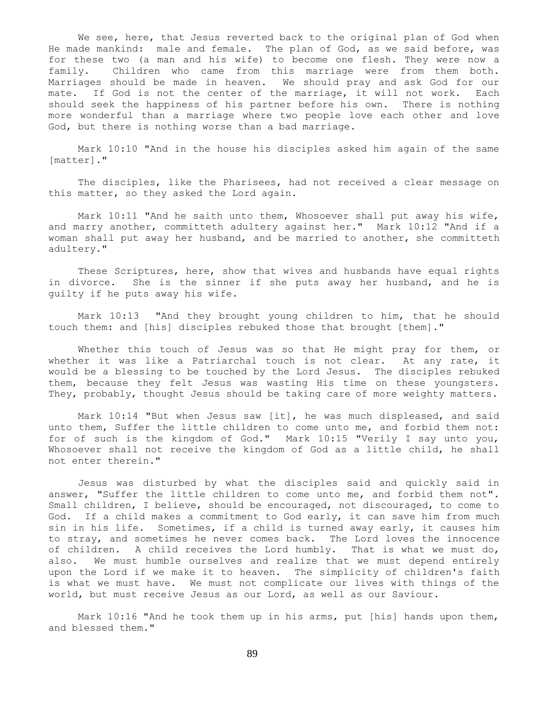We see, here, that Jesus reverted back to the original plan of God when He made mankind: male and female. The plan of God, as we said before, was for these two (a man and his wife) to become one flesh. They were now a family. Children who came from this marriage were from them both. Marriages should be made in heaven. We should pray and ask God for our mate. If God is not the center of the marriage, it will not work. Each should seek the happiness of his partner before his own. There is nothing more wonderful than a marriage where two people love each other and love God, but there is nothing worse than a bad marriage.

 Mark 10:10 "And in the house his disciples asked him again of the same [matter]."

 The disciples, like the Pharisees, had not received a clear message on this matter, so they asked the Lord again.

 Mark 10:11 "And he saith unto them, Whosoever shall put away his wife, and marry another, committeth adultery against her." Mark 10:12 "And if a woman shall put away her husband, and be married to another, she committeth adultery."

 These Scriptures, here, show that wives and husbands have equal rights in divorce. She is the sinner if she puts away her husband, and he is guilty if he puts away his wife.

 Mark 10:13 "And they brought young children to him, that he should touch them: and [his] disciples rebuked those that brought [them]."

 Whether this touch of Jesus was so that He might pray for them, or whether it was like a Patriarchal touch is not clear. At any rate, it would be a blessing to be touched by the Lord Jesus. The disciples rebuked them, because they felt Jesus was wasting His time on these youngsters. They, probably, thought Jesus should be taking care of more weighty matters.

 Mark 10:14 "But when Jesus saw [it], he was much displeased, and said unto them, Suffer the little children to come unto me, and forbid them not: for of such is the kingdom of God." Mark 10:15 "Verily I say unto you, Whosoever shall not receive the kingdom of God as a little child, he shall not enter therein."

 Jesus was disturbed by what the disciples said and quickly said in answer, "Suffer the little children to come unto me, and forbid them not". Small children, I believe, should be encouraged, not discouraged, to come to God. If a child makes a commitment to God early, it can save him from much sin in his life. Sometimes, if a child is turned away early, it causes him to stray, and sometimes he never comes back. The Lord loves the innocence of children. A child receives the Lord humbly. That is what we must do, also. We must humble ourselves and realize that we must depend entirely upon the Lord if we make it to heaven. The simplicity of children's faith is what we must have. We must not complicate our lives with things of the world, but must receive Jesus as our Lord, as well as our Saviour.

 Mark 10:16 "And he took them up in his arms, put [his] hands upon them, and blessed them."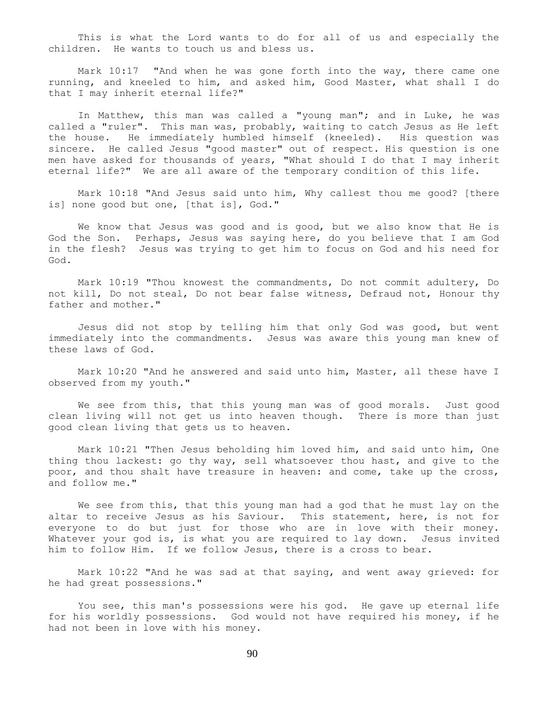This is what the Lord wants to do for all of us and especially the children. He wants to touch us and bless us.

 Mark 10:17 "And when he was gone forth into the way, there came one running, and kneeled to him, and asked him, Good Master, what shall I do that I may inherit eternal life?"

 In Matthew, this man was called a "young man"; and in Luke, he was called a "ruler". This man was, probably, waiting to catch Jesus as He left the house. He immediately humbled himself (kneeled). His question was sincere. He called Jesus "good master" out of respect. His question is one men have asked for thousands of years, "What should I do that I may inherit eternal life?" We are all aware of the temporary condition of this life.

 Mark 10:18 "And Jesus said unto him, Why callest thou me good? [there is] none good but one, [that is], God."

 We know that Jesus was good and is good, but we also know that He is God the Son. Perhaps, Jesus was saying here, do you believe that I am God in the flesh? Jesus was trying to get him to focus on God and his need for God.

 Mark 10:19 "Thou knowest the commandments, Do not commit adultery, Do not kill, Do not steal, Do not bear false witness, Defraud not, Honour thy father and mother."

 Jesus did not stop by telling him that only God was good, but went immediately into the commandments. Jesus was aware this young man knew of these laws of God.

 Mark 10:20 "And he answered and said unto him, Master, all these have I observed from my youth."

We see from this, that this young man was of good morals. Just good clean living will not get us into heaven though. There is more than just good clean living that gets us to heaven.

 Mark 10:21 "Then Jesus beholding him loved him, and said unto him, One thing thou lackest: go thy way, sell whatsoever thou hast, and give to the poor, and thou shalt have treasure in heaven: and come, take up the cross, and follow me."

 We see from this, that this young man had a god that he must lay on the altar to receive Jesus as his Saviour. This statement, here, is not for everyone to do but just for those who are in love with their money. Whatever your god is, is what you are required to lay down. Jesus invited him to follow Him. If we follow Jesus, there is a cross to bear.

 Mark 10:22 "And he was sad at that saying, and went away grieved: for he had great possessions."

 You see, this man's possessions were his god. He gave up eternal life for his worldly possessions. God would not have required his money, if he had not been in love with his money.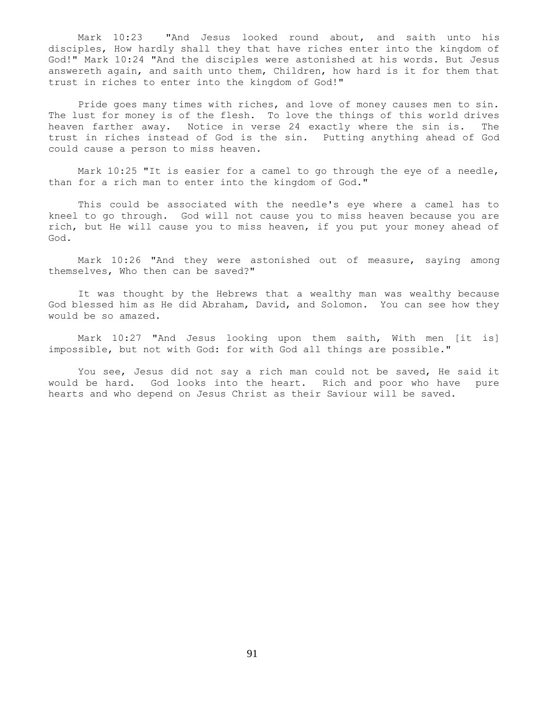Mark 10:23 "And Jesus looked round about, and saith unto his disciples, How hardly shall they that have riches enter into the kingdom of God!" Mark 10:24 "And the disciples were astonished at his words. But Jesus answereth again, and saith unto them, Children, how hard is it for them that trust in riches to enter into the kingdom of God!"

 Pride goes many times with riches, and love of money causes men to sin. The lust for money is of the flesh. To love the things of this world drives heaven farther away. Notice in verse 24 exactly where the sin is. The trust in riches instead of God is the sin. Putting anything ahead of God could cause a person to miss heaven.

 Mark 10:25 "It is easier for a camel to go through the eye of a needle, than for a rich man to enter into the kingdom of God."

 This could be associated with the needle's eye where a camel has to kneel to go through. God will not cause you to miss heaven because you are rich, but He will cause you to miss heaven, if you put your money ahead of God.

 Mark 10:26 "And they were astonished out of measure, saying among themselves, Who then can be saved?"

 It was thought by the Hebrews that a wealthy man was wealthy because God blessed him as He did Abraham, David, and Solomon. You can see how they would be so amazed.

 Mark 10:27 "And Jesus looking upon them saith, With men [it is] impossible, but not with God: for with God all things are possible."

You see, Jesus did not say a rich man could not be saved, He said it would be hard. God looks into the heart. Rich and poor who have pure hearts and who depend on Jesus Christ as their Saviour will be saved.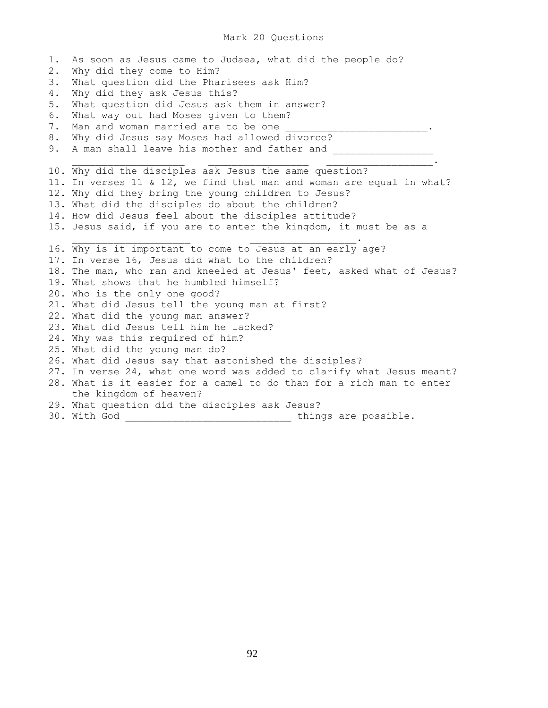#### Mark 20 Questions

1. As soon as Jesus came to Judaea, what did the people do? 2. Why did they come to Him? 3. What question did the Pharisees ask Him? 4. Why did they ask Jesus this? 5. What question did Jesus ask them in answer? 6. What way out had Moses given to them? 7. Man and woman married are to be one 8. Why did Jesus say Moses had allowed divorce? 9. A man shall leave his mother and father and \_\_\_\_\_\_\_\_\_\_\_\_\_\_\_\_\_\_\_\_\_\_\_\_\_\_\_\_\_\_\_\_\_  $\mathcal{L}_\text{max}$  , and the contract of the contract of the contract of the contract of the contract of the contract of the contract of the contract of the contract of the contract of the contract of the contract of the contr 10. Why did the disciples ask Jesus the same question? 11. In verses 11 & 12, we find that man and woman are equal in what? 12. Why did they bring the young children to Jesus? 13. What did the disciples do about the children? 14. How did Jesus feel about the disciples attitude? 15. Jesus said, if you are to enter the kingdom, it must be as a  $\mathcal{L}_\text{max}$  , we can assume that the contract of the contract of the contract of the contract of the contract of the contract of the contract of the contract of the contract of the contract of the contract of the contra 16. Why is it important to come to Jesus at an early age? 17. In verse 16, Jesus did what to the children? 18. The man, who ran and kneeled at Jesus' feet, asked what of Jesus? 19. What shows that he humbled himself? 20. Who is the only one good? 21. What did Jesus tell the young man at first? 22. What did the young man answer? 23. What did Jesus tell him he lacked? 24. Why was this required of him? 25. What did the young man do? 26. What did Jesus say that astonished the disciples? 27. In verse 24, what one word was added to clarify what Jesus meant? 28. What is it easier for a camel to do than for a rich man to enter the kingdom of heaven? 29. What question did the disciples ask Jesus? 30. With God \_\_\_\_\_\_\_\_\_\_\_\_\_\_\_\_\_\_\_\_\_\_\_\_\_\_\_\_ things are possible.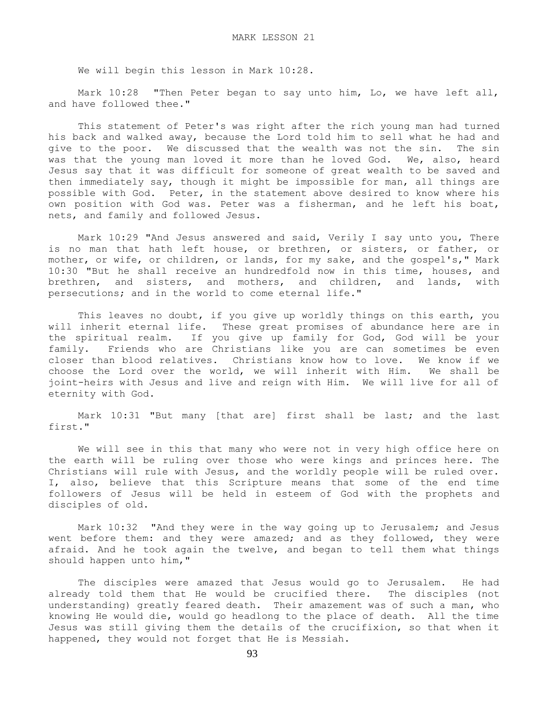We will begin this lesson in Mark 10:28.

Mark 10:28 "Then Peter began to say unto him, Lo, we have left all, and have followed thee."

 This statement of Peter's was right after the rich young man had turned his back and walked away, because the Lord told him to sell what he had and give to the poor. We discussed that the wealth was not the sin. The sin was that the young man loved it more than he loved God. We, also, heard Jesus say that it was difficult for someone of great wealth to be saved and then immediately say, though it might be impossible for man, all things are possible with God. Peter, in the statement above desired to know where his own position with God was. Peter was a fisherman, and he left his boat, nets, and family and followed Jesus.

 Mark 10:29 "And Jesus answered and said, Verily I say unto you, There is no man that hath left house, or brethren, or sisters, or father, or mother, or wife, or children, or lands, for my sake, and the gospel's," Mark 10:30 "But he shall receive an hundredfold now in this time, houses, and brethren, and sisters, and mothers, and children, and lands, with persecutions; and in the world to come eternal life."

 This leaves no doubt, if you give up worldly things on this earth, you will inherit eternal life. These great promises of abundance here are in the spiritual realm. If you give up family for God, God will be your family. Friends who are Christians like you are can sometimes be even closer than blood relatives. Christians know how to love. We know if we choose the Lord over the world, we will inherit with Him. We shall be joint-heirs with Jesus and live and reign with Him. We will live for all of eternity with God.

 Mark 10:31 "But many [that are] first shall be last; and the last first."

 We will see in this that many who were not in very high office here on the earth will be ruling over those who were kings and princes here. The Christians will rule with Jesus, and the worldly people will be ruled over. I, also, believe that this Scripture means that some of the end time followers of Jesus will be held in esteem of God with the prophets and disciples of old.

 Mark 10:32 "And they were in the way going up to Jerusalem; and Jesus went before them: and they were amazed; and as they followed, they were afraid. And he took again the twelve, and began to tell them what things should happen unto him,"

 The disciples were amazed that Jesus would go to Jerusalem. He had already told them that He would be crucified there. The disciples (not understanding) greatly feared death. Their amazement was of such a man, who knowing He would die, would go headlong to the place of death. All the time Jesus was still giving them the details of the crucifixion, so that when it happened, they would not forget that He is Messiah.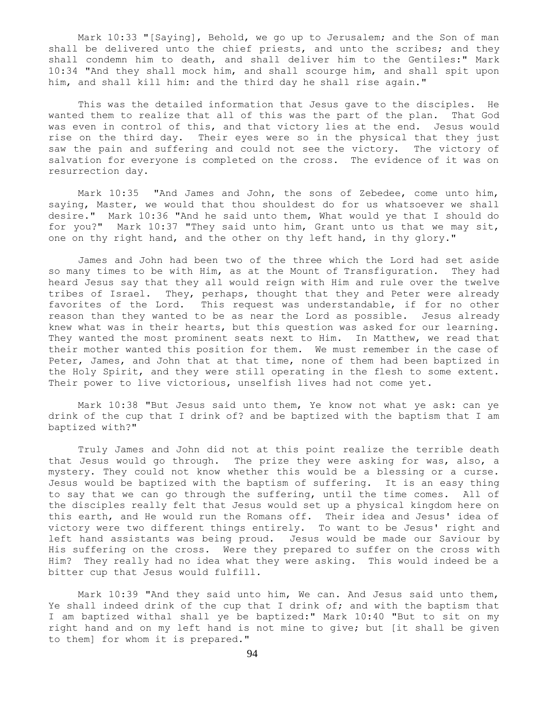Mark 10:33 "[Saying], Behold, we go up to Jerusalem; and the Son of man shall be delivered unto the chief priests, and unto the scribes; and they shall condemn him to death, and shall deliver him to the Gentiles:" Mark 10:34 "And they shall mock him, and shall scourge him, and shall spit upon him, and shall kill him: and the third day he shall rise again."

 This was the detailed information that Jesus gave to the disciples. He wanted them to realize that all of this was the part of the plan. That God was even in control of this, and that victory lies at the end. Jesus would rise on the third day. Their eyes were so in the physical that they just saw the pain and suffering and could not see the victory. The victory of salvation for everyone is completed on the cross. The evidence of it was on resurrection day.

 Mark 10:35 "And James and John, the sons of Zebedee, come unto him, saying, Master, we would that thou shouldest do for us whatsoever we shall desire." Mark 10:36 "And he said unto them, What would ye that I should do for you?" Mark 10:37 "They said unto him, Grant unto us that we may sit, one on thy right hand, and the other on thy left hand, in thy glory."

 James and John had been two of the three which the Lord had set aside so many times to be with Him, as at the Mount of Transfiguration. They had heard Jesus say that they all would reign with Him and rule over the twelve tribes of Israel. They, perhaps, thought that they and Peter were already favorites of the Lord. This request was understandable, if for no other reason than they wanted to be as near the Lord as possible. Jesus already knew what was in their hearts, but this question was asked for our learning. They wanted the most prominent seats next to Him. In Matthew, we read that their mother wanted this position for them. We must remember in the case of Peter, James, and John that at that time, none of them had been baptized in the Holy Spirit, and they were still operating in the flesh to some extent. Their power to live victorious, unselfish lives had not come yet.

 Mark 10:38 "But Jesus said unto them, Ye know not what ye ask: can ye drink of the cup that I drink of? and be baptized with the baptism that I am baptized with?"

 Truly James and John did not at this point realize the terrible death that Jesus would go through. The prize they were asking for was, also, a mystery. They could not know whether this would be a blessing or a curse. Jesus would be baptized with the baptism of suffering. It is an easy thing to say that we can go through the suffering, until the time comes. All of the disciples really felt that Jesus would set up a physical kingdom here on this earth, and He would run the Romans off. Their idea and Jesus' idea of victory were two different things entirely. To want to be Jesus' right and left hand assistants was being proud. Jesus would be made our Saviour by His suffering on the cross. Were they prepared to suffer on the cross with Him? They really had no idea what they were asking. This would indeed be a bitter cup that Jesus would fulfill.

 Mark 10:39 "And they said unto him, We can. And Jesus said unto them, Ye shall indeed drink of the cup that I drink of; and with the baptism that I am baptized withal shall ye be baptized:" Mark 10:40 "But to sit on my right hand and on my left hand is not mine to give; but [it shall be given to them] for whom it is prepared."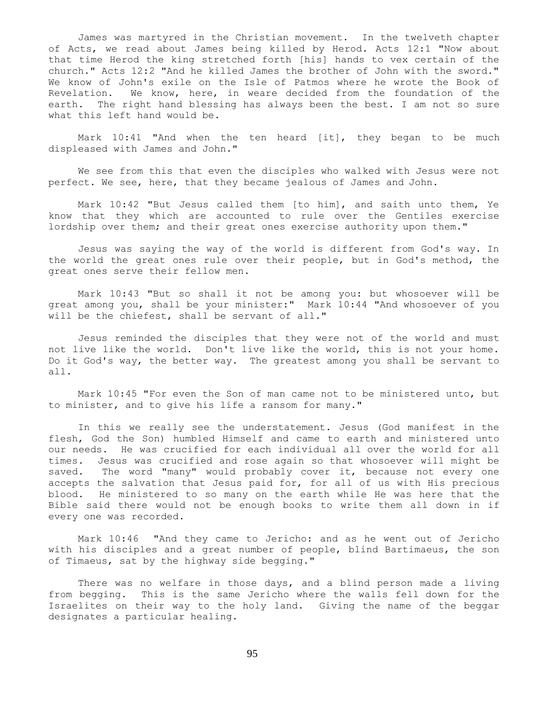James was martyred in the Christian movement. In the twelveth chapter of Acts, we read about James being killed by Herod. Acts 12:1 "Now about that time Herod the king stretched forth [his] hands to vex certain of the church." Acts 12:2 "And he killed James the brother of John with the sword." We know of John's exile on the Isle of Patmos where he wrote the Book of Revelation. We know, here, in weare decided from the foundation of the earth. The right hand blessing has always been the best. I am not so sure what this left hand would be.

 Mark 10:41 "And when the ten heard [it], they began to be much displeased with James and John."

 We see from this that even the disciples who walked with Jesus were not perfect. We see, here, that they became jealous of James and John.

 Mark 10:42 "But Jesus called them [to him], and saith unto them, Ye know that they which are accounted to rule over the Gentiles exercise lordship over them; and their great ones exercise authority upon them."

 Jesus was saying the way of the world is different from God's way. In the world the great ones rule over their people, but in God's method, the great ones serve their fellow men.

 Mark 10:43 "But so shall it not be among you: but whosoever will be great among you, shall be your minister:" Mark 10:44 "And whosoever of you will be the chiefest, shall be servant of all."

 Jesus reminded the disciples that they were not of the world and must not live like the world. Don't live like the world, this is not your home. Do it God's way, the better way. The greatest among you shall be servant to all.

 Mark 10:45 "For even the Son of man came not to be ministered unto, but to minister, and to give his life a ransom for many."

 In this we really see the understatement. Jesus (God manifest in the flesh, God the Son) humbled Himself and came to earth and ministered unto our needs. He was crucified for each individual all over the world for all times. Jesus was crucified and rose again so that whosoever will might be saved. The word "many" would probably cover it, because not every one accepts the salvation that Jesus paid for, for all of us with His precious blood. He ministered to so many on the earth while He was here that the Bible said there would not be enough books to write them all down in if every one was recorded.

 Mark 10:46 "And they came to Jericho: and as he went out of Jericho with his disciples and a great number of people, blind Bartimaeus, the son of Timaeus, sat by the highway side begging."

 There was no welfare in those days, and a blind person made a living from begging. This is the same Jericho where the walls fell down for the Israelites on their way to the holy land. Giving the name of the beggar designates a particular healing.

95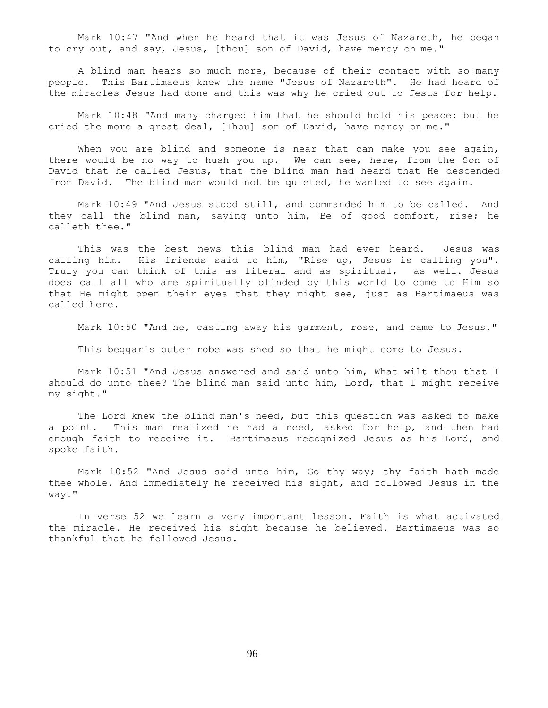Mark 10:47 "And when he heard that it was Jesus of Nazareth, he began to cry out, and say, Jesus, [thou] son of David, have mercy on me."

 A blind man hears so much more, because of their contact with so many people. This Bartimaeus knew the name "Jesus of Nazareth". He had heard of the miracles Jesus had done and this was why he cried out to Jesus for help.

 Mark 10:48 "And many charged him that he should hold his peace: but he cried the more a great deal, [Thou] son of David, have mercy on me."

When you are blind and someone is near that can make you see again, there would be no way to hush you up. We can see, here, from the Son of David that he called Jesus, that the blind man had heard that He descended from David. The blind man would not be quieted, he wanted to see again.

 Mark 10:49 "And Jesus stood still, and commanded him to be called. And they call the blind man, saying unto him, Be of good comfort, rise; he calleth thee."

 This was the best news this blind man had ever heard. Jesus was calling him. His friends said to him, "Rise up, Jesus is calling you". Truly you can think of this as literal and as spiritual, as well. Jesus does call all who are spiritually blinded by this world to come to Him so that He might open their eyes that they might see, just as Bartimaeus was called here.

Mark 10:50 "And he, casting away his garment, rose, and came to Jesus."

This beggar's outer robe was shed so that he might come to Jesus.

 Mark 10:51 "And Jesus answered and said unto him, What wilt thou that I should do unto thee? The blind man said unto him, Lord, that I might receive my sight."

 The Lord knew the blind man's need, but this question was asked to make a point. This man realized he had a need, asked for help, and then had enough faith to receive it. Bartimaeus recognized Jesus as his Lord, and spoke faith.

 Mark 10:52 "And Jesus said unto him, Go thy way; thy faith hath made thee whole. And immediately he received his sight, and followed Jesus in the way."

 In verse 52 we learn a very important lesson. Faith is what activated the miracle. He received his sight because he believed. Bartimaeus was so thankful that he followed Jesus.

96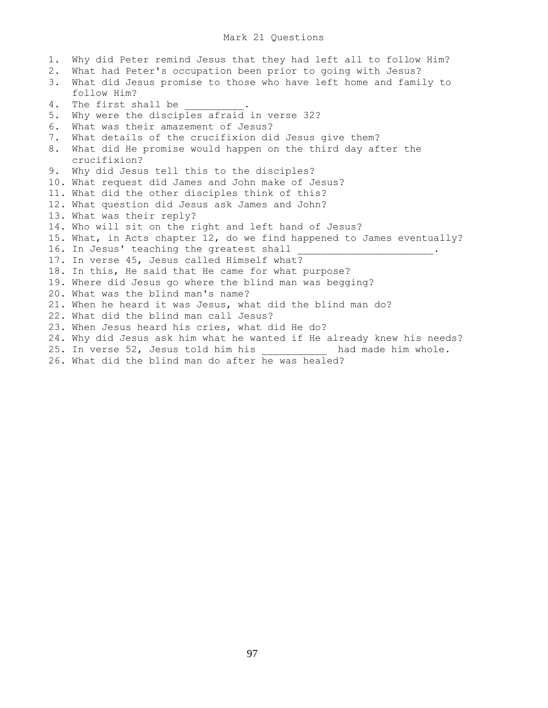# Mark 21 Questions

1. Why did Peter remind Jesus that they had left all to follow Him? 2. What had Peter's occupation been prior to going with Jesus? 3. What did Jesus promise to those who have left home and family to follow Him? 4. The first shall be 5. Why were the disciples afraid in verse 32? 6. What was their amazement of Jesus? 7. What details of the crucifixion did Jesus give them? 8. What did He promise would happen on the third day after the crucifixion? 9. Why did Jesus tell this to the disciples? 10. What request did James and John make of Jesus? 11. What did the other disciples think of this? 12. What question did Jesus ask James and John? 13. What was their reply? 14. Who will sit on the right and left hand of Jesus? 15. What, in Acts chapter 12, do we find happened to James eventually? 16. In Jesus' teaching the greatest shall 17. In verse 45, Jesus called Himself what? 18. In this, He said that He came for what purpose? 19. Where did Jesus go where the blind man was begging? 20. What was the blind man's name? 21. When he heard it was Jesus, what did the blind man do? 22. What did the blind man call Jesus? 23. When Jesus heard his cries, what did He do? 24. Why did Jesus ask him what he wanted if He already knew his needs? 25. In verse 52, Jesus told him his had made him whole. 26. What did the blind man do after he was healed?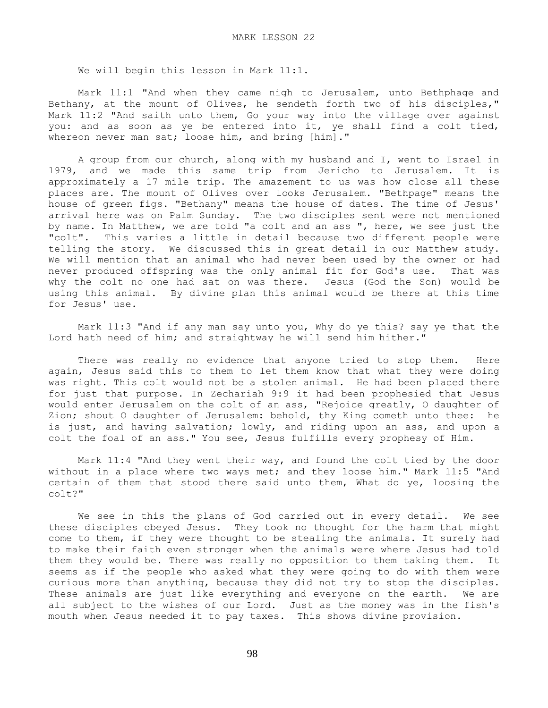We will begin this lesson in Mark 11:1.

 Mark 11:1 "And when they came nigh to Jerusalem, unto Bethphage and Bethany, at the mount of Olives, he sendeth forth two of his disciples," Mark 11:2 "And saith unto them, Go your way into the village over against you: and as soon as ye be entered into it, ye shall find a colt tied, whereon never man sat; loose him, and bring [him]."

 A group from our church, along with my husband and I, went to Israel in 1979, and we made this same trip from Jericho to Jerusalem. It is approximately a 17 mile trip. The amazement to us was how close all these places are. The mount of Olives over looks Jerusalem. "Bethpage" means the house of green figs. "Bethany" means the house of dates. The time of Jesus' arrival here was on Palm Sunday. The two disciples sent were not mentioned by name. In Matthew, we are told "a colt and an ass ", here, we see just the "colt". This varies a little in detail because two different people were telling the story. We discussed this in great detail in our Matthew study. We will mention that an animal who had never been used by the owner or had never produced offspring was the only animal fit for God's use. That was why the colt no one had sat on was there. Jesus (God the Son) would be using this animal. By divine plan this animal would be there at this time for Jesus' use.

 Mark 11:3 "And if any man say unto you, Why do ye this? say ye that the Lord hath need of him; and straightway he will send him hither."

 There was really no evidence that anyone tried to stop them. Here again, Jesus said this to them to let them know that what they were doing was right. This colt would not be a stolen animal. He had been placed there for just that purpose. In Zechariah 9:9 it had been prophesied that Jesus would enter Jerusalem on the colt of an ass, "Rejoice greatly, O daughter of Zion; shout O daughter of Jerusalem: behold, thy King cometh unto thee: he is just, and having salvation; lowly, and riding upon an ass, and upon a colt the foal of an ass." You see, Jesus fulfills every prophesy of Him.

 Mark 11:4 "And they went their way, and found the colt tied by the door without in a place where two ways met; and they loose him." Mark 11:5 "And certain of them that stood there said unto them, What do ye, loosing the colt?"

 We see in this the plans of God carried out in every detail. We see these disciples obeyed Jesus. They took no thought for the harm that might come to them, if they were thought to be stealing the animals. It surely had to make their faith even stronger when the animals were where Jesus had told them they would be. There was really no opposition to them taking them. It seems as if the people who asked what they were going to do with them were curious more than anything, because they did not try to stop the disciples. These animals are just like everything and everyone on the earth. We are all subject to the wishes of our Lord. Just as the money was in the fish's mouth when Jesus needed it to pay taxes. This shows divine provision.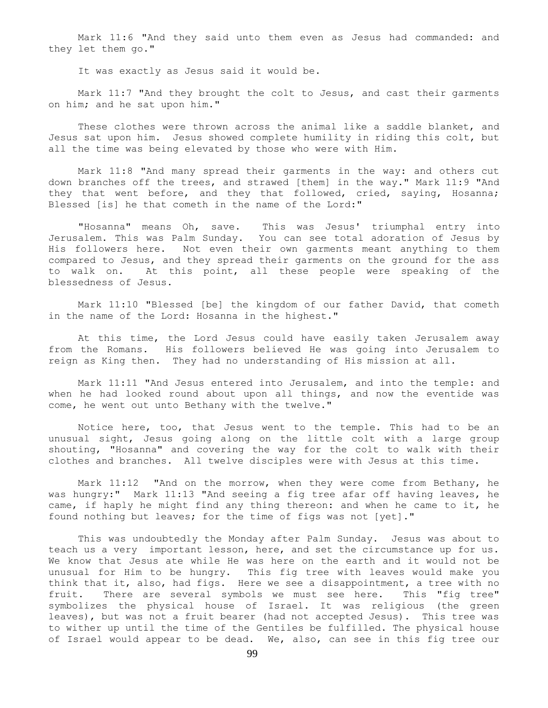Mark 11:6 "And they said unto them even as Jesus had commanded: and they let them go."

It was exactly as Jesus said it would be.

 Mark 11:7 "And they brought the colt to Jesus, and cast their garments on him; and he sat upon him."

 These clothes were thrown across the animal like a saddle blanket, and Jesus sat upon him. Jesus showed complete humility in riding this colt, but all the time was being elevated by those who were with Him.

 Mark 11:8 "And many spread their garments in the way: and others cut down branches off the trees, and strawed [them] in the way." Mark 11:9 "And they that went before, and they that followed, cried, saying, Hosanna; Blessed [is] he that cometh in the name of the Lord:"

 "Hosanna" means Oh, save. This was Jesus' triumphal entry into Jerusalem. This was Palm Sunday. You can see total adoration of Jesus by His followers here. Not even their own garments meant anything to them compared to Jesus, and they spread their garments on the ground for the ass to walk on. At this point, all these people were speaking of the blessedness of Jesus.

 Mark 11:10 "Blessed [be] the kingdom of our father David, that cometh in the name of the Lord: Hosanna in the highest."

 At this time, the Lord Jesus could have easily taken Jerusalem away from the Romans. His followers believed He was going into Jerusalem to reign as King then. They had no understanding of His mission at all.

 Mark 11:11 "And Jesus entered into Jerusalem, and into the temple: and when he had looked round about upon all things, and now the eventide was come, he went out unto Bethany with the twelve."

 Notice here, too, that Jesus went to the temple. This had to be an unusual sight, Jesus going along on the little colt with a large group shouting, "Hosanna" and covering the way for the colt to walk with their clothes and branches. All twelve disciples were with Jesus at this time.

 Mark 11:12 "And on the morrow, when they were come from Bethany, he was hungry:" Mark 11:13 "And seeing a fig tree afar off having leaves, he came, if haply he might find any thing thereon: and when he came to it, he found nothing but leaves; for the time of figs was not [yet]."

 This was undoubtedly the Monday after Palm Sunday. Jesus was about to teach us a very important lesson, here, and set the circumstance up for us. We know that Jesus ate while He was here on the earth and it would not be unusual for Him to be hungry. This fig tree with leaves would make you think that it, also, had figs. Here we see a disappointment, a tree with no fruit. There are several symbols we must see here. This "fig tree" symbolizes the physical house of Israel. It was religious (the green leaves), but was not a fruit bearer (had not accepted Jesus). This tree was to wither up until the time of the Gentiles be fulfilled. The physical house of Israel would appear to be dead. We, also, can see in this fig tree our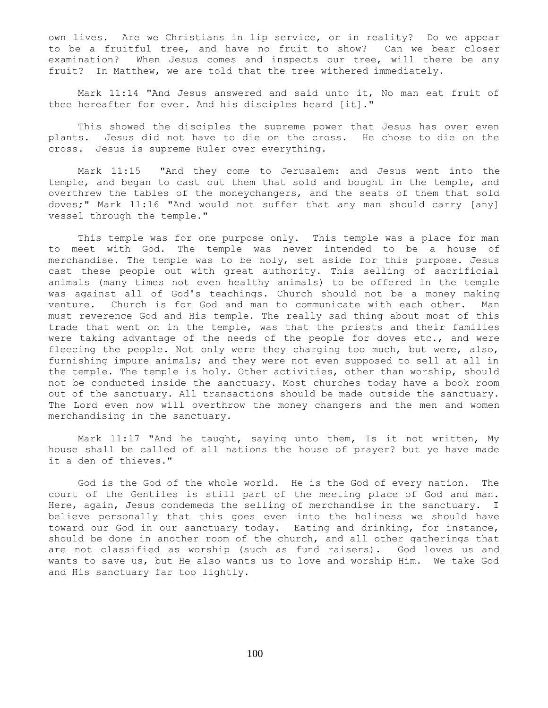own lives. Are we Christians in lip service, or in reality? Do we appear to be a fruitful tree, and have no fruit to show? Can we bear closer examination? When Jesus comes and inspects our tree, will there be any fruit? In Matthew, we are told that the tree withered immediately.

 Mark 11:14 "And Jesus answered and said unto it, No man eat fruit of thee hereafter for ever. And his disciples heard [it]."

 This showed the disciples the supreme power that Jesus has over even plants. Jesus did not have to die on the cross. He chose to die on the cross. Jesus is supreme Ruler over everything.

 Mark 11:15 "And they come to Jerusalem: and Jesus went into the temple, and began to cast out them that sold and bought in the temple, and overthrew the tables of the moneychangers, and the seats of them that sold doves;" Mark 11:16 "And would not suffer that any man should carry [any] vessel through the temple."

 This temple was for one purpose only. This temple was a place for man to meet with God. The temple was never intended to be a house of merchandise. The temple was to be holy, set aside for this purpose. Jesus cast these people out with great authority. This selling of sacrificial animals (many times not even healthy animals) to be offered in the temple was against all of God's teachings. Church should not be a money making venture. Church is for God and man to communicate with each other. Man must reverence God and His temple. The really sad thing about most of this trade that went on in the temple, was that the priests and their families were taking advantage of the needs of the people for doves etc., and were fleecing the people. Not only were they charging too much, but were, also, furnishing impure animals; and they were not even supposed to sell at all in the temple. The temple is holy. Other activities, other than worship, should not be conducted inside the sanctuary. Most churches today have a book room out of the sanctuary. All transactions should be made outside the sanctuary. The Lord even now will overthrow the money changers and the men and women merchandising in the sanctuary.

 Mark 11:17 "And he taught, saying unto them, Is it not written, My house shall be called of all nations the house of prayer? but ye have made it a den of thieves."

 God is the God of the whole world. He is the God of every nation. The court of the Gentiles is still part of the meeting place of God and man. Here, again, Jesus condemeds the selling of merchandise in the sanctuary. I believe personally that this goes even into the holiness we should have toward our God in our sanctuary today. Eating and drinking, for instance, should be done in another room of the church, and all other gatherings that are not classified as worship (such as fund raisers). God loves us and wants to save us, but He also wants us to love and worship Him. We take God and His sanctuary far too lightly.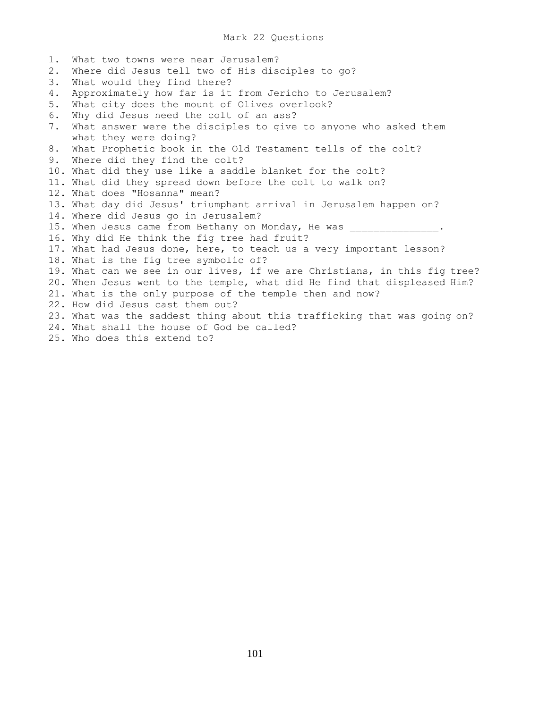#### Mark 22 Questions

1. What two towns were near Jerusalem? 2. Where did Jesus tell two of His disciples to go? 3. What would they find there? 4. Approximately how far is it from Jericho to Jerusalem? 5. What city does the mount of Olives overlook? 6. Why did Jesus need the colt of an ass? 7. What answer were the disciples to give to anyone who asked them what they were doing? 8. What Prophetic book in the Old Testament tells of the colt? 9. Where did they find the colt? 10. What did they use like a saddle blanket for the colt? 11. What did they spread down before the colt to walk on? 12. What does "Hosanna" mean? 13. What day did Jesus' triumphant arrival in Jerusalem happen on? 14. Where did Jesus go in Jerusalem? 15. When Jesus came from Bethany on Monday, He was 16. Why did He think the fig tree had fruit? 17. What had Jesus done, here, to teach us a very important lesson? 18. What is the fig tree symbolic of? 19. What can we see in our lives, if we are Christians, in this fig tree? 20. When Jesus went to the temple, what did He find that displeased Him? 21. What is the only purpose of the temple then and now? 22. How did Jesus cast them out? 23. What was the saddest thing about this trafficking that was going on? 24. What shall the house of God be called? 25. Who does this extend to?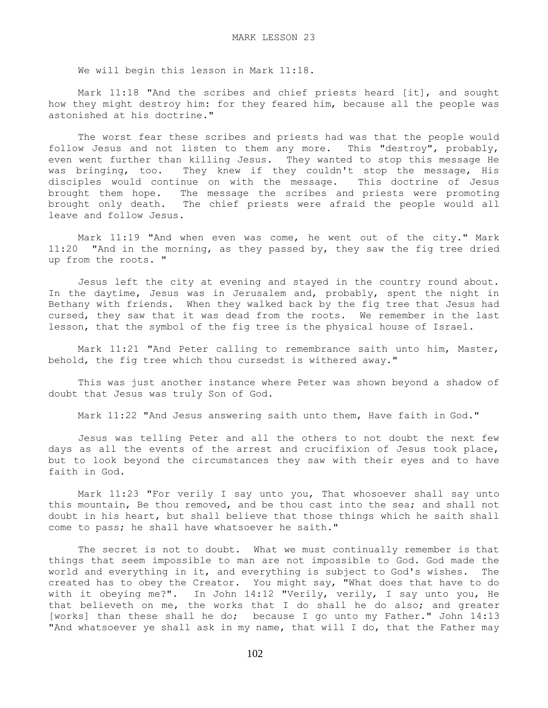We will begin this lesson in Mark 11:18.

 Mark 11:18 "And the scribes and chief priests heard [it], and sought how they might destroy him: for they feared him, because all the people was astonished at his doctrine."

 The worst fear these scribes and priests had was that the people would follow Jesus and not listen to them any more. This "destroy", probably, even went further than killing Jesus. They wanted to stop this message He was bringing, too. They knew if they couldn't stop the message, His disciples would continue on with the message. This doctrine of Jesus brought them hope. The message the scribes and priests were promoting brought only death. The chief priests were afraid the people would all leave and follow Jesus.

 Mark 11:19 "And when even was come, he went out of the city." Mark 11:20 "And in the morning, as they passed by, they saw the fig tree dried up from the roots. "

 Jesus left the city at evening and stayed in the country round about. In the daytime, Jesus was in Jerusalem and, probably, spent the night in Bethany with friends. When they walked back by the fig tree that Jesus had cursed, they saw that it was dead from the roots. We remember in the last lesson, that the symbol of the fig tree is the physical house of Israel.

 Mark 11:21 "And Peter calling to remembrance saith unto him, Master, behold, the fig tree which thou cursedst is withered away."

 This was just another instance where Peter was shown beyond a shadow of doubt that Jesus was truly Son of God.

Mark 11:22 "And Jesus answering saith unto them, Have faith in God."

 Jesus was telling Peter and all the others to not doubt the next few days as all the events of the arrest and crucifixion of Jesus took place, but to look beyond the circumstances they saw with their eyes and to have faith in God.

 Mark 11:23 "For verily I say unto you, That whosoever shall say unto this mountain, Be thou removed, and be thou cast into the sea; and shall not doubt in his heart, but shall believe that those things which he saith shall come to pass; he shall have whatsoever he saith."

 The secret is not to doubt. What we must continually remember is that things that seem impossible to man are not impossible to God. God made the world and everything in it, and everything is subject to God's wishes. The created has to obey the Creator. You might say, "What does that have to do with it obeying me?". In John 14:12 "Verily, verily, I say unto you, He that believeth on me, the works that I do shall he do also; and greater [works] than these shall he do; because I go unto my Father." John 14:13 "And whatsoever ye shall ask in my name, that will I do, that the Father may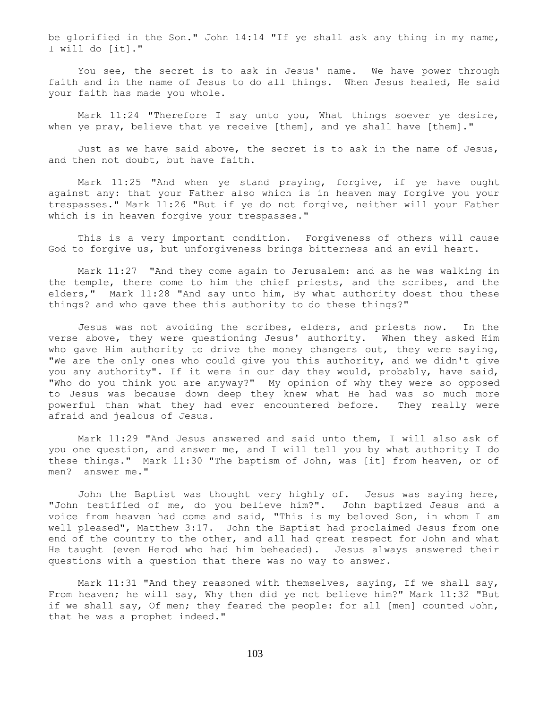be glorified in the Son." John 14:14 "If ye shall ask any thing in my name, I will do [it]."

 You see, the secret is to ask in Jesus' name. We have power through faith and in the name of Jesus to do all things. When Jesus healed, He said your faith has made you whole.

Mark 11:24 "Therefore I say unto you, What things soever ye desire, when ye pray, believe that ye receive [them], and ye shall have [them]."

 Just as we have said above, the secret is to ask in the name of Jesus, and then not doubt, but have faith.

 Mark 11:25 "And when ye stand praying, forgive, if ye have ought against any: that your Father also which is in heaven may forgive you your trespasses." Mark 11:26 "But if ye do not forgive, neither will your Father which is in heaven forgive your trespasses."

 This is a very important condition. Forgiveness of others will cause God to forgive us, but unforgiveness brings bitterness and an evil heart.

 Mark 11:27 "And they come again to Jerusalem: and as he was walking in the temple, there come to him the chief priests, and the scribes, and the elders," Mark 11:28 "And say unto him, By what authority doest thou these things? and who gave thee this authority to do these things?"

 Jesus was not avoiding the scribes, elders, and priests now. In the verse above, they were questioning Jesus' authority. When they asked Him who gave Him authority to drive the money changers out, they were saying, "We are the only ones who could give you this authority, and we didn't give you any authority". If it were in our day they would, probably, have said, "Who do you think you are anyway?" My opinion of why they were so opposed to Jesus was because down deep they knew what He had was so much more powerful than what they had ever encountered before. They really were afraid and jealous of Jesus.

 Mark 11:29 "And Jesus answered and said unto them, I will also ask of you one question, and answer me, and I will tell you by what authority I do these things." Mark 11:30 "The baptism of John, was [it] from heaven, or of men? answer me."

 John the Baptist was thought very highly of. Jesus was saying here, "John testified of me, do you believe him?". John baptized Jesus and a voice from heaven had come and said, "This is my beloved Son, in whom I am well pleased", Matthew 3:17. John the Baptist had proclaimed Jesus from one end of the country to the other, and all had great respect for John and what He taught (even Herod who had him beheaded). Jesus always answered their questions with a question that there was no way to answer.

Mark 11:31 "And they reasoned with themselves, saying, If we shall say, From heaven; he will say, Why then did ye not believe him?" Mark 11:32 "But if we shall say, Of men; they feared the people: for all [men] counted John, that he was a prophet indeed."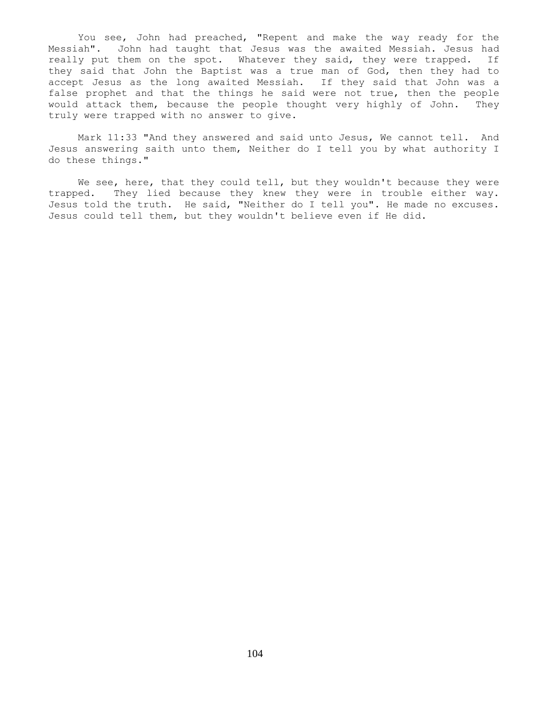You see, John had preached, "Repent and make the way ready for the Messiah". John had taught that Jesus was the awaited Messiah. Jesus had really put them on the spot. Whatever they said, they were trapped. If they said that John the Baptist was a true man of God, then they had to accept Jesus as the long awaited Messiah. If they said that John was a false prophet and that the things he said were not true, then the people would attack them, because the people thought very highly of John. They truly were trapped with no answer to give.

 Mark 11:33 "And they answered and said unto Jesus, We cannot tell. And Jesus answering saith unto them, Neither do I tell you by what authority I do these things."

We see, here, that they could tell, but they wouldn't because they were trapped. They lied because they knew they were in trouble either way. Jesus told the truth. He said, "Neither do I tell you". He made no excuses. Jesus could tell them, but they wouldn't believe even if He did.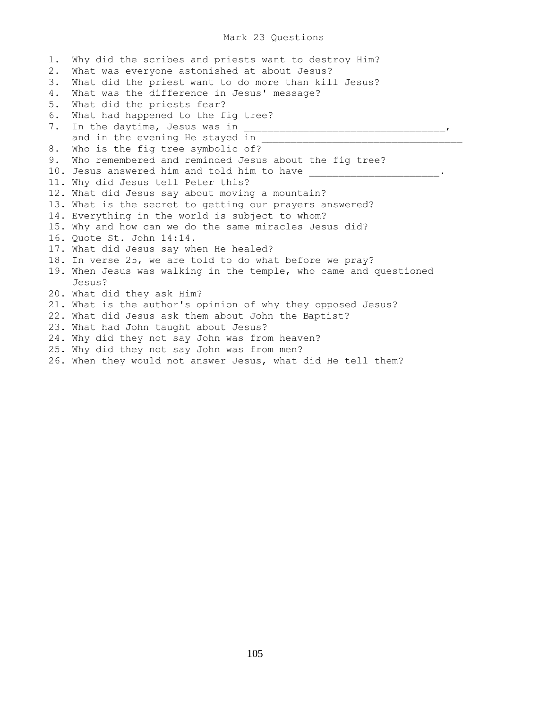## Mark 23 Questions

1. Why did the scribes and priests want to destroy Him? 2. What was everyone astonished at about Jesus? 3. What did the priest want to do more than kill Jesus? 4. What was the difference in Jesus' message? 5. What did the priests fear? 6. What had happened to the fig tree? 7. In the daytime, Jesus was in \_\_\_\_\_\_\_\_\_\_\_\_\_\_\_\_\_\_\_\_\_\_\_\_\_\_\_\_\_\_\_\_\_\_, and in the evening He stayed in 8. Who is the fig tree symbolic of? 9. Who remembered and reminded Jesus about the fig tree? 10. Jesus answered him and told him to have \_\_\_\_\_\_\_\_\_\_\_\_\_\_\_\_\_\_\_\_\_\_\_\_. 11. Why did Jesus tell Peter this? 12. What did Jesus say about moving a mountain? 13. What is the secret to getting our prayers answered? 14. Everything in the world is subject to whom? 15. Why and how can we do the same miracles Jesus did? 16. Quote St. John 14:14. 17. What did Jesus say when He healed? 18. In verse 25, we are told to do what before we pray? 19. When Jesus was walking in the temple, who came and questioned Jesus? 20. What did they ask Him? 21. What is the author's opinion of why they opposed Jesus? 22. What did Jesus ask them about John the Baptist? 23. What had John taught about Jesus? 24. Why did they not say John was from heaven? 25. Why did they not say John was from men? 26. When they would not answer Jesus, what did He tell them?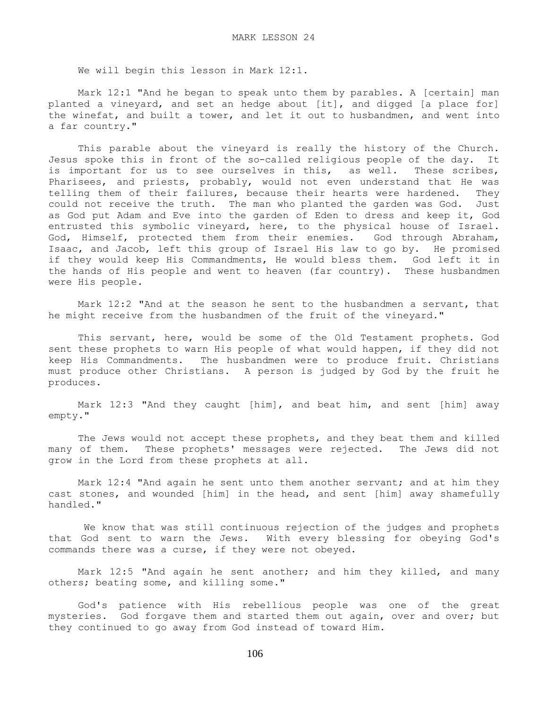We will begin this lesson in Mark 12:1.

 Mark 12:1 "And he began to speak unto them by parables. A [certain] man planted a vineyard, and set an hedge about [it], and digged [a place for] the winefat, and built a tower, and let it out to husbandmen, and went into a far country."

 This parable about the vineyard is really the history of the Church. Jesus spoke this in front of the so-called religious people of the day. It is important for us to see ourselves in this, as well. These scribes, Pharisees, and priests, probably, would not even understand that He was telling them of their failures, because their hearts were hardened. They could not receive the truth. The man who planted the garden was God. Just as God put Adam and Eve into the garden of Eden to dress and keep it, God entrusted this symbolic vineyard, here, to the physical house of Israel. God, Himself, protected them from their enemies. God through Abraham, Isaac, and Jacob, left this group of Israel His law to go by. He promised if they would keep His Commandments, He would bless them. God left it in the hands of His people and went to heaven (far country). These husbandmen were His people.

 Mark 12:2 "And at the season he sent to the husbandmen a servant, that he might receive from the husbandmen of the fruit of the vineyard."

 This servant, here, would be some of the Old Testament prophets. God sent these prophets to warn His people of what would happen, if they did not keep His Commandments. The husbandmen were to produce fruit. Christians must produce other Christians. A person is judged by God by the fruit he produces.

 Mark 12:3 "And they caught [him], and beat him, and sent [him] away empty."

 The Jews would not accept these prophets, and they beat them and killed many of them. These prophets' messages were rejected. The Jews did not grow in the Lord from these prophets at all.

 Mark 12:4 "And again he sent unto them another servant; and at him they cast stones, and wounded [him] in the head, and sent [him] away shamefully handled."

 We know that was still continuous rejection of the judges and prophets that God sent to warn the Jews. With every blessing for obeying God's commands there was a curse, if they were not obeyed.

 Mark 12:5 "And again he sent another; and him they killed, and many others; beating some, and killing some."

 God's patience with His rebellious people was one of the great mysteries. God forgave them and started them out again, over and over; but they continued to go away from God instead of toward Him.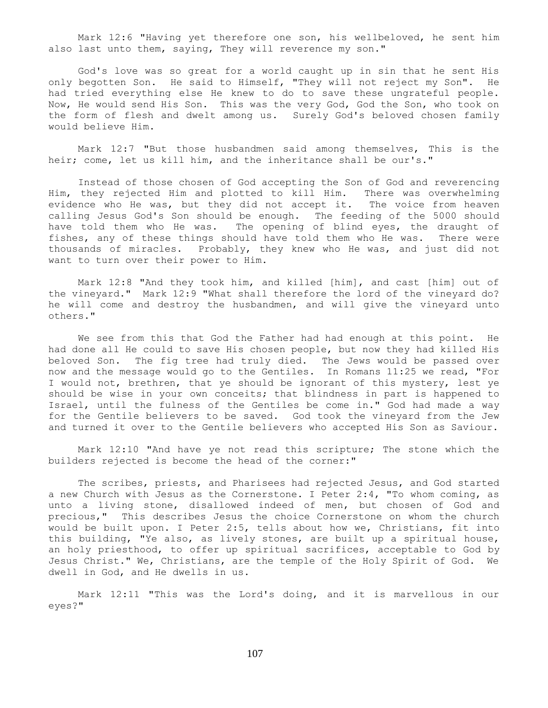Mark 12:6 "Having yet therefore one son, his wellbeloved, he sent him also last unto them, saying, They will reverence my son."

 God's love was so great for a world caught up in sin that he sent His only begotten Son. He said to Himself, "They will not reject my Son". He had tried everything else He knew to do to save these ungrateful people. Now, He would send His Son. This was the very God, God the Son, who took on the form of flesh and dwelt among us. Surely God's beloved chosen family would believe Him.

 Mark 12:7 "But those husbandmen said among themselves, This is the heir; come, let us kill him, and the inheritance shall be our's."

 Instead of those chosen of God accepting the Son of God and reverencing Him, they rejected Him and plotted to kill Him. There was overwhelming evidence who He was, but they did not accept it. The voice from heaven calling Jesus God's Son should be enough. The feeding of the 5000 should have told them who He was. The opening of blind eyes, the draught of fishes, any of these things should have told them who He was. There were thousands of miracles. Probably, they knew who He was, and just did not want to turn over their power to Him.

 Mark 12:8 "And they took him, and killed [him], and cast [him] out of the vineyard." Mark 12:9 "What shall therefore the lord of the vineyard do? he will come and destroy the husbandmen, and will give the vineyard unto others."

We see from this that God the Father had had enough at this point. He had done all He could to save His chosen people, but now they had killed His beloved Son. The fig tree had truly died. The Jews would be passed over now and the message would go to the Gentiles. In Romans 11:25 we read, "For I would not, brethren, that ye should be ignorant of this mystery, lest ye should be wise in your own conceits; that blindness in part is happened to Israel, until the fulness of the Gentiles be come in." God had made a way for the Gentile believers to be saved. God took the vineyard from the Jew and turned it over to the Gentile believers who accepted His Son as Saviour.

 Mark 12:10 "And have ye not read this scripture; The stone which the builders rejected is become the head of the corner:"

 The scribes, priests, and Pharisees had rejected Jesus, and God started a new Church with Jesus as the Cornerstone. I Peter 2:4, "To whom coming, as unto a living stone, disallowed indeed of men, but chosen of God and precious," This describes Jesus the choice Cornerstone on whom the church would be built upon. I Peter 2:5, tells about how we, Christians, fit into this building, "Ye also, as lively stones, are built up a spiritual house, an holy priesthood, to offer up spiritual sacrifices, acceptable to God by Jesus Christ." We, Christians, are the temple of the Holy Spirit of God. We dwell in God, and He dwells in us.

 Mark 12:11 "This was the Lord's doing, and it is marvellous in our eyes?"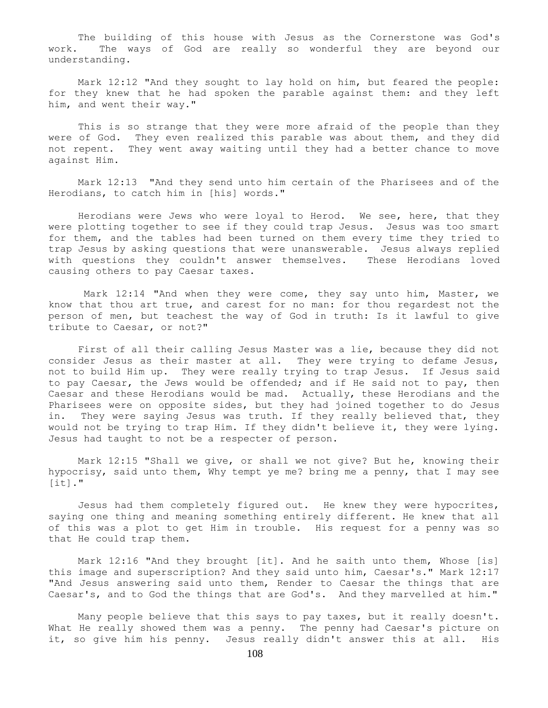The building of this house with Jesus as the Cornerstone was God's work. The ways of God are really so wonderful they are beyond our understanding.

 Mark 12:12 "And they sought to lay hold on him, but feared the people: for they knew that he had spoken the parable against them: and they left him, and went their way."

 This is so strange that they were more afraid of the people than they were of God. They even realized this parable was about them, and they did not repent. They went away waiting until they had a better chance to move against Him.

 Mark 12:13 "And they send unto him certain of the Pharisees and of the Herodians, to catch him in [his] words."

 Herodians were Jews who were loyal to Herod. We see, here, that they were plotting together to see if they could trap Jesus. Jesus was too smart for them, and the tables had been turned on them every time they tried to trap Jesus by asking questions that were unanswerable. Jesus always replied with questions they couldn't answer themselves. These Herodians loved causing others to pay Caesar taxes.

 Mark 12:14 "And when they were come, they say unto him, Master, we know that thou art true, and carest for no man: for thou regardest not the person of men, but teachest the way of God in truth: Is it lawful to give tribute to Caesar, or not?"

 First of all their calling Jesus Master was a lie, because they did not consider Jesus as their master at all. They were trying to defame Jesus, not to build Him up. They were really trying to trap Jesus. If Jesus said to pay Caesar, the Jews would be offended; and if He said not to pay, then Caesar and these Herodians would be mad. Actually, these Herodians and the Pharisees were on opposite sides, but they had joined together to do Jesus in. They were saying Jesus was truth. If they really believed that, they would not be trying to trap Him. If they didn't believe it, they were lying. Jesus had taught to not be a respecter of person.

 Mark 12:15 "Shall we give, or shall we not give? But he, knowing their hypocrisy, said unto them, Why tempt ye me? bring me a penny, that I may see  $[it]$ ."

 Jesus had them completely figured out. He knew they were hypocrites, saying one thing and meaning something entirely different. He knew that all of this was a plot to get Him in trouble. His request for a penny was so that He could trap them.

 Mark 12:16 "And they brought [it]. And he saith unto them, Whose [is] this image and superscription? And they said unto him, Caesar's." Mark 12:17 "And Jesus answering said unto them, Render to Caesar the things that are Caesar's, and to God the things that are God's. And they marvelled at him."

 Many people believe that this says to pay taxes, but it really doesn't. What He really showed them was a penny. The penny had Caesar's picture on it, so give him his penny. Jesus really didn't answer this at all. His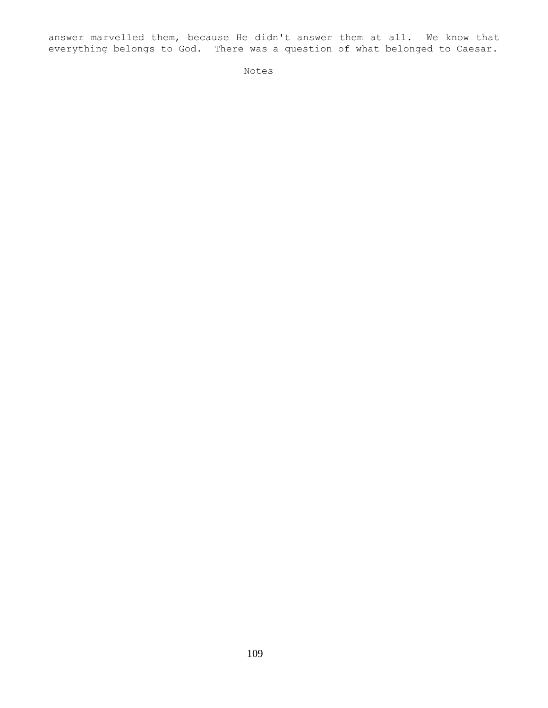answer marvelled them, because He didn't answer them at all. We know that everything belongs to God. There was a question of what belonged to Caesar.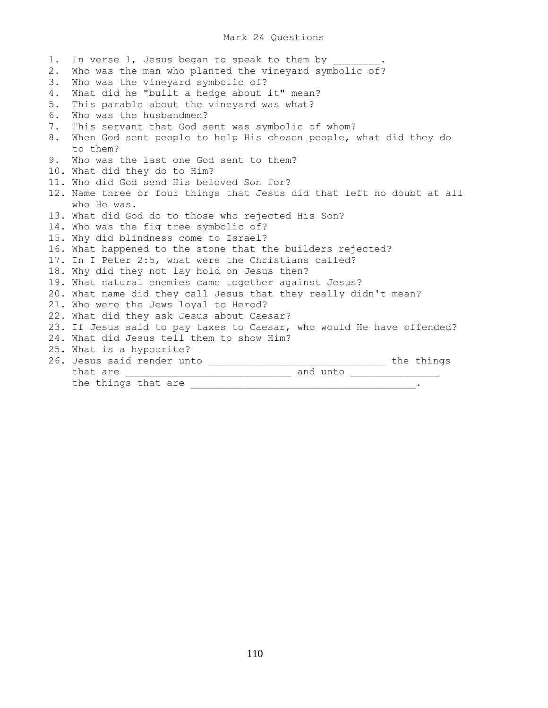## Mark 24 Questions

1. In verse 1, Jesus began to speak to them by 2. Who was the man who planted the vineyard symbolic of? 3. Who was the vineyard symbolic of? 4. What did he "built a hedge about it" mean? 5. This parable about the vineyard was what? 6. Who was the husbandmen? 7. This servant that God sent was symbolic of whom? 8. When God sent people to help His chosen people, what did they do to them? 9. Who was the last one God sent to them? 10. What did they do to Him? 11. Who did God send His beloved Son for? 12. Name three or four things that Jesus did that left no doubt at all who He was. 13. What did God do to those who rejected His Son? 14. Who was the fig tree symbolic of? 15. Why did blindness come to Israel? 16. What happened to the stone that the builders rejected? 17. In I Peter 2:5, what were the Christians called? 18. Why did they not lay hold on Jesus then? 19. What natural enemies came together against Jesus? 20. What name did they call Jesus that they really didn't mean? 21. Who were the Jews loyal to Herod? 22. What did they ask Jesus about Caesar? 23. If Jesus said to pay taxes to Caesar, who would He have offended? 24. What did Jesus tell them to show Him? 25. What is a hypocrite? 26. Jesus said render unto **with a set of the things**  that are \_\_\_\_\_\_\_\_\_\_\_\_\_\_\_\_\_\_\_\_\_\_\_\_\_\_\_\_ and unto \_\_\_\_\_\_\_\_\_\_\_\_\_\_\_ the things that are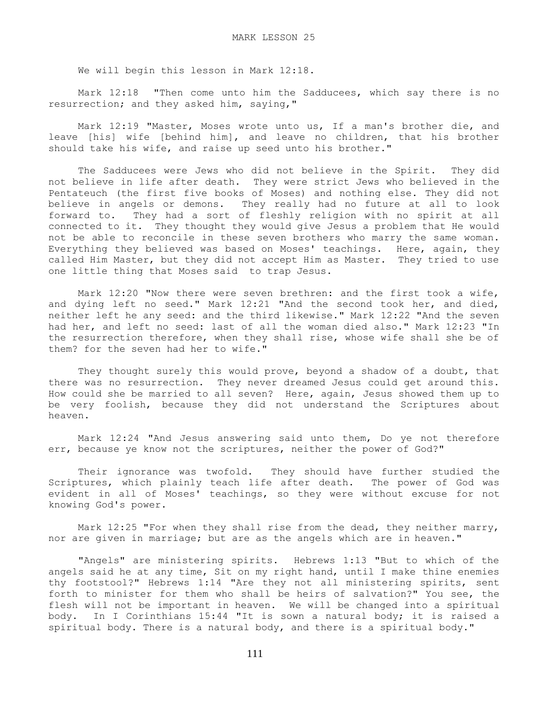We will begin this lesson in Mark 12:18.

 Mark 12:18 "Then come unto him the Sadducees, which say there is no resurrection; and they asked him, saying,"

 Mark 12:19 "Master, Moses wrote unto us, If a man's brother die, and leave [his] wife [behind him], and leave no children, that his brother should take his wife, and raise up seed unto his brother."

 The Sadducees were Jews who did not believe in the Spirit. They did not believe in life after death. They were strict Jews who believed in the Pentateuch (the first five books of Moses) and nothing else. They did not believe in angels or demons. They really had no future at all to look forward to. They had a sort of fleshly religion with no spirit at all connected to it. They thought they would give Jesus a problem that He would not be able to reconcile in these seven brothers who marry the same woman. Everything they believed was based on Moses' teachings. Here, again, they called Him Master, but they did not accept Him as Master. They tried to use one little thing that Moses said to trap Jesus.

 Mark 12:20 "Now there were seven brethren: and the first took a wife, and dying left no seed." Mark 12:21 "And the second took her, and died, neither left he any seed: and the third likewise." Mark 12:22 "And the seven had her, and left no seed: last of all the woman died also." Mark 12:23 "In the resurrection therefore, when they shall rise, whose wife shall she be of them? for the seven had her to wife."

 They thought surely this would prove, beyond a shadow of a doubt, that there was no resurrection. They never dreamed Jesus could get around this. How could she be married to all seven? Here, again, Jesus showed them up to be very foolish, because they did not understand the Scriptures about heaven.

 Mark 12:24 "And Jesus answering said unto them, Do ye not therefore err, because ye know not the scriptures, neither the power of God?"

 Their ignorance was twofold. They should have further studied the Scriptures, which plainly teach life after death. The power of God was evident in all of Moses' teachings, so they were without excuse for not knowing God's power.

Mark 12:25 "For when they shall rise from the dead, they neither marry, nor are given in marriage; but are as the angels which are in heaven."

 "Angels" are ministering spirits. Hebrews 1:13 "But to which of the angels said he at any time, Sit on my right hand, until I make thine enemies thy footstool?" Hebrews 1:14 "Are they not all ministering spirits, sent forth to minister for them who shall be heirs of salvation?" You see, the flesh will not be important in heaven. We will be changed into a spiritual body. In I Corinthians 15:44 "It is sown a natural body; it is raised a spiritual body. There is a natural body, and there is a spiritual body."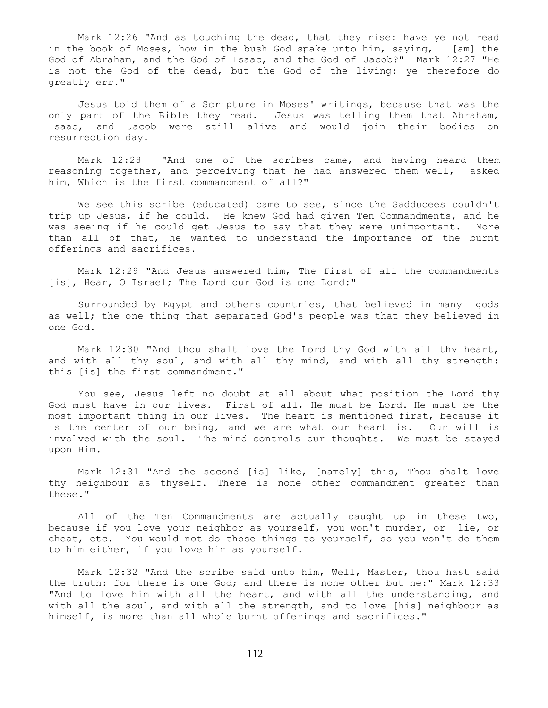Mark 12:26 "And as touching the dead, that they rise: have ye not read in the book of Moses, how in the bush God spake unto him, saying, I [am] the God of Abraham, and the God of Isaac, and the God of Jacob?" Mark 12:27 "He is not the God of the dead, but the God of the living: ye therefore do greatly err."

 Jesus told them of a Scripture in Moses' writings, because that was the only part of the Bible they read. Jesus was telling them that Abraham, Isaac, and Jacob were still alive and would join their bodies on resurrection day.

 Mark 12:28 "And one of the scribes came, and having heard them reasoning together, and perceiving that he had answered them well, asked him, Which is the first commandment of all?"

We see this scribe (educated) came to see, since the Sadducees couldn't trip up Jesus, if he could. He knew God had given Ten Commandments, and he was seeing if he could get Jesus to say that they were unimportant. More than all of that, he wanted to understand the importance of the burnt offerings and sacrifices.

 Mark 12:29 "And Jesus answered him, The first of all the commandments [is], Hear, O Israel; The Lord our God is one Lord:"

 Surrounded by Egypt and others countries, that believed in many gods as well; the one thing that separated God's people was that they believed in one God.

 Mark 12:30 "And thou shalt love the Lord thy God with all thy heart, and with all thy soul, and with all thy mind, and with all thy strength: this [is] the first commandment."

 You see, Jesus left no doubt at all about what position the Lord thy God must have in our lives. First of all, He must be Lord. He must be the most important thing in our lives. The heart is mentioned first, because it is the center of our being, and we are what our heart is. Our will is involved with the soul. The mind controls our thoughts. We must be stayed upon Him.

 Mark 12:31 "And the second [is] like, [namely] this, Thou shalt love thy neighbour as thyself. There is none other commandment greater than these."

 All of the Ten Commandments are actually caught up in these two, because if you love your neighbor as yourself, you won't murder, or lie, or cheat, etc. You would not do those things to yourself, so you won't do them to him either, if you love him as yourself.

 Mark 12:32 "And the scribe said unto him, Well, Master, thou hast said the truth: for there is one God; and there is none other but he:" Mark 12:33 "And to love him with all the heart, and with all the understanding, and with all the soul, and with all the strength, and to love [his] neighbour as himself, is more than all whole burnt offerings and sacrifices."

112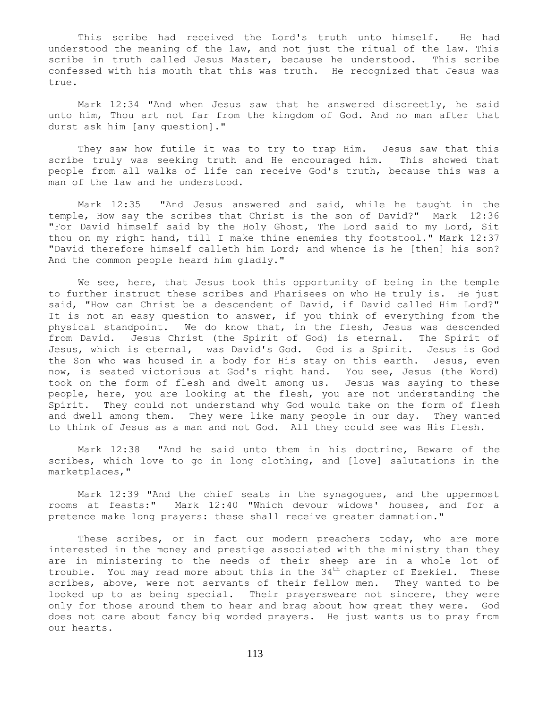This scribe had received the Lord's truth unto himself. He had understood the meaning of the law, and not just the ritual of the law. This scribe in truth called Jesus Master, because he understood. This scribe confessed with his mouth that this was truth. He recognized that Jesus was true.

 Mark 12:34 "And when Jesus saw that he answered discreetly, he said unto him, Thou art not far from the kingdom of God. And no man after that durst ask him [any question]."

 They saw how futile it was to try to trap Him. Jesus saw that this scribe truly was seeking truth and He encouraged him. This showed that people from all walks of life can receive God's truth, because this was a man of the law and he understood.

 Mark 12:35 "And Jesus answered and said, while he taught in the temple, How say the scribes that Christ is the son of David?" Mark 12:36 "For David himself said by the Holy Ghost, The Lord said to my Lord, Sit thou on my right hand, till I make thine enemies thy footstool." Mark 12:37 "David therefore himself calleth him Lord; and whence is he [then] his son? And the common people heard him gladly."

We see, here, that Jesus took this opportunity of being in the temple to further instruct these scribes and Pharisees on who He truly is. He just said, "How can Christ be a descendent of David, if David called Him Lord?" It is not an easy question to answer, if you think of everything from the physical standpoint. We do know that, in the flesh, Jesus was descended from David. Jesus Christ (the Spirit of God) is eternal. The Spirit of Jesus, which is eternal, was David's God. God is a Spirit. Jesus is God the Son who was housed in a body for His stay on this earth. Jesus, even now, is seated victorious at God's right hand. You see, Jesus (the Word) took on the form of flesh and dwelt among us. Jesus was saying to these people, here, you are looking at the flesh, you are not understanding the Spirit. They could not understand why God would take on the form of flesh and dwell among them. They were like many people in our day. They wanted to think of Jesus as a man and not God. All they could see was His flesh.

 Mark 12:38 "And he said unto them in his doctrine, Beware of the scribes, which love to go in long clothing, and [love] salutations in the marketplaces,"

 Mark 12:39 "And the chief seats in the synagogues, and the uppermost rooms at feasts:" Mark 12:40 "Which devour widows' houses, and for a pretence make long prayers: these shall receive greater damnation."

 These scribes, or in fact our modern preachers today, who are more interested in the money and prestige associated with the ministry than they are in ministering to the needs of their sheep are in a whole lot of trouble. You may read more about this in the  $34<sup>th</sup>$  chapter of Ezekiel. These scribes, above, were not servants of their fellow men. They wanted to be looked up to as being special. Their prayersweare not sincere, they were only for those around them to hear and brag about how great they were. God does not care about fancy big worded prayers. He just wants us to pray from our hearts.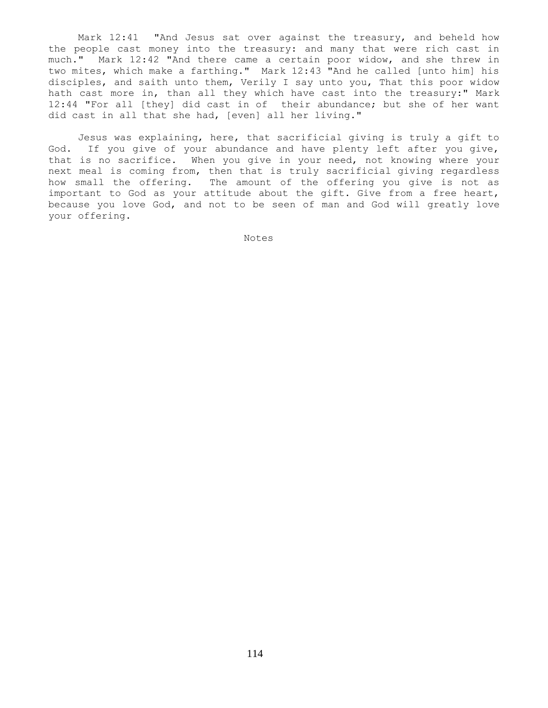Mark 12:41 "And Jesus sat over against the treasury, and beheld how the people cast money into the treasury: and many that were rich cast in much." Mark 12:42 "And there came a certain poor widow, and she threw in two mites, which make a farthing." Mark 12:43 "And he called [unto him] his disciples, and saith unto them, Verily I say unto you, That this poor widow hath cast more in, than all they which have cast into the treasury:" Mark 12:44 "For all [they] did cast in of their abundance; but she of her want did cast in all that she had, [even] all her living."

 Jesus was explaining, here, that sacrificial giving is truly a gift to God. If you give of your abundance and have plenty left after you give, that is no sacrifice. When you give in your need, not knowing where your next meal is coming from, then that is truly sacrificial giving regardless how small the offering. The amount of the offering you give is not as important to God as your attitude about the gift. Give from a free heart, because you love God, and not to be seen of man and God will greatly love your offering.

Notes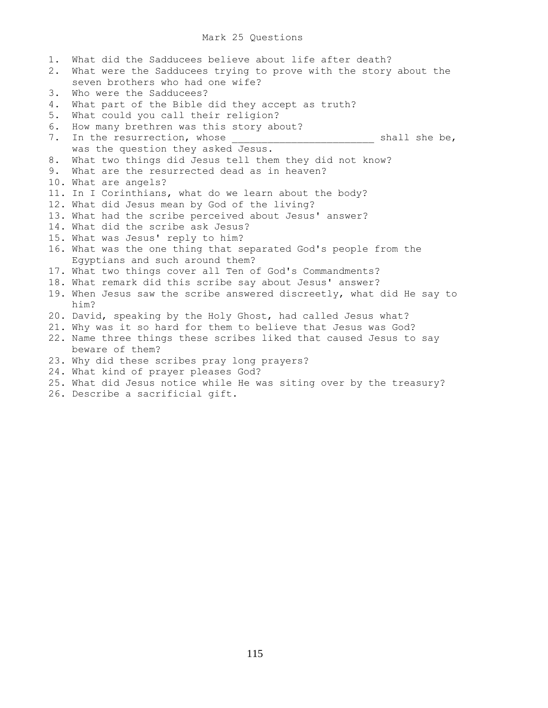## Mark 25 Questions

| 1. | What did the Sadducees believe about life after death?                                                                                                                                                                                                                                                                    |
|----|---------------------------------------------------------------------------------------------------------------------------------------------------------------------------------------------------------------------------------------------------------------------------------------------------------------------------|
| 2. | What were the Sadducees trying to prove with the story about the                                                                                                                                                                                                                                                          |
|    | seven brothers who had one wife?                                                                                                                                                                                                                                                                                          |
| 3. | Who were the Sadducees?                                                                                                                                                                                                                                                                                                   |
| 4. | What part of the Bible did they accept as truth?                                                                                                                                                                                                                                                                          |
| 5. | What could you call their religion?                                                                                                                                                                                                                                                                                       |
| 6. | How many brethren was this story about?                                                                                                                                                                                                                                                                                   |
| 7. | In the resurrection, whose<br>shall she be,                                                                                                                                                                                                                                                                               |
|    | was the question they asked Jesus.                                                                                                                                                                                                                                                                                        |
| 8. | What two things did Jesus tell them they did not know?                                                                                                                                                                                                                                                                    |
| 9. | What are the resurrected dead as in heaven?                                                                                                                                                                                                                                                                               |
|    | 10. What are angels?                                                                                                                                                                                                                                                                                                      |
|    | 11. In I Corinthians, what do we learn about the body?                                                                                                                                                                                                                                                                    |
|    | 12. What did Jesus mean by God of the living?                                                                                                                                                                                                                                                                             |
|    | 13. What had the scribe perceived about Jesus' answer?                                                                                                                                                                                                                                                                    |
|    | 14. What did the scribe ask Jesus?                                                                                                                                                                                                                                                                                        |
|    | 15. What was Jesus' reply to him?                                                                                                                                                                                                                                                                                         |
|    | 16. What was the one thing that separated God's people from the                                                                                                                                                                                                                                                           |
|    | Egyptians and such around them?                                                                                                                                                                                                                                                                                           |
|    | 17. What two things cover all Ten of God's Commandments?                                                                                                                                                                                                                                                                  |
|    | 18. What remark did this scribe say about Jesus' answer?                                                                                                                                                                                                                                                                  |
|    | 19. When Jesus saw the scribe answered discreetly, what did He say to                                                                                                                                                                                                                                                     |
|    | him?                                                                                                                                                                                                                                                                                                                      |
|    | 20. David, speaking by the Holy Ghost, had called Jesus what?                                                                                                                                                                                                                                                             |
|    | 21. Why was it so hard for them to believe that Jesus was God?                                                                                                                                                                                                                                                            |
|    | 22. Name three things these scribes liked that caused Jesus to say                                                                                                                                                                                                                                                        |
|    | beware of them?                                                                                                                                                                                                                                                                                                           |
|    | 23. Why did these scribes pray long prayers?                                                                                                                                                                                                                                                                              |
|    | 24. What kind of prayer pleases God?                                                                                                                                                                                                                                                                                      |
|    | 25. What did Jesus notice while He was siting over by the treasury?                                                                                                                                                                                                                                                       |
|    | $\Omega$ $\Gamma$ . The set of the set of $\Gamma$ and $\Gamma$ and $\Gamma$ and $\Gamma$ and $\Gamma$ and $\Gamma$ and $\Gamma$ and $\Gamma$ and $\Gamma$ and $\Gamma$ and $\Gamma$ and $\Gamma$ and $\Gamma$ and $\Gamma$ and $\Gamma$ and $\Gamma$ and $\Gamma$ and $\Gamma$ and $\Gamma$ and $\Gamma$ and $\Gamma$ an |

26. Describe a sacrificial gift.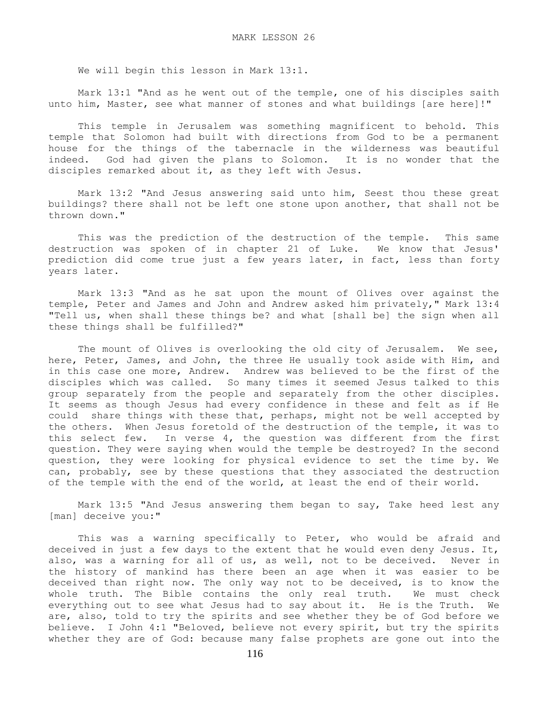We will begin this lesson in Mark 13:1.

 Mark 13:1 "And as he went out of the temple, one of his disciples saith unto him, Master, see what manner of stones and what buildings [are here]!"

 This temple in Jerusalem was something magnificent to behold. This temple that Solomon had built with directions from God to be a permanent house for the things of the tabernacle in the wilderness was beautiful indeed. God had given the plans to Solomon. It is no wonder that the disciples remarked about it, as they left with Jesus.

 Mark 13:2 "And Jesus answering said unto him, Seest thou these great buildings? there shall not be left one stone upon another, that shall not be thrown down."

 This was the prediction of the destruction of the temple. This same destruction was spoken of in chapter 21 of Luke. We know that Jesus' prediction did come true just a few years later, in fact, less than forty years later.

 Mark 13:3 "And as he sat upon the mount of Olives over against the temple, Peter and James and John and Andrew asked him privately," Mark 13:4 "Tell us, when shall these things be? and what [shall be] the sign when all these things shall be fulfilled?"

 The mount of Olives is overlooking the old city of Jerusalem. We see, here, Peter, James, and John, the three He usually took aside with Him, and in this case one more, Andrew. Andrew was believed to be the first of the disciples which was called. So many times it seemed Jesus talked to this group separately from the people and separately from the other disciples. It seems as though Jesus had every confidence in these and felt as if He could share things with these that, perhaps, might not be well accepted by the others. When Jesus foretold of the destruction of the temple, it was to this select few. In verse 4, the question was different from the first question. They were saying when would the temple be destroyed? In the second question, they were looking for physical evidence to set the time by. We can, probably, see by these questions that they associated the destruction of the temple with the end of the world, at least the end of their world.

 Mark 13:5 "And Jesus answering them began to say, Take heed lest any [man] deceive you:"

 This was a warning specifically to Peter, who would be afraid and deceived in just a few days to the extent that he would even deny Jesus. It, also, was a warning for all of us, as well, not to be deceived. Never in the history of mankind has there been an age when it was easier to be deceived than right now. The only way not to be deceived, is to know the whole truth. The Bible contains the only real truth. We must check everything out to see what Jesus had to say about it. He is the Truth. We are, also, told to try the spirits and see whether they be of God before we believe. I John 4:1 "Beloved, believe not every spirit, but try the spirits whether they are of God: because many false prophets are gone out into the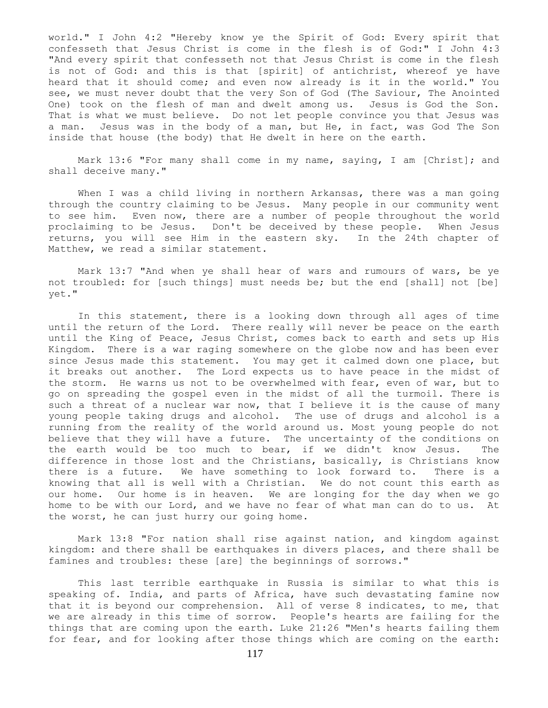world." I John 4:2 "Hereby know ye the Spirit of God: Every spirit that confesseth that Jesus Christ is come in the flesh is of God:" I John 4:3 "And every spirit that confesseth not that Jesus Christ is come in the flesh is not of God: and this is that [spirit] of antichrist, whereof ye have heard that it should come; and even now already is it in the world." You see, we must never doubt that the very Son of God (The Saviour, The Anointed One) took on the flesh of man and dwelt among us. Jesus is God the Son. That is what we must believe. Do not let people convince you that Jesus was a man. Jesus was in the body of a man, but He, in fact, was God The Son inside that house (the body) that He dwelt in here on the earth.

Mark 13:6 "For many shall come in my name, saying, I am [Christ]; and shall deceive many."

 When I was a child living in northern Arkansas, there was a man going through the country claiming to be Jesus. Many people in our community went to see him. Even now, there are a number of people throughout the world proclaiming to be Jesus. Don't be deceived by these people. When Jesus returns, you will see Him in the eastern sky. In the 24th chapter of Matthew, we read a similar statement.

 Mark 13:7 "And when ye shall hear of wars and rumours of wars, be ye not troubled: for [such things] must needs be; but the end [shall] not [be] yet."

 In this statement, there is a looking down through all ages of time until the return of the Lord. There really will never be peace on the earth until the King of Peace, Jesus Christ, comes back to earth and sets up His Kingdom. There is a war raging somewhere on the globe now and has been ever since Jesus made this statement. You may get it calmed down one place, but it breaks out another. The Lord expects us to have peace in the midst of the storm. He warns us not to be overwhelmed with fear, even of war, but to go on spreading the gospel even in the midst of all the turmoil. There is such a threat of a nuclear war now, that I believe it is the cause of many young people taking drugs and alcohol. The use of drugs and alcohol is a running from the reality of the world around us. Most young people do not believe that they will have a future. The uncertainty of the conditions on the earth would be too much to bear, if we didn't know Jesus. The difference in those lost and the Christians, basically, is Christians know there is a future. We have something to look forward to. There is a knowing that all is well with a Christian. We do not count this earth as our home. Our home is in heaven. We are longing for the day when we go home to be with our Lord, and we have no fear of what man can do to us. At the worst, he can just hurry our going home.

 Mark 13:8 "For nation shall rise against nation, and kingdom against kingdom: and there shall be earthquakes in divers places, and there shall be famines and troubles: these [are] the beginnings of sorrows."

 This last terrible earthquake in Russia is similar to what this is speaking of. India, and parts of Africa, have such devastating famine now that it is beyond our comprehension. All of verse 8 indicates, to me, that we are already in this time of sorrow. People's hearts are failing for the things that are coming upon the earth. Luke 21:26 "Men's hearts failing them for fear, and for looking after those things which are coming on the earth: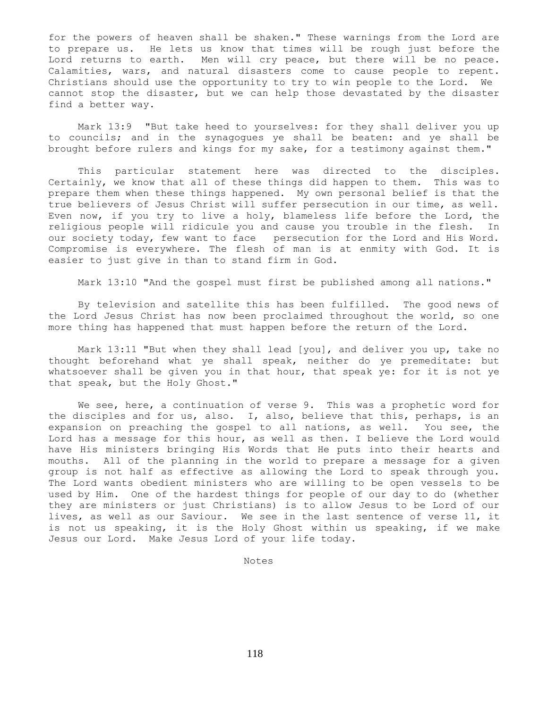for the powers of heaven shall be shaken." These warnings from the Lord are to prepare us. He lets us know that times will be rough just before the Lord returns to earth. Men will cry peace, but there will be no peace. Calamities, wars, and natural disasters come to cause people to repent. Christians should use the opportunity to try to win people to the Lord. We cannot stop the disaster, but we can help those devastated by the disaster find a better way.

 Mark 13:9 "But take heed to yourselves: for they shall deliver you up to councils; and in the synagogues ye shall be beaten: and ye shall be brought before rulers and kings for my sake, for a testimony against them."

 This particular statement here was directed to the disciples. Certainly, we know that all of these things did happen to them. This was to prepare them when these things happened. My own personal belief is that the true believers of Jesus Christ will suffer persecution in our time, as well. Even now, if you try to live a holy, blameless life before the Lord, the religious people will ridicule you and cause you trouble in the flesh. In our society today, few want to face persecution for the Lord and His Word. Compromise is everywhere. The flesh of man is at enmity with God. It is easier to just give in than to stand firm in God.

Mark 13:10 "And the gospel must first be published among all nations."

 By television and satellite this has been fulfilled. The good news of the Lord Jesus Christ has now been proclaimed throughout the world, so one more thing has happened that must happen before the return of the Lord.

 Mark 13:11 "But when they shall lead [you], and deliver you up, take no thought beforehand what ye shall speak, neither do ye premeditate: but whatsoever shall be given you in that hour, that speak ye: for it is not ye that speak, but the Holy Ghost."

We see, here, a continuation of verse 9. This was a prophetic word for the disciples and for us, also. I, also, believe that this, perhaps, is an expansion on preaching the gospel to all nations, as well. You see, the Lord has a message for this hour, as well as then. I believe the Lord would have His ministers bringing His Words that He puts into their hearts and mouths. All of the planning in the world to prepare a message for a given group is not half as effective as allowing the Lord to speak through you. The Lord wants obedient ministers who are willing to be open vessels to be used by Him. One of the hardest things for people of our day to do (whether they are ministers or just Christians) is to allow Jesus to be Lord of our lives, as well as our Saviour. We see in the last sentence of verse 11, it is not us speaking, it is the Holy Ghost within us speaking, if we make Jesus our Lord. Make Jesus Lord of your life today.

Notes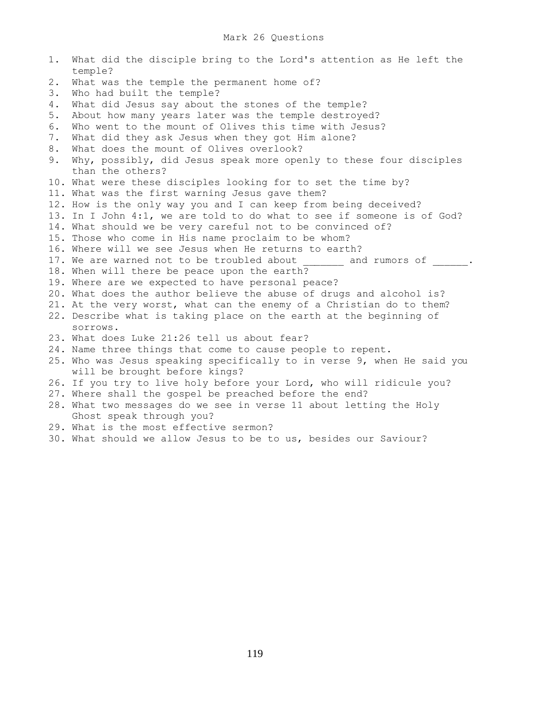| 1. | What did the disciple bring to the Lord's attention as He left the<br>temple? |
|----|-------------------------------------------------------------------------------|
| 2. | What was the temple the permanent home of?                                    |
| 3. | Who had built the temple?                                                     |
| 4. | What did Jesus say about the stones of the temple?                            |
| 5. | About how many years later was the temple destroyed?                          |
| 6. | Who went to the mount of Olives this time with Jesus?                         |
| 7. | What did they ask Jesus when they got Him alone?                              |
| 8. | What does the mount of Olives overlook?                                       |
| 9. | Why, possibly, did Jesus speak more openly to these four disciples            |
|    | than the others?                                                              |
|    | 10. What were these disciples looking for to set the time by?                 |
|    | 11. What was the first warning Jesus gave them?                               |
|    | 12. How is the only way you and I can keep from being deceived?               |
|    | 13. In I John 4:1, we are told to do what to see if someone is of God?        |
|    | 14. What should we be very careful not to be convinced of?                    |
|    | 15. Those who come in His name proclaim to be whom?                           |
|    | 16. Where will we see Jesus when He returns to earth?                         |
|    | 17. We are warned not to be troubled about and rumors of .                    |
|    | 18. When will there be peace upon the earth?                                  |
|    | 19. Where are we expected to have personal peace?                             |
|    | 20. What does the author believe the abuse of drugs and alcohol is?           |
|    | 21. At the very worst, what can the enemy of a Christian do to them?          |
|    | 22. Describe what is taking place on the earth at the beginning of            |
|    | SOLLOWS.                                                                      |
|    | 23. What does Luke 21:26 tell us about fear?                                  |
|    | 24. Name three things that come to cause people to repent.                    |
|    | 25. Who was Jesus speaking specifically to in verse 9, when He said you       |
|    | will be brought before kings?                                                 |
|    | 26. If you try to live holy before your Lord, who will ridicule you?          |
|    | 27. Where shall the gospel be preached before the end?                        |
|    | 28. What two messages do we see in verse 11 about letting the Holy            |
|    | Ghost speak through you?                                                      |
|    | 29. What is the most effective sermon?                                        |
|    | 20 What should us allow Issue to be to us besides our Conjour?                |

30. What should we allow Jesus to be to us, besides our Saviour?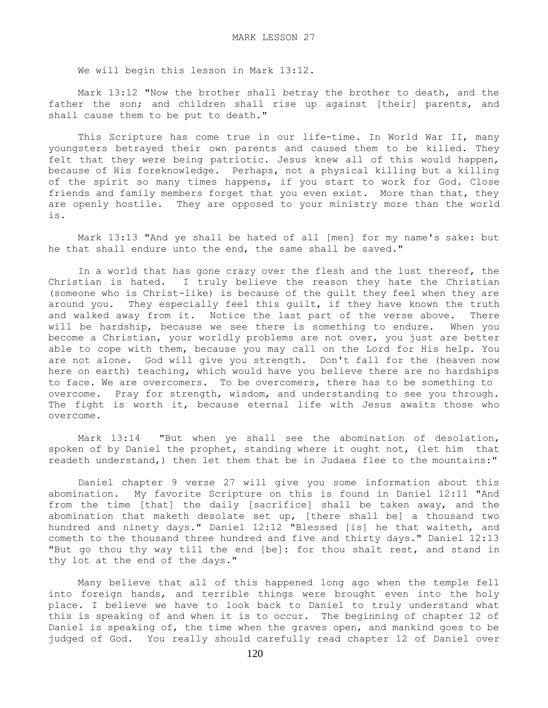We will begin this lesson in Mark 13:12.

 Mark 13:12 "Now the brother shall betray the brother to death, and the father the son; and children shall rise up against [their] parents, and shall cause them to be put to death."

This Scripture has come true in our life-time. In World War II, many youngsters betrayed their own parents and caused them to be killed. They felt that they were being patriotic. Jesus knew all of this would happen, because of His foreknowledge. Perhaps, not a physical killing but a killing of the spirit so many times happens, if you start to work for God. Close friends and family members forget that you even exist. More than that, they are openly hostile. They are opposed to your ministry more than the world is.

 Mark 13:13 "And ye shall be hated of all [men] for my name's sake: but he that shall endure unto the end, the same shall be saved."

 In a world that has gone crazy over the flesh and the lust thereof, the Christian is hated. I truly believe the reason they hate the Christian (someone who is Christ-like) is because of the guilt they feel when they are around you. They especially feel this guilt, if they have known the truth and walked away from it. Notice the last part of the verse above. There will be hardship, because we see there is something to endure. When you become a Christian, your worldly problems are not over, you just are better able to cope with them, because you may call on the Lord for His help. You are not alone. God will give you strength. Don't fall for the (heaven now here on earth) teaching, which would have you believe there are no hardships to face. We are overcomers. To be overcomers, there has to be something to overcome. Pray for strength, wisdom, and understanding to see you through. The fight is worth it, because eternal life with Jesus awaits those who overcome.

 Mark 13:14 "But when ye shall see the abomination of desolation, spoken of by Daniel the prophet, standing where it ought not, (let him that readeth understand,) then let them that be in Judaea flee to the mountains:"

 Daniel chapter 9 verse 27 will give you some information about this abomination. My favorite Scripture on this is found in Daniel 12:11 "And from the time [that] the daily [sacrifice] shall be taken away, and the abomination that maketh desolate set up, [there shall be] a thousand two hundred and ninety days." Daniel 12:12 "Blessed [is] he that waiteth, and cometh to the thousand three hundred and five and thirty days." Daniel 12:13 "But go thou thy way till the end [be]: for thou shalt rest, and stand in thy lot at the end of the days."

 Many believe that all of this happened long ago when the temple fell into foreign hands, and terrible things were brought even into the holy place. I believe we have to look back to Daniel to truly understand what this is speaking of and when it is to occur. The beginning of chapter 12 of Daniel is speaking of, the time when the graves open, and mankind goes to be judged of God. You really should carefully read chapter 12 of Daniel over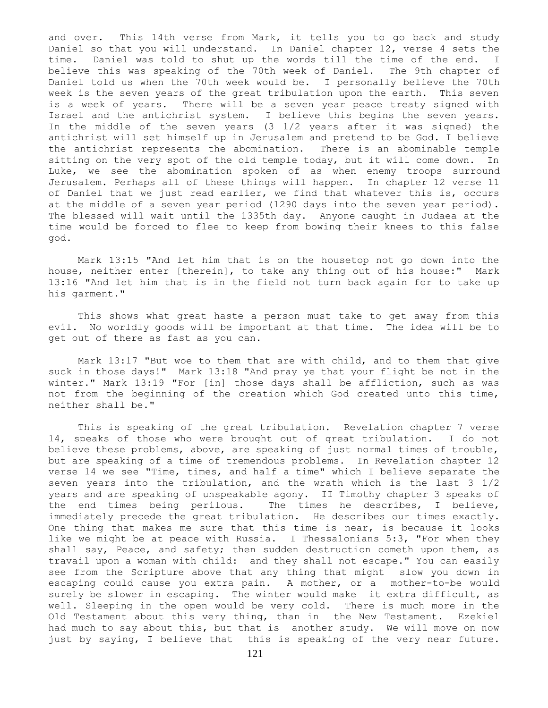and over. This 14th verse from Mark, it tells you to go back and study Daniel so that you will understand. In Daniel chapter 12, verse 4 sets the time. Daniel was told to shut up the words till the time of the end. I believe this was speaking of the 70th week of Daniel. The 9th chapter of Daniel told us when the 70th week would be. I personally believe the 70th week is the seven years of the great tribulation upon the earth. This seven is a week of years. There will be a seven year peace treaty signed with Israel and the antichrist system. I believe this begins the seven years. In the middle of the seven years (3 1/2 years after it was signed) the antichrist will set himself up in Jerusalem and pretend to be God. I believe the antichrist represents the abomination. There is an abominable temple sitting on the very spot of the old temple today, but it will come down. In Luke, we see the abomination spoken of as when enemy troops surround Jerusalem. Perhaps all of these things will happen. In chapter 12 verse 11 of Daniel that we just read earlier, we find that whatever this is, occurs at the middle of a seven year period (1290 days into the seven year period). The blessed will wait until the 1335th day. Anyone caught in Judaea at the time would be forced to flee to keep from bowing their knees to this false god.

 Mark 13:15 "And let him that is on the housetop not go down into the house, neither enter [therein], to take any thing out of his house:" Mark 13:16 "And let him that is in the field not turn back again for to take up his garment."

 This shows what great haste a person must take to get away from this evil. No worldly goods will be important at that time. The idea will be to get out of there as fast as you can.

 Mark 13:17 "But woe to them that are with child, and to them that give suck in those days!" Mark 13:18 "And pray ye that your flight be not in the winter." Mark 13:19 "For [in] those days shall be affliction, such as was not from the beginning of the creation which God created unto this time, neither shall be."

 This is speaking of the great tribulation. Revelation chapter 7 verse 14, speaks of those who were brought out of great tribulation. I do not believe these problems, above, are speaking of just normal times of trouble, but are speaking of a time of tremendous problems. In Revelation chapter 12 verse 14 we see "Time, times, and half a time" which I believe separate the seven years into the tribulation, and the wrath which is the last 3 1/2 years and are speaking of unspeakable agony. II Timothy chapter 3 speaks of the end times being perilous. The times he describes, I believe, immediately precede the great tribulation. He describes our times exactly. One thing that makes me sure that this time is near, is because it looks like we might be at peace with Russia. I Thessalonians 5:3, "For when they shall say, Peace, and safety; then sudden destruction cometh upon them, as travail upon a woman with child: and they shall not escape." You can easily see from the Scripture above that any thing that might slow you down in escaping could cause you extra pain. A mother, or a mother-to-be would surely be slower in escaping. The winter would make it extra difficult, as well. Sleeping in the open would be very cold. There is much more in the Old Testament about this very thing, than in the New Testament. Ezekiel had much to say about this, but that is another study. We will move on now just by saying, I believe that this is speaking of the very near future.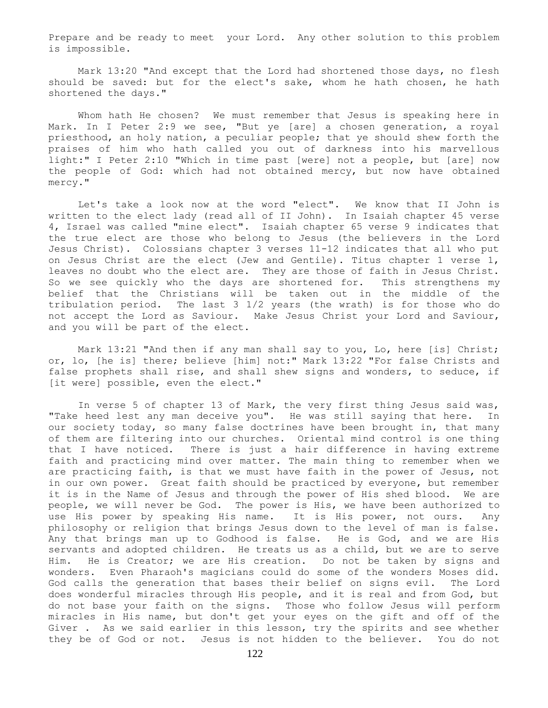Prepare and be ready to meet your Lord. Any other solution to this problem is impossible.

 Mark 13:20 "And except that the Lord had shortened those days, no flesh should be saved: but for the elect's sake, whom he hath chosen, he hath shortened the days."

 Whom hath He chosen? We must remember that Jesus is speaking here in Mark. In I Peter 2:9 we see, "But ye [are] a chosen generation, a royal priesthood, an holy nation, a peculiar people; that ye should shew forth the praises of him who hath called you out of darkness into his marvellous light:" I Peter 2:10 "Which in time past [were] not a people, but [are] now the people of God: which had not obtained mercy, but now have obtained mercy."

 Let's take a look now at the word "elect". We know that II John is written to the elect lady (read all of II John). In Isaiah chapter 45 verse 4, Israel was called "mine elect". Isaiah chapter 65 verse 9 indicates that the true elect are those who belong to Jesus (the believers in the Lord Jesus Christ). Colossians chapter 3 verses 11-12 indicates that all who put on Jesus Christ are the elect (Jew and Gentile). Titus chapter 1 verse 1, leaves no doubt who the elect are. They are those of faith in Jesus Christ. So we see quickly who the days are shortened for. This strengthens my belief that the Christians will be taken out in the middle of the tribulation period. The last 3 1/2 years (the wrath) is for those who do not accept the Lord as Saviour. Make Jesus Christ your Lord and Saviour, and you will be part of the elect.

 Mark 13:21 "And then if any man shall say to you, Lo, here [is] Christ; or, lo, [he is] there; believe [him] not:" Mark 13:22 "For false Christs and false prophets shall rise, and shall shew signs and wonders, to seduce, if [it were] possible, even the elect."

 In verse 5 of chapter 13 of Mark, the very first thing Jesus said was, "Take heed lest any man deceive you". He was still saying that here. In our society today, so many false doctrines have been brought in, that many of them are filtering into our churches. Oriental mind control is one thing that I have noticed. There is just a hair difference in having extreme faith and practicing mind over matter. The main thing to remember when we are practicing faith, is that we must have faith in the power of Jesus, not in our own power. Great faith should be practiced by everyone, but remember it is in the Name of Jesus and through the power of His shed blood. We are people, we will never be God. The power is His, we have been authorized to use His power by speaking His name. It is His power, not ours. Any philosophy or religion that brings Jesus down to the level of man is false. Any that brings man up to Godhood is false. He is God, and we are His servants and adopted children. He treats us as a child, but we are to serve Him. He is Creator; we are His creation. Do not be taken by signs and wonders. Even Pharaoh's magicians could do some of the wonders Moses did. God calls the generation that bases their belief on signs evil. The Lord does wonderful miracles through His people, and it is real and from God, but do not base your faith on the signs. Those who follow Jesus will perform miracles in His name, but don't get your eyes on the gift and off of the Giver . As we said earlier in this lesson, try the spirits and see whether they be of God or not. Jesus is not hidden to the believer. You do not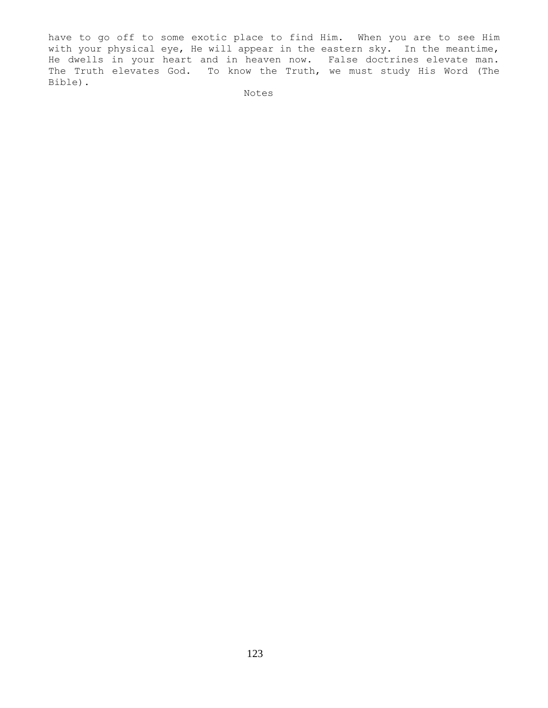have to go off to some exotic place to find Him. When you are to see Him with your physical eye, He will appear in the eastern sky. In the meantime, He dwells in your heart and in heaven now. False doctrines elevate man. The Truth elevates God. To know the Truth, we must study His Word (The Bible).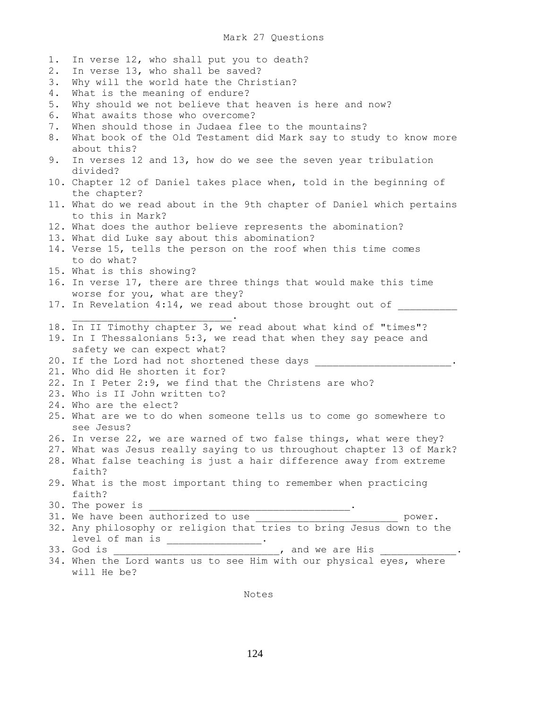1. In verse 12, who shall put you to death? 2. In verse 13, who shall be saved? 3. Why will the world hate the Christian? 4. What is the meaning of endure? 5. Why should we not believe that heaven is here and now? 6. What awaits those who overcome? 7. When should those in Judaea flee to the mountains? 8. What book of the Old Testament did Mark say to study to know more about this? 9. In verses 12 and 13, how do we see the seven year tribulation divided? 10. Chapter 12 of Daniel takes place when, told in the beginning of the chapter? 11. What do we read about in the 9th chapter of Daniel which pertains to this in Mark? 12. What does the author believe represents the abomination? 13. What did Luke say about this abomination? 14. Verse 15, tells the person on the roof when this time comes to do what? 15. What is this showing? 16. In verse 17, there are three things that would make this time worse for you, what are they? 17. In Revelation 4:14, we read about those brought out of  $\mathcal{L}_\text{max}$  and  $\mathcal{L}_\text{max}$  and  $\mathcal{L}_\text{max}$  and  $\mathcal{L}_\text{max}$ 18. In II Timothy chapter 3, we read about what kind of "times"? 19. In I Thessalonians 5:3, we read that when they say peace and safety we can expect what? 20. If the Lord had not shortened these days \_\_\_\_\_\_\_\_\_\_\_\_\_\_\_\_\_\_\_\_\_\_\_\_. 21. Who did He shorten it for? 22. In I Peter 2:9, we find that the Christens are who? 23. Who is II John written to? 24. Who are the elect? 25. What are we to do when someone tells us to come go somewhere to see Jesus? 26. In verse 22, we are warned of two false things, what were they? 27. What was Jesus really saying to us throughout chapter 13 of Mark? 28. What false teaching is just a hair difference away from extreme faith? 29. What is the most important thing to remember when practicing faith? 30. The power is  $\cdot$ 31. We have been authorized to use \_\_\_\_\_\_\_\_\_\_\_\_\_\_\_\_\_\_\_\_\_\_\_\_\_\_\_\_\_\_\_ power. 32. Any philosophy or religion that tries to bring Jesus down to the level of man is \_\_\_\_\_\_\_\_\_\_\_\_\_\_\_\_\_. 33. God is \_\_\_\_\_\_\_\_\_\_\_\_\_\_\_\_\_\_\_\_\_\_\_\_\_\_\_\_, and we are His \_\_\_\_\_\_\_\_\_\_\_\_\_. 34. When the Lord wants us to see Him with our physical eyes, where will He be?

Notes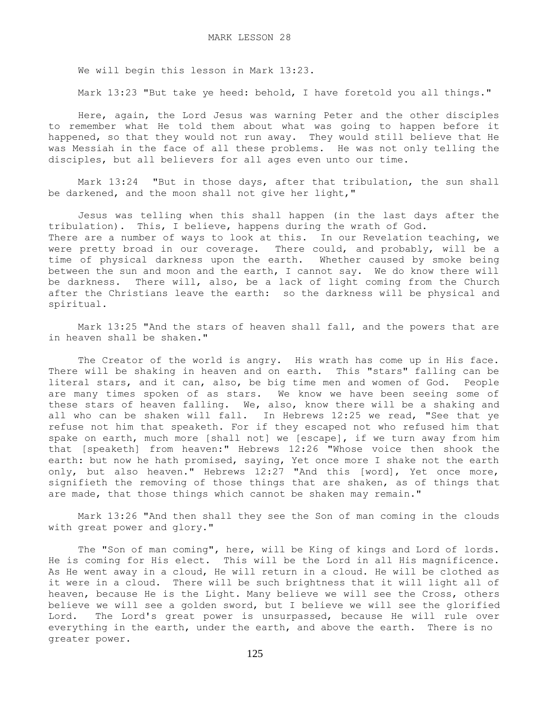We will begin this lesson in Mark 13:23.

Mark 13:23 "But take ye heed: behold, I have foretold you all things."

 Here, again, the Lord Jesus was warning Peter and the other disciples to remember what He told them about what was going to happen before it happened, so that they would not run away. They would still believe that He was Messiah in the face of all these problems. He was not only telling the disciples, but all believers for all ages even unto our time.

 Mark 13:24 "But in those days, after that tribulation, the sun shall be darkened, and the moon shall not give her light,"

 Jesus was telling when this shall happen (in the last days after the tribulation). This, I believe, happens during the wrath of God. There are a number of ways to look at this. In our Revelation teaching, we were pretty broad in our coverage. There could, and probably, will be a time of physical darkness upon the earth. Whether caused by smoke being between the sun and moon and the earth, I cannot say. We do know there will be darkness. There will, also, be a lack of light coming from the Church after the Christians leave the earth: so the darkness will be physical and spiritual.

 Mark 13:25 "And the stars of heaven shall fall, and the powers that are in heaven shall be shaken."

The Creator of the world is angry. His wrath has come up in His face. There will be shaking in heaven and on earth. This "stars" falling can be literal stars, and it can, also, be big time men and women of God. People are many times spoken of as stars. We know we have been seeing some of these stars of heaven falling. We, also, know there will be a shaking and all who can be shaken will fall. In Hebrews 12:25 we read, "See that ye refuse not him that speaketh. For if they escaped not who refused him that spake on earth, much more [shall not] we [escape], if we turn away from him that [speaketh] from heaven:" Hebrews 12:26 "Whose voice then shook the earth: but now he hath promised, saying, Yet once more I shake not the earth only, but also heaven." Hebrews 12:27 "And this [word], Yet once more, signifieth the removing of those things that are shaken, as of things that are made, that those things which cannot be shaken may remain."

 Mark 13:26 "And then shall they see the Son of man coming in the clouds with great power and glory."

The "Son of man coming", here, will be King of kings and Lord of lords. He is coming for His elect. This will be the Lord in all His magnificence. As He went away in a cloud, He will return in a cloud. He will be clothed as it were in a cloud. There will be such brightness that it will light all of heaven, because He is the Light. Many believe we will see the Cross, others believe we will see a golden sword, but I believe we will see the glorified Lord. The Lord's great power is unsurpassed, because He will rule over everything in the earth, under the earth, and above the earth. There is no greater power.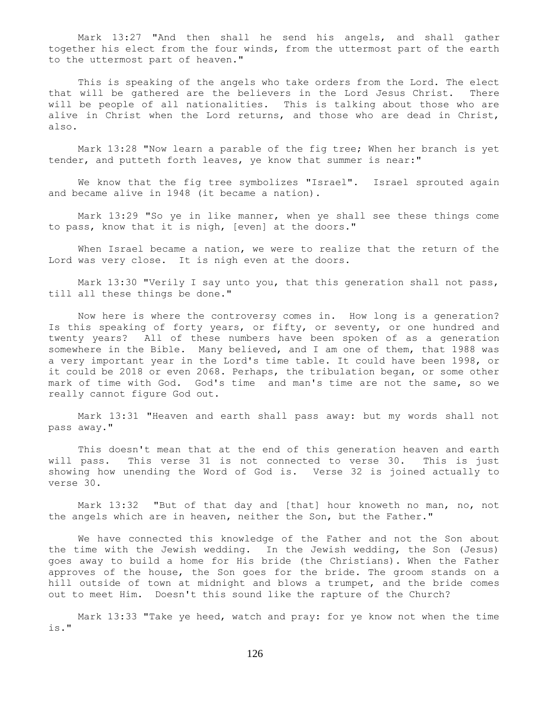Mark 13:27 "And then shall he send his angels, and shall gather together his elect from the four winds, from the uttermost part of the earth to the uttermost part of heaven."

 This is speaking of the angels who take orders from the Lord. The elect that will be gathered are the believers in the Lord Jesus Christ. There will be people of all nationalities. This is talking about those who are alive in Christ when the Lord returns, and those who are dead in Christ, also.

 Mark 13:28 "Now learn a parable of the fig tree; When her branch is yet tender, and putteth forth leaves, ye know that summer is near:"

We know that the fig tree symbolizes "Israel". Israel sprouted again and became alive in 1948 (it became a nation).

 Mark 13:29 "So ye in like manner, when ye shall see these things come to pass, know that it is nigh, [even] at the doors."

 When Israel became a nation, we were to realize that the return of the Lord was very close. It is nigh even at the doors.

Mark 13:30 "Verily I say unto you, that this generation shall not pass, till all these things be done."

 Now here is where the controversy comes in. How long is a generation? Is this speaking of forty years, or fifty, or seventy, or one hundred and twenty years? All of these numbers have been spoken of as a generation somewhere in the Bible. Many believed, and I am one of them, that 1988 was a very important year in the Lord's time table. It could have been 1998, or it could be 2018 or even 2068. Perhaps, the tribulation began, or some other mark of time with God. God's time and man's time are not the same, so we really cannot figure God out.

 Mark 13:31 "Heaven and earth shall pass away: but my words shall not pass away."

 This doesn't mean that at the end of this generation heaven and earth will pass. This verse 31 is not connected to verse 30. This is just showing how unending the Word of God is. Verse 32 is joined actually to verse 30.

 Mark 13:32 "But of that day and [that] hour knoweth no man, no, not the angels which are in heaven, neither the Son, but the Father."

 We have connected this knowledge of the Father and not the Son about the time with the Jewish wedding. In the Jewish wedding, the Son (Jesus) goes away to build a home for His bride (the Christians). When the Father approves of the house, the Son goes for the bride. The groom stands on a hill outside of town at midnight and blows a trumpet, and the bride comes out to meet Him. Doesn't this sound like the rapture of the Church?

 Mark 13:33 "Take ye heed, watch and pray: for ye know not when the time is."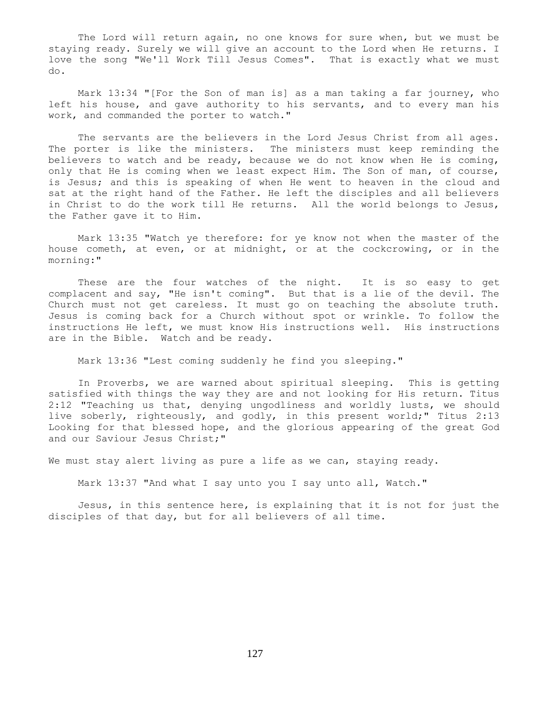The Lord will return again, no one knows for sure when, but we must be staying ready. Surely we will give an account to the Lord when He returns. I love the song "We'll Work Till Jesus Comes". That is exactly what we must do.

 Mark 13:34 "[For the Son of man is] as a man taking a far journey, who left his house, and gave authority to his servants, and to every man his work, and commanded the porter to watch."

 The servants are the believers in the Lord Jesus Christ from all ages. The porter is like the ministers. The ministers must keep reminding the believers to watch and be ready, because we do not know when He is coming, only that He is coming when we least expect Him. The Son of man, of course, is Jesus; and this is speaking of when He went to heaven in the cloud and sat at the right hand of the Father. He left the disciples and all believers in Christ to do the work till He returns. All the world belongs to Jesus, the Father gave it to Him.

 Mark 13:35 "Watch ye therefore: for ye know not when the master of the house cometh, at even, or at midnight, or at the cockcrowing, or in the morning:"

These are the four watches of the night. It is so easy to get complacent and say, "He isn't coming". But that is a lie of the devil. The Church must not get careless. It must go on teaching the absolute truth. Jesus is coming back for a Church without spot or wrinkle. To follow the instructions He left, we must know His instructions well. His instructions are in the Bible. Watch and be ready.

Mark 13:36 "Lest coming suddenly he find you sleeping."

 In Proverbs, we are warned about spiritual sleeping. This is getting satisfied with things the way they are and not looking for His return. Titus 2:12 "Teaching us that, denying ungodliness and worldly lusts, we should live soberly, righteously, and godly, in this present world;" Titus 2:13 Looking for that blessed hope, and the glorious appearing of the great God and our Saviour Jesus Christ;"

We must stay alert living as pure a life as we can, staying ready.

Mark 13:37 "And what I say unto you I say unto all, Watch."

 Jesus, in this sentence here, is explaining that it is not for just the disciples of that day, but for all believers of all time.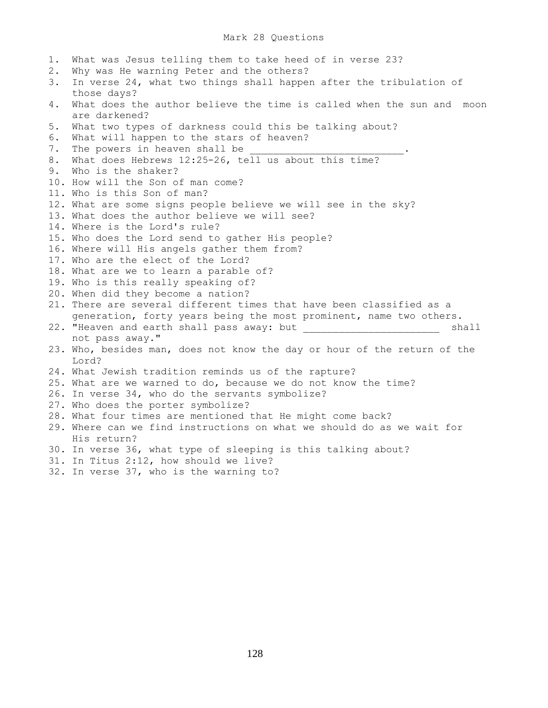## Mark 28 Questions

1. What was Jesus telling them to take heed of in verse 23? 2. Why was He warning Peter and the others? 3. In verse 24, what two things shall happen after the tribulation of those days? 4. What does the author believe the time is called when the sun and moon are darkened? 5. What two types of darkness could this be talking about? 6. What will happen to the stars of heaven? 7. The powers in heaven shall be 8. What does Hebrews 12:25-26, tell us about this time? 9. Who is the shaker? 10. How will the Son of man come? 11. Who is this Son of man? 12. What are some signs people believe we will see in the sky? 13. What does the author believe we will see? 14. Where is the Lord's rule? 15. Who does the Lord send to gather His people? 16. Where will His angels gather them from? 17. Who are the elect of the Lord? 18. What are we to learn a parable of? 19. Who is this really speaking of? 20. When did they become a nation? 21. There are several different times that have been classified as a generation, forty years being the most prominent, name two others. 22. "Heaven and earth shall pass away: but \_\_\_\_\_\_\_\_\_\_\_\_\_\_\_\_\_\_\_\_\_\_\_\_\_\_\_ shall not pass away." 23. Who, besides man, does not know the day or hour of the return of the Lord? 24. What Jewish tradition reminds us of the rapture? 25. What are we warned to do, because we do not know the time? 26. In verse 34, who do the servants symbolize? 27. Who does the porter symbolize? 28. What four times are mentioned that He might come back? 29. Where can we find instructions on what we should do as we wait for His return? 30. In verse 36, what type of sleeping is this talking about? 31. In Titus 2:12, how should we live? 32. In verse 37, who is the warning to?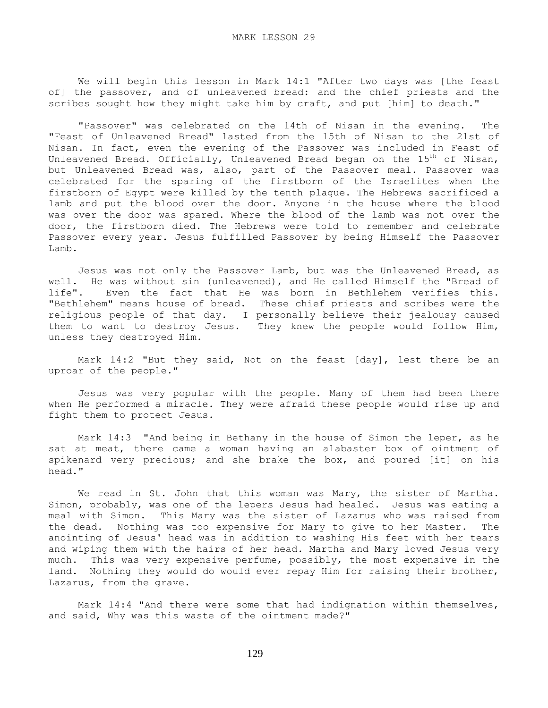We will begin this lesson in Mark 14:1 "After two days was [the feast of] the passover, and of unleavened bread: and the chief priests and the scribes sought how they might take him by craft, and put [him] to death."

 "Passover" was celebrated on the 14th of Nisan in the evening. The "Feast of Unleavened Bread" lasted from the 15th of Nisan to the 21st of Nisan. In fact, even the evening of the Passover was included in Feast of Unleavened Bread. Officially, Unleavened Bread began on the  $15<sup>th</sup>$  of Nisan, but Unleavened Bread was, also, part of the Passover meal. Passover was celebrated for the sparing of the firstborn of the Israelites when the firstborn of Egypt were killed by the tenth plague. The Hebrews sacrificed a lamb and put the blood over the door. Anyone in the house where the blood was over the door was spared. Where the blood of the lamb was not over the door, the firstborn died. The Hebrews were told to remember and celebrate Passover every year. Jesus fulfilled Passover by being Himself the Passover Lamb.

 Jesus was not only the Passover Lamb, but was the Unleavened Bread, as well. He was without sin (unleavened), and He called Himself the "Bread of life". Even the fact that He was born in Bethlehem verifies this. Even the fact that He was born in Bethlehem verifies this. "Bethlehem" means house of bread. These chief priests and scribes were the religious people of that day. I personally believe their jealousy caused them to want to destroy Jesus. They knew the people would follow Him, unless they destroyed Him.

 Mark 14:2 "But they said, Not on the feast [day], lest there be an uproar of the people."

 Jesus was very popular with the people. Many of them had been there when He performed a miracle. They were afraid these people would rise up and fight them to protect Jesus.

 Mark 14:3 "And being in Bethany in the house of Simon the leper, as he sat at meat, there came a woman having an alabaster box of ointment of spikenard very precious; and she brake the box, and poured [it] on his head."

 We read in St. John that this woman was Mary, the sister of Martha. Simon, probably, was one of the lepers Jesus had healed. Jesus was eating a meal with Simon. This Mary was the sister of Lazarus who was raised from the dead. Nothing was too expensive for Mary to give to her Master. The anointing of Jesus' head was in addition to washing His feet with her tears and wiping them with the hairs of her head. Martha and Mary loved Jesus very much. This was very expensive perfume, possibly, the most expensive in the land. Nothing they would do would ever repay Him for raising their brother, Lazarus, from the grave.

 Mark 14:4 "And there were some that had indignation within themselves, and said, Why was this waste of the ointment made?"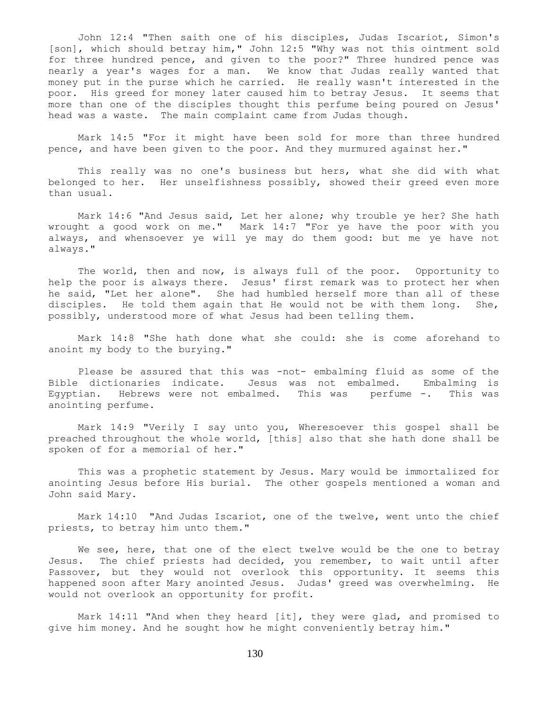John 12:4 "Then saith one of his disciples, Judas Iscariot, Simon's [son], which should betray him," John 12:5 "Why was not this ointment sold for three hundred pence, and given to the poor?" Three hundred pence was nearly a year's wages for a man. We know that Judas really wanted that money put in the purse which he carried. He really wasn't interested in the poor. His greed for money later caused him to betray Jesus. It seems that more than one of the disciples thought this perfume being poured on Jesus' head was a waste. The main complaint came from Judas though.

 Mark 14:5 "For it might have been sold for more than three hundred pence, and have been given to the poor. And they murmured against her."

 This really was no one's business but hers, what she did with what belonged to her. Her unselfishness possibly, showed their greed even more than usual.

 Mark 14:6 "And Jesus said, Let her alone; why trouble ye her? She hath wrought a good work on me." Mark 14:7 "For ye have the poor with you always, and whensoever ye will ye may do them good: but me ye have not always."

 The world, then and now, is always full of the poor. Opportunity to help the poor is always there. Jesus' first remark was to protect her when he said, "Let her alone". She had humbled herself more than all of these disciples. He told them again that He would not be with them long. She, possibly, understood more of what Jesus had been telling them.

 Mark 14:8 "She hath done what she could: she is come aforehand to anoint my body to the burying."

Please be assured that this was -not- embalming fluid as some of the Bible dictionaries indicate. Jesus was not embalmed. Embalming is Egyptian. Hebrews were not embalmed. This was perfume -. This was anointing perfume.

 Mark 14:9 "Verily I say unto you, Wheresoever this gospel shall be preached throughout the whole world, [this] also that she hath done shall be spoken of for a memorial of her."

 This was a prophetic statement by Jesus. Mary would be immortalized for anointing Jesus before His burial. The other gospels mentioned a woman and John said Mary.

 Mark 14:10 "And Judas Iscariot, one of the twelve, went unto the chief priests, to betray him unto them."

We see, here, that one of the elect twelve would be the one to betray Jesus. The chief priests had decided, you remember, to wait until after Passover, but they would not overlook this opportunity. It seems this happened soon after Mary anointed Jesus. Judas' greed was overwhelming. He would not overlook an opportunity for profit.

 Mark 14:11 "And when they heard [it], they were glad, and promised to give him money. And he sought how he might conveniently betray him."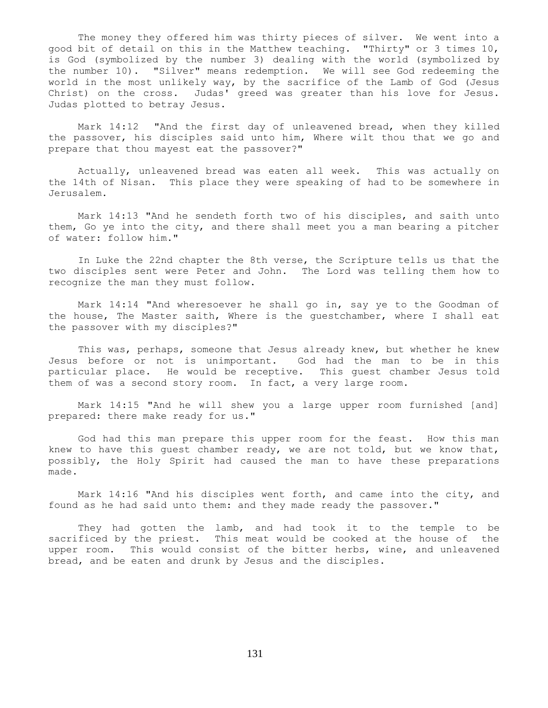The money they offered him was thirty pieces of silver. We went into a good bit of detail on this in the Matthew teaching. "Thirty" or 3 times 10, is God (symbolized by the number 3) dealing with the world (symbolized by the number 10). "Silver" means redemption. We will see God redeeming the world in the most unlikely way, by the sacrifice of the Lamb of God (Jesus Christ) on the cross. Judas' greed was greater than his love for Jesus. Judas plotted to betray Jesus.

 Mark 14:12 "And the first day of unleavened bread, when they killed the passover, his disciples said unto him, Where wilt thou that we go and prepare that thou mayest eat the passover?"

 Actually, unleavened bread was eaten all week. This was actually on the 14th of Nisan. This place they were speaking of had to be somewhere in Jerusalem.

 Mark 14:13 "And he sendeth forth two of his disciples, and saith unto them, Go ye into the city, and there shall meet you a man bearing a pitcher of water: follow him."

 In Luke the 22nd chapter the 8th verse, the Scripture tells us that the two disciples sent were Peter and John. The Lord was telling them how to recognize the man they must follow.

 Mark 14:14 "And wheresoever he shall go in, say ye to the Goodman of the house, The Master saith, Where is the guestchamber, where I shall eat the passover with my disciples?"

 This was, perhaps, someone that Jesus already knew, but whether he knew Jesus before or not is unimportant. God had the man to be in this particular place. He would be receptive. This guest chamber Jesus told them of was a second story room. In fact, a very large room.

 Mark 14:15 "And he will shew you a large upper room furnished [and] prepared: there make ready for us."

 God had this man prepare this upper room for the feast. How this man knew to have this guest chamber ready, we are not told, but we know that, possibly, the Holy Spirit had caused the man to have these preparations made.

 Mark 14:16 "And his disciples went forth, and came into the city, and found as he had said unto them: and they made ready the passover."

 They had gotten the lamb, and had took it to the temple to be sacrificed by the priest. This meat would be cooked at the house of the upper room. This would consist of the bitter herbs, wine, and unleavened bread, and be eaten and drunk by Jesus and the disciples.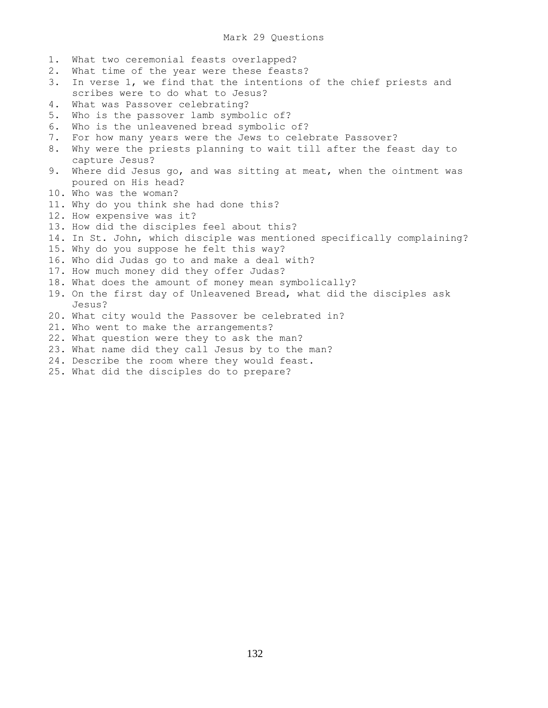- 1. What two ceremonial feasts overlapped?
- 2. What time of the year were these feasts?
- 3. In verse 1, we find that the intentions of the chief priests and scribes were to do what to Jesus?
- 4. What was Passover celebrating?
- 5. Who is the passover lamb symbolic of?
- 6. Who is the unleavened bread symbolic of?
- 7. For how many years were the Jews to celebrate Passover?
- 8. Why were the priests planning to wait till after the feast day to capture Jesus?
- 9. Where did Jesus go, and was sitting at meat, when the ointment was poured on His head?
- 10. Who was the woman?
- 11. Why do you think she had done this?
- 12. How expensive was it?
- 13. How did the disciples feel about this?
- 14. In St. John, which disciple was mentioned specifically complaining?
- 15. Why do you suppose he felt this way?
- 16. Who did Judas go to and make a deal with?
- 17. How much money did they offer Judas?
- 18. What does the amount of money mean symbolically?
- 19. On the first day of Unleavened Bread, what did the disciples ask Jesus?
- 20. What city would the Passover be celebrated in?
- 21. Who went to make the arrangements?
- 22. What question were they to ask the man?
- 23. What name did they call Jesus by to the man?
- 24. Describe the room where they would feast.
- 25. What did the disciples do to prepare?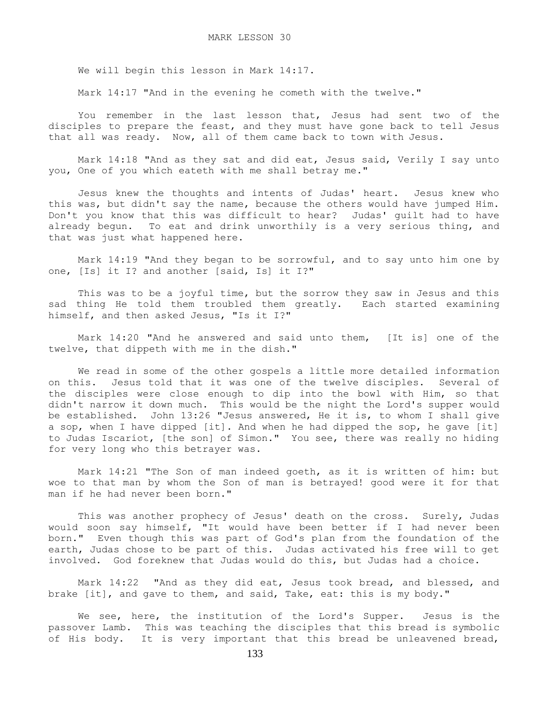We will begin this lesson in Mark 14:17.

Mark 14:17 "And in the evening he cometh with the twelve."

 You remember in the last lesson that, Jesus had sent two of the disciples to prepare the feast, and they must have gone back to tell Jesus that all was ready. Now, all of them came back to town with Jesus.

 Mark 14:18 "And as they sat and did eat, Jesus said, Verily I say unto you, One of you which eateth with me shall betray me."

 Jesus knew the thoughts and intents of Judas' heart. Jesus knew who this was, but didn't say the name, because the others would have jumped Him. Don't you know that this was difficult to hear? Judas' guilt had to have already begun. To eat and drink unworthily is a very serious thing, and that was just what happened here.

 Mark 14:19 "And they began to be sorrowful, and to say unto him one by one, [Is] it I? and another [said, Is] it I?"

 This was to be a joyful time, but the sorrow they saw in Jesus and this sad thing He told them troubled them greatly. Each started examining himself, and then asked Jesus, "Is it I?"

 Mark 14:20 "And he answered and said unto them, [It is] one of the twelve, that dippeth with me in the dish."

 We read in some of the other gospels a little more detailed information on this. Jesus told that it was one of the twelve disciples. Several of the disciples were close enough to dip into the bowl with Him, so that didn't narrow it down much. This would be the night the Lord's supper would be established. John 13:26 "Jesus answered, He it is, to whom I shall give a sop, when I have dipped [it]. And when he had dipped the sop, he gave [it] to Judas Iscariot, [the son] of Simon." You see, there was really no hiding for very long who this betrayer was.

 Mark 14:21 "The Son of man indeed goeth, as it is written of him: but woe to that man by whom the Son of man is betrayed! good were it for that man if he had never been born."

 This was another prophecy of Jesus' death on the cross. Surely, Judas would soon say himself, "It would have been better if I had never been born." Even though this was part of God's plan from the foundation of the earth, Judas chose to be part of this. Judas activated his free will to get involved. God foreknew that Judas would do this, but Judas had a choice.

 Mark 14:22 "And as they did eat, Jesus took bread, and blessed, and brake [it], and gave to them, and said, Take, eat: this is my body."

 We see, here, the institution of the Lord's Supper. Jesus is the passover Lamb. This was teaching the disciples that this bread is symbolic of His body. It is very important that this bread be unleavened bread,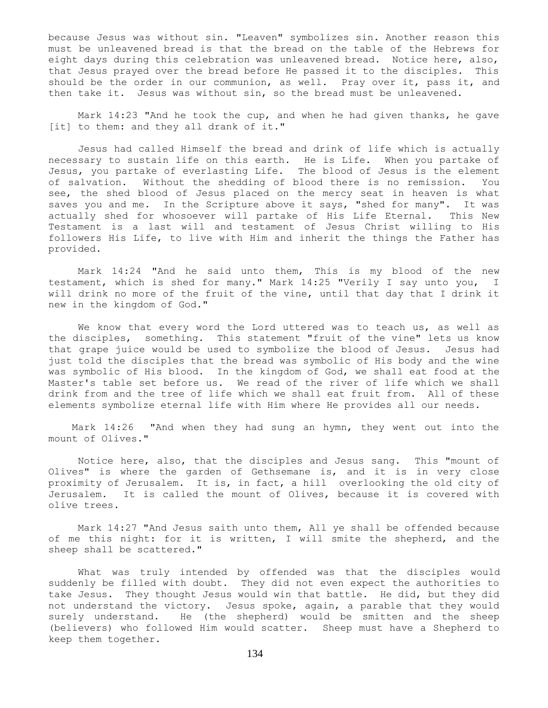because Jesus was without sin. "Leaven" symbolizes sin. Another reason this must be unleavened bread is that the bread on the table of the Hebrews for eight days during this celebration was unleavened bread. Notice here, also, that Jesus prayed over the bread before He passed it to the disciples. This should be the order in our communion, as well. Pray over it, pass it, and then take it. Jesus was without sin, so the bread must be unleavened.

 Mark 14:23 "And he took the cup, and when he had given thanks, he gave [it] to them: and they all drank of it."

 Jesus had called Himself the bread and drink of life which is actually necessary to sustain life on this earth. He is Life. When you partake of Jesus, you partake of everlasting Life. The blood of Jesus is the element of salvation. Without the shedding of blood there is no remission. You see, the shed blood of Jesus placed on the mercy seat in heaven is what saves you and me. In the Scripture above it says, "shed for many". It was actually shed for whosoever will partake of His Life Eternal. This New Testament is a last will and testament of Jesus Christ willing to His followers His Life, to live with Him and inherit the things the Father has provided.

 Mark 14:24 "And he said unto them, This is my blood of the new testament, which is shed for many." Mark 14:25 "Verily I say unto you, I will drink no more of the fruit of the vine, until that day that I drink it new in the kingdom of God."

 We know that every word the Lord uttered was to teach us, as well as the disciples, something. This statement "fruit of the vine" lets us know that grape juice would be used to symbolize the blood of Jesus. Jesus had just told the disciples that the bread was symbolic of His body and the wine was symbolic of His blood. In the kingdom of God, we shall eat food at the Master's table set before us. We read of the river of life which we shall drink from and the tree of life which we shall eat fruit from. All of these elements symbolize eternal life with Him where He provides all our needs.

 Mark 14:26 "And when they had sung an hymn, they went out into the mount of Olives."

 Notice here, also, that the disciples and Jesus sang. This "mount of Olives" is where the garden of Gethsemane is, and it is in very close proximity of Jerusalem. It is, in fact, a hill overlooking the old city of Jerusalem. It is called the mount of Olives, because it is covered with olive trees.

 Mark 14:27 "And Jesus saith unto them, All ye shall be offended because of me this night: for it is written, I will smite the shepherd, and the sheep shall be scattered."

 What was truly intended by offended was that the disciples would suddenly be filled with doubt. They did not even expect the authorities to take Jesus. They thought Jesus would win that battle. He did, but they did not understand the victory. Jesus spoke, again, a parable that they would surely understand. He (the shepherd) would be smitten and the sheep (believers) who followed Him would scatter. Sheep must have a Shepherd to keep them together.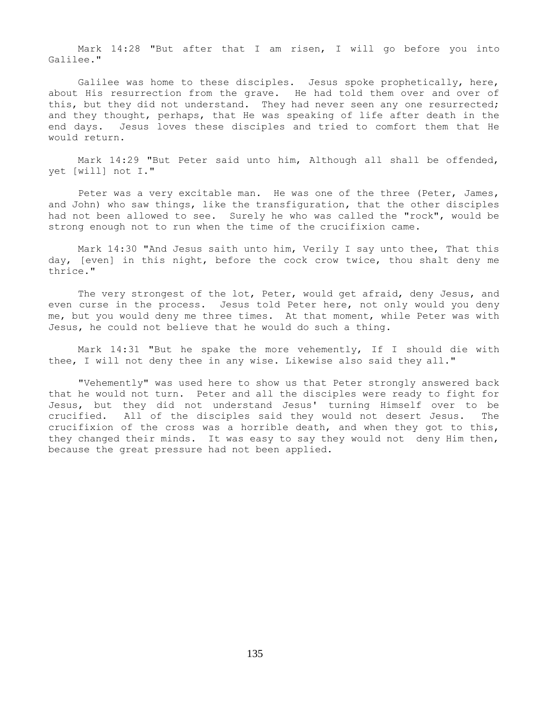Mark 14:28 "But after that I am risen, I will go before you into Galilee."

 Galilee was home to these disciples. Jesus spoke prophetically, here, about His resurrection from the grave. He had told them over and over of this, but they did not understand. They had never seen any one resurrected; and they thought, perhaps, that He was speaking of life after death in the end days. Jesus loves these disciples and tried to comfort them that He would return.

 Mark 14:29 "But Peter said unto him, Although all shall be offended, yet [will] not I."

Peter was a very excitable man. He was one of the three (Peter, James, and John) who saw things, like the transfiguration, that the other disciples had not been allowed to see. Surely he who was called the "rock", would be strong enough not to run when the time of the crucifixion came.

 Mark 14:30 "And Jesus saith unto him, Verily I say unto thee, That this day, [even] in this night, before the cock crow twice, thou shalt deny me thrice."

 The very strongest of the lot, Peter, would get afraid, deny Jesus, and even curse in the process. Jesus told Peter here, not only would you deny me, but you would deny me three times. At that moment, while Peter was with Jesus, he could not believe that he would do such a thing.

 Mark 14:31 "But he spake the more vehemently, If I should die with thee, I will not deny thee in any wise. Likewise also said they all."

 "Vehemently" was used here to show us that Peter strongly answered back that he would not turn. Peter and all the disciples were ready to fight for Jesus, but they did not understand Jesus' turning Himself over to be crucified. All of the disciples said they would not desert Jesus. The crucifixion of the cross was a horrible death, and when they got to this, they changed their minds. It was easy to say they would not deny Him then, because the great pressure had not been applied.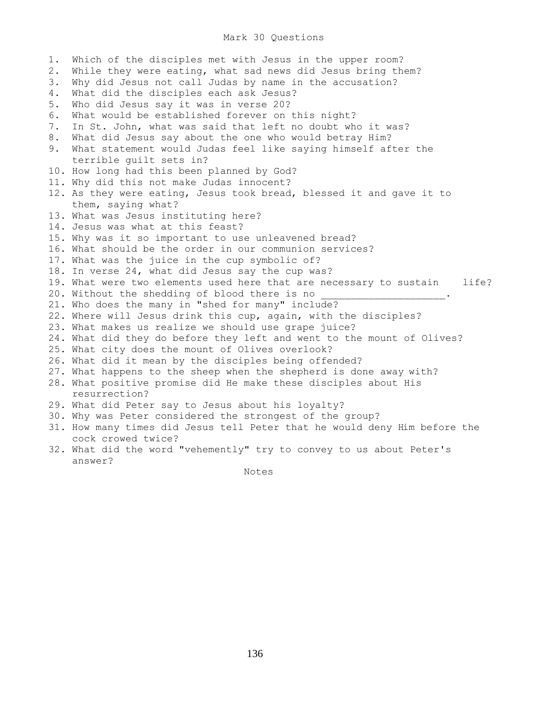## Mark 30 Questions

1. Which of the disciples met with Jesus in the upper room? 2. While they were eating, what sad news did Jesus bring them? 3. Why did Jesus not call Judas by name in the accusation? 4. What did the disciples each ask Jesus? 5. Who did Jesus say it was in verse 20? 6. What would be established forever on this night? 7. In St. John, what was said that left no doubt who it was? 8. What did Jesus say about the one who would betray Him? 9. What statement would Judas feel like saying himself after the terrible guilt sets in? 10. How long had this been planned by God? 11. Why did this not make Judas innocent? 12. As they were eating, Jesus took bread, blessed it and gave it to them, saying what? 13. What was Jesus instituting here? 14. Jesus was what at this feast? 15. Why was it so important to use unleavened bread? 16. What should be the order in our communion services? 17. What was the juice in the cup symbolic of? 18. In verse 24, what did Jesus say the cup was? 19. What were two elements used here that are necessary to sustain life? 20. Without the shedding of blood there is no 21. Who does the many in "shed for many" include? 22. Where will Jesus drink this cup, again, with the disciples? 23. What makes us realize we should use grape juice? 24. What did they do before they left and went to the mount of Olives? 25. What city does the mount of Olives overlook? 26. What did it mean by the disciples being offended? 27. What happens to the sheep when the shepherd is done away with? 28. What positive promise did He make these disciples about His resurrection? 29. What did Peter say to Jesus about his loyalty? 30. Why was Peter considered the strongest of the group? 31. How many times did Jesus tell Peter that he would deny Him before the cock crowed twice? 32. What did the word "vehemently" try to convey to us about Peter's answer?

Notes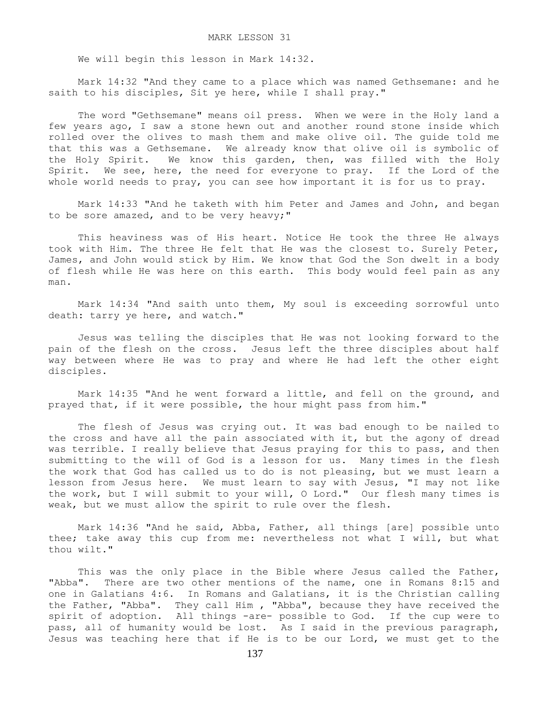We will begin this lesson in Mark 14:32.

 Mark 14:32 "And they came to a place which was named Gethsemane: and he saith to his disciples, Sit ye here, while I shall pray."

 The word "Gethsemane" means oil press. When we were in the Holy land a few years ago, I saw a stone hewn out and another round stone inside which rolled over the olives to mash them and make olive oil. The guide told me that this was a Gethsemane. We already know that olive oil is symbolic of the Holy Spirit. We know this garden, then, was filled with the Holy Spirit. We see, here, the need for everyone to pray. If the Lord of the whole world needs to pray, you can see how important it is for us to pray.

 Mark 14:33 "And he taketh with him Peter and James and John, and began to be sore amazed, and to be very heavy;"

 This heaviness was of His heart. Notice He took the three He always took with Him. The three He felt that He was the closest to. Surely Peter, James, and John would stick by Him. We know that God the Son dwelt in a body of flesh while He was here on this earth. This body would feel pain as any man.

 Mark 14:34 "And saith unto them, My soul is exceeding sorrowful unto death: tarry ye here, and watch."

 Jesus was telling the disciples that He was not looking forward to the pain of the flesh on the cross. Jesus left the three disciples about half way between where He was to pray and where He had left the other eight disciples.

 Mark 14:35 "And he went forward a little, and fell on the ground, and prayed that, if it were possible, the hour might pass from him."

 The flesh of Jesus was crying out. It was bad enough to be nailed to the cross and have all the pain associated with it, but the agony of dread was terrible. I really believe that Jesus praying for this to pass, and then submitting to the will of God is a lesson for us. Many times in the flesh the work that God has called us to do is not pleasing, but we must learn a lesson from Jesus here. We must learn to say with Jesus, "I may not like the work, but I will submit to your will, O Lord." Our flesh many times is weak, but we must allow the spirit to rule over the flesh.

 Mark 14:36 "And he said, Abba, Father, all things [are] possible unto thee; take away this cup from me: nevertheless not what I will, but what thou wilt."

This was the only place in the Bible where Jesus called the Father, "Abba". There are two other mentions of the name, one in Romans 8:15 and one in Galatians 4:6. In Romans and Galatians, it is the Christian calling the Father, "Abba". They call Him , "Abba", because they have received the spirit of adoption. All things -are- possible to God. If the cup were to pass, all of humanity would be lost. As I said in the previous paragraph, Jesus was teaching here that if He is to be our Lord, we must get to the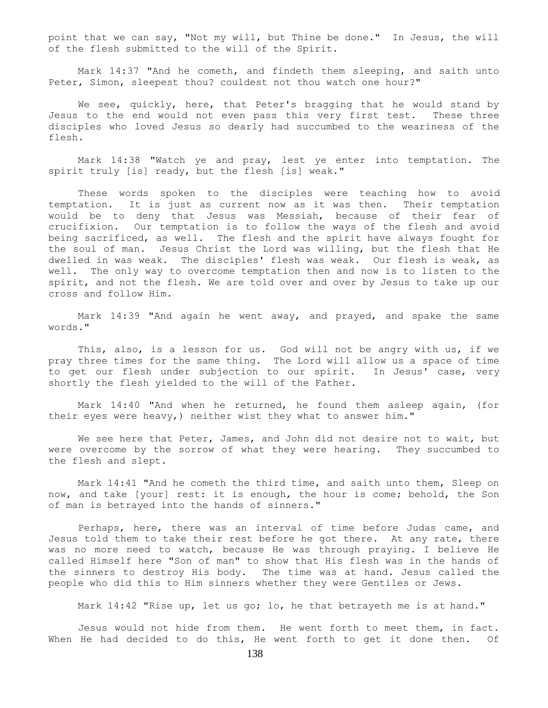point that we can say, "Not my will, but Thine be done." In Jesus, the will of the flesh submitted to the will of the Spirit.

 Mark 14:37 "And he cometh, and findeth them sleeping, and saith unto Peter, Simon, sleepest thou? couldest not thou watch one hour?"

We see, quickly, here, that Peter's bragging that he would stand by Jesus to the end would not even pass this very first test. These three disciples who loved Jesus so dearly had succumbed to the weariness of the flesh.

 Mark 14:38 "Watch ye and pray, lest ye enter into temptation. The spirit truly [is] ready, but the flesh [is] weak."

 These words spoken to the disciples were teaching how to avoid temptation. It is just as current now as it was then. Their temptation would be to deny that Jesus was Messiah, because of their fear of crucifixion. Our temptation is to follow the ways of the flesh and avoid being sacrificed, as well. The flesh and the spirit have always fought for the soul of man. Jesus Christ the Lord was willing, but the flesh that He dwelled in was weak. The disciples' flesh was weak. Our flesh is weak, as well. The only way to overcome temptation then and now is to listen to the spirit, and not the flesh. We are told over and over by Jesus to take up our cross and follow Him.

 Mark 14:39 "And again he went away, and prayed, and spake the same words."

This, also, is a lesson for us. God will not be angry with us, if we pray three times for the same thing. The Lord will allow us a space of time to get our flesh under subjection to our spirit. In Jesus' case, very shortly the flesh yielded to the will of the Father.

 Mark 14:40 "And when he returned, he found them asleep again, (for their eyes were heavy,) neither wist they what to answer him."

We see here that Peter, James, and John did not desire not to wait, but were overcome by the sorrow of what they were hearing. They succumbed to the flesh and slept.

 Mark 14:41 "And he cometh the third time, and saith unto them, Sleep on now, and take [your] rest: it is enough, the hour is come; behold, the Son of man is betrayed into the hands of sinners."

 Perhaps, here, there was an interval of time before Judas came, and Jesus told them to take their rest before he got there. At any rate, there was no more need to watch, because He was through praying. I believe He called Himself here "Son of man" to show that His flesh was in the hands of the sinners to destroy His body. The time was at hand. Jesus called the people who did this to Him sinners whether they were Gentiles or Jews.

Mark 14:42 "Rise up, let us go; lo, he that betrayeth me is at hand."

 Jesus would not hide from them. He went forth to meet them, in fact. When He had decided to do this, He went forth to get it done then. Of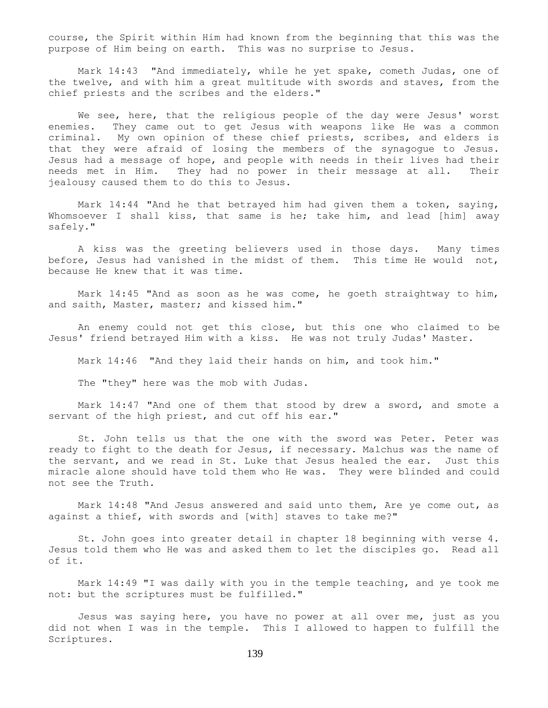course, the Spirit within Him had known from the beginning that this was the purpose of Him being on earth. This was no surprise to Jesus.

 Mark 14:43 "And immediately, while he yet spake, cometh Judas, one of the twelve, and with him a great multitude with swords and staves, from the chief priests and the scribes and the elders."

We see, here, that the religious people of the day were Jesus' worst enemies. They came out to get Jesus with weapons like He was a common criminal. My own opinion of these chief priests, scribes, and elders is that they were afraid of losing the members of the synagogue to Jesus. Jesus had a message of hope, and people with needs in their lives had their needs met in Him. They had no power in their message at all. Their jealousy caused them to do this to Jesus.

Mark  $14:44$  "And he that betrayed him had given them a token, saying, Whomsoever I shall kiss, that same is he; take him, and lead [him] away safely."

 A kiss was the greeting believers used in those days. Many times before, Jesus had vanished in the midst of them. This time He would not, because He knew that it was time.

 Mark 14:45 "And as soon as he was come, he goeth straightway to him, and saith, Master, master; and kissed him."

 An enemy could not get this close, but this one who claimed to be Jesus' friend betrayed Him with a kiss. He was not truly Judas' Master.

Mark 14:46 "And they laid their hands on him, and took him."

The "they" here was the mob with Judas.

 Mark 14:47 "And one of them that stood by drew a sword, and smote a servant of the high priest, and cut off his ear."

 St. John tells us that the one with the sword was Peter. Peter was ready to fight to the death for Jesus, if necessary. Malchus was the name of the servant, and we read in St. Luke that Jesus healed the ear. Just this miracle alone should have told them who He was. They were blinded and could not see the Truth.

 Mark 14:48 "And Jesus answered and said unto them, Are ye come out, as against a thief, with swords and [with] staves to take me?"

 St. John goes into greater detail in chapter 18 beginning with verse 4. Jesus told them who He was and asked them to let the disciples go. Read all of it.

 Mark 14:49 "I was daily with you in the temple teaching, and ye took me not: but the scriptures must be fulfilled."

 Jesus was saying here, you have no power at all over me, just as you did not when I was in the temple. This I allowed to happen to fulfill the Scriptures.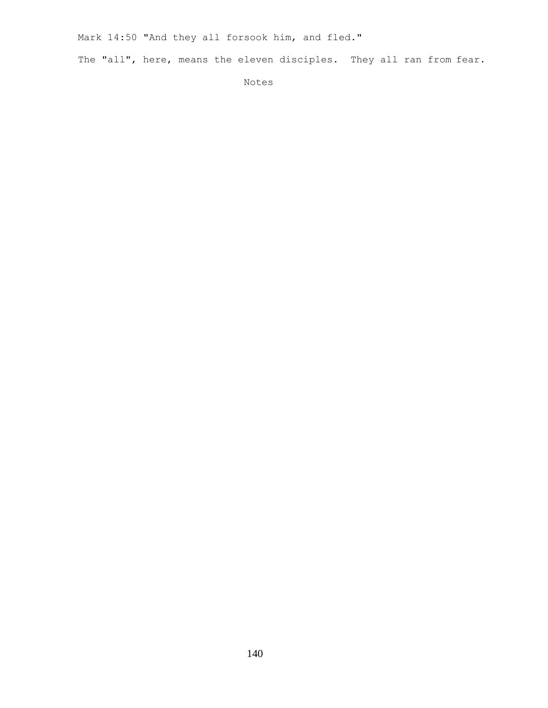Mark 14:50 "And they all forsook him, and fled."

The "all", here, means the eleven disciples. They all ran from fear.

Notes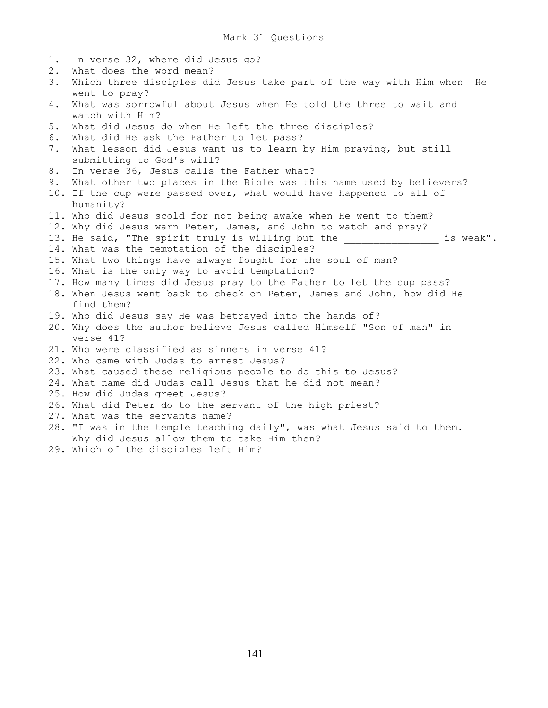- 1. In verse 32, where did Jesus go?
- 2. What does the word mean?
- 3. Which three disciples did Jesus take part of the way with Him when He went to pray?
- 4. What was sorrowful about Jesus when He told the three to wait and watch with Him?
- 5. What did Jesus do when He left the three disciples?
- 6. What did He ask the Father to let pass?
- 7. What lesson did Jesus want us to learn by Him praying, but still submitting to God's will?
- 8. In verse 36, Jesus calls the Father what?
- 9. What other two places in the Bible was this name used by believers?
- 10. If the cup were passed over, what would have happened to all of humanity?
- 11. Who did Jesus scold for not being awake when He went to them?
- 12. Why did Jesus warn Peter, James, and John to watch and pray?
- 13. He said, "The spirit truly is willing but the \_\_\_\_\_\_\_\_\_\_\_\_\_\_\_\_\_\_ is weak". 14. What was the temptation of the disciples?
- 
- 15. What two things have always fought for the soul of man?
- 16. What is the only way to avoid temptation?
- 17. How many times did Jesus pray to the Father to let the cup pass?
- 18. When Jesus went back to check on Peter, James and John, how did He find them?
- 19. Who did Jesus say He was betrayed into the hands of?
- 20. Why does the author believe Jesus called Himself "Son of man" in verse 41?
- 21. Who were classified as sinners in verse 41?
- 22. Who came with Judas to arrest Jesus?
- 23. What caused these religious people to do this to Jesus?
- 24. What name did Judas call Jesus that he did not mean?
- 25. How did Judas greet Jesus?
- 26. What did Peter do to the servant of the high priest?
- 27. What was the servants name?
- 28. "I was in the temple teaching daily", was what Jesus said to them. Why did Jesus allow them to take Him then?
- 29. Which of the disciples left Him?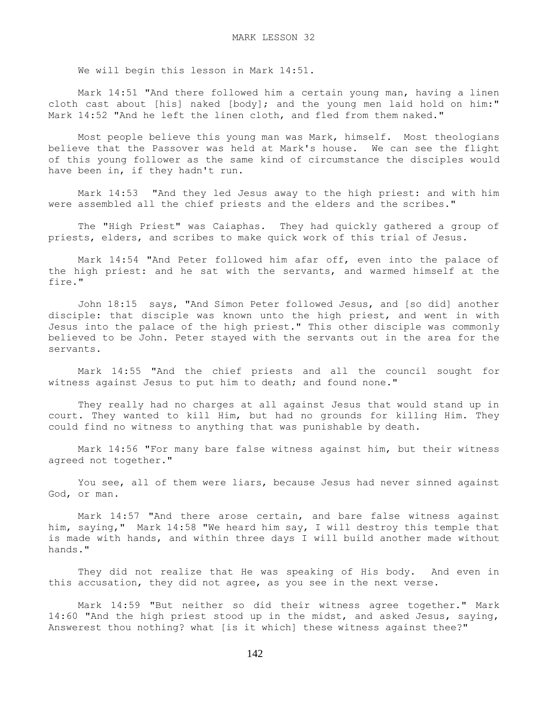We will begin this lesson in Mark 14:51.

 Mark 14:51 "And there followed him a certain young man, having a linen cloth cast about [his] naked [body]; and the young men laid hold on him:" Mark 14:52 "And he left the linen cloth, and fled from them naked."

 Most people believe this young man was Mark, himself. Most theologians believe that the Passover was held at Mark's house. We can see the flight of this young follower as the same kind of circumstance the disciples would have been in, if they hadn't run.

 Mark 14:53 "And they led Jesus away to the high priest: and with him were assembled all the chief priests and the elders and the scribes."

 The "High Priest" was Caiaphas. They had quickly gathered a group of priests, elders, and scribes to make quick work of this trial of Jesus.

 Mark 14:54 "And Peter followed him afar off, even into the palace of the high priest: and he sat with the servants, and warmed himself at the fire."

 John 18:15 says, "And Simon Peter followed Jesus, and [so did] another disciple: that disciple was known unto the high priest, and went in with Jesus into the palace of the high priest." This other disciple was commonly believed to be John. Peter stayed with the servants out in the area for the servants.

 Mark 14:55 "And the chief priests and all the council sought for witness against Jesus to put him to death; and found none."

 They really had no charges at all against Jesus that would stand up in court. They wanted to kill Him, but had no grounds for killing Him. They could find no witness to anything that was punishable by death.

 Mark 14:56 "For many bare false witness against him, but their witness agreed not together."

 You see, all of them were liars, because Jesus had never sinned against God, or man.

 Mark 14:57 "And there arose certain, and bare false witness against him, saying," Mark 14:58 "We heard him say, I will destroy this temple that is made with hands, and within three days I will build another made without hands."

 They did not realize that He was speaking of His body. And even in this accusation, they did not agree, as you see in the next verse.

 Mark 14:59 "But neither so did their witness agree together." Mark 14:60 "And the high priest stood up in the midst, and asked Jesus, saying, Answerest thou nothing? what [is it which] these witness against thee?"

142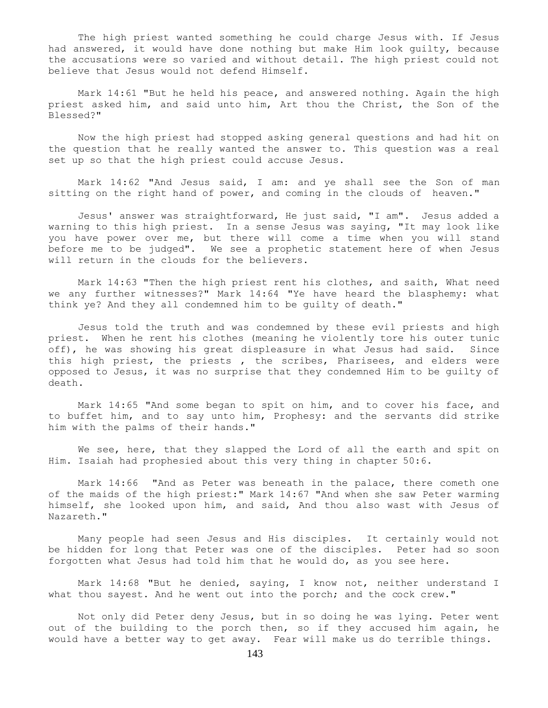The high priest wanted something he could charge Jesus with. If Jesus had answered, it would have done nothing but make Him look guilty, because the accusations were so varied and without detail. The high priest could not believe that Jesus would not defend Himself.

 Mark 14:61 "But he held his peace, and answered nothing. Again the high priest asked him, and said unto him, Art thou the Christ, the Son of the Blessed?"

 Now the high priest had stopped asking general questions and had hit on the question that he really wanted the answer to. This question was a real set up so that the high priest could accuse Jesus.

 Mark 14:62 "And Jesus said, I am: and ye shall see the Son of man sitting on the right hand of power, and coming in the clouds of heaven."

 Jesus' answer was straightforward, He just said, "I am". Jesus added a warning to this high priest. In a sense Jesus was saying, "It may look like you have power over me, but there will come a time when you will stand before me to be judged". We see a prophetic statement here of when Jesus will return in the clouds for the believers.

 Mark 14:63 "Then the high priest rent his clothes, and saith, What need we any further witnesses?" Mark 14:64 "Ye have heard the blasphemy: what think ye? And they all condemned him to be guilty of death."

 Jesus told the truth and was condemned by these evil priests and high priest. When he rent his clothes (meaning he violently tore his outer tunic off), he was showing his great displeasure in what Jesus had said. Since this high priest, the priests , the scribes, Pharisees, and elders were opposed to Jesus, it was no surprise that they condemned Him to be guilty of death.

 Mark 14:65 "And some began to spit on him, and to cover his face, and to buffet him, and to say unto him, Prophesy: and the servants did strike him with the palms of their hands."

We see, here, that they slapped the Lord of all the earth and spit on Him. Isaiah had prophesied about this very thing in chapter 50:6.

 Mark 14:66 "And as Peter was beneath in the palace, there cometh one of the maids of the high priest:" Mark 14:67 "And when she saw Peter warming himself, she looked upon him, and said, And thou also wast with Jesus of Nazareth."

 Many people had seen Jesus and His disciples. It certainly would not be hidden for long that Peter was one of the disciples. Peter had so soon forgotten what Jesus had told him that he would do, as you see here.

 Mark 14:68 "But he denied, saying, I know not, neither understand I what thou sayest. And he went out into the porch; and the cock crew."

 Not only did Peter deny Jesus, but in so doing he was lying. Peter went out of the building to the porch then, so if they accused him again, he would have a better way to get away. Fear will make us do terrible things.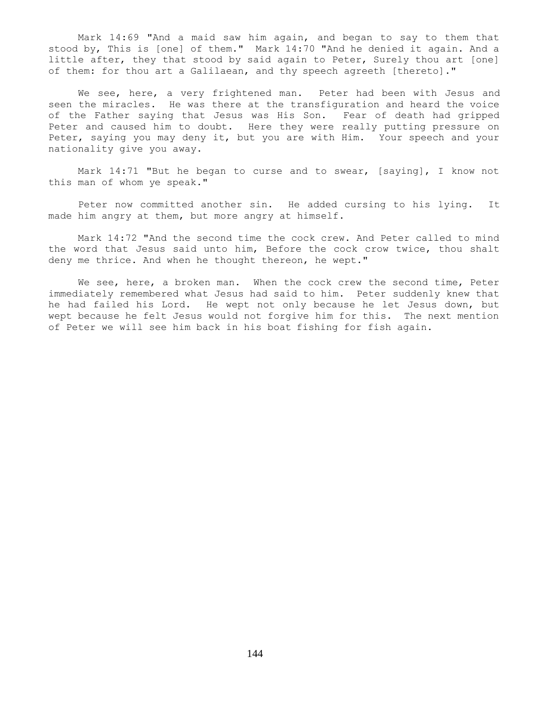Mark 14:69 "And a maid saw him again, and began to say to them that stood by, This is [one] of them." Mark 14:70 "And he denied it again. And a little after, they that stood by said again to Peter, Surely thou art [one] of them: for thou art a Galilaean, and thy speech agreeth [thereto]."

We see, here, a very frightened man. Peter had been with Jesus and seen the miracles. He was there at the transfiguration and heard the voice of the Father saying that Jesus was His Son. Fear of death had gripped Peter and caused him to doubt. Here they were really putting pressure on Peter, saying you may deny it, but you are with Him. Your speech and your nationality give you away.

 Mark 14:71 "But he began to curse and to swear, [saying], I know not this man of whom ye speak."

 Peter now committed another sin. He added cursing to his lying. It made him angry at them, but more angry at himself.

 Mark 14:72 "And the second time the cock crew. And Peter called to mind the word that Jesus said unto him, Before the cock crow twice, thou shalt deny me thrice. And when he thought thereon, he wept."

We see, here, a broken man. When the cock crew the second time, Peter immediately remembered what Jesus had said to him. Peter suddenly knew that he had failed his Lord. He wept not only because he let Jesus down, but wept because he felt Jesus would not forgive him for this. The next mention of Peter we will see him back in his boat fishing for fish again.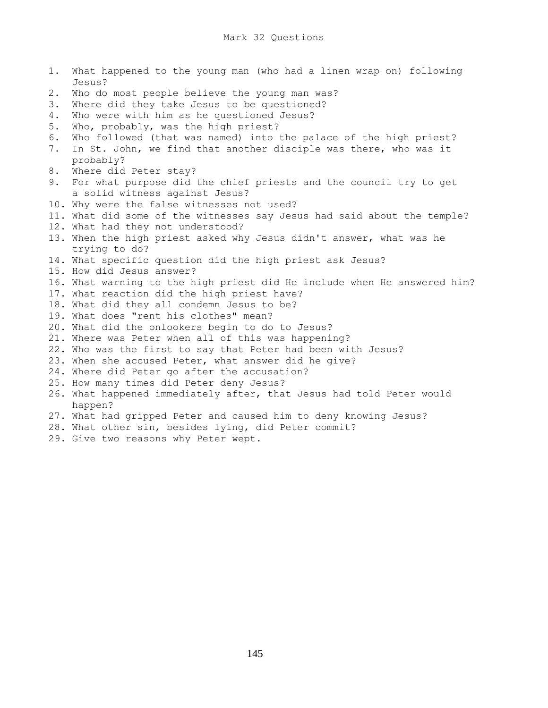- 1. What happened to the young man (who had a linen wrap on) following Jesus? 2. Who do most people believe the young man was? 3. Where did they take Jesus to be questioned? 4. Who were with him as he questioned Jesus? 5. Who, probably, was the high priest? 6. Who followed (that was named) into the palace of the high priest? 7. In St. John, we find that another disciple was there, who was it probably? 8. Where did Peter stay? 9. For what purpose did the chief priests and the council try to get a solid witness against Jesus? 10. Why were the false witnesses not used? 11. What did some of the witnesses say Jesus had said about the temple? 12. What had they not understood? 13. When the high priest asked why Jesus didn't answer, what was he trying to do? 14. What specific question did the high priest ask Jesus? 15. How did Jesus answer? 16. What warning to the high priest did He include when He answered him? 17. What reaction did the high priest have? 18. What did they all condemn Jesus to be? 19. What does "rent his clothes" mean? 20. What did the onlookers begin to do to Jesus? 21. Where was Peter when all of this was happening? 22. Who was the first to say that Peter had been with Jesus? 23. When she accused Peter, what answer did he give? 24. Where did Peter go after the accusation? 25. How many times did Peter deny Jesus? 26. What happened immediately after, that Jesus had told Peter would happen? 27. What had gripped Peter and caused him to deny knowing Jesus? 28. What other sin, besides lying, did Peter commit?
	- 29. Give two reasons why Peter wept.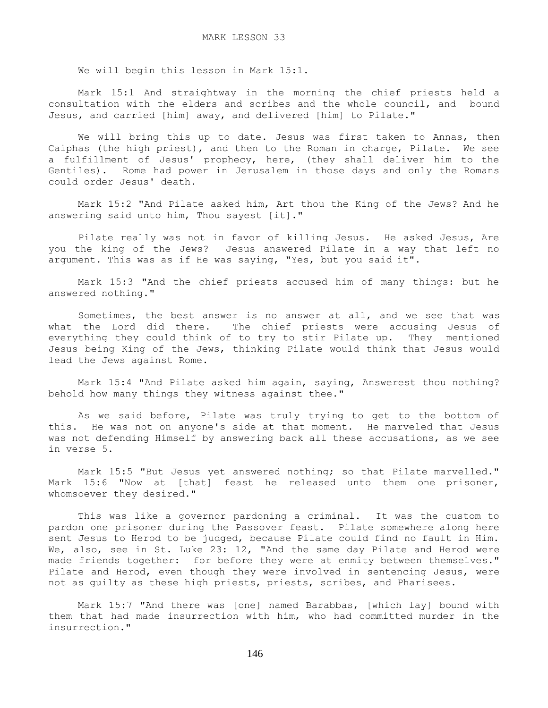We will begin this lesson in Mark 15:1.

 Mark 15:1 And straightway in the morning the chief priests held a consultation with the elders and scribes and the whole council, and bound Jesus, and carried [him] away, and delivered [him] to Pilate."

We will bring this up to date. Jesus was first taken to Annas, then Caiphas (the high priest), and then to the Roman in charge, Pilate. We see a fulfillment of Jesus' prophecy, here, (they shall deliver him to the Gentiles). Rome had power in Jerusalem in those days and only the Romans could order Jesus' death.

 Mark 15:2 "And Pilate asked him, Art thou the King of the Jews? And he answering said unto him, Thou sayest [it]."

 Pilate really was not in favor of killing Jesus. He asked Jesus, Are you the king of the Jews? Jesus answered Pilate in a way that left no argument. This was as if He was saying, "Yes, but you said it".

 Mark 15:3 "And the chief priests accused him of many things: but he answered nothing."

 Sometimes, the best answer is no answer at all, and we see that was what the Lord did there. The chief priests were accusing Jesus of everything they could think of to try to stir Pilate up. They mentioned Jesus being King of the Jews, thinking Pilate would think that Jesus would lead the Jews against Rome.

 Mark 15:4 "And Pilate asked him again, saying, Answerest thou nothing? behold how many things they witness against thee."

 As we said before, Pilate was truly trying to get to the bottom of this. He was not on anyone's side at that moment. He marveled that Jesus was not defending Himself by answering back all these accusations, as we see in verse 5.

 Mark 15:5 "But Jesus yet answered nothing; so that Pilate marvelled." Mark 15:6 "Now at [that] feast he released unto them one prisoner, whomsoever they desired."

 This was like a governor pardoning a criminal. It was the custom to pardon one prisoner during the Passover feast. Pilate somewhere along here sent Jesus to Herod to be judged, because Pilate could find no fault in Him. We, also, see in St. Luke 23: 12, "And the same day Pilate and Herod were made friends together: for before they were at enmity between themselves." Pilate and Herod, even though they were involved in sentencing Jesus, were not as guilty as these high priests, priests, scribes, and Pharisees.

 Mark 15:7 "And there was [one] named Barabbas, [which lay] bound with them that had made insurrection with him, who had committed murder in the insurrection."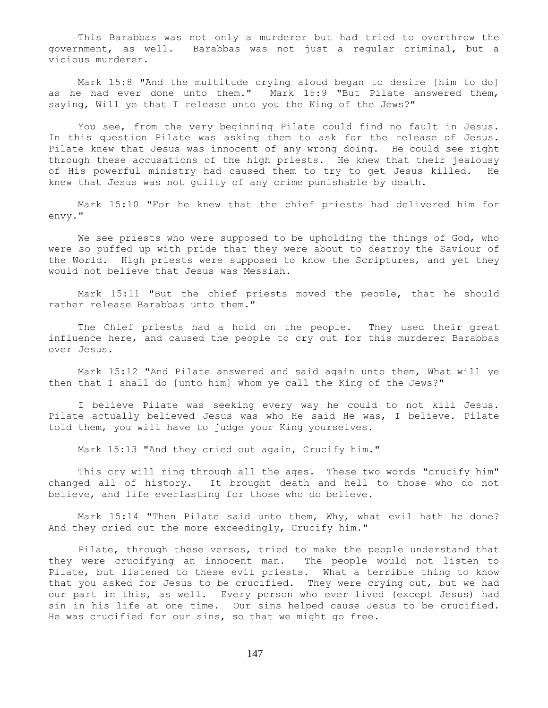This Barabbas was not only a murderer but had tried to overthrow the government, as well. Barabbas was not just a regular criminal, but a vicious murderer.

 Mark 15:8 "And the multitude crying aloud began to desire [him to do] as he had ever done unto them." Mark 15:9 "But Pilate answered them, saying, Will ye that I release unto you the King of the Jews?"

 You see, from the very beginning Pilate could find no fault in Jesus. In this question Pilate was asking them to ask for the release of Jesus. Pilate knew that Jesus was innocent of any wrong doing. He could see right through these accusations of the high priests. He knew that their jealousy of His powerful ministry had caused them to try to get Jesus killed. He knew that Jesus was not guilty of any crime punishable by death.

 Mark 15:10 "For he knew that the chief priests had delivered him for envy."

 We see priests who were supposed to be upholding the things of God, who were so puffed up with pride that they were about to destroy the Saviour of the World. High priests were supposed to know the Scriptures, and yet they would not believe that Jesus was Messiah.

 Mark 15:11 "But the chief priests moved the people, that he should rather release Barabbas unto them."

 The Chief priests had a hold on the people. They used their great influence here, and caused the people to cry out for this murderer Barabbas over Jesus.

 Mark 15:12 "And Pilate answered and said again unto them, What will ye then that I shall do [unto him] whom ye call the King of the Jews?"

 I believe Pilate was seeking every way he could to not kill Jesus. Pilate actually believed Jesus was who He said He was, I believe. Pilate told them, you will have to judge your King yourselves.

Mark 15:13 "And they cried out again, Crucify him."

This cry will ring through all the ages. These two words "crucify him" changed all of history. It brought death and hell to those who do not believe, and life everlasting for those who do believe.

 Mark 15:14 "Then Pilate said unto them, Why, what evil hath he done? And they cried out the more exceedingly, Crucify him."

 Pilate, through these verses, tried to make the people understand that they were crucifying an innocent man. The people would not listen to Pilate, but listened to these evil priests. What a terrible thing to know that you asked for Jesus to be crucified. They were crying out, but we had our part in this, as well. Every person who ever lived (except Jesus) had sin in his life at one time. Our sins helped cause Jesus to be crucified. He was crucified for our sins, so that we might go free.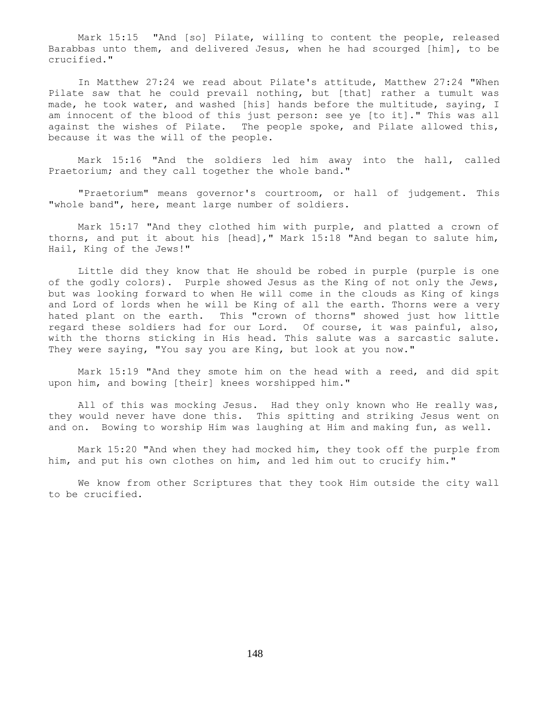Mark 15:15 "And [so] Pilate, willing to content the people, released Barabbas unto them, and delivered Jesus, when he had scourged [him], to be crucified."

 In Matthew 27:24 we read about Pilate's attitude, Matthew 27:24 "When Pilate saw that he could prevail nothing, but [that] rather a tumult was made, he took water, and washed [his] hands before the multitude, saying, I am innocent of the blood of this just person: see ye [to it]." This was all against the wishes of Pilate. The people spoke, and Pilate allowed this, because it was the will of the people.

 Mark 15:16 "And the soldiers led him away into the hall, called Praetorium; and they call together the whole band."

 "Praetorium" means governor's courtroom, or hall of judgement. This "whole band", here, meant large number of soldiers.

 Mark 15:17 "And they clothed him with purple, and platted a crown of thorns, and put it about his [head]," Mark 15:18 "And began to salute him, Hail, King of the Jews!"

 Little did they know that He should be robed in purple (purple is one of the godly colors). Purple showed Jesus as the King of not only the Jews, but was looking forward to when He will come in the clouds as King of kings and Lord of lords when he will be King of all the earth. Thorns were a very hated plant on the earth. This "crown of thorns" showed just how little regard these soldiers had for our Lord. Of course, it was painful, also, with the thorns sticking in His head. This salute was a sarcastic salute. They were saying, "You say you are King, but look at you now."

 Mark 15:19 "And they smote him on the head with a reed, and did spit upon him, and bowing [their] knees worshipped him."

 All of this was mocking Jesus. Had they only known who He really was, they would never have done this. This spitting and striking Jesus went on and on. Bowing to worship Him was laughing at Him and making fun, as well.

 Mark 15:20 "And when they had mocked him, they took off the purple from him, and put his own clothes on him, and led him out to crucify him."

 We know from other Scriptures that they took Him outside the city wall to be crucified.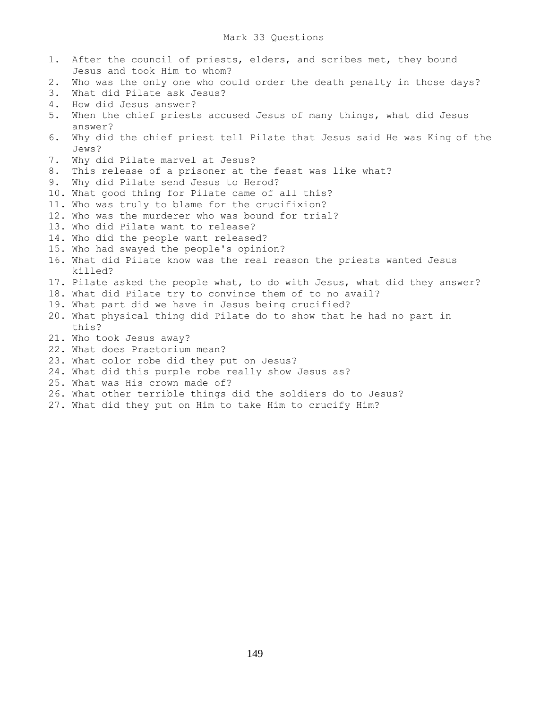- 1. After the council of priests, elders, and scribes met, they bound Jesus and took Him to whom? 2. Who was the only one who could order the death penalty in those days? 3. What did Pilate ask Jesus? 4. How did Jesus answer? 5. When the chief priests accused Jesus of many things, what did Jesus answer? 6. Why did the chief priest tell Pilate that Jesus said He was King of the Jews? 7. Why did Pilate marvel at Jesus? 8. This release of a prisoner at the feast was like what? 9. Why did Pilate send Jesus to Herod? 10. What good thing for Pilate came of all this? 11. Who was truly to blame for the crucifixion? 12. Who was the murderer who was bound for trial? 13. Who did Pilate want to release? 14. Who did the people want released? 15. Who had swayed the people's opinion? 16. What did Pilate know was the real reason the priests wanted Jesus killed? 17. Pilate asked the people what, to do with Jesus, what did they answer? 18. What did Pilate try to convince them of to no avail? 19. What part did we have in Jesus being crucified? 20. What physical thing did Pilate do to show that he had no part in this?
- 21. Who took Jesus away?
- 22. What does Praetorium mean?
- 23. What color robe did they put on Jesus?
- 24. What did this purple robe really show Jesus as?
- 25. What was His crown made of?
- 26. What other terrible things did the soldiers do to Jesus?
- 27. What did they put on Him to take Him to crucify Him?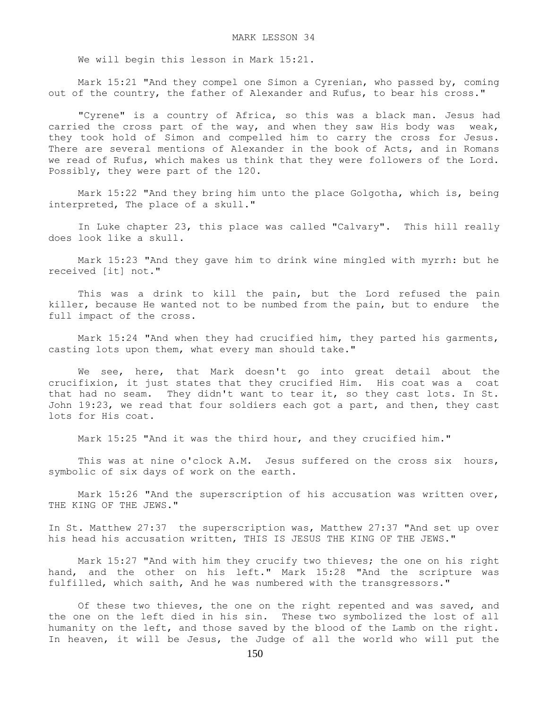We will begin this lesson in Mark 15:21.

 Mark 15:21 "And they compel one Simon a Cyrenian, who passed by, coming out of the country, the father of Alexander and Rufus, to bear his cross."

 "Cyrene" is a country of Africa, so this was a black man. Jesus had carried the cross part of the way, and when they saw His body was weak, they took hold of Simon and compelled him to carry the cross for Jesus. There are several mentions of Alexander in the book of Acts, and in Romans we read of Rufus, which makes us think that they were followers of the Lord. Possibly, they were part of the 120.

 Mark 15:22 "And they bring him unto the place Golgotha, which is, being interpreted, The place of a skull."

 In Luke chapter 23, this place was called "Calvary". This hill really does look like a skull.

 Mark 15:23 "And they gave him to drink wine mingled with myrrh: but he received [it] not."

 This was a drink to kill the pain, but the Lord refused the pain killer, because He wanted not to be numbed from the pain, but to endure the full impact of the cross.

 Mark 15:24 "And when they had crucified him, they parted his garments, casting lots upon them, what every man should take."

 We see, here, that Mark doesn't go into great detail about the crucifixion, it just states that they crucified Him. His coat was a coat that had no seam. They didn't want to tear it, so they cast lots. In St. John 19:23, we read that four soldiers each got a part, and then, they cast lots for His coat.

Mark 15:25 "And it was the third hour, and they crucified him."

This was at nine o'clock A.M. Jesus suffered on the cross six hours, symbolic of six days of work on the earth.

Mark 15:26 "And the superscription of his accusation was written over, THE KING OF THE JEWS."

In St. Matthew 27:37 the superscription was, Matthew 27:37 "And set up over his head his accusation written, THIS IS JESUS THE KING OF THE JEWS."

 Mark 15:27 "And with him they crucify two thieves; the one on his right hand, and the other on his left." Mark 15:28 "And the scripture was fulfilled, which saith, And he was numbered with the transgressors."

 Of these two thieves, the one on the right repented and was saved, and the one on the left died in his sin. These two symbolized the lost of all humanity on the left, and those saved by the blood of the Lamb on the right. In heaven, it will be Jesus, the Judge of all the world who will put the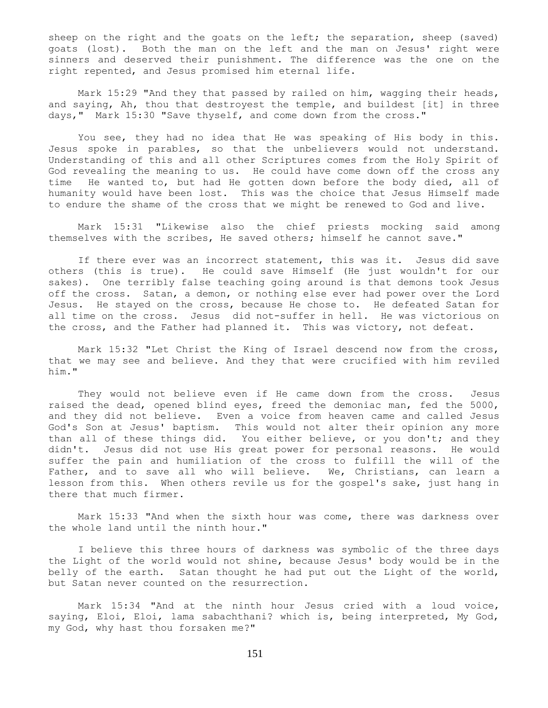sheep on the right and the goats on the left; the separation, sheep (saved) goats (lost). Both the man on the left and the man on Jesus' right were sinners and deserved their punishment. The difference was the one on the right repented, and Jesus promised him eternal life.

 Mark 15:29 "And they that passed by railed on him, wagging their heads, and saying, Ah, thou that destroyest the temple, and buildest [it] in three days," Mark 15:30 "Save thyself, and come down from the cross."

 You see, they had no idea that He was speaking of His body in this. Jesus spoke in parables, so that the unbelievers would not understand. Understanding of this and all other Scriptures comes from the Holy Spirit of God revealing the meaning to us. He could have come down off the cross any time He wanted to, but had He gotten down before the body died, all of humanity would have been lost. This was the choice that Jesus Himself made to endure the shame of the cross that we might be renewed to God and live.

 Mark 15:31 "Likewise also the chief priests mocking said among themselves with the scribes, He saved others; himself he cannot save."

 If there ever was an incorrect statement, this was it. Jesus did save others (this is true). He could save Himself (He just wouldn't for our sakes). One terribly false teaching going around is that demons took Jesus off the cross. Satan, a demon, or nothing else ever had power over the Lord Jesus. He stayed on the cross, because He chose to. He defeated Satan for all time on the cross. Jesus did not-suffer in hell. He was victorious on the cross, and the Father had planned it. This was victory, not defeat.

 Mark 15:32 "Let Christ the King of Israel descend now from the cross, that we may see and believe. And they that were crucified with him reviled him."

 They would not believe even if He came down from the cross. Jesus raised the dead, opened blind eyes, freed the demoniac man, fed the 5000, and they did not believe. Even a voice from heaven came and called Jesus God's Son at Jesus' baptism. This would not alter their opinion any more than all of these things did. You either believe, or you don't; and they didn't. Jesus did not use His great power for personal reasons. He would suffer the pain and humiliation of the cross to fulfill the will of the Father, and to save all who will believe. We, Christians, can learn a lesson from this. When others revile us for the gospel's sake, just hang in there that much firmer.

 Mark 15:33 "And when the sixth hour was come, there was darkness over the whole land until the ninth hour."

 I believe this three hours of darkness was symbolic of the three days the Light of the world would not shine, because Jesus' body would be in the belly of the earth. Satan thought he had put out the Light of the world, but Satan never counted on the resurrection.

 Mark 15:34 "And at the ninth hour Jesus cried with a loud voice, saying, Eloi, Eloi, lama sabachthani? which is, being interpreted, My God, my God, why hast thou forsaken me?"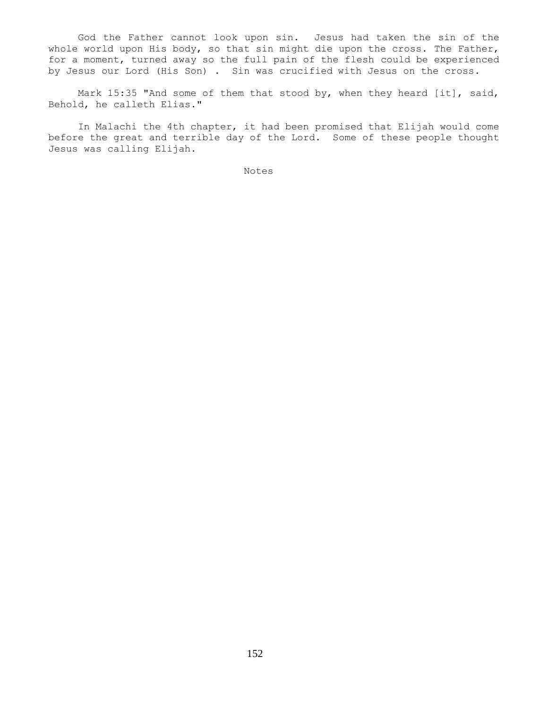God the Father cannot look upon sin. Jesus had taken the sin of the whole world upon His body, so that sin might die upon the cross. The Father, for a moment, turned away so the full pain of the flesh could be experienced by Jesus our Lord (His Son) . Sin was crucified with Jesus on the cross.

Mark 15:35 "And some of them that stood by, when they heard [it], said, Behold, he calleth Elias."

 In Malachi the 4th chapter, it had been promised that Elijah would come before the great and terrible day of the Lord. Some of these people thought Jesus was calling Elijah.

Notes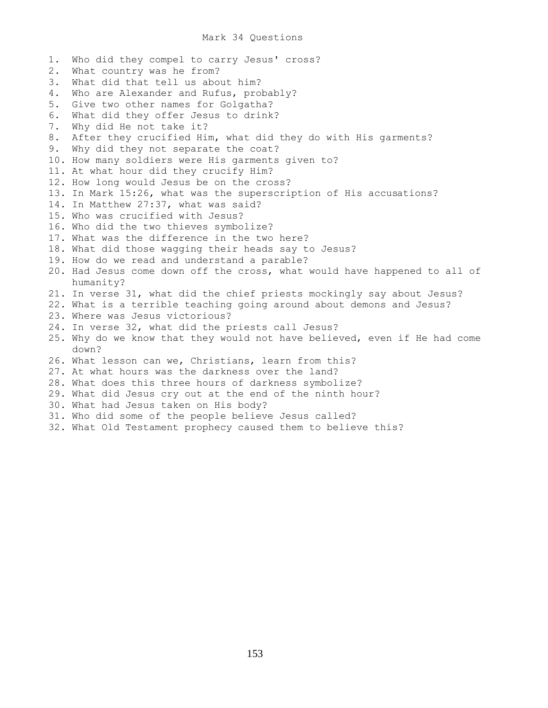## Mark 34 Questions

1. Who did they compel to carry Jesus' cross? 2. What country was he from? 3. What did that tell us about him? 4. Who are Alexander and Rufus, probably? 5. Give two other names for Golgatha? 6. What did they offer Jesus to drink? 7. Why did He not take it? 8. After they crucified Him, what did they do with His garments? 9. Why did they not separate the coat? 10. How many soldiers were His garments given to? 11. At what hour did they crucify Him? 12. How long would Jesus be on the cross? 13. In Mark 15:26, what was the superscription of His accusations? 14. In Matthew 27:37, what was said? 15. Who was crucified with Jesus? 16. Who did the two thieves symbolize? 17. What was the difference in the two here? 18. What did those wagging their heads say to Jesus? 19. How do we read and understand a parable? 20. Had Jesus come down off the cross, what would have happened to all of humanity? 21. In verse 31, what did the chief priests mockingly say about Jesus? 22. What is a terrible teaching going around about demons and Jesus? 23. Where was Jesus victorious? 24. In verse 32, what did the priests call Jesus? 25. Why do we know that they would not have believed, even if He had come down? 26. What lesson can we, Christians, learn from this? 27. At what hours was the darkness over the land? 28. What does this three hours of darkness symbolize? 29. What did Jesus cry out at the end of the ninth hour? 30. What had Jesus taken on His body? 31. Who did some of the people believe Jesus called? 32. What Old Testament prophecy caused them to believe this?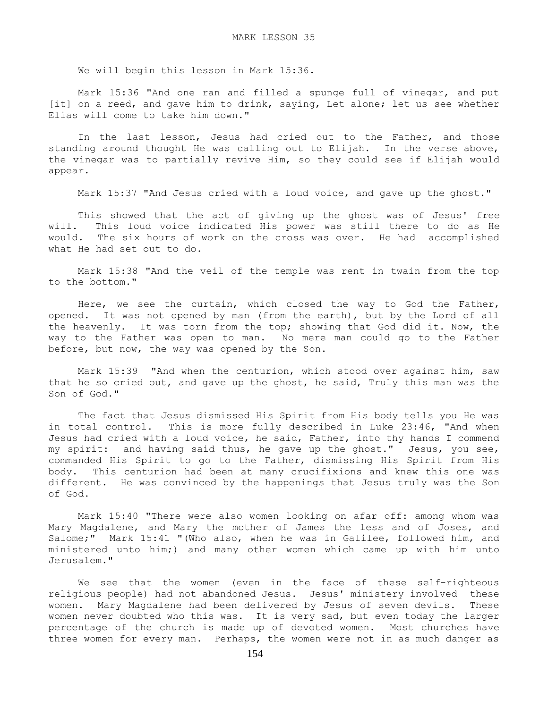We will begin this lesson in Mark 15:36.

 Mark 15:36 "And one ran and filled a spunge full of vinegar, and put [it] on a reed, and gave him to drink, saying, Let alone; let us see whether Elias will come to take him down."

 In the last lesson, Jesus had cried out to the Father, and those standing around thought He was calling out to Elijah. In the verse above, the vinegar was to partially revive Him, so they could see if Elijah would appear.

Mark 15:37 "And Jesus cried with a loud voice, and gave up the ghost."

 This showed that the act of giving up the ghost was of Jesus' free will. This loud voice indicated His power was still there to do as He would. The six hours of work on the cross was over. He had accomplished what He had set out to do.

 Mark 15:38 "And the veil of the temple was rent in twain from the top to the bottom."

 Here, we see the curtain, which closed the way to God the Father, opened. It was not opened by man (from the earth), but by the Lord of all the heavenly. It was torn from the top; showing that God did it. Now, the way to the Father was open to man. No mere man could go to the Father before, but now, the way was opened by the Son.

 Mark 15:39 "And when the centurion, which stood over against him, saw that he so cried out, and gave up the ghost, he said, Truly this man was the Son of God."

 The fact that Jesus dismissed His Spirit from His body tells you He was in total control. This is more fully described in Luke 23:46, "And when Jesus had cried with a loud voice, he said, Father, into thy hands I commend my spirit: and having said thus, he gave up the ghost." Jesus, you see, commanded His Spirit to go to the Father, dismissing His Spirit from His body. This centurion had been at many crucifixions and knew this one was different. He was convinced by the happenings that Jesus truly was the Son of God.

 Mark 15:40 "There were also women looking on afar off: among whom was Mary Magdalene, and Mary the mother of James the less and of Joses, and Salome;" Mark 15:41 "(Who also, when he was in Galilee, followed him, and ministered unto him;) and many other women which came up with him unto Jerusalem."

 We see that the women (even in the face of these self-righteous religious people) had not abandoned Jesus. Jesus' ministery involved these women. Mary Magdalene had been delivered by Jesus of seven devils. These women never doubted who this was. It is very sad, but even today the larger percentage of the church is made up of devoted women. Most churches have three women for every man. Perhaps, the women were not in as much danger as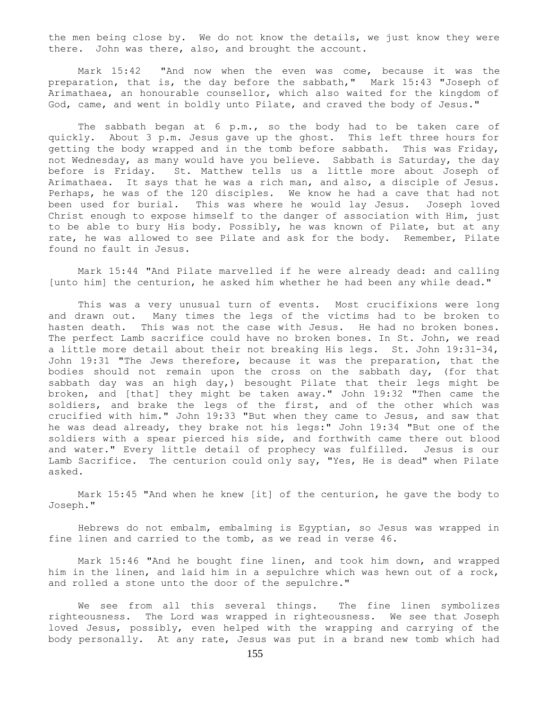the men being close by. We do not know the details, we just know they were there. John was there, also, and brought the account.

 Mark 15:42 "And now when the even was come, because it was the preparation, that is, the day before the sabbath," Mark 15:43 "Joseph of Arimathaea, an honourable counsellor, which also waited for the kingdom of God, came, and went in boldly unto Pilate, and craved the body of Jesus."

The sabbath began at 6 p.m., so the body had to be taken care of quickly. About 3 p.m. Jesus gave up the ghost. This left three hours for getting the body wrapped and in the tomb before sabbath. This was Friday, not Wednesday, as many would have you believe. Sabbath is Saturday, the day before is Friday. St. Matthew tells us a little more about Joseph of Arimathaea. It says that he was a rich man, and also, a disciple of Jesus. Perhaps, he was of the 120 disciples. We know he had a cave that had not been used for burial. This was where he would lay Jesus. Joseph loved Christ enough to expose himself to the danger of association with Him, just to be able to bury His body. Possibly, he was known of Pilate, but at any rate, he was allowed to see Pilate and ask for the body. Remember, Pilate found no fault in Jesus.

 Mark 15:44 "And Pilate marvelled if he were already dead: and calling [unto him] the centurion, he asked him whether he had been any while dead."

 This was a very unusual turn of events. Most crucifixions were long and drawn out. Many times the legs of the victims had to be broken to hasten death. This was not the case with Jesus. He had no broken bones. The perfect Lamb sacrifice could have no broken bones. In St. John, we read a little more detail about their not breaking His legs. St. John 19:31-34, John 19:31 "The Jews therefore, because it was the preparation, that the bodies should not remain upon the cross on the sabbath day, (for that sabbath day was an high  $day$ , besought Pilate that their legs might be broken, and [that] they might be taken away." John 19:32 "Then came the soldiers, and brake the legs of the first, and of the other which was crucified with him." John 19:33 "But when they came to Jesus, and saw that he was dead already, they brake not his legs:" John 19:34 "But one of the soldiers with a spear pierced his side, and forthwith came there out blood and water." Every little detail of prophecy was fulfilled. Jesus is our Lamb Sacrifice. The centurion could only say, "Yes, He is dead" when Pilate asked.

 Mark 15:45 "And when he knew [it] of the centurion, he gave the body to Joseph."

 Hebrews do not embalm, embalming is Egyptian, so Jesus was wrapped in fine linen and carried to the tomb, as we read in verse 46.

 Mark 15:46 "And he bought fine linen, and took him down, and wrapped him in the linen, and laid him in a sepulchre which was hewn out of a rock, and rolled a stone unto the door of the sepulchre."

We see from all this several things. The fine linen symbolizes righteousness. The Lord was wrapped in righteousness. We see that Joseph loved Jesus, possibly, even helped with the wrapping and carrying of the body personally. At any rate, Jesus was put in a brand new tomb which had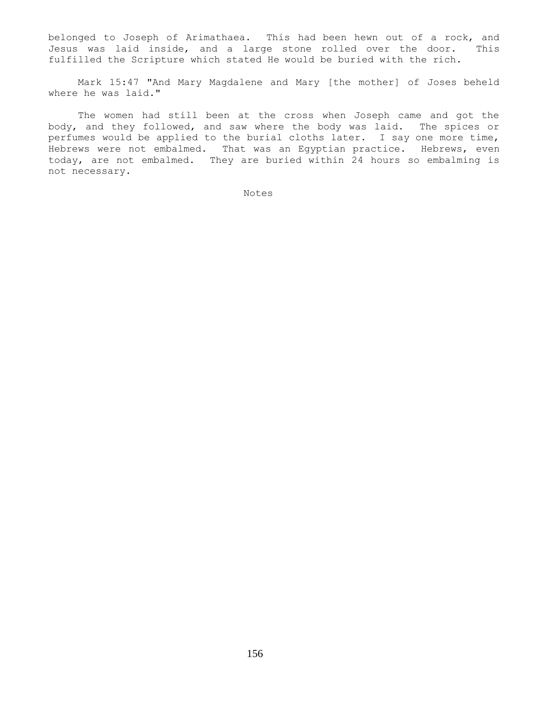belonged to Joseph of Arimathaea. This had been hewn out of a rock, and Jesus was laid inside, and a large stone rolled over the door. This fulfilled the Scripture which stated He would be buried with the rich.

 Mark 15:47 "And Mary Magdalene and Mary [the mother] of Joses beheld where he was laid."

 The women had still been at the cross when Joseph came and got the body, and they followed, and saw where the body was laid. The spices or perfumes would be applied to the burial cloths later. I say one more time, Hebrews were not embalmed. That was an Egyptian practice. Hebrews, even today, are not embalmed. They are buried within 24 hours so embalming is not necessary.

Notes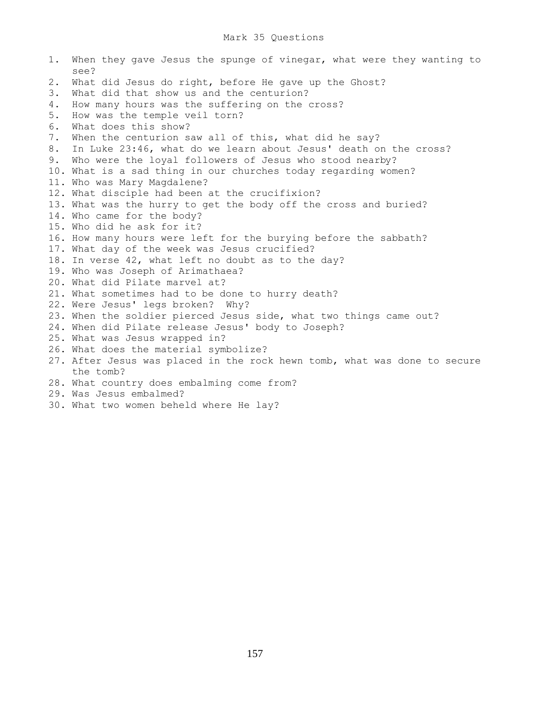## Mark 35 Questions

1. When they gave Jesus the spunge of vinegar, what were they wanting to see? 2. What did Jesus do right, before He gave up the Ghost? 3. What did that show us and the centurion? 4. How many hours was the suffering on the cross? 5. How was the temple veil torn? 6. What does this show? 7. When the centurion saw all of this, what did he say? 8. In Luke 23:46, what do we learn about Jesus' death on the cross? 9. Who were the loyal followers of Jesus who stood nearby? 10. What is a sad thing in our churches today regarding women? 11. Who was Mary Magdalene? 12. What disciple had been at the crucifixion? 13. What was the hurry to get the body off the cross and buried? 14. Who came for the body? 15. Who did he ask for it? 16. How many hours were left for the burying before the sabbath? 17. What day of the week was Jesus crucified? 18. In verse 42, what left no doubt as to the day? 19. Who was Joseph of Arimathaea? 20. What did Pilate marvel at? 21. What sometimes had to be done to hurry death? 22. Were Jesus' legs broken? Why? 23. When the soldier pierced Jesus side, what two things came out? 24. When did Pilate release Jesus' body to Joseph? 25. What was Jesus wrapped in? 26. What does the material symbolize? 27. After Jesus was placed in the rock hewn tomb, what was done to secure the tomb? 28. What country does embalming come from?

29. Was Jesus embalmed?

30. What two women beheld where He lay?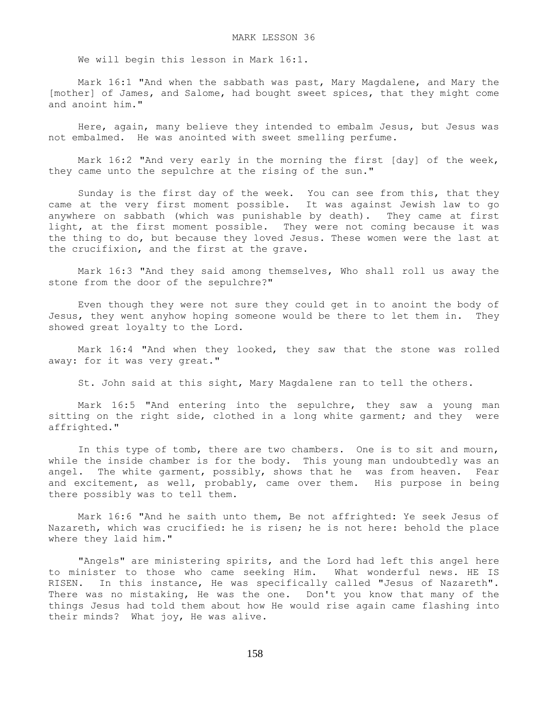We will begin this lesson in Mark 16:1.

 Mark 16:1 "And when the sabbath was past, Mary Magdalene, and Mary the [mother] of James, and Salome, had bought sweet spices, that they might come and anoint him."

 Here, again, many believe they intended to embalm Jesus, but Jesus was not embalmed. He was anointed with sweet smelling perfume.

 Mark 16:2 "And very early in the morning the first [day] of the week, they came unto the sepulchre at the rising of the sun."

 Sunday is the first day of the week. You can see from this, that they came at the very first moment possible. It was against Jewish law to go anywhere on sabbath (which was punishable by death). They came at first light, at the first moment possible. They were not coming because it was the thing to do, but because they loved Jesus. These women were the last at the crucifixion, and the first at the grave.

 Mark 16:3 "And they said among themselves, Who shall roll us away the stone from the door of the sepulchre?"

 Even though they were not sure they could get in to anoint the body of Jesus, they went anyhow hoping someone would be there to let them in. They showed great loyalty to the Lord.

 Mark 16:4 "And when they looked, they saw that the stone was rolled away: for it was very great."

St. John said at this sight, Mary Magdalene ran to tell the others.

 Mark 16:5 "And entering into the sepulchre, they saw a young man sitting on the right side, clothed in a long white garment; and they were affrighted."

 In this type of tomb, there are two chambers. One is to sit and mourn, while the inside chamber is for the body. This young man undoubtedly was an angel. The white garment, possibly, shows that he was from heaven. Fear and excitement, as well, probably, came over them. His purpose in being there possibly was to tell them.

 Mark 16:6 "And he saith unto them, Be not affrighted: Ye seek Jesus of Nazareth, which was crucified: he is risen; he is not here: behold the place where they laid him."

"Angels" are ministering spirits, and the Lord had left this angel here to minister to those who came seeking Him. What wonderful news. HE IS RISEN. In this instance, He was specifically called "Jesus of Nazareth". There was no mistaking, He was the one. Don't you know that many of the things Jesus had told them about how He would rise again came flashing into their minds? What joy, He was alive.

158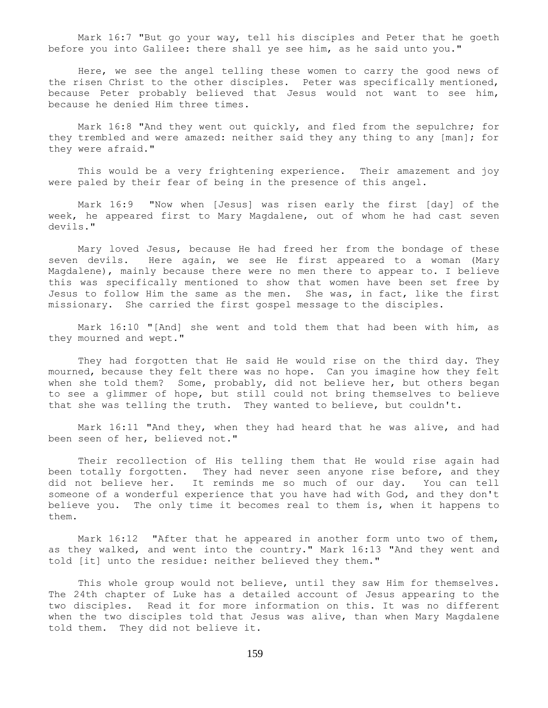Mark 16:7 "But go your way, tell his disciples and Peter that he goeth before you into Galilee: there shall ye see him, as he said unto you."

 Here, we see the angel telling these women to carry the good news of the risen Christ to the other disciples. Peter was specifically mentioned, because Peter probably believed that Jesus would not want to see him, because he denied Him three times.

 Mark 16:8 "And they went out quickly, and fled from the sepulchre; for they trembled and were amazed: neither said they any thing to any [man]; for they were afraid."

 This would be a very frightening experience. Their amazement and joy were paled by their fear of being in the presence of this angel.

 Mark 16:9 "Now when [Jesus] was risen early the first [day] of the week, he appeared first to Mary Magdalene, out of whom he had cast seven devils."

 Mary loved Jesus, because He had freed her from the bondage of these seven devils. Here again, we see He first appeared to a woman (Mary Magdalene), mainly because there were no men there to appear to. I believe this was specifically mentioned to show that women have been set free by Jesus to follow Him the same as the men. She was, in fact, like the first missionary. She carried the first gospel message to the disciples.

 Mark 16:10 "[And] she went and told them that had been with him, as they mourned and wept."

 They had forgotten that He said He would rise on the third day. They mourned, because they felt there was no hope. Can you imagine how they felt when she told them? Some, probably, did not believe her, but others began to see a glimmer of hope, but still could not bring themselves to believe that she was telling the truth. They wanted to believe, but couldn't.

 Mark 16:11 "And they, when they had heard that he was alive, and had been seen of her, believed not."

 Their recollection of His telling them that He would rise again had been totally forgotten. They had never seen anyone rise before, and they did not believe her. It reminds me so much of our day. You can tell someone of a wonderful experience that you have had with God, and they don't believe you. The only time it becomes real to them is, when it happens to them.

Mark 16:12 "After that he appeared in another form unto two of them, as they walked, and went into the country." Mark 16:13 "And they went and told [it] unto the residue: neither believed they them."

 This whole group would not believe, until they saw Him for themselves. The 24th chapter of Luke has a detailed account of Jesus appearing to the two disciples. Read it for more information on this. It was no different when the two disciples told that Jesus was alive, than when Mary Magdalene told them. They did not believe it.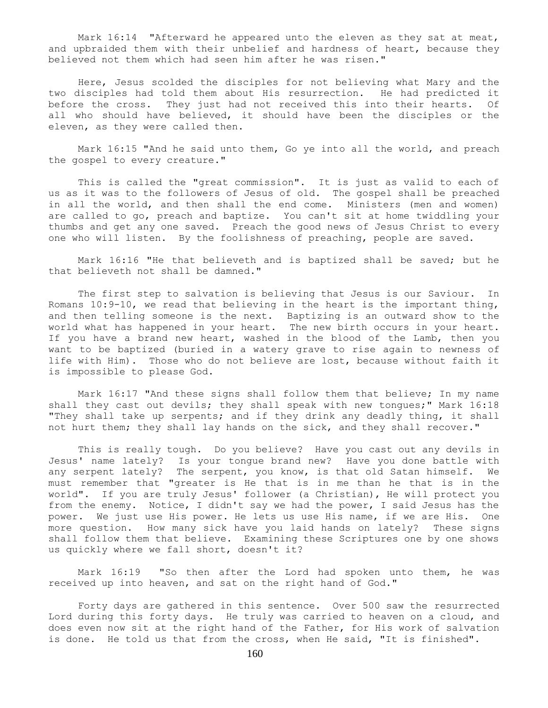Mark 16:14 "Afterward he appeared unto the eleven as they sat at meat, and upbraided them with their unbelief and hardness of heart, because they believed not them which had seen him after he was risen."

 Here, Jesus scolded the disciples for not believing what Mary and the two disciples had told them about His resurrection. He had predicted it before the cross. They just had not received this into their hearts. Of all who should have believed, it should have been the disciples or the eleven, as they were called then.

 Mark 16:15 "And he said unto them, Go ye into all the world, and preach the gospel to every creature."

 This is called the "great commission". It is just as valid to each of us as it was to the followers of Jesus of old. The gospel shall be preached in all the world, and then shall the end come. Ministers (men and women) are called to go, preach and baptize. You can't sit at home twiddling your thumbs and get any one saved. Preach the good news of Jesus Christ to every one who will listen. By the foolishness of preaching, people are saved.

 Mark 16:16 "He that believeth and is baptized shall be saved; but he that believeth not shall be damned."

 The first step to salvation is believing that Jesus is our Saviour. In Romans  $10:9-10$ , we read that believing in the heart is the important thing, and then telling someone is the next. Baptizing is an outward show to the world what has happened in your heart. The new birth occurs in your heart. If you have a brand new heart, washed in the blood of the Lamb, then you want to be baptized (buried in a watery grave to rise again to newness of life with Him). Those who do not believe are lost, because without faith it is impossible to please God.

 Mark 16:17 "And these signs shall follow them that believe; In my name shall they cast out devils; they shall speak with new tongues;" Mark 16:18 "They shall take up serpents; and if they drink any deadly thing, it shall not hurt them; they shall lay hands on the sick, and they shall recover."

 This is really tough. Do you believe? Have you cast out any devils in Jesus' name lately? Is your tongue brand new? Have you done battle with any serpent lately? The serpent, you know, is that old Satan himself. We must remember that "greater is He that is in me than he that is in the world". If you are truly Jesus' follower (a Christian), He will protect you from the enemy. Notice, I didn't say we had the power, I said Jesus has the power. We just use His power. He lets us use His name, if we are His. One more question. How many sick have you laid hands on lately? These signs shall follow them that believe. Examining these Scriptures one by one shows us quickly where we fall short, doesn't it?

 Mark 16:19 "So then after the Lord had spoken unto them, he was received up into heaven, and sat on the right hand of God."

 Forty days are gathered in this sentence. Over 500 saw the resurrected Lord during this forty days. He truly was carried to heaven on a cloud, and does even now sit at the right hand of the Father, for His work of salvation is done. He told us that from the cross, when He said, "It is finished".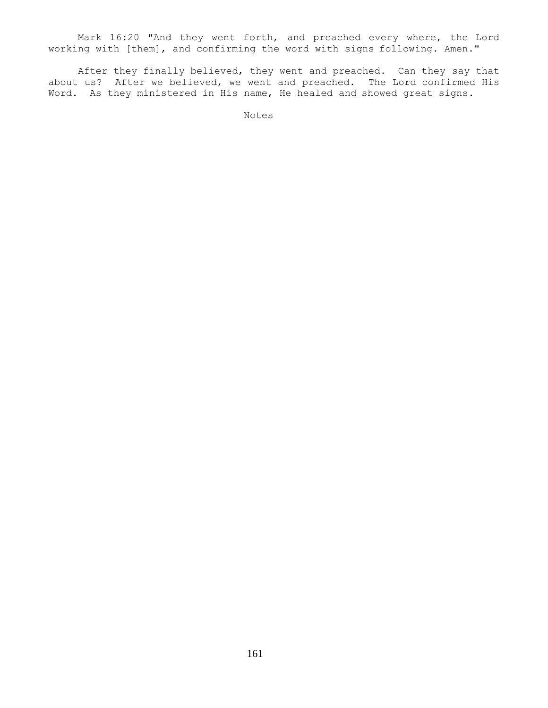Mark 16:20 "And they went forth, and preached every where, the Lord working with [them], and confirming the word with signs following. Amen."

 After they finally believed, they went and preached. Can they say that about us? After we believed, we went and preached. The Lord confirmed His Word. As they ministered in His name, He healed and showed great signs.

Notes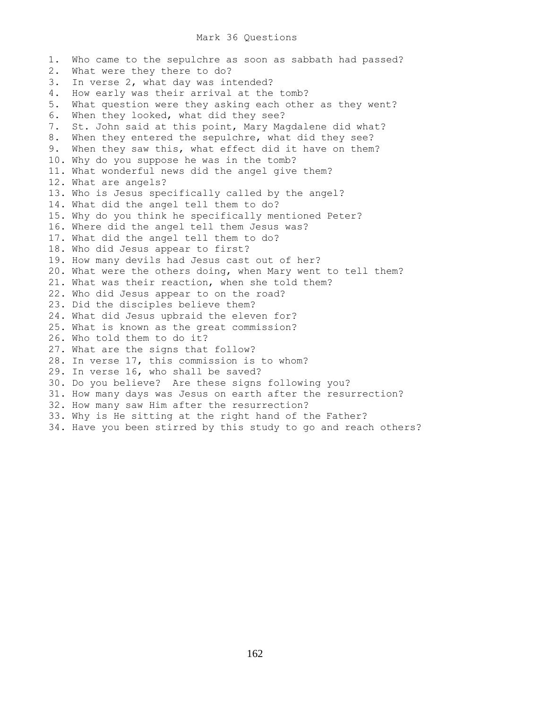## Mark 36 Questions

1. Who came to the sepulchre as soon as sabbath had passed? 2. What were they there to do? 3. In verse 2, what day was intended? 4. How early was their arrival at the tomb? 5. What question were they asking each other as they went? 6. When they looked, what did they see? 7. St. John said at this point, Mary Magdalene did what? 8. When they entered the sepulchre, what did they see? 9. When they saw this, what effect did it have on them? 10. Why do you suppose he was in the tomb? 11. What wonderful news did the angel give them? 12. What are angels? 13. Who is Jesus specifically called by the angel? 14. What did the angel tell them to do? 15. Why do you think he specifically mentioned Peter? 16. Where did the angel tell them Jesus was? 17. What did the angel tell them to do? 18. Who did Jesus appear to first? 19. How many devils had Jesus cast out of her? 20. What were the others doing, when Mary went to tell them? 21. What was their reaction, when she told them? 22. Who did Jesus appear to on the road? 23. Did the disciples believe them? 24. What did Jesus upbraid the eleven for? 25. What is known as the great commission? 26. Who told them to do it? 27. What are the signs that follow? 28. In verse 17, this commission is to whom? 29. In verse 16, who shall be saved? 30. Do you believe? Are these signs following you? 31. How many days was Jesus on earth after the resurrection? 32. How many saw Him after the resurrection? 33. Why is He sitting at the right hand of the Father? 34. Have you been stirred by this study to go and reach others?